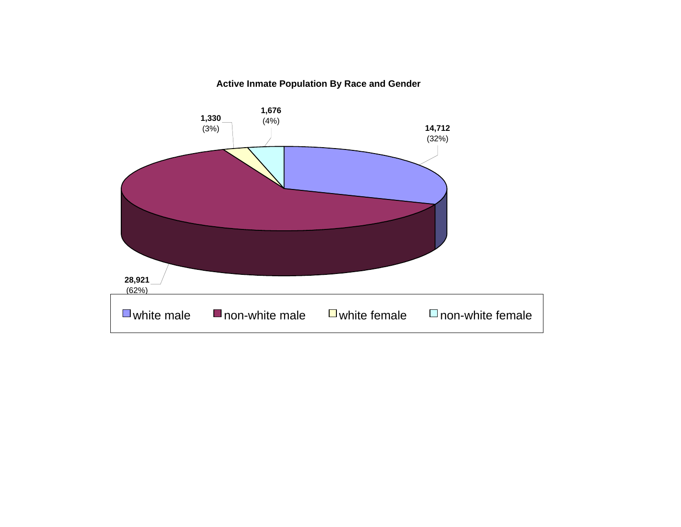#### **Active Inmate Population By Race and Gender**

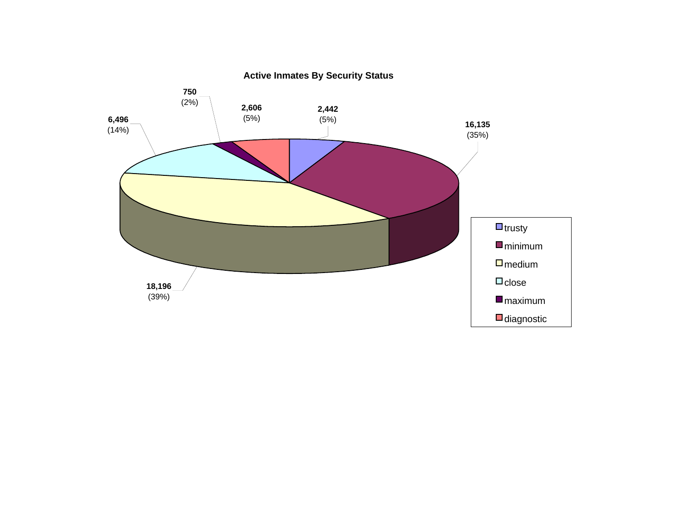

**Active Inmates By Security Status**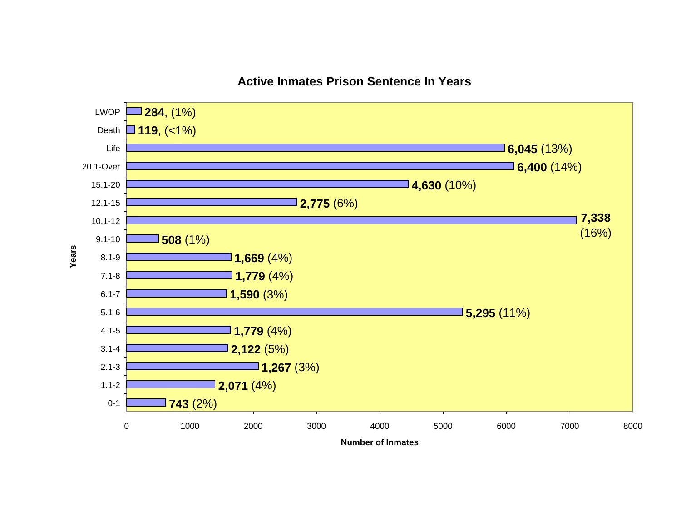

#### **Active Inmates Prison Sentence In Years**

**Number of Inmates**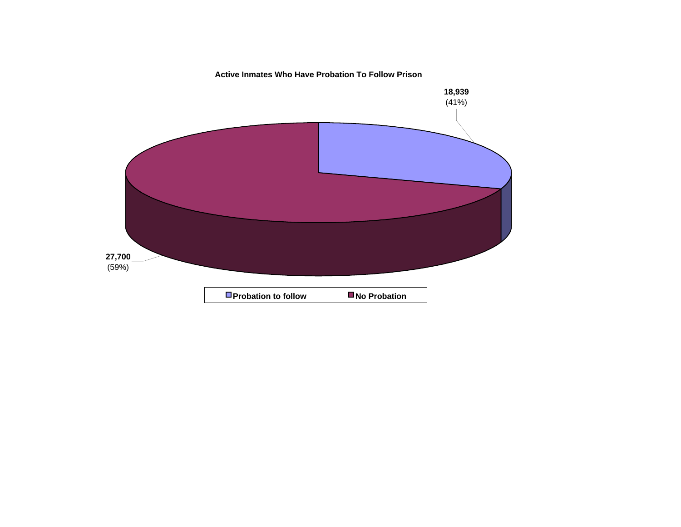**Active Inmates Who Have Probation To Follow Prison**

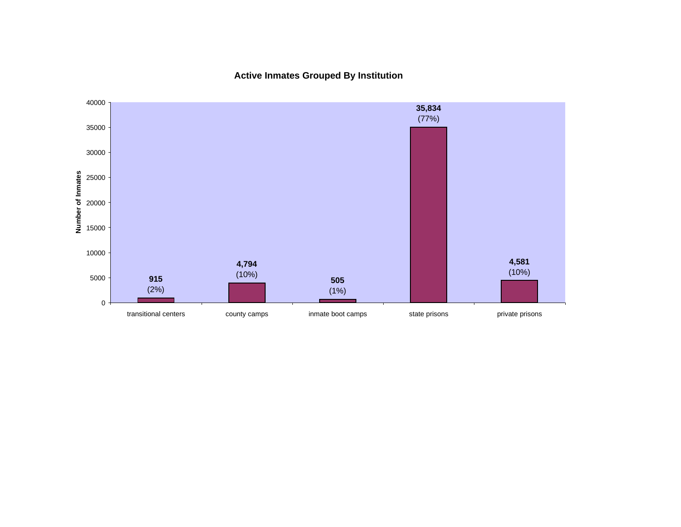**Active Inmates Grouped By Institution**

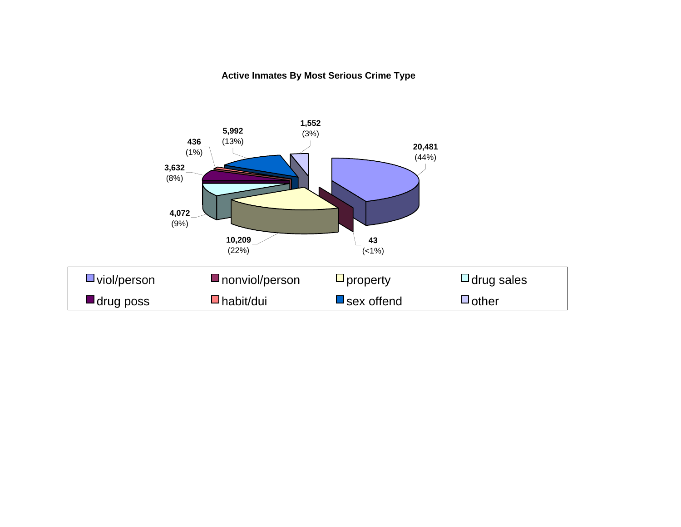#### **Active Inmates By Most Serious Crime Type**

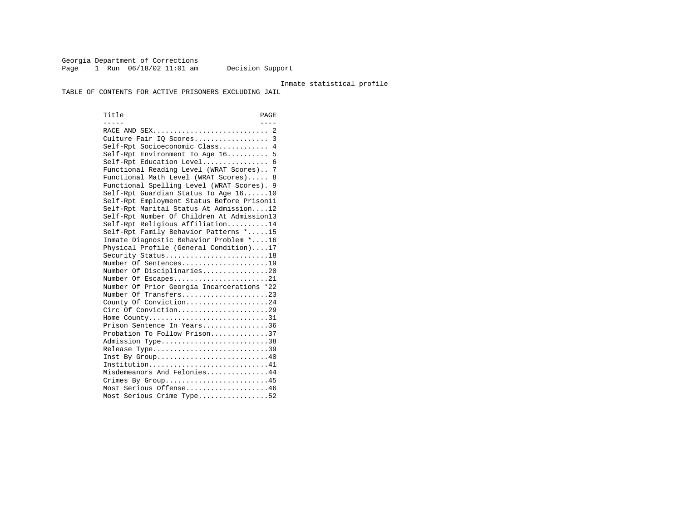Georgia Department of Corrections Page 1 Run 06/18/02 11:01 am Decision Support

#### Inmate statistical profile

TABLE OF CONTENTS FOR ACTIVE PRISONERS EXCLUDING JAIL

Title PAGE ----- ---- RACE AND SEX............................ 2 Culture Fair IQ Scores.................. 3 Self-Rpt Socioeconomic Class............ 4 Self-Rpt Environment To Age 16.......... 5 Self-Rpt Education Level................ 6 Functional Reading Level (WRAT Scores).. 7 Functional Math Level (WRAT Scores)..... 8 Functional Spelling Level (WRAT Scores). 9 Self-Rpt Guardian Status To Age 16......10 Self-Rpt Employment Status Before Prison11 Self-Rpt Marital Status At Admission....12 Self-Rpt Number Of Children At Admission13 Self-Rpt Religious Affiliation..........14 Self-Rpt Family Behavior Patterns \*.....15 Inmate Diagnostic Behavior Problem \*....16 Physical Profile (General Condition)....17 Security Status...........................18 Number Of Sentences.....................19 Number Of Disciplinaries................20 Number Of Escapes........................21 Number Of Prior Georgia Incarcerations \*22 Number Of Transfers.....................23 County Of Conviction....................24 Circ Of Conviction......................29 Home County.............................31 Prison Sentence In Years................36 Probation To Follow Prison..............37Admission Type.............................38 Release Type...............................39 Inst By Group.............................40 Institution................................41 Misdemeanors And Felonies...............44 Crimes By Group...........................45 Most Serious Offense....................46 Most Serious Crime Type.................52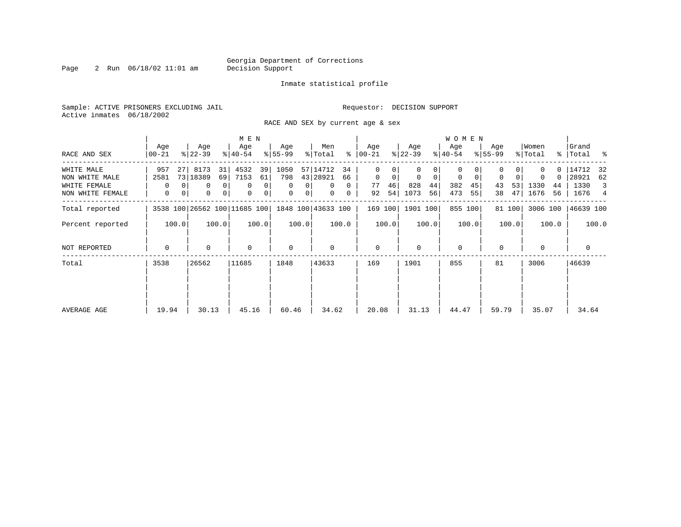Page 2 Run 06/18/02 11:01 am

#### Inmate statistical profile

Sample: ACTIVE PRISONERS EXCLUDING JAIL **Requestor: DECISION SUPPORT** Active inmates 06/18/2002

RACE AND SEX by current age & sex

|                  |                  |                                     | M E N            |                     |                      |                  |                         | W O M E N        |                         |                  |                        |
|------------------|------------------|-------------------------------------|------------------|---------------------|----------------------|------------------|-------------------------|------------------|-------------------------|------------------|------------------------|
| RACE AND SEX     | Age<br>$00 - 21$ | Age<br>$ 22-39 $                    | Age<br>$8 40-54$ | Age<br>$8 55-99$    | Men<br>ွေ<br>% Total | Age<br>$ 00-21 $ | Age<br>$ 22-39 $        | Age<br>$ 40-54 $ | Age<br>$8 55-99$        | Women<br>% Total | Grand<br>%   Total %   |
| WHITE MALE       | 957<br>27        | 8173<br>31                          | 4532<br>39       | 1050                | 57 14712<br>34       | 0                |                         | 0                |                         | 0.               | 14712 32               |
| NON WHITE MALE   | 2581             | 73 18389<br>69                      | 7153<br>61       | 798                 | 43 28921<br>66       | $\mathbf 0$<br>0 | $\mathbf 0$<br>$\Omega$ | $\mathbf 0$<br>0 | $\mathbf 0$<br>$\Omega$ | 0                | 28921 62               |
| WHITE FEMALE     | 0                | 0 <sup>1</sup><br>0                 | 0<br>0           | $\Omega$<br>0       | $\Omega$<br>$\Omega$ | 46<br>77         | 828<br>44               | 382<br>45        | 53<br>43                | 1330<br>44       | 1330<br>$\overline{3}$ |
| NON WHITE FEMALE | 0                | 0 <sup>1</sup><br>0<br>$\mathbf{0}$ | 0<br>0           | 0<br>0 <sup>1</sup> | $\mathbf{0}$<br>0    | 54<br>92         | 1073<br>56              | 473<br>55        | 47<br>38                | 1676<br>56       | 1676<br>4              |
| Total reported   |                  | 3538 100 26562 100 11685 100        |                  |                     | 1848 100 43633 100   | 169 100          | 1901 100                | 855 100          | 81 100                  | 3006 100         | 46639 100              |
| Percent reported | 100.0            | 100.0                               | 100.0            | 100.0               | 100.0                | 100.0            | 100.0                   | 100.0            | 100.0                   | 100.0            | 100.0                  |
| NOT REPORTED     | $\Omega$         | $\Omega$                            | $\mathbf 0$      | $\mathbf 0$         | $\Omega$             | $\mathbf{0}$     | $\Omega$                | $\Omega$         | $\Omega$                |                  | 0                      |
| Total            | 3538             | 26562                               | 11685            | 1848                | 43633                | 169              | 1901                    | 855              | 81                      | 3006             | 46639                  |
|                  |                  |                                     |                  |                     |                      |                  |                         |                  |                         |                  |                        |
| AVERAGE AGE      | 19.94            | 30.13                               | 45.16            | 60.46               | 34.62                | 20.08            | 31.13                   | 44.47            | 59.79                   | 35.07            | 34.64                  |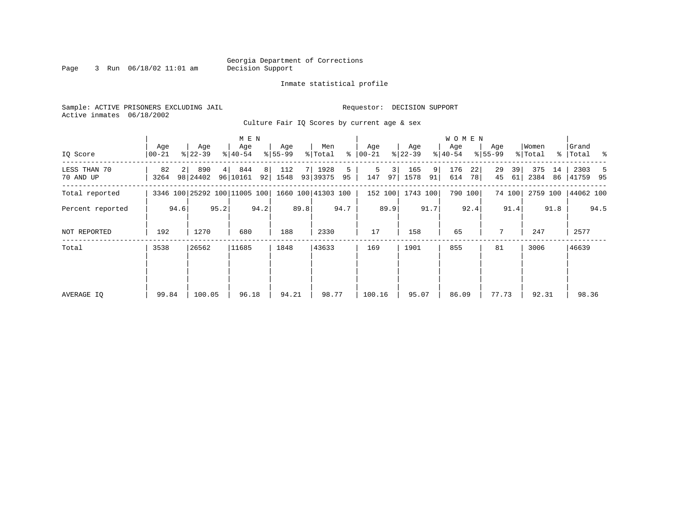Page 3 Run  $06/18/02$  11:01 am

#### Inmate statistical profile

Sample: ACTIVE PRISONERS EXCLUDING JAIL **Requestor: DECISION SUPPORT** Active inmates 06/18/2002

Culture Fair IO Scores by current age & sex

|  |  |  | carcare rais species $\omega_I$ carrent age a sex |  |  |
|--|--|--|---------------------------------------------------|--|--|
|  |  |  |                                                   |  |  |
|  |  |  |                                                   |  |  |

|                           |              | M E N          |                              |      |                  |      |                  |      |                    |         |                |                      |                  |         | W O M E N        |           |                  |          |                  |          |                      |      |
|---------------------------|--------------|----------------|------------------------------|------|------------------|------|------------------|------|--------------------|---------|----------------|----------------------|------------------|---------|------------------|-----------|------------------|----------|------------------|----------|----------------------|------|
| IQ Score                  | Age<br>00-21 |                | Age<br>$ 22-39 $             |      | Age<br>$ 40-54 $ |      | Age<br>$8 55-99$ |      | Men<br>% Total     | ⊱       | Age<br>  00-21 |                      | Age<br>$ 22-39 $ |         | Age<br>$ 40-54 $ |           | Age<br>$8 55-99$ |          | Women<br>% Total |          | Grand<br>%   Total % |      |
| LESS THAN 70<br>70 AND UP | 82<br>3264   | 2 <sup>1</sup> | 890<br>98 24402              | 4    | 844<br>96 10161  | 8    | 112<br>92 1548   | 7 I  | 1928<br>93 39375   | 5<br>95 | 5<br>147       | $\overline{3}$<br>97 | 165<br>1578      | 9<br>91 | 176<br>614       | 22 <br>78 | 29<br>45         | 39<br>61 | 375<br>2384      | 14<br>86 | 2303<br>41759 95     |      |
| Total reported            |              |                | 3346 100 25292 100 11005 100 |      |                  |      |                  |      | 1660 100 41303 100 |         |                | 152 100              | 1743 100         |         |                  | 790 100   |                  | 74 100   | 2759 100         |          | 44062 100            |      |
| Percent reported          |              | 94.6           |                              | 95.2 |                  | 94.2 |                  | 89.8 |                    | 94.7    |                | 89.9                 |                  | 91.7    |                  | 92.4      |                  | 91.4     |                  | 91.8     |                      | 94.5 |
| NOT REPORTED              | 192          |                | 1270                         |      | 680              |      | 188              |      | 2330               |         | 17             |                      | 158              |         | 65               |           | 7                |          | 247              |          | 2577                 |      |
| Total                     | 3538         |                | 26562                        |      | 11685            |      | 1848             |      | 43633              |         | 169            |                      | 1901             |         | 855              |           | 81               |          | 3006             |          | 46639                |      |
|                           |              |                |                              |      |                  |      |                  |      |                    |         |                |                      |                  |         |                  |           |                  |          |                  |          |                      |      |
|                           |              |                |                              |      |                  |      |                  |      |                    |         |                |                      |                  |         |                  |           |                  |          |                  |          |                      |      |
| AVERAGE IO                | 99.84        |                | 100.05                       |      | 96.18            |      | 94.21            |      | 98.77              |         | 100.16         |                      | 95.07            |         | 86.09            |           | 77.73            |          | 92.31            |          | 98.36                |      |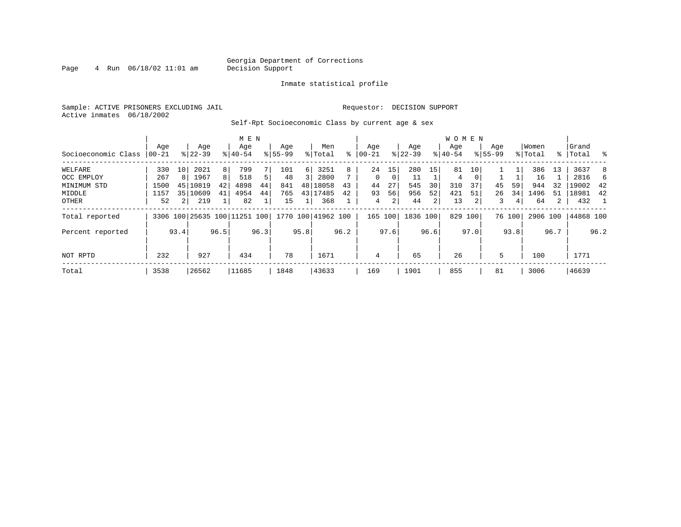Page  $4$  Run  $06/18/02$  11:01 am

#### Inmate statistical profile

Sample: ACTIVE PRISONERS EXCLUDING JAIL **Requestor: DECISION SUPPORT** Active inmates 06/18/2002

Self-Rpt Socioeconomic Class by current age & sex

|                     |          |                |                              |      | M E N     |      |             |      |                    |      |            |          |           |      | <b>WOMEN</b> |          |             |                |          |             |           |      |
|---------------------|----------|----------------|------------------------------|------|-----------|------|-------------|------|--------------------|------|------------|----------|-----------|------|--------------|----------|-------------|----------------|----------|-------------|-----------|------|
|                     | Age      |                | Age                          |      | Age       |      | Age         |      | Men                |      | Age        |          | Age       |      | Age          |          | Age         |                | Women    |             | Grand     |      |
| Socioeconomic Class | $ 00-21$ |                | $8 22-39$                    |      | $8 40-54$ |      | $8155 - 99$ |      | % Total            | ៖    | $ 00 - 21$ | ៖        | $22 - 39$ |      | $ 40-54 $    |          | $8155 - 99$ |                | % Total  | $\approx$ 1 | Total     | ႜ    |
| WELFARE             | 330      | 10             | 2021                         | 8    | 799       |      | 101         | 6    | 3251               | 8    | 24         | 15       | 280       | 15   | 81           | 10       |             |                | 386      | 13          | 3637      | 8    |
| OCC EMPLOY          | 267      | 8              | 1967                         | 8    | 518       | 5    | 48          | 3    | 2800               |      | $\Omega$   | $\Omega$ | 11        |      | 4            | $\Omega$ |             |                | 16       |             | 2816      | 6    |
| MINIMUM STD         | 1500     | 45             | 10819                        | 42   | 4898      | 44   | 841         | 48   | 18058              | 43   | 44         | 27       | 545       | 30   | 310          | 37       | 45          | 59             | 944      | 32          | 19002     | -42  |
| MIDDLE              | 1157     | 351            | 10609                        | 41   | 4954      | 44   | 765         |      | 43 17485           | 42   | 93         | 56       | 956       | 52   | 421          | 51       | 26          | 34             | 1496     | 51          | 18981     | 42   |
| OTHER               | 52       | 2 <sub>1</sub> | 219                          |      | 82        |      | 15          |      | 368                |      | 4          | 2        | 44        | 2    | 13           |          | 3           | $\overline{4}$ | 64       | 2           | 432       |      |
| Total reported      |          |                | 3306 100 25635 100 11251 100 |      |           |      |             |      | 1770 100 41962 100 |      | 165 100    |          | 1836 100  |      | 829 100      |          |             | 76 100         | 2906 100 |             | 44868 100 |      |
| Percent reported    |          | 93.4           |                              | 96.5 |           | 96.3 |             | 95.8 |                    | 96.2 |            | 97.6     |           | 96.6 |              | 97.0     |             | 93.8           |          | 96.7        |           | 96.2 |
| NOT RPTD            | 232      |                | 927                          |      | 434       |      | 78          |      | 1671               |      | 4          |          | 65        |      | 26           |          | 5           |                | 100      |             | 1771      |      |
| Total               | 3538     |                | 26562                        |      | 11685     |      | 1848        |      | 43633              |      | 169        |          | 1901      |      | 855          |          | 81          |                | 3006     |             | 46639     |      |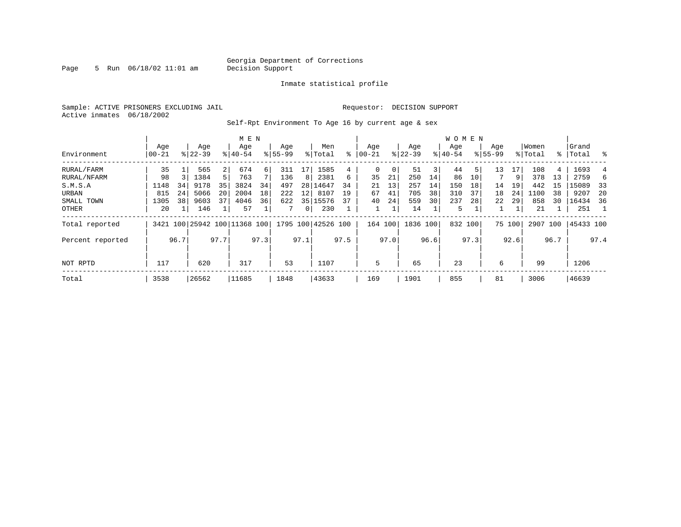Page 5 Run  $06/18/02$  11:01 am

#### Inmate statistical profile

Sample: ACTIVE PRISONERS EXCLUDING JAIL **Requestor: DECISION SUPPORT** Active inmates 06/18/2002

Self-Rpt Environment To Age 16 by current age & sex

|                  |                 |      | M E N              |                |                              |      |                    |                |                    |      | W O M E N         |      |                    |      |                  |      |                    |        |                  |      |                 |      |
|------------------|-----------------|------|--------------------|----------------|------------------------------|------|--------------------|----------------|--------------------|------|-------------------|------|--------------------|------|------------------|------|--------------------|--------|------------------|------|-----------------|------|
| Environment      | Age<br>$ 00-21$ |      | Age<br>$8122 - 39$ |                | Age<br>$8140 - 54$           |      | Age<br>$8155 - 99$ |                | Men<br>% Total     | ៖    | Age<br>$ 00 - 21$ |      | Age<br>$8$   22-39 |      | Age<br>$ 40-54 $ |      | Age<br>$8155 - 99$ |        | Women<br>% Total | ႜၟ   | Grand<br> Total | ႜ    |
|                  |                 |      |                    |                |                              |      |                    |                |                    |      |                   |      |                    |      |                  |      |                    |        |                  |      |                 |      |
| RURAL/FARM       | 35              |      | 565                | $\overline{2}$ | 674                          | 6    | 311                | 17             | 1585               | 4    | 0                 | 0    | 51                 | 3    | 44               | 5    | 13                 | 17     | 108              | 4    | 1693            |      |
| RURAL/NFARM      | 98              |      | 1384               | 5 <sup>1</sup> | 763                          |      | 136                | 8              | 2381               | 6    | 35                | 21   | 250                | 14   | 86               | 10   |                    | 9      | 378              | 13   | 2759            | 6    |
| S.M.S.A          | 1148            | 34   | 9178               | 35             | 3824                         | 34   | 497                | 281            | 14647              | 34   | 21                | 13   | 257                | 14   | 150              | 18   | 14                 | 19     | 442              | 15   | 15089           | 33   |
| URBAN            | 815             | 24   | 5066               | 20             | 2004                         | 18   | 222                | 12             | 8107               | 19   | 67                | 41   | 705                | 38   | 310              | 37   | 18                 | 24     | 1100             | 38   | 9207            | 20   |
| SMALL TOWN       | 1305            | 38   | 9603               | 37             | 4046                         | 36   | 622                |                | 35 15576           | 37   | 40                | 24   | 559                | 30   | 237              | 28   | 22                 | 29     | 858              | 30   | 16434           | -36  |
| OTHER            | 20              |      | 146                |                | 57                           |      |                    | $\overline{0}$ | 230                |      |                   |      | 14                 |      | 5                |      |                    |        | 21               |      | 251             |      |
| Total reported   |                 |      |                    |                | 3421 100 25942 100 11368 100 |      |                    |                | 1795 100 42526 100 |      | 164 100           |      | 1836 100           |      | 832 100          |      |                    | 75 100 | 2907 100         |      | 45433 100       |      |
| Percent reported |                 | 96.7 |                    | 97.7           |                              | 97.3 |                    | 97.1           |                    | 97.5 |                   | 97.0 |                    | 96.6 |                  | 97.3 |                    | 92.6   |                  | 96.7 |                 | 97.4 |
|                  |                 |      |                    |                |                              |      |                    |                |                    |      |                   |      |                    |      |                  |      |                    |        |                  |      |                 |      |
| NOT RPTD         | 117             |      | 620                |                | 317                          |      | 53                 |                | 1107               |      | 5                 |      | 65                 |      | 23               |      | 6                  |        | 99               |      | 1206            |      |
| Total            | 3538            |      | 26562              |                | 11685                        |      | 1848               |                | 43633              |      | 169               |      | 1901               |      | 855              |      | 81                 |        | 3006             |      | 46639           |      |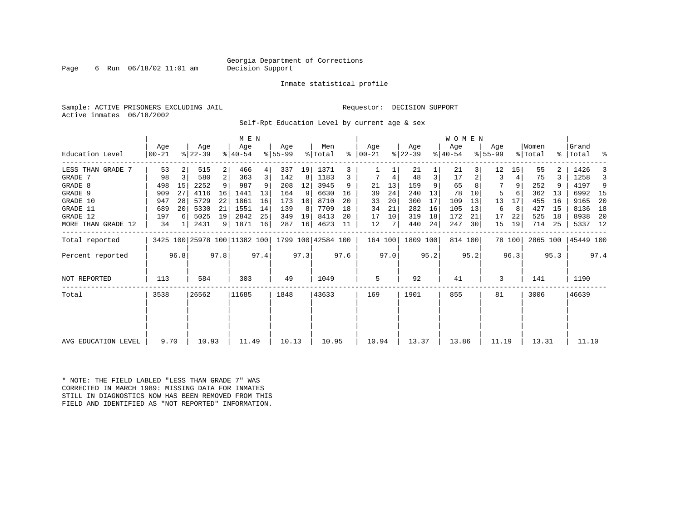Page 6 Run  $06/18/02$  11:01 am

#### Inmate statistical profile

Sample: ACTIVE PRISONERS EXCLUDING JAIL **Requestor: DECISION SUPPORT** Active inmates 06/18/2002

Self-Rpt Education Level by current age & sex

|                     | Age   |      | Age                          |                | M E N<br>Age |      | Age       |      | Men                |      | Age           |      | Age       |      | WOMEN<br>Age |         | Age       |        | Women    |      | Grand     |      |
|---------------------|-------|------|------------------------------|----------------|--------------|------|-----------|------|--------------------|------|---------------|------|-----------|------|--------------|---------|-----------|--------|----------|------|-----------|------|
| Education Level     | 00-21 |      | $ 22-39 $                    |                | $8140 - 54$  |      | $8 55-99$ |      | % Total            |      | $8   00 - 21$ |      | $ 22-39 $ |      | $ 40-54 $    |         | $8 55-99$ |        | % Total  |      | %   Total | ႜ    |
| LESS THAN GRADE 7   | 53    |      | 515                          | $\overline{2}$ | 466          | 4    | 337       | 19   | 1371               |      |               |      | 21        |      | 21           |         | 12        | 15     | 55       |      | 1426      |      |
| GRADE 7             | 98    | 3    | 580                          | 2              | 363          | 3    | 142       | 8    | 1183               | 3    |               | 4    | 48        | 3    | 17           |         | 3         | 4      | 75       |      | 1258      |      |
| GRADE 8             | 498   | 15   | 2252                         | 9              | 987          | 9    | 208       | 12   | 3945               | 9    | 21            | 13   | 159       | 9    | 65           |         |           | 9      | 252      | 9    | 4197      | 9    |
| GRADE 9             | 909   | 27   | 4116                         | 16             | 1441         | 13   | 164       | 9    | 6630               | 16   | 39            | 24   | 240       | 13   | 78           | 10      | 5         |        | 362      | 13   | 6992      | 15   |
| GRADE 10            | 947   | 28   | 5729                         | 22             | 1861         | 16   | 173       | 10   | 8710               | 20   | 33            | 20   | 300       | 17   | 109          | 13      | 13        | 17     | 455      | 16   | 9165      | -20  |
| GRADE 11            | 689   | 20   | 5330                         | 21             | 1551         | 14   | 139       | 8    | 7709               | 18   | 34            | 21   | 282       | 16   | 105          | 13      | 6         | 8      | 427      | 15   | 8136      | 18   |
| GRADE 12            | 197   | 6    | 5025                         | 19             | 2842         | 25   | 349       | 19   | 8413               | 20   | 17            | 10   | 319       | 18   | 172          | 21      | 17        | 22     | 525      | 18   | 8938      | -20  |
| MORE THAN GRADE 12  | 34    |      | 2431                         |                | 9   1871     | 16   | 287       | 16   | 4623               | 11   | 12            |      | 440       | 24   | 247          | 30      | 15        | 19     | 714      | 25   | 5337 12   |      |
| Total reported      |       |      | 3425 100 25978 100 11382 100 |                |              |      |           |      | 1799 100 42584 100 |      | 164 100       |      | 1809 100  |      |              | 814 100 |           | 78 100 | 2865 100 |      | 45449 100 |      |
| Percent reported    |       | 96.8 |                              | 97.8           |              | 97.4 |           | 97.3 |                    | 97.6 |               | 97.0 |           | 95.2 |              | 95.2    |           | 96.3   |          | 95.3 |           | 97.4 |
| NOT REPORTED        | 113   |      | 584                          |                | 303          |      | 49        |      | 1049               |      | 5             |      | 92        |      | 41           |         | 3         |        | 141      |      | 1190      |      |
| Total               | 3538  |      | 26562                        |                | 11685        |      | 1848      |      | 43633              |      | 169           |      | 1901      |      | 855          |         | 81        |        | 3006     |      | 46639     |      |
|                     |       |      |                              |                |              |      |           |      |                    |      |               |      |           |      |              |         |           |        |          |      |           |      |
|                     |       |      |                              |                |              |      |           |      |                    |      |               |      |           |      |              |         |           |        |          |      |           |      |
| AVG EDUCATION LEVEL | 9.70  |      | 10.93                        |                | 11.49        |      | 10.13     |      | 10.95              |      | 10.94         |      | 13.37     |      | 13.86        |         | 11.19     |        | 13.31    |      | 11.10     |      |

\* NOTE: THE FIELD LABLED "LESS THAN GRADE 7" WAS CORRECTED IN MARCH 1989: MISSING DATA FOR INMATES STILL IN DIAGNOSTICS NOW HAS BEEN REMOVED FROM THIS FIELD AND IDENTIFIED AS "NOT REPORTED" INFORMATION.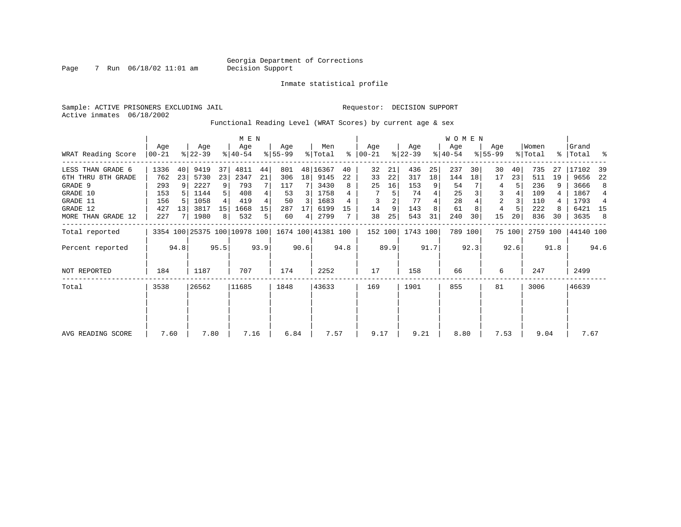Inmate statistical profile

Sample: ACTIVE PRISONERS EXCLUDING JAIL **Requestor: DECISION SUPPORT** Active inmates 06/18/2002

Functional Reading Level (WRAT Scores) by current age & sex

|                    | M E N            |                 |                              |      |                  |                |                  |      |                    |      |                  |      |                  |      | W O M E N        |         |                    |        |                  |      |                 |      |
|--------------------|------------------|-----------------|------------------------------|------|------------------|----------------|------------------|------|--------------------|------|------------------|------|------------------|------|------------------|---------|--------------------|--------|------------------|------|-----------------|------|
| WRAT Reading Score | Age<br>$ 00-21 $ |                 | Age<br>$ 22-39 $             |      | Age<br>$ 40-54 $ |                | Aqe<br>$8 55-99$ |      | Men<br>% Total     | ႜ    | Age<br>$00 - 21$ |      | Aqe<br>$ 22-39 $ |      | Age<br>$ 40-54 $ |         | Aqe<br>$8155 - 99$ |        | Women<br>% Total | ွေ   | Grand<br> Total | ႜ    |
| LESS THAN GRADE 6  | 1336             | 40 <sup>1</sup> | 9419                         | 37   | 4811             | 44             | 801              |      | 48 16367           | 40   | 32               | 21   | 436              | 25   | 237              | 30      | 30                 | 40     | 735              | 27   | 17102           | 39   |
| 6TH THRU 8TH GRADE | 762              | 23              | 5730                         | 23   | 2347             | 21             | 306              | 18   | 9145               | 22   | 33               | 22   | 317              | 18   | 144              | 18      | 17                 | 23     | 511              | 19   | 9656            | 22   |
| GRADE 9            | 293              | -9              | 2227                         | 9    | 793              |                | 117              |      | 3430               | 8    | 25               | 16   | 153              |      | 54               |         | 4                  | 5      | 236              |      | 3666            | 8    |
| GRADE 10           | 153              |                 | 1144                         |      | 408              |                | 53               | 3    | 1758               |      |                  | 5    | 74               | 4    | 25               |         | 3                  |        | 109              |      | 1867            | 4    |
| GRADE 11           | 156              |                 | 1058                         |      | 419              |                | 50               | 3    | 1683               |      | 3                |      | 77               |      | 28               |         | 2                  |        | 110              |      | 1793            | 4    |
| GRADE 12           | 427              | 13              | 3817                         | 15   | 1668             | 15             | 287              | 17   | 6199               | 15   | 14               | 9    | 143              | 8    | 61               |         |                    |        | 222              |      | 6421 15         |      |
| MORE THAN GRADE 12 | 227              |                 | 1980                         | 8    | 532              | 5 <sub>1</sub> | 60               | 4    | 2799               |      | 38               | 25   | 543              | 31   | 240              | 30      | 15                 | 20     | 836              | 30   | 3635            | -8   |
| Total reported     |                  |                 | 3354 100 25375 100 10978 100 |      |                  |                |                  |      | 1674 100 41381 100 |      | 152 100          |      | 1743 100         |      |                  | 789 100 |                    | 75 100 | 2759 100         |      | 44140 100       |      |
| Percent reported   |                  | 94.8            |                              | 95.5 |                  | 93.9           |                  | 90.6 |                    | 94.8 |                  | 89.9 |                  | 91.7 |                  | 92.3    |                    | 92.6   |                  | 91.8 |                 | 94.6 |
| NOT REPORTED       | 184              |                 | 1187                         |      | 707              |                | 174              |      | 2252               |      | 17               |      | 158              |      | 66               |         | 6                  |        | 247              |      | 2499            |      |
| Total              | 3538             |                 | 26562                        |      | 11685            |                | 1848             |      | 43633              |      | 169              |      | 1901             |      | 855              |         | 81                 |        | 3006             |      | 46639           |      |
|                    |                  |                 |                              |      |                  |                |                  |      |                    |      |                  |      |                  |      |                  |         |                    |        |                  |      |                 |      |
|                    |                  |                 |                              |      |                  |                |                  |      |                    |      |                  |      |                  |      |                  |         |                    |        |                  |      |                 |      |
| AVG READING SCORE  | 7.60             |                 | 7.80                         |      | 7.16             |                | 6.84             |      | 7.57               |      | 9.17             |      | 9.21             |      | 8.80             |         | 7.53               |        | 9.04             |      | 7.67            |      |

Page 7 Run 06/18/02 11:01 am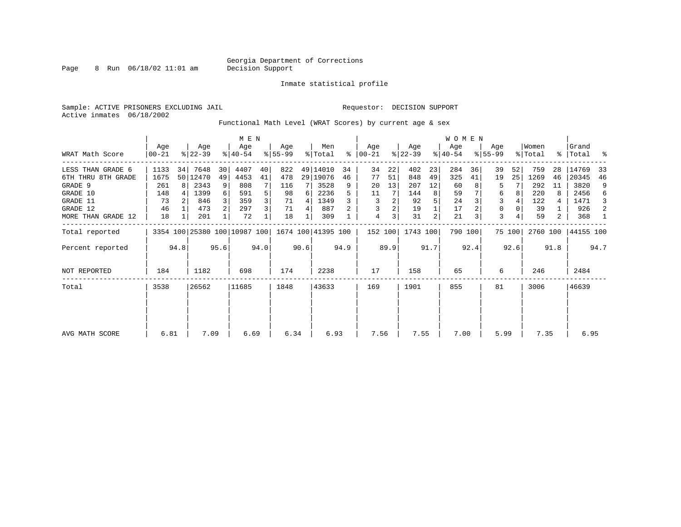Page 8 Run 06/18/02 11:01 am

Inmate statistical profile

Sample: ACTIVE PRISONERS EXCLUDING JAIL **Requestor: DECISION SUPPORT** Active inmates 06/18/2002

Functional Math Level (WRAT Scores) by current age & sex

|                    | M E N            |      |                  |                |                              |      |                 |      |                    |      |                 |      |                  |      | <b>WOMEN</b>     |         |                    |        |                  |      |                    |      |
|--------------------|------------------|------|------------------|----------------|------------------------------|------|-----------------|------|--------------------|------|-----------------|------|------------------|------|------------------|---------|--------------------|--------|------------------|------|--------------------|------|
| WRAT Math Score    | Age<br>$00 - 21$ |      | Age<br>$ 22-39 $ |                | Age<br>$ 40-54 $             |      | Aqe<br>$ 55-99$ |      | Men<br>% Total     | ွေ   | Aqe<br>$ 00-21$ |      | Age<br>$ 22-39 $ |      | Age<br>$ 40-54 $ |         | Age<br>$8155 - 99$ |        | Women<br>% Total |      | Grand<br>%   Total | ႜ    |
| LESS THAN GRADE 6  | 1133             | 34   | 7648             | 30             | 4407                         | 40   | 822             |      | 49 14010           | 34   | 34              | 22   | 402              | 23   | 284              | 36      | 39                 | 52     | 759              | 28   | 14769              | 33   |
| 6TH THRU 8TH GRADE | 1675             |      | 50 12470         | 49             | 4453                         | 41   | 478             |      | 29 19076           | 46   | 77              | 51   | 848              | 49   | 325              | 41      | 19                 | 25     | 1269             | 46   | 20345              | 46   |
| GRADE 9            | 261              | 8    | 2343             | 9              | 808                          |      | 116             |      | 3528               | 9    | 20              | 13   | 207              | 12   | 60               |         | 5                  |        | 292              | 11   | 3820               | 9    |
| GRADE 10           | 148              |      | 1399             | 6              | 591                          | 5    | 98              | 6    | 2236               |      | 11              |      | 144              | 8    | 59               |         | 6                  | 8      | 220              |      | 2456               | 6    |
| GRADE 11           | 73               |      | 846              | 3              | 359                          | 3    | 71              | 4    | 1349               |      | 3               | 2    | 92               |      | 24               |         | 3                  |        | 122              | 4    | 1471               | 3    |
| GRADE 12           | 46               |      | 473              | $\overline{2}$ | 297                          | 3    | 71              | 4    | 887                |      | 3               | 2    | 19               |      | 17               |         | 0                  |        | 39               |      | 926                | 2    |
| MORE THAN GRADE 12 | 18               |      | 201              |                | 72                           |      | 18              |      | 309                |      | 4               | 3    | 31               | 2    | 21               | 3       | 3                  |        | 59               | 2    | 368                | -1   |
| Total reported     |                  |      |                  |                | 3354 100 25380 100 10987 100 |      |                 |      | 1674 100 41395 100 |      | 152 100         |      | 1743 100         |      |                  | 790 100 |                    | 75 100 | 2760 100         |      | 44155 100          |      |
| Percent reported   |                  | 94.8 |                  | 95.6           |                              | 94.0 |                 | 90.6 |                    | 94.9 |                 | 89.9 |                  | 91.7 |                  | 92.4    |                    | 92.6   |                  | 91.8 |                    | 94.7 |
| NOT REPORTED       | 184              |      | 1182             |                | 698                          |      | 174             |      | 2238               |      | 17              |      | 158              |      | 65               |         | 6                  |        | 246              |      | 2484               |      |
| Total              | 3538             |      | 26562            |                | 11685                        |      | 1848            |      | 43633              |      | 169             |      | 1901             |      | 855              |         | 81                 |        | 3006             |      | 46639              |      |
|                    |                  |      |                  |                |                              |      |                 |      |                    |      |                 |      |                  |      |                  |         |                    |        |                  |      |                    |      |
| AVG MATH SCORE     | 6.81             |      | 7.09             |                | 6.69                         |      | 6.34            |      | 6.93               |      | 7.56            |      | 7.55             |      | 7.00             |         | 5.99               |        | 7.35             |      | 6.95               |      |
|                    |                  |      |                  |                |                              |      |                 |      |                    |      |                 |      |                  |      |                  |         |                    |        |                  |      |                    |      |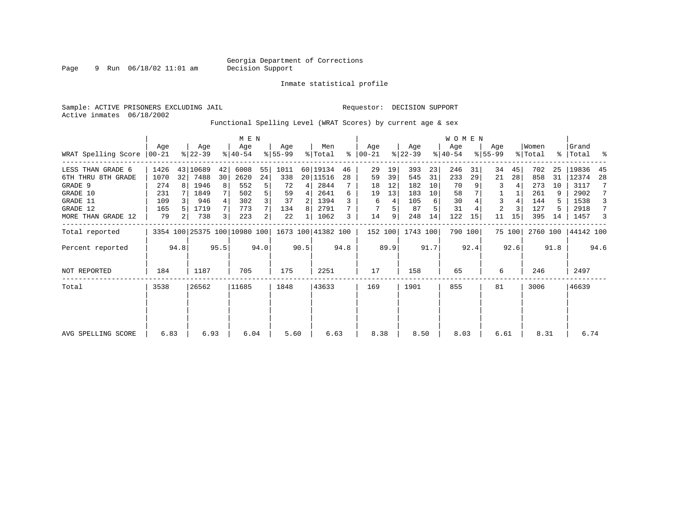Inmate statistical profile

Active inmates 06/18/2002

Page 9 Run 06/18/02 11:01 am

Sample: ACTIVE PRISONERS EXCLUDING JAIL **Requestor: DECISION SUPPORT** 

Functional Spelling Level (WRAT Scores) by current age & sex

|                     | M E N           |      |                  |      |                              |                |                    |      |                |           |                  |      |                  |      | <b>WOMEN</b>     |         |                    |        |                  |      |                    |      |
|---------------------|-----------------|------|------------------|------|------------------------------|----------------|--------------------|------|----------------|-----------|------------------|------|------------------|------|------------------|---------|--------------------|--------|------------------|------|--------------------|------|
| WRAT Spelling Score | Aqe<br>$ 00-21$ |      | Age<br>$8 22-39$ |      | Age<br>$8 40-54$             |                | Aqe<br>$ 55-99$    |      | Men<br>% Total | $\approx$ | Age<br>$00 - 21$ |      | Age<br>$ 22-39 $ |      | Age<br>$ 40-54 $ |         | Aqe<br>$8155 - 99$ |        | Women<br>% Total |      | Grand<br>%   Total | ႜ    |
| LESS THAN GRADE 6   | 1426            |      | 43 10689         | 42   | 6008                         | 55             | 1011               |      | 60 19134       | 46        | 29               | 19   | 393              | 23   | 246              | 31      | 34                 | 45     | 702              | 25   | 19836              | 45   |
| 6TH THRU 8TH GRADE  | 1070            | 32   | 7488             | 30   | 2620                         | 24             | 338                |      | 20 11516       | 28        | 59               | 39   | 545              | 31   | 233              | 29      | 21                 | 28     | 858              | 31   | 12374              | 28   |
| GRADE 9             | 274             |      | 1946             | 8    | 552                          | 5              | 72                 | 4    | 2844           |           | 18               | 12   | 182              | 10   | 70               |         | 3                  |        | 273              | 10   | 3117               |      |
| GRADE 10            | 231             |      | 1849             |      | 502                          | 5              | 59                 | 4    | 2641           | 6         | 19               | 13   | 183              | 10   | 58               |         |                    |        | 261              | 9    | 2902               |      |
| GRADE 11            | 109             |      | 946              |      | 302                          |                | 37                 | 2    | 1394           |           | 6                | 4    | 105              | 6    | 30               |         | 3                  |        | 144              | 5    | 1538               | 3    |
| GRADE 12            | 165             |      | 1719             |      | 773                          |                | 134                | 8    | 2791           |           |                  | 5    | 87               |      | 31               |         | 2                  |        | 127              |      | 2918               | 7    |
| MORE THAN GRADE 12  | 79              | 21   | 738              | 3    | 223                          | $\overline{2}$ | 22                 |      | 1062           | 3         | 14               | 9    | 248              | 14   | 122              | 15      | 11                 | 15     | 395              | 14   | 1457               | 3    |
| Total reported      |                 |      |                  |      | 3354 100 25375 100 10980 100 |                | 1673 100 41382 100 |      |                |           | 152 100          |      | 1743 100         |      |                  | 790 100 |                    | 75 100 | 2760 100         |      | 44142 100          |      |
| Percent reported    |                 | 94.8 |                  | 95.5 |                              | 94.0           |                    | 90.5 |                | 94.8      |                  | 89.9 |                  | 91.7 |                  | 92.4    |                    | 92.6   |                  | 91.8 |                    | 94.6 |
| <b>NOT REPORTED</b> | 184             |      | 1187             |      | 705                          |                | 175                |      | 2251           |           | 17               |      | 158              |      | 65               |         | 6                  |        | 246              |      | 2497               |      |
| Total               | 3538            |      | 26562            |      | 11685                        |                | 1848               |      | 43633          |           | 169              |      | 1901             |      | 855              |         | 81                 |        | 3006             |      | 46639              |      |
|                     |                 |      |                  |      |                              |                |                    |      |                |           |                  |      |                  |      |                  |         |                    |        |                  |      |                    |      |
|                     |                 |      |                  |      |                              |                |                    |      |                |           |                  |      |                  |      |                  |         |                    |        |                  |      |                    |      |
| AVG SPELLING SCORE  | 6.83            |      | 6.93             |      | 6.04                         |                | 5.60               |      | 6.63           |           | 8.38             |      | 8.50             |      | 8.03             |         | 6.61               |        | 8.31             |      | 6.74               |      |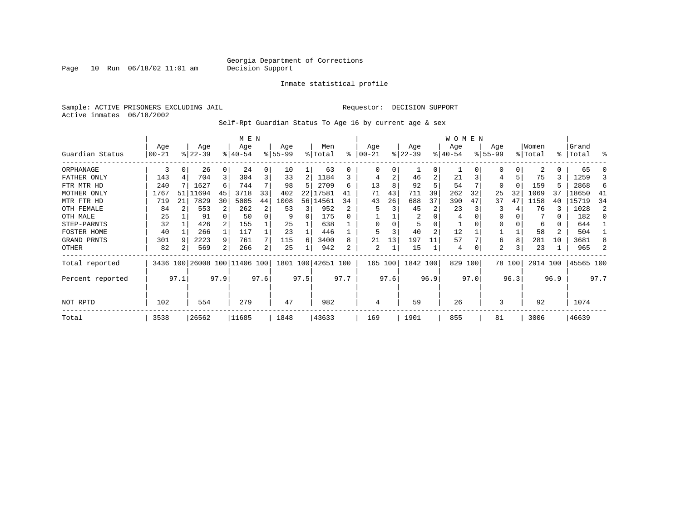Page  $10$  Run  $06/18/02$  11:01 am

#### Inmate statistical profile

Sample: ACTIVE PRISONERS EXCLUDING JAIL **Requestor: DECISION SUPPORT** Active inmates 06/18/2002

Self-Rpt Guardian Status To Age 16 by current age & sex

|                  | M E N      |      |           |      |                              |      |          |      |                    |      |          |      |           |                | W O M E N |      |           |        |          |           |           |                |
|------------------|------------|------|-----------|------|------------------------------|------|----------|------|--------------------|------|----------|------|-----------|----------------|-----------|------|-----------|--------|----------|-----------|-----------|----------------|
|                  | Age        |      | Age       |      | Age                          |      | Age      |      | Men                |      | Age      |      | Age       |                | Age       |      | Age       |        | Women    |           | Grand     |                |
| Guardian Status  | $ 00 - 21$ |      | $ 22-39 $ |      | $ 40-54 $                    |      | $ 55-99$ |      | % Total            | ి    | $ 00-21$ |      | $ 22-39 $ |                | $ 40-54 $ |      | $8 55-99$ |        | % Total  | $\approx$ | Total     | န္             |
| ORPHANAGE        | 3          | 0    | 26        |      | 24                           | 0    | 10       |      | 63                 |      | 0        | 0    |           | $\Omega$       |           |      | $\Omega$  | 0      | 2        | 0         | 65        |                |
| FATHER ONLY      | 143        |      | 704       | 3    | 304                          | 3    | 33       | 2    | 1184               |      | 4        | 2    | 46        | $\overline{2}$ | 21        |      |           | 5      | 75       | 3         | 1259      |                |
| FTR MTR HD       | 240        |      | 1627      | 6    | 744                          |      | 98       |      | 2709               | б    | 13       | 8    | 92        |                | 54        |      | 0         | 0      | 159      | 5         | 2868      | 6              |
| MOTHER ONLY      | 1767       | 51   | 11694     | 45   | 3718                         | 33   | 402      |      | 22 17581           | 41   | 71       | 43   | 711       | 39             | 262       | 32   | 25        | 32     | 1069     | 37        | 18650     | 41             |
| MTR FTR HD       | 719        | 21   | 7829      | 30   | 5005                         | 44   | 1008     |      | 56 14561           | 34   | 43       | 26   | 688       | 37             | 390       | 47   | 37        | 47     | 1158     | 40        | 15719     | 34             |
| OTH FEMALE       | 84         |      | 553       |      | 262                          | 2    | 53       | 3    | 952                |      |          |      | 45        |                | 23        |      |           |        | 76       | ζ         | 1028      | $\mathfrak{D}$ |
| OTH MALE         | 25         |      | 91        |      | 50                           | 0    | 9        | 0    | 175                |      |          |      | 2         |                | 4         |      |           |        |          | 0         | 182       |                |
| STEP-PARNTS      | 32         |      | 426       |      | 155                          |      | 25       |      | 638                |      | $\Omega$ |      |           |                |           |      |           |        | 6        | 0         | 644       |                |
| FOSTER HOME      | 40         |      | 266       |      | 117                          |      | 23       |      | 446                |      |          |      | 40        | 2              | 12        |      |           |        | 58       | 2         | 504       |                |
| GRAND PRNTS      | 301        | -9   | 2223      | 9    | 761                          |      | 115      | 6    | 3400               | 8    | 21       | 13   | 197       | 11             | 57        |      | 6         | 8      | 281      | 10        | 3681      |                |
| OTHER            | 82         |      | 569       | 2    | 266                          | 2    | 25       |      | 942                | 2    | 2        |      | 15        |                | 4         |      | 2         | 3      | 23       |           | 965       |                |
| Total reported   |            |      |           |      | 3436 100 26008 100 11406 100 |      |          |      | 1801 100 42651 100 |      | 165 100  |      | 1842 100  |                | 829       | 100  |           | 78 100 | 2914 100 |           | 45565 100 |                |
| Percent reported |            | 97.1 |           | 97.9 |                              | 97.6 |          | 97.5 |                    | 97.7 |          | 97.6 |           | 96.9           |           | 97.0 |           | 96.3   |          | 96.9      |           | 97.7           |
| NOT RPTD         | 102        |      | 554       |      | 279                          |      | 47       |      | 982                |      | 4        |      | 59        |                | 26        |      | 3         |        | 92       |           | 1074      |                |
| Total            | 3538       |      | 26562     |      | 11685                        |      | 1848     |      | 43633              |      | 169      |      | 1901      |                | 855       |      | 81        |        | 3006     |           | 46639     |                |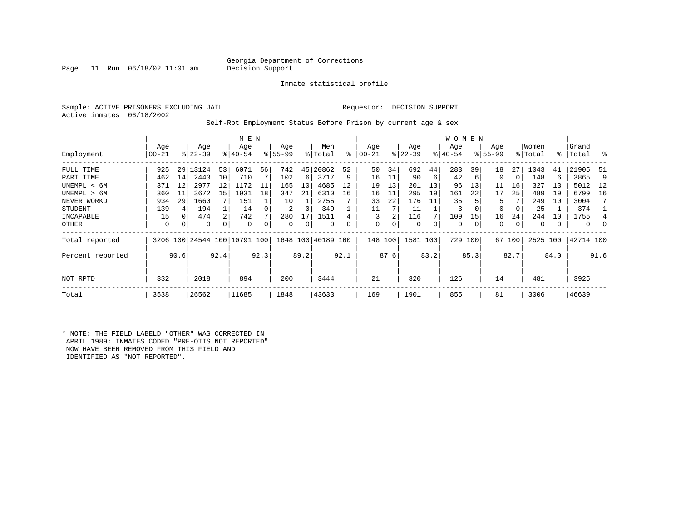Page 11 Run  $06/18/02$  11:01 am

Inmate statistical profile

Sample: ACTIVE PRISONERS EXCLUDING JAIL **Requestor: DECISION SUPPORT** Active inmates 06/18/2002

Self-Rpt Employment Status Before Prison by current age & sex

|                  |          |      |                  |      | M E N                        |      |          |      |                    |      |            |      |           |      | <b>WOMEN</b> |      |             |          |          |      |           |               |
|------------------|----------|------|------------------|------|------------------------------|------|----------|------|--------------------|------|------------|------|-----------|------|--------------|------|-------------|----------|----------|------|-----------|---------------|
|                  | Age      |      | Age<br>$ 22-39 $ |      | Age                          |      | Age      |      | Men                | ႜ    | Age        |      | Age       |      | Age          |      | Age         |          | Women    |      | Grand     | $\frac{8}{6}$ |
| Employment       | $ 00-21$ |      |                  |      | $8 40-54$                    |      | $ 55-99$ |      | % Total            |      | $ 00 - 21$ |      | $ 22-39 $ |      | $ 40-54 $    |      | $8155 - 99$ |          | % Total  |      | %   Total |               |
| FULL TIME        | 925      | 29   | 13124            | 53   | 6071                         | 56   | 742      | 45   | 20862              | 52   | 50         | 34   | 692       | 44   | 283          | 39   | 18          | 27       | 1043     | 41   | 21905     | -51           |
| PART TIME        | 462      | 14   | 2443             | 10   | 710                          |      | 102      | 6    | 3717               | 9    | 16         | 11   | 90        | 6    | 42           | 6    | $\Omega$    | $\Omega$ | 148      | 6    | 3865      | 9             |
| UNEMPL < 6M      | 371      | 12   | 2977             | 12   | 1172                         | 11   | 165      | 10   | 4685               | 12   | 19         | 13   | 201       | 13   | 96           | 13   | 11          | 16       | 327      | 13   | 5012      | 12            |
| UNEMPL > 6M      | 360      | 11   | 3672             | 15   | 1931                         | 18   | 347      | 21   | 6310               | 16   | 16         | 11   | 295       | 19   | 161          | 22   | 17          | 25       | 489      | 19   | 6799      | 16            |
| NEVER WORKD      | 934      | 29   | 1660             |      | 151                          |      | 10       |      | 2755               |      | 33         | 22   | 176       | 11   | 35           |      | 5           |          | 249      | 10   | 3004      |               |
| <b>STUDENT</b>   | 139      | 4    | 194              |      | 14                           |      | 2        | 0    | 349                |      | 11         |      | 11        |      | 3            | 0    | $\Omega$    | 0        | 25       |      | 374       |               |
| INCAPABLE        | 15       | 0    | 474              | 2    | 742                          |      | 280      | 17   | 1511               |      | 3          | 2    | 116       |      | 109          | 15   | 16          | 24       | 244      | 10   | 1755      |               |
| OTHER            | 0        | 0    | 0                | 0    | 0                            |      | 0        | 0    | 0                  | 0    | 0          | 0    | 0         | 0    | 0            | 0    | 0           | 0        | 0        |      | 0         | 0             |
| Total reported   |          |      |                  |      | 3206 100 24544 100 10791 100 |      |          |      | 1648 100 40189 100 |      | 148 100    |      | 1581 100  |      | 729          | 100  | 67          | 100      | 2525 100 |      | 42714 100 |               |
| Percent reported |          | 90.6 |                  | 92.4 |                              | 92.3 |          | 89.2 |                    | 92.1 |            | 87.6 |           | 83.2 |              | 85.3 |             | 82.7     |          | 84.0 |           | 91.6          |
| NOT RPTD         | 332      |      | 2018             |      | 894                          |      | 200      |      | 3444               |      | 21         |      | 320       |      | 126          |      | 14          |          | 481      |      | 3925      |               |
| Total            | 3538     |      | 26562            |      | 11685                        |      | 1848     |      | 43633              |      | 169        |      | 1901      |      | 855          |      | 81          |          | 3006     |      | 46639     |               |

\* NOTE: THE FIELD LABELD "OTHER" WAS CORRECTED IN APRIL 1989; INMATES CODED "PRE-OTIS NOT REPORTED" NOW HAVE BEEN REMOVED FROM THIS FIELD AND IDENTIFIED AS "NOT REPORTED".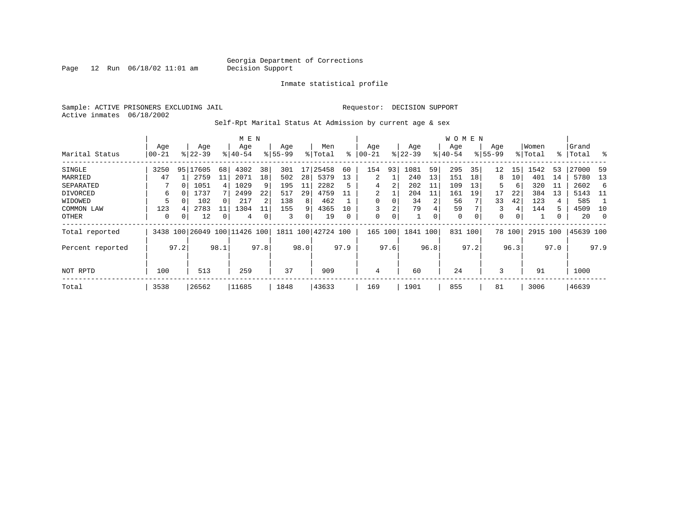Page  $12$  Run  $06/18/02$  11:01 am

Inmate statistical profile

Sample: ACTIVE PRISONERS EXCLUDING JAIL **Requestor: DECISION SUPPORT** Active inmates 06/18/2002

Self-Rpt Marital Status At Admission by current age & sex

|                  | M E N |          |             |                |                         |      |           |      |                    |      |          |      |           |      | W O M E N   |          |             |                 |          |      |           |          |
|------------------|-------|----------|-------------|----------------|-------------------------|------|-----------|------|--------------------|------|----------|------|-----------|------|-------------|----------|-------------|-----------------|----------|------|-----------|----------|
|                  | Age   |          | Age         |                | Age                     |      | Age       |      | Men                |      | Age      |      | Age       |      | Age         |          | Age         |                 | Women    |      | Grand     |          |
| Marital Status   | 00-21 |          | $8122 - 39$ |                | $8140 - 54$             |      | $8 55-99$ |      | % Total            | နွ   | $ 00-21$ |      | $ 22-39 $ |      | $ 40-54 $   |          | $8155 - 99$ |                 | % Total  | ွေ   | Total     | ႜ        |
| SINGLE           | 3250  | 95       | 17605       | 68             | 4302                    | 38   | 301       | 17   | 25458              | 60   | 154      | 93   | 1081      | 59   | 295         | 35       | 12          | 15              | 1542     | 53   | 27000     | 59       |
| MARRIED          | 47    |          | 2759        | 11             | 2071                    | 18   | 502       | 28   | 5379               | 13   | 2        |      | 240       | 13   | 151         | 18       | 8           | 10 <sub>1</sub> | 401      | 14   | 5780      | 13       |
| SEPARATED        |       | $\Omega$ | 1051        | $\overline{4}$ | 1029                    | 9    | 195       | 11   | 2282               | 5    | 4        | 2    | 202       | 11   | 109         | 13       | 5           | 6               | 320      | 11   | 2602      | 6        |
| DIVORCED         | 6     |          | 1737        |                | 2499                    | 22   | 517       | 29   | 4759               | 11   | 2        |      | 204       | 11   | 161         | 19       | 17          | 22              | 384      | 13   | 5143      | - 11     |
| WIDOWED          | 5     |          | 102         |                | 217                     | 2    | 138       | 8    | 462                |      | 0        |      | 34        |      | 56          |          | 33          | 42              | 123      | 4    | 585       |          |
| COMMON LAW       | 123   | 4        | 2783        |                | 1304                    | 11   | 155       | 9    | 4365               | 10   |          | 2    | 79        |      | 59          |          | 3           | 4               | 144      | 5    | 4509      | 10       |
| OTHER            | 0     | 0        | 12          | 0              | 4                       |      | 3         | 0    | 19                 | 0    | 0        | 0    |           | 0    | $\mathbf 0$ | $\Omega$ | $\mathbf 0$ | 0               |          | 0    | 20        | $\Omega$ |
| Total reported   | 3438  |          |             |                | 100 26049 100 11426 100 |      |           |      | 1811 100 42724 100 |      | 165      | 100  | 1841 100  |      | 831         | 100      |             | 78 100          | 2915 100 |      | 45639 100 |          |
| Percent reported |       | 97.2     |             | 98.1           |                         | 97.8 |           | 98.0 |                    | 97.9 |          | 97.6 |           | 96.8 |             | 97.2     |             | 96.3            |          | 97.0 |           | 97.9     |
|                  |       |          |             |                |                         |      |           |      |                    |      |          |      |           |      |             |          |             |                 |          |      |           |          |
| NOT RPTD         | 100   |          | 513         |                | 259                     |      | 37        |      | 909                |      | 4        |      | 60        |      | 24          |          | 3           |                 | 91       |      | 1000      |          |
| Total            | 3538  |          | 26562       |                | 11685                   |      | 1848      |      | 43633              |      | 169      |      | 1901      |      | 855         |          | 81          |                 | 3006     |      | 46639     |          |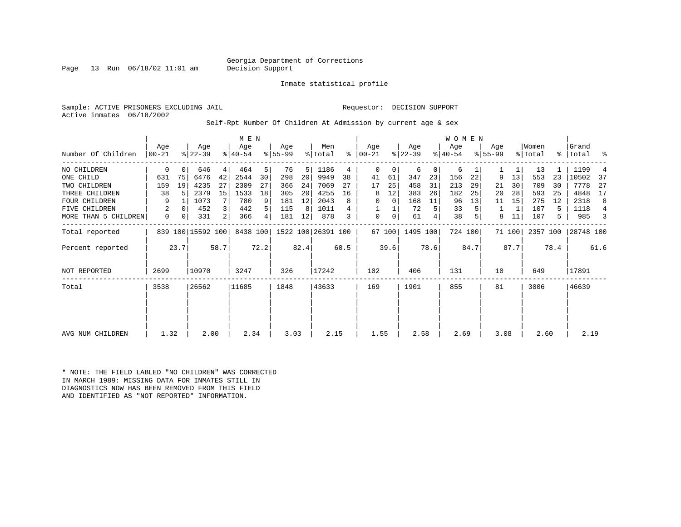Page 13 Run  $06/18/02$  11:01 am

Inmate statistical profile

Sample: ACTIVE PRISONERS EXCLUDING JAIL **Requestor: DECISION SUPPORT** Active inmates 06/18/2002

Self-Rpt Number Of Children At Admission by current age & sex

|                      |                  |          |                   |      | M E N            |      |                  |      |                    |      |                 |        |                  |      | <b>WOMEN</b>     |         |                    |        |                  |      |                |      |
|----------------------|------------------|----------|-------------------|------|------------------|------|------------------|------|--------------------|------|-----------------|--------|------------------|------|------------------|---------|--------------------|--------|------------------|------|----------------|------|
| Number Of Children   | Aqe<br>$00 - 21$ |          | Age<br>$ 22-39 $  |      | Age<br>$ 40-54 $ |      | Age<br>$ 55-99 $ |      | Men<br>% Total     | ႜ    | Aqe<br>$ 00-21$ |        | Age<br>$ 22-39 $ |      | Age<br>$8 40-54$ |         | Aqe<br>$8155 - 99$ |        | Women<br>% Total | °≈   | Grand<br>Total | ႜ    |
| NO CHILDREN          | 0                | $\Omega$ | 646               | 4    | 464              | 5    | 76               | 5    | 1186               | 4    | $\mathbf 0$     | 0      | 6                | 0    | 6                |         |                    | 1      | 13               |      | 1199           |      |
| ONE CHILD            | 631              | 75       | 6476              | 42   | 2544             | 30   | 298              | 20   | 9949               | 38   | 41              | 61     | 347              | 23   | 156              | 22      | 9                  | 13     | 553              | 23   | 10502          | 37   |
| TWO CHILDREN         | 159              | 19       | 4235              | 27   | 2309             | 27   | 366              | 24   | 7069               | 27   | 17              | 25     | 458              | 31   | 213              | 29      | 21                 | 30     | 709              | 30   | 7778           | 27   |
| THREE CHILDREN       | 38               |          | 2379              | 15   | 1533             | 18   | 305              | 20   | 4255               | 16   | 8               | 12     | 383              | 26   | 182              | 25      | 20                 | 28     | 593              | 25   | 4848           | 17   |
| <b>FOUR CHILDREN</b> | 9                |          | 1073              |      | 780              | 9    | 181              | 12   | 2043               | 8    | 0               | 0      | 168              | 11   | 96               | 13      | 11                 | 15     | 275              | 12   | 2318           | 8    |
| FIVE CHILDREN        | 2                | $\Omega$ | 452               | 3    | 442              | 5    | 115              | 8    | 1011               |      |                 |        | 72               | 5    | 33               |         | 1                  |        | 107              | 5    | 1118           | 4    |
| MORE THAN 5 CHILDREN | 0                | 0        | 331               | 2    | 366              | 4    | 181              | 12   | 878                | 3    | 0               | 0      | 61               | 4    | 38               |         | 8                  | 11     | 107              | 5    | 985            |      |
| Total reported       |                  |          | 839 100 15592 100 |      | 8438 100         |      |                  |      | 1522 100 26391 100 |      |                 | 67 100 | 1495 100         |      |                  | 724 100 |                    | 71 100 | 2357 100         |      | 28748 100      |      |
| Percent reported     |                  | 23.7     |                   | 58.7 |                  | 72.2 |                  | 82.4 |                    | 60.5 |                 | 39.6   |                  | 78.6 |                  | 84.7    |                    | 87.7   |                  | 78.4 |                | 61.6 |
| NOT REPORTED         | 2699             |          | 10970             |      | 3247             |      | 326              |      | 17242              |      | 102             |        | 406              |      | 131              |         | 10                 |        | 649              |      | 17891          |      |
| Total                | 3538             |          | 26562             |      | 11685            |      | 1848             |      | 43633              |      | 169             |        | 1901             |      | 855              |         | 81                 |        | 3006             |      | 46639          |      |
|                      |                  |          |                   |      |                  |      |                  |      |                    |      |                 |        |                  |      |                  |         |                    |        |                  |      |                |      |
|                      |                  |          |                   |      |                  |      |                  |      |                    |      |                 |        |                  |      |                  |         |                    |        |                  |      |                |      |
| AVG NUM CHILDREN     | 1.32             |          | 2.00              |      | 2.34             |      | 3.03             |      | 2.15               |      | 1.55            |        | 2.58             |      | 2.69             |         | 3.08               |        | 2.60             |      | 2.19           |      |

\* NOTE: THE FIELD LABLED "NO CHILDREN" WAS CORRECTED IN MARCH 1989: MISSING DATA FOR INMATES STILL IN DIAGNOSTICS NOW HAS BEEN REMOVED FROM THIS FIELD AND IDENTIFIED AS "NOT REPORTED" INFORMATION.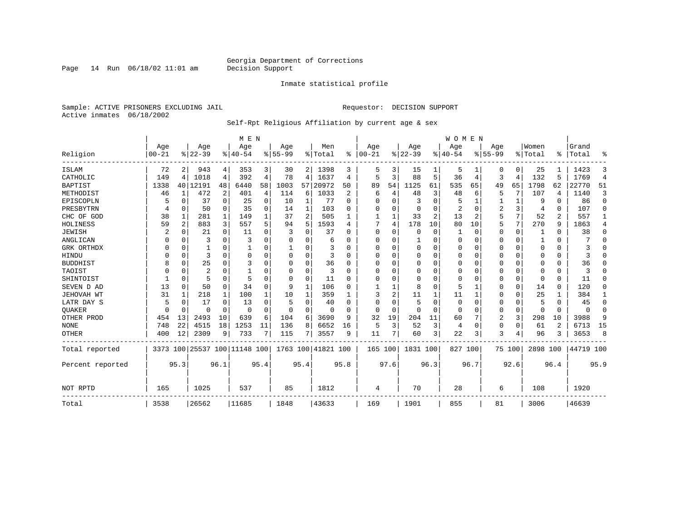Page 14 Run  $06/18/02$  11:01 am

#### Inmate statistical profile

Sample: ACTIVE PRISONERS EXCLUDING JAIL **Requestor: DECISION SUPPORT** Active inmates 06/18/2002

#### Self-Rpt Religious Affiliation by current age & sex

|                  |                   |                |                  |             | M E N                   |      |                  |      |                  |           |                   |          |                 |          | <b>WOMEN</b>     |          |                  |             |                  |          |                |                |
|------------------|-------------------|----------------|------------------|-------------|-------------------------|------|------------------|------|------------------|-----------|-------------------|----------|-----------------|----------|------------------|----------|------------------|-------------|------------------|----------|----------------|----------------|
| Religion         | Age<br>$ 00 - 21$ |                | Age<br>$8 22-39$ |             | Age<br>$ 40-54$         |      | Age<br>$8 55-99$ |      | Men<br>%   Total | $\approx$ | Age<br>$ 00 - 21$ |          | Age<br>$ 22-39$ |          | Aqe<br>$8 40-54$ |          | Age<br>$8 55-99$ |             | Women<br>% Total | ፠        | Grand<br>Total | °              |
| <b>ISLAM</b>     | 72                | 2              | 943              | 4           | 353                     | 3    | 30               | 2    | 1398             | 3         | 5                 |          | 15              |          | 5                |          | 0                | 0           | 25               |          | 1423           | 3              |
| CATHOLIC         | 149               | 4              | 1018             | 4           | 392                     | 4    | 78               | 4    | 1637             | 4         | 5                 | 3        | 88              | 5        | 36               | 4        | 3                | 4           | 132              | 5        | 1769           | $\overline{4}$ |
| <b>BAPTIST</b>   | 1338              |                | 40   12191       | 48          | 6440                    | 58   | 1003             | 57   | 20972            | 50        | 89                | 54       | 1125            | 61       | 535              | 65       | 49               | 65          | 1798             | 62       | 22770          | 51             |
| METHODIST        | 46                | 1              | 472              | 2           | 401                     | 4    | 114              | 6    | 1033             | 2         | 6                 | 4        | 48              | 3        | 48               | 6        | 5                | 7           | 107              | 4        | 1140           | 3              |
| EPISCOPLN        |                   | 0              | 37               | 0           | 25                      | 0    | 10               | 1    | 77               | $\Omega$  | O                 | $\Omega$ | 3               | $\Omega$ |                  | 1        |                  | 1           | 9                | $\Omega$ | 86             | $\mathbf 0$    |
| PRESBYTRN        |                   | 0              | 50               | 0           | 35                      | 0    | 14               | 1    | 103              | $\Omega$  | 0                 | O        | 0               | 0        | 2                | $\Omega$ | 2                | 3           | 4                | $\Omega$ | 107            | $\Omega$       |
| CHC OF GOD       | 38                | 1              | 281              | 1           | 149                     |      | 37               | 2    | 505              |           |                   | 1        | 33              | 2        | 13               | 2        | 5                | 7           | 52               | 2        | 557            | 1              |
| HOLINESS         | 59                | $\overline{2}$ | 883              | 3           | 557                     | 5    | 94               | 5    | 1593             | 4         |                   | 4        | 178             | 10       | 80               | 10       | 5                | 7           | 270              | 9        | 1863           | 4              |
| <b>JEWISH</b>    |                   | $\Omega$       | 21               | 0           | 11                      | 0    | 3                | 0    | 37               | $\Omega$  | $\Omega$          | O        | 0               | O        |                  | 0        | 0                | 0           |                  | $\Omega$ | 38             | 0              |
| ANGLICAN         | 0                 | $\Omega$       | 3                | $\Omega$    | 3                       |      | O                | 0    | 6                | $\Omega$  | 0                 | O        |                 | U        | 0                | $\Omega$ | 0                | $\Omega$    |                  | $\Omega$ |                | $\Omega$       |
| GRK ORTHDX       | U                 | $\Omega$       |                  | $\Omega$    |                         | O    |                  | 0    |                  | $\Omega$  | 0                 | U        | 0               | U        | $\Omega$         | $\Omega$ | 0                | $\Omega$    | $\Omega$         | $\Omega$ |                | $\Omega$       |
| HINDU            |                   | $\Omega$       | 3                | $\Omega$    | $\Omega$                | O    | n                | 0    | 3                | ∩         | O                 | O        | $\mathbf 0$     | U        | 0                | $\Omega$ | 0                | $\Omega$    | $\Omega$         | $\Omega$ |                | $\Omega$       |
| <b>BUDDHIST</b>  |                   | $\Omega$       | 25               | $\Omega$    | 3                       | O    | n                | 0    | 36               | $\Omega$  | $\Omega$          | $\Omega$ | $\mathbf 0$     | U        | $\Omega$         | $\Omega$ | O                | $\Omega$    | $\Omega$         | $\Omega$ | 36             | $\Omega$       |
| TAOIST           |                   | $\Omega$       | 2                | 0           |                         |      | O                | 0    | 3                | $\Omega$  | 0                 | O        | $\mathbf 0$     | U        | 0                | $\Omega$ | 0                | $\Omega$    | $\Omega$         | $\Omega$ |                | $\Omega$       |
| SHINTOIST        |                   | $\Omega$       | 5                | $\Omega$    | 5                       | O    | n                | 0    | 11               | $\Omega$  | O                 | $\Omega$ | $\mathbf 0$     | U        | 0                | $\Omega$ | 0                | 0           | $\Omega$         | $\Omega$ | 11             | $\Omega$       |
| SEVEN D AD       | 13                | O              | 50               | 0           | 34                      | U    | 9                | 1    | 106              | $\Omega$  |                   | 1        | 8               | U        | 5                | 1        | 0                | $\mathbf 0$ | 14               | $\Omega$ | 120            | $\Omega$       |
| JEHOVAH WT       | 31                | 1              | 218              | 1           | 100                     |      | 10               |      | 359              |           |                   | 2        | 11              |          | 11               |          | 0                | 0           | 25               |          | 384            | 1              |
| LATR DAY S       | 5                 | 0              | 17               | $\Omega$    | 13                      | O    | 5                | 0    | 40               | $\Omega$  | 0                 | O        | 5               | 0        | $\mathbf 0$      | 0        | 0                | 0           | 5                | $\Omega$ | 45             | 0              |
| <b>OUAKER</b>    | U                 | 0              | U                | $\mathbf 0$ | 0                       | O    | $\Omega$         | 0    | $\Omega$         | ∩         | $\Omega$          | $\Omega$ | $\mathbf 0$     | $\Omega$ | 0                | $\Omega$ | 0                | 0           | $\Omega$         | $\Omega$ | $\Omega$       | 0              |
| OTHER PROD       | 454               | 13             | 2493             | 10          | 639                     | 6    | 104              | 6    | 3690             | 9         | 32                | 19       | 204             | 11       | 60               | 7        | 2                | 3           | 298              | 10       | 3988           | 9              |
| <b>NONE</b>      | 748               | 22             | 4515             | 18          | 1253                    | 11   | 136              | 8    | 6652             | 16        | 5                 | 3        | 52              | 3        | 4                | $\Omega$ | 0                | $\mathbf 0$ | 61               | 2        | 6713           | 15             |
| <b>OTHER</b>     | 400               | 12             | 2309             | 9           | 733                     |      | 115              | 7    | 3557             | 9         | 11                | 7        | 60              | 3        | 22               | 3        | 3                | 4           | 96               | 3        | 3653           | 8              |
| Total reported   | 3373              |                |                  |             | 100 25537 100 11148 100 |      | 1763 100         |      | 41821 100        |           | 165 100           |          | 1831 100        |          | 827              | 100      |                  | 75 100      | 2898 100         |          | 44719 100      |                |
| Percent reported |                   | 95.3           |                  | 96.1        |                         | 95.4 |                  | 95.4 |                  | 95.8      |                   | 97.6     |                 | 96.3     |                  | 96.7     |                  | 92.6        |                  | 96.4     |                | 95.9           |
| NOT RPTD         | 165               |                | 1025             |             | 537                     |      | 85               |      | 1812             |           | 4                 |          | 70              |          | 28               |          | 6                |             | 108              |          | 1920           |                |
| Total            | 3538              |                | 26562            |             | 11685                   |      | 1848             |      | 43633            |           | 169               |          | 1901            |          | 855              |          | 81               |             | 3006             |          | 46639          |                |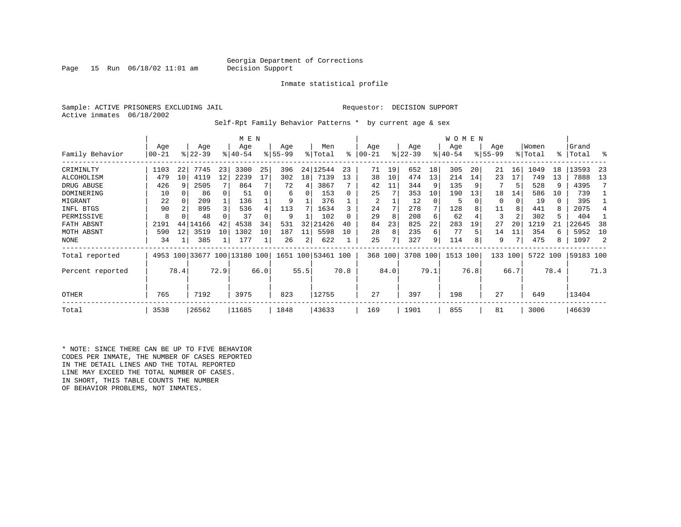Page 15 Run  $06/18/02$  11:01 am

Inmate statistical profile

Sample: ACTIVE PRISONERS EXCLUDING JAIL **Requestor: DECISION SUPPORT** Active inmates 06/18/2002

Self-Rpt Family Behavior Patterns \* by current age & sex

|                  |                  |      |                  |      | M E N                        |      |                    |      |                    |      |                 |      |                  |          | WOMEN           |      |                    |          |                  |      |                 |           |
|------------------|------------------|------|------------------|------|------------------------------|------|--------------------|------|--------------------|------|-----------------|------|------------------|----------|-----------------|------|--------------------|----------|------------------|------|-----------------|-----------|
| Family Behavior  | Age<br>$00 - 21$ |      | Age<br>$8 22-39$ |      | Age<br>$8140 - 54$           |      | Age<br>$8155 - 99$ |      | Men<br>% Total     | ⊱    | Age<br>$ 00-21$ |      | Age<br>$ 22-39 $ |          | Age<br>$ 40-54$ |      | Age<br>$8155 - 99$ |          | Women<br>% Total | °≈   | Grand<br> Total | °         |
|                  |                  |      |                  |      |                              |      |                    |      |                    |      |                 |      |                  |          |                 |      |                    |          |                  |      |                 |           |
| CRIMINLTY        | 1103             | 22   | 7745             | 23   | 3300                         | 25   | 396                | 24   | 12544              | 23   | 71              | 19   | 652              | 18       | 305             | 20   | 21                 | 16<br>17 | 1049             | 18   | 13593           | -23<br>13 |
| ALCOHOLISM       | 479              | 10   | 4119             | 12   | 2239                         | 17   | 302                | 18   | 7139               | 13   | 38              | 10   | 474              | 13       | 214             | 14   | 23                 |          | 749              | 13   | 7888            |           |
| DRUG ABUSE       | 426              |      | 2505             |      | 864                          |      | 72                 | 4    | 3867               |      | 42              | 11   | 344              |          | 135             |      |                    | 5        | 528              | 9    | 4395            |           |
| DOMINERING       | 10               |      | 86               |      | 51                           |      | 6                  | 0    | 153                |      | 25              |      | 353              | 10       | 190             | 13   | 18                 | 14       | 586              | 10   | 739             |           |
| MIGRANT          | 22               |      | 209              |      | 136                          |      | 9                  |      | 376                |      | 2               |      | 12               | $\Omega$ | 5               |      | 0                  | 0        | 19               | 0    | 395             |           |
| INFL BTGS        | 90               |      | 895              |      | 536                          |      | 113                |      | 1634               |      | 24              |      | 278              |          | 128             |      | 11                 | 8        | 441              | 8    | 2075            |           |
| PERMISSIVE       | 8                |      | 48               |      | 37                           |      | 9                  |      | 102                |      | 29              | 8    | 208              | 6        | 62              |      | 3                  | 2        | 302              | 5    | 404             |           |
| FATH ABSNT       | 2191             | 44   | 14166            | 42   | 4538                         | 34   | 531                | 32   | 21426              | 40   | 84              | 23   | 825              | 22       | 283             | 19   | 27                 | 20       | 1219             | 21   | 22645           | 38        |
| MOTH ABSNT       | 590              | 12   | 3519             | 10   | 1302                         | 10   | 187                | 11   | 5598               | 10   | 28              | 8    | 235              | 6        | 77              |      | 14                 |          | 354              | 6    | 5952            | 10        |
| NONE             | 34               |      | 385              |      | 177                          |      | 26                 | 2    | 622                |      | 25              | 7    | 327              | 9        | 114             |      | 9                  |          | 475              | 8    | 1097            |           |
| Total reported   |                  |      |                  |      | 4953 100 33677 100 13180 100 |      |                    |      | 1651 100 53461 100 |      | 368 100         |      | 3708 100         |          | 1513 100        |      | 133                | 100      | 5722 100         |      | 59183 100       |           |
| Percent reported |                  | 78.4 |                  | 72.9 |                              | 66.0 |                    | 55.5 |                    | 70.8 |                 | 84.0 |                  | 79.1     |                 | 76.8 |                    | 66.7     |                  | 78.4 |                 | 71.3      |
| OTHER            | 765              |      | 7192             |      | 3975                         |      | 823                |      | 12755              |      | 27              |      | 397              |          | 198             |      | 27                 |          | 649              |      | 13404           |           |
| Total            | 3538             |      | 26562            |      | 11685                        |      | 1848               |      | 43633              |      | 169             |      | 1901             |          | 855             |      | 81                 |          | 3006             |      | 46639           |           |

\* NOTE: SINCE THERE CAN BE UP TO FIVE BEHAVIOR CODES PER INMATE, THE NUMBER OF CASES REPORTED IN THE DETAIL LINES AND THE TOTAL REPORTED LINE MAY EXCEED THE TOTAL NUMBER OF CASES. IN SHORT, THIS TABLE COUNTS THE NUMBER OF BEHAVIOR PROBLEMS, NOT INMATES.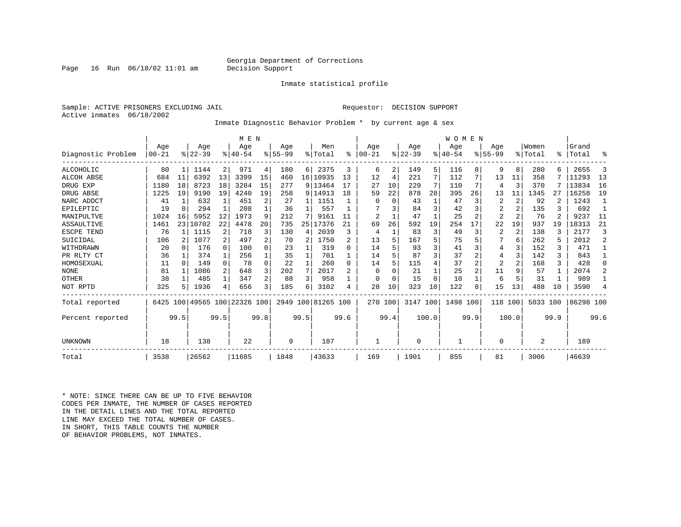Page 16 Run  $06/18/02$  11:01 am

#### Inmate statistical profile

Sample: ACTIVE PRISONERS EXCLUDING JAIL **Requestor: DECISION SUPPORT** Active inmates 06/18/2002

Inmate Diagnostic Behavior Problem \* by current age & sex

|                    |           |          |           |                | M E N                   |                |             |      |                    |      |                |          |           |       | WOMEN    |      |                |                |          |      |           |                |
|--------------------|-----------|----------|-----------|----------------|-------------------------|----------------|-------------|------|--------------------|------|----------------|----------|-----------|-------|----------|------|----------------|----------------|----------|------|-----------|----------------|
|                    | Age       |          | Age       |                | Age                     |                | Aqe         |      | Men                |      | Aqe            |          | Aqe       |       | Aqe      |      | Aqe            |                | Women    |      | Grand     |                |
| Diagnostic Problem | $00 - 21$ |          | $8 22-39$ |                | $8 40-54$               |                | $8155 - 99$ |      | % Total            | ៖    | $00 - 21$      |          | $ 22-39 $ |       | $ 40-54$ |      | $8155 - 99$    |                | % Total  | ႜ    | Total     | ႜ              |
| ALCOHOLIC          | 80        |          | 1144      | 2              | 971                     | 4              | 180         | 6    | 2375               | 3    | 6              | 2        | 149       | 5     | 116      | 8    | 9              | 8              | 280      |      | 2655      | 3              |
| <b>ALCOH ABSE</b>  | 684       | 11       | 6392      | 13             | 3399                    | 15             | 460         |      | 16   10935         | 13   | 12             | 4        | 221       | 7     | 112      |      | 13             | 11             | 358      |      | 11293     | 13             |
| DRUG EXP           | 1180      | 18       | 8723      | 18             | 3284                    | 15             | 277         |      | 9 13464            | 17   | 27             | 10       | 229       | 7     | 110      | 7    | 4              | 3              | 370      |      | 13834     | 16             |
| DRUG ABSE          | 1225      | 19       | 9190      | 19             | 4240                    | 19             | 258         |      | 9 14913            | 18   | 59             | 22       | 878       | 28    | 395      | 26   | 13             | 11             | 1345     | 27   | 16258     | 19             |
| NARC ADDCT         | 41        | 1        | 632       | $\mathbf{1}$   | 451                     | $\overline{2}$ | 27          | 1    | 1151               |      | O              | $\Omega$ | 43        |       | 47       | 3    | $\overline{2}$ | $\overline{2}$ | 92       |      | 1243      | -1             |
| EPILEPTIC          | 19        | $\Omega$ | 294       | 1              | 208                     |                | 36          |      | 557                |      |                |          | 84        | 3     | 42       | 3    | $\overline{2}$ | $\overline{a}$ | 135      |      | 692       |                |
| MANIPULTVE         | 1024      | 16       | 5952      | 12             | 1973                    | 9              | 212         |      | 9161               | 11   | $\overline{2}$ |          | 47        |       | 25       | 2    | $\overline{2}$ | $\overline{2}$ | 76       |      | 9237      | 11             |
| ASSAULTIVE         | 1461      |          | 23 10702  | 22             | 4478                    | 20             | 735         | 25 l | 17376              | 21   | 69             | 26       | 592       | 19    | 254      | 17   | 22             | 19             | 937      | 19   | 18313     | 21             |
| ESCPE TEND         | 76        |          | 1115      | $\overline{a}$ | 718                     | 3              | 130         | 4    | 2039               | ζ    | 4              |          | 83        | 3     | 49       | 3    | $\overline{2}$ | 2              | 138      |      | 2177      | 3              |
| SUICIDAL           | 106       |          | 1077      | $\overline{a}$ | 497                     | 2              | 70          | 2    | 1750               |      | 13             |          | 167       | 5     | 75       |      |                | 6              | 262      |      | 2012      | $\overline{a}$ |
| WITHDRAWN          | 20        |          | 176       | $\Omega$       | 100                     | 0              | 23          |      | 319                |      | 14             |          | 93        | 3     | 41       |      | 4              |                | 152      | 3    | 471       |                |
| PR RLTY CT         | 36        |          | 374       |                | 256                     |                | 35          |      | 701                |      | 14             |          | 87        | 3     | 37       |      | 4              |                | 142      | 3    | 843       |                |
| HOMOSEXUAL         | 11        | $\Omega$ | 149       | $\Omega$       | 78                      | $\Omega$       | 22          |      | 260                | 0    | 14             |          | 115       | 4     | 37       |      | 2              |                | 168      | 3    | 428       | $\Omega$       |
| <b>NONE</b>        | 81        |          | 1086      | 2              | 648                     | 3              | 202         | 7    | 2017               |      | $\Omega$       |          | 21        |       | 25       |      | 11             | 9              | 57       |      | 2074      | 2              |
| OTHER              | 38        |          | 485       | 1              | 347                     | 2 <sub>1</sub> | 88          | 3    | 958                |      | O              |          | 15        | 0     | 10       |      | 6              | 5              | 31       |      | 989       |                |
| NOT RPTD           | 325       | 5        | 1936      | 4              | 656                     | 3 <sub>1</sub> | 185         | 6    | 3102               | 4    | 28             | 10       | 323       | 10    | 122      | 8    | 15             | 13             | 488      | 10   | 3590      | 4              |
| Total reported     | 6425      |          |           |                | 100 49565 100 22326 100 |                |             |      | 2949 100 81265 100 |      | 270 100        |          | 3147 100  |       | 1498 100 |      | 118            | 100            | 5033 100 |      | 86298 100 |                |
| Percent reported   |           | 99.5     |           | 99.5           |                         | 99.8           |             | 99.5 |                    | 99.6 |                | 99.4     |           | 100.0 |          | 99.9 |                | 100.0          |          | 99.9 |           | 99.6           |
| UNKNOWN            | 18        |          | 138       |                | 22                      |                | 9           |      | 187                |      |                |          | 0         |       |          |      | 0              |                | 2        |      | 189       |                |
| Total              | 3538      |          | 26562     |                | 11685                   |                | 1848        |      | 43633              |      | 169            |          | 1901      |       | 855      |      | 81             |                | 3006     |      | 46639     |                |

\* NOTE: SINCE THERE CAN BE UP TO FIVE BEHAVIOR CODES PER INMATE, THE NUMBER OF CASES REPORTED IN THE DETAIL LINES AND THE TOTAL REPORTED LINE MAY EXCEED THE TOTAL NUMBER OF CASES.IN SHORT, THIS TABLE COUNTS THE NUMBER OF BEHAVIOR PROBLEMS, NOT INMATES.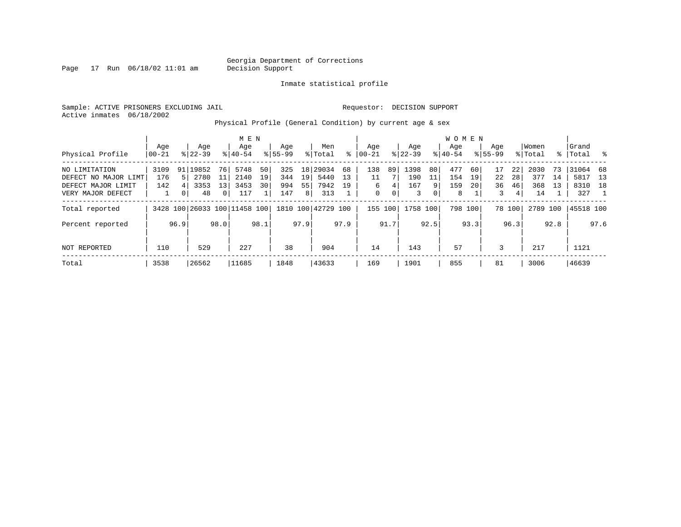Page  $17$  Run  $06/18/02$  11:01 am

Inmate statistical profile

Sample: ACTIVE PRISONERS EXCLUDING JAIL **Requestor: DECISION SUPPORT** Active inmates 06/18/2002

Physical Profile (General Condition) by current age & sex

|                      |       |                |             |              | M E N                        |      |             |                |                    |      |             |      |           |                | W O M E N |         |             |        |         |      |           |      |
|----------------------|-------|----------------|-------------|--------------|------------------------------|------|-------------|----------------|--------------------|------|-------------|------|-----------|----------------|-----------|---------|-------------|--------|---------|------|-----------|------|
|                      | Age   |                | Age         |              | Age                          |      | Age         |                | Men                |      | Age         |      | Age       |                | Aqe       |         | Aqe         |        | Women   |      | Grand     |      |
| Physical Profile     | 00-21 |                | $8122 - 39$ |              | $8 40-54$                    |      | $8155 - 99$ |                | % Total            | ႜ    | $ 00-21 $   |      | $ 22-39 $ |                | $8 40-54$ |         | $8155 - 99$ |        | % Total | ွေ   | Total     | း    |
| NO LIMITATION        | 3109  |                | 91 19852    | 76           | 5748                         | 50   | 325         |                | 18 29034           | 68   | 138         | 89   | 1398      | 80             | 477       | 60      | 17          | 22     | 2030    | 73   | 31064     | 68   |
| DEFECT NO MAJOR LIMT | 176   |                | 2780        | 11           | 2140                         | 19   | 344         | 19             | 5440               | 13   | 11          |      | 190       | 11             | 154       | 19      | 22          | 28     | 377     | 14   | 5817      | 13   |
| DEFECT MAJOR LIMIT   | 142   |                | 3353        | 13           | 3453                         | 30   | 994         | 55             | 7942               | 19   | 6           | 4    | 167       | 9              | 159       | 20      | 36          | 46     | 368     | 13   | 8310 18   |      |
| VERY MAJOR DEFECT    |       | 0 <sup>1</sup> | 48          | $\mathbf{0}$ | 117                          |      | 147         | 8 <sup>1</sup> | 313                |      | $\mathbf 0$ | 0    | 3         | $\overline{0}$ | 8         |         | 3           | 4      | 14      |      | 327       |      |
| Total reported       |       |                |             |              | 3428 100 26033 100 11458 100 |      |             |                | 1810 100 42729 100 |      | 155 100     |      | 1758 100  |                |           | 798 100 |             | 78 100 | 2789    | 100  | 45518 100 |      |
| Percent reported     |       | 96.9           |             | 98.0         |                              | 98.1 |             | 97.9           |                    | 97.9 |             | 91.7 |           | 92.5           |           | 93.3    |             | 96.3   |         | 92.8 |           | 97.6 |
| NOT REPORTED         | 110   |                | 529         |              | 227                          |      | 38          |                | 904                |      | 14          |      | 143       |                | 57        |         | 3           |        | 217     |      | 1121      |      |
| Total                | 3538  |                | 26562       |              | 11685                        |      | 1848        |                | 43633              |      | 169         |      | 1901      |                | 855       |         | 81          |        | 3006    |      | 46639     |      |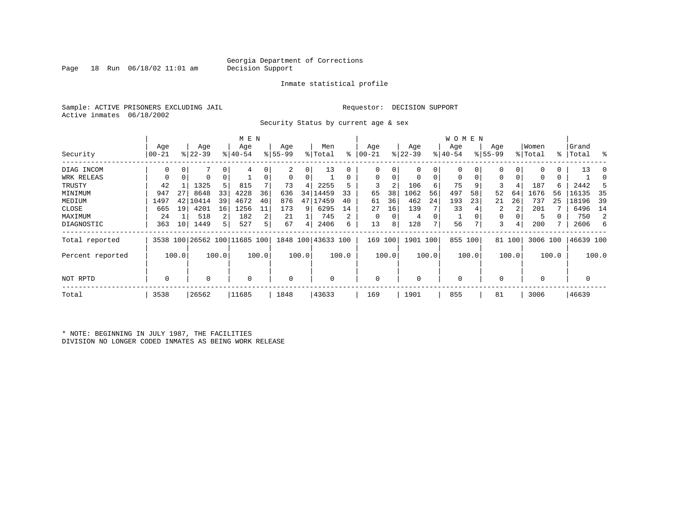Page 18 Run  $06/18/02$  11:01 am

#### Inmate statistical profile

Sample: ACTIVE PRISONERS EXCLUDING JAIL **Requestor: DECISION SUPPORT** Active inmates 06/18/2002

Security Status by current age & sex

|                  |             |       |           |       | M E N                        |       |          |       |                    |       |            |       |             |       | W O M E N   |          |             |        |             |       |           |       |
|------------------|-------------|-------|-----------|-------|------------------------------|-------|----------|-------|--------------------|-------|------------|-------|-------------|-------|-------------|----------|-------------|--------|-------------|-------|-----------|-------|
|                  | Age         |       | Age       |       | Age                          |       | Age      |       | Men                |       | Age        |       | Age         |       | Age         |          | Age         |        | Women       |       | Grand     |       |
| Security         | 00-21       |       | $ 22-39 $ |       | $ 40-54$                     |       | $ 55-99$ |       | % Total            | ి     | $ 00 - 21$ |       | $ 22-39 $   |       | $ 40-54 $   |          | $8155 - 99$ |        | % Total     |       | %   Total | ႜ     |
| DIAG INCOM       | $\Omega$    | 0     |           | 0     | 4                            |       | 2        | 0     | 13                 | 0     |            | 0     | $\mathbf 0$ | 0     | $\mathbf 0$ | 0        | 0           |        |             | 0     | 13        | - ()  |
| WRK RELEAS       | 0           | 0     | 0         | 0     |                              | 0     | 0        | 0     |                    | 0     | $\Omega$   | 0     | $\mathbf 0$ | 0     | $\mathbf 0$ | $\Omega$ | $\Omega$    |        |             | 0     |           |       |
| TRUSTY           | 42          |       | 1325      | 5     | 815                          |       | 73       | 4     | 2255               |       | 3          | 2     | 106         | 6     | 75          | -9       | 3           |        | 187         | 6     | 2442      |       |
| MINIMUM          | 947         | 27    | 8648      | 33    | 4228                         | 36    | 636      | 34    | 14459              | 33    | 65         | 38    | 1062        | 56    | 497         | 58       | 52          | 64     | 1676        | 56    | 16135     | 35    |
| MEDIUM           | 1497        | 42    | 10414     | 39    | 4672                         | 40    | 876      | 47    | 17459              | 40    | 61         | 36    | 462         | 24    | 193         | 23       | 21          | 26     | 737         | 25    | 18196     | -39   |
| CLOSE            | 665         | 19    | 4201      | 16    | 1256                         | 11    | 173      | 9     | 6295               | 14    | 27         | 16    | 139         |       | 33          |          | 2           |        | 201         |       | 6496      | 14    |
| MAXIMUM          | 24          |       | 518       | 2     | 182                          | 2     | 21       |       | 745                | 2     |            | 0     | 4           | 0     |             |          | 0           |        | 5           | 0     | 750       | 2     |
| DIAGNOSTIC       | 363         | 10    | 1449      | 5.    | 527                          | 5     | 67       | 4     | 2406               | 6     | 13         | 8     | 128         | 7     | 56          |          | 3           |        | 200         |       | 2606      | 6     |
| Total reported   |             |       |           |       | 3538 100 26562 100 11685 100 |       |          |       | 1848 100 43633 100 |       | 169        | 100   | 1901 100    |       | 855 100     |          |             | 81 100 | 3006 100    |       | 46639 100 |       |
| Percent reported |             | 100.0 |           | 100.0 |                              | 100.0 |          | 100.0 |                    | 100.0 |            | 100.0 |             | 100.0 |             | 100.0    |             | 100.0  |             | 100.0 |           | 100.0 |
| NOT RPTD         | $\mathbf 0$ |       | 0         |       | $\Omega$                     |       | 0        |       | 0                  |       | $\Omega$   |       | 0           |       | $\mathbf 0$ |          | $\Omega$    |        | $\mathbf 0$ |       | 0         |       |
| Total            | 3538        |       | 26562     |       | 11685                        |       | 1848     |       | 43633              |       | 169        |       | 1901        |       | 855         |          | 81          |        | 3006        |       | 46639     |       |

\* NOTE: BEGINNING IN JULY 1987, THE FACILITIES DIVISION NO LONGER CODED INMATES AS BEING WORK RELEASE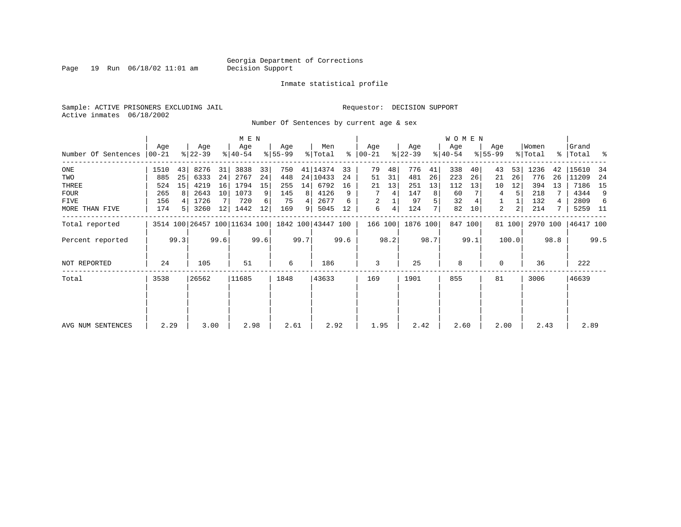Page 19 Run  $06/18/02$  11:01 am

#### Inmate statistical profile

Sample: ACTIVE PRISONERS EXCLUDING JAIL **Requestor: DECISION SUPPORT** Active inmates 06/18/2002

Number Of Sentences by current age & sex

|                     |           |      |           |      | M E N                        |      |           |      |                    |      |               |      |           |      | <b>WOMEN</b> |         |             |        |          |      |           |      |
|---------------------|-----------|------|-----------|------|------------------------------|------|-----------|------|--------------------|------|---------------|------|-----------|------|--------------|---------|-------------|--------|----------|------|-----------|------|
|                     | Age       |      | Age       |      | Age                          |      | Age       |      | Men                |      | Age           |      | Age       |      | Age          |         | Age         |        | Women    |      | Grand     |      |
| Number Of Sentences | $00 - 21$ |      | $ 22-39 $ |      | $ 40-54 $                    |      | $8 55-99$ |      | % Total            |      | $8   00 - 21$ |      | $ 22-39 $ |      | $ 40-54 $    |         | $8155 - 99$ |        | % Total  |      | %   Total | ႜ    |
| ONE                 | 1510      | 43   | 8276      | 31   | 3838                         | 33   | 750       |      | 41   14374         | 33   | 79            | 48   | 776       | 41   | 338          | 40      | 43          | 53     | 1236     | 42   | 15610     | 34   |
| TWO                 | 885       | 25   | 6333      | 24   | 2767                         | 24   | 448       |      | 24 10433           | 24   | 51            | 31   | 481       | 26   | 223          | 26      | 21          | 26     | 776      | 26   | 11209     | 24   |
| THREE               | 524       | 15   | 4219      | 16   | 1794                         | 15   | 255       | 14   | 6792               | 16   | 21            | 13   | 251       | 13   | 112          | 13      | 10          | 12     | 394      | 13   | 7186      | 15   |
| <b>FOUR</b>         | 265       | 8    | 2643      | 10   | 1073                         | 9    | 145       | 8    | 4126               | 9    |               | 4    | 147       | 8    | 60           |         | 4           | 5      | 218      |      | 4344      | 9    |
| FIVE                | 156       |      | 1726      |      | 720                          | 6    | 75        | 4    | 2677               | 6    | 2             |      | 97        | 5    | 32           |         |             |        | 132      | 4    | 2809      | -6   |
| MORE THAN FIVE      | 174       | 5    | 3260      | 12   | 1442                         | 12   | 169       | 9    | 5045               | 12   | 6             | 4    | 124       |      | 82           | 10      | 2           | 2      | 214      |      | 5259      | - 11 |
| Total reported      |           |      |           |      | 3514 100 26457 100 11634 100 |      |           |      | 1842 100 43447 100 |      | 166 100       |      | 1876 100  |      |              | 847 100 |             | 81 100 | 2970 100 |      | 46417 100 |      |
| Percent reported    |           | 99.3 |           | 99.6 |                              | 99.6 |           | 99.7 |                    | 99.6 |               | 98.2 |           | 98.7 |              | 99.1    |             | 100.0  |          | 98.8 |           | 99.5 |
| NOT REPORTED        | 24        |      | 105       |      | 51                           |      | 6         |      | 186                |      | 3             |      | 25        |      | 8            |         | $\Omega$    |        | 36       |      | 222       |      |
| Total               | 3538      |      | 26562     |      | 11685                        |      | 1848      |      | 43633              |      | 169           |      | 1901      |      | 855          |         | 81          |        | 3006     |      | 46639     |      |
|                     |           |      |           |      |                              |      |           |      |                    |      |               |      |           |      |              |         |             |        |          |      |           |      |
| AVG NUM SENTENCES   | 2.29      |      | 3.00      |      | 2.98                         |      | 2.61      |      | 2.92               |      | 1.95          |      | 2.42      |      | 2.60         |         | 2.00        |        | 2.43     |      | 2.89      |      |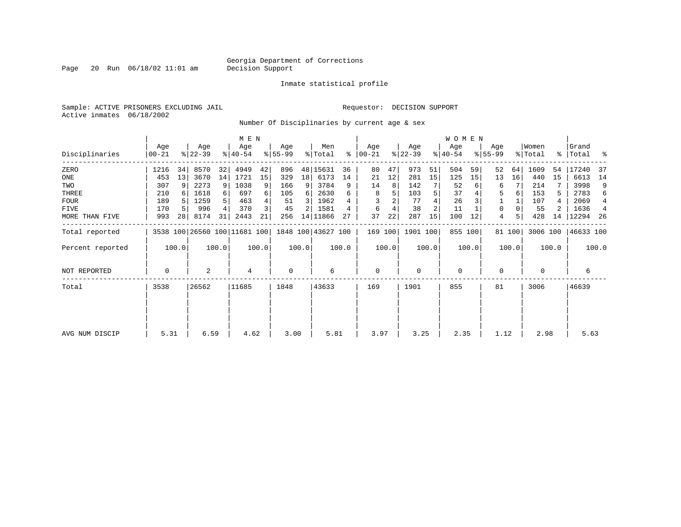Page 20 Run  $06/18/02$  11:01 am

Inmate statistical profile

Sample: ACTIVE PRISONERS EXCLUDING JAIL **Requestor: DECISION SUPPORT** Active inmates 06/18/2002

Number Of Disciplinaries by current age & sex

|                  |                  |       |                  |          | M E N                        |       |                 |       |                    |       |                 |       |                  |       | WOMEN            |         |                    |        |                  |       |                    |                |
|------------------|------------------|-------|------------------|----------|------------------------------|-------|-----------------|-------|--------------------|-------|-----------------|-------|------------------|-------|------------------|---------|--------------------|--------|------------------|-------|--------------------|----------------|
| Disciplinaries   | Age<br>$00 - 21$ |       | Age<br>$ 22-39 $ |          | Age<br>$ 40-54 $             |       | Age<br>$ 55-99$ |       | Men<br>% Total     | ⊱     | Age<br>$ 00-21$ |       | Age<br>$ 22-39 $ |       | Age<br>$ 40-54 $ |         | Age<br>$8155 - 99$ |        | Women<br>% Total |       | Grand<br>%   Total | ႜ              |
| ZERO             | 1216             | 34    | 8570             | 32       | 4949                         | 42    | 896             |       | 48 15631           | 36    | 80              | 47    | 973              | 51    | 504              | 59      | 52                 | 64     | 1609             | 54    | 17240              | 37             |
| ONE              | 453              | 13    | 3670             | 14       | 1721                         | 15    | 329             | 18    | 6173               | 14    | 21              | 12    | 281              | 15    | 125              | 15      | 13                 | 16     | 440              | 15    | 6613               | 14             |
| TWO              | 307              | 9     | 2273             | 9        | 1038                         | 9     | 166             | 9     | 3784               | 9     | 14              | 8     | 142              |       | 52               |         | 6                  |        | 214              |       | 3998               | 9              |
| THREE            | 210              |       | 1618             | $6 \mid$ | 697                          | 6     | 105             | 6     | 2630               | 6     | 8               | 5     | 103              |       | 37               |         | 5                  | 6      | 153              | 5.    | 2783               | 6              |
| <b>FOUR</b>      | 189              |       | 1259             | 5        | 463                          |       | 51              | 3     | 1962               |       |                 |       | 77               |       | 26               |         |                    |        | 107              | 4     | 2069               | 4              |
| FIVE             | 170              |       | 996              | 4        | 370                          | 3     | 45              |       | 1581               |       | 6               |       | 38               |       | 11               |         | 0                  |        | 55               |       | 1636               | $\overline{4}$ |
| MORE THAN FIVE   | 993              | 28    | 8174             | 31       | 2443                         | 21    | 256             |       | 14 11866           | 27    | 37              | 22    | 287              | 15    | 100              | 12      | 4                  |        | 428              | 14    | 12294              | -26            |
| Total reported   |                  |       |                  |          | 3538 100 26560 100 11681 100 |       |                 |       | 1848 100 43627 100 |       | 169 100         |       | 1901 100         |       |                  | 855 100 |                    | 81 100 | 3006 100         |       | 46633 100          |                |
| Percent reported |                  | 100.0 |                  | 100.0    |                              | 100.0 |                 | 100.0 |                    | 100.0 |                 | 100.0 |                  | 100.0 |                  | 100.0   |                    | 100.0  |                  | 100.0 |                    | 100.0          |
| NOT REPORTED     | 0                |       | 2                |          | 4                            |       | $\mathbf 0$     |       | 6                  |       | $\mathbf 0$     |       | 0                |       | $\mathbf 0$      |         | 0                  |        | $\Omega$         |       | 6                  |                |
| Total            | 3538             |       | 26562            |          | 11685                        |       | 1848            |       | 43633              |       | 169             |       | 1901             |       | 855              |         | 81                 |        | 3006             |       | 46639              |                |
|                  |                  |       |                  |          |                              |       |                 |       |                    |       |                 |       |                  |       |                  |         |                    |        |                  |       |                    |                |
| AVG NUM DISCIP   | 5.31             |       | 6.59             |          | 4.62                         |       | 3.00            |       | 5.81               |       | 3.97            |       | 3.25             |       | 2.35             |         | 1.12               |        | 2.98             |       | 5.63               |                |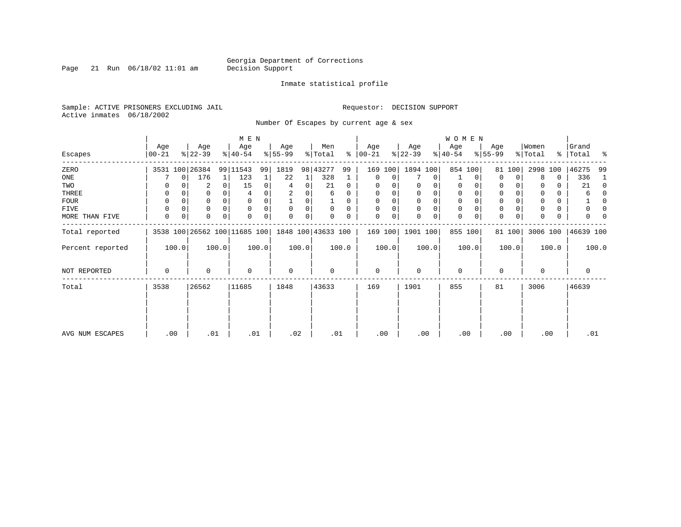Page 21 Run  $06/18/02$  11:01 am

#### Inmate statistical profile

Sample: ACTIVE PRISONERS EXCLUDING JAIL **Requestor: DECISION SUPPORT** Active inmates 06/18/2002

Number Of Escapes by current age & sex

|                  |                |             |                  |          | M E N                                           |       |                 |       |                |          |                  |          |                  |             | W O M E N        |             |                  |             |                              |       |                      |          |
|------------------|----------------|-------------|------------------|----------|-------------------------------------------------|-------|-----------------|-------|----------------|----------|------------------|----------|------------------|-------------|------------------|-------------|------------------|-------------|------------------------------|-------|----------------------|----------|
| Escapes          | Age<br>  00-21 |             | Age<br>$ 22-39 $ |          | Age<br>$8 40-54$                                |       | Age<br>$ 55-99$ |       | Men<br>% Total | ∻        | Age<br>$ 00-21 $ |          | Age<br>$ 22-39 $ |             | Age<br>$ 40-54 $ |             | Age<br>$8 55-99$ |             | Women<br>$\frac{1}{2}$ Total |       | Grand<br>%   Total % |          |
| ZERO             |                |             | 3531 100 26384   |          | 99 11543                                        | 99    | 1819            | 98    | 43277          | 99       | 169              | 100      | 1894 100         |             |                  | 854 100     | 81               | 100         | 2998                         | 100   | 46275                | 99       |
| ONE              |                | $\mathbf 0$ | 176              | 1        | 123                                             |       | 22              | 1     | 328            |          | $\mathbf 0$      | 0        |                  | 0           |                  | 0           | $\Omega$         | 0           | 8                            | 0     | 336                  | 1        |
| TWO              | 0              |             | 2                | 0        | 15                                              | 0     | 4               | 0     | 21             | 0        | 0                |          |                  |             | 0                | 0           | 0                |             |                              | 0     | 21                   | 0        |
| THREE            | 0              |             | 0                |          |                                                 |       |                 |       | 6              | 0        | 0                |          | 0                | 0           | $\mathbf 0$      |             | 0                |             |                              | 0     | 6                    | $\Omega$ |
| FOUR             | 0              |             | 0                | $\Omega$ |                                                 |       |                 | O     |                | $\Omega$ | $\Omega$         | $\Omega$ | $\Omega$         | $\mathbf 0$ | $\mathbf 0$      | $\Omega$    | $\Omega$         |             |                              | 0     |                      | $\Omega$ |
| FIVE             | 0              |             | 0                | $\Omega$ | $\Omega$                                        |       | $\Omega$        | 0     | $\Omega$       | $\Omega$ |                  |          | 0                | $\mathbf 0$ | $\mathbf 0$      | $\Omega$    | 0                |             |                              | 0     |                      | n        |
| MORE THAN FIVE   | 0              | $\mathbf 0$ | 0                | $\Omega$ |                                                 |       | $\Omega$        | 0     |                | 0        | $\Omega$         | 0        | $\Omega$         | 0           | $\mathbf 0$      | $\mathbf 0$ | $\mathbf 0$      | $\mathbf 0$ |                              | 0     |                      |          |
| Total reported   |                |             |                  |          | 3538 100 26562 100 11685 100 1848 100 43633 100 |       |                 |       |                |          | 169 100          |          | 1901 100         |             |                  | 855 100     |                  | 81 100      | 3006 100                     |       | 46639 100            |          |
| Percent reported |                | 100.0       |                  | 100.0    |                                                 | 100.0 |                 | 100.0 |                | 100.0    |                  | 100.0    |                  | 100.0       |                  | 100.0       |                  | 100.0       |                              | 100.0 |                      | 100.0    |
| NOT REPORTED     | 0              |             | 0                |          | 0                                               |       | 0               |       | 0              |          | $\mathbf 0$      |          | $\mathbf 0$      |             | $\mathbf 0$      |             | $\mathbf 0$      |             | 0                            |       | 0                    |          |
| Total            | 3538           |             | 26562            |          | 11685                                           |       | 1848            |       | 43633          |          | 169              |          | 1901             |             | 855              |             | 81               |             | 3006                         |       | 46639                |          |
|                  |                |             |                  |          |                                                 |       |                 |       |                |          |                  |          |                  |             |                  |             |                  |             |                              |       |                      |          |
|                  |                |             |                  |          |                                                 |       |                 |       |                |          |                  |          |                  |             |                  |             |                  |             |                              |       |                      |          |
| AVG NUM ESCAPES  | .00            |             | .01              |          | .01                                             |       | .02             |       | .01            |          | .00              |          | .00              |             | .00              |             |                  | .00         | .00                          |       | .01                  |          |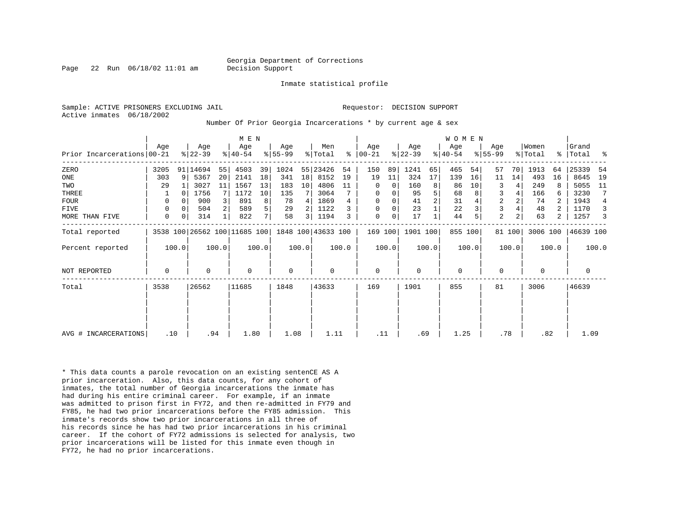Page 22 Run 06/18/02 11:01 am Decision Support

Inmate statistical profile

Active inmates 06/18/2002

Sample: ACTIVE PRISONERS EXCLUDING JAIL **Requestor: DECISION SUPPORT** 

Number Of Prior Georgia Incarcerations \* by current age & sex

|                            |      |       |                  |       | M E N            |       |                 |                 |                                                 |       |                    |       |                  |       | <b>WOMEN</b>    |       |                  |        |                  |       |                |       |
|----------------------------|------|-------|------------------|-------|------------------|-------|-----------------|-----------------|-------------------------------------------------|-------|--------------------|-------|------------------|-------|-----------------|-------|------------------|--------|------------------|-------|----------------|-------|
| Prior Incarcerations 00-21 | Age  |       | Age<br>$ 22-39 $ |       | Age<br>$ 40-54 $ |       | Age<br>$ 55-99$ |                 | Men<br>% Total                                  | ႜ     | Age<br>$ 00 - 21 $ |       | Age<br>$ 22-39 $ |       | Age<br>$ 40-54$ |       | Age<br>$8 55-99$ |        | Women<br>% Total | ႜ     | Grand<br>Total | ႜ     |
| ZERO                       | 3205 |       | 91 14694         | 55    | 4503             | 39    | 1024            |                 | 55 23426                                        | 54    | 150                | 89    | 1241             | 65    | 465             | 54    | 57               | 70     | 1913             | 64    | 25339          | 54    |
| ONE                        | 303  | 9     | 5367             | 20    | 2141             | 18    | 341             | 18 <sup>1</sup> | 8152                                            | 19    | 19                 | 11    | 324              | 17    | 139             | 16    | 11               | 14     | 493              | 16    | 8645           | 19    |
| TWO                        | 29   |       | 3027             | 11    | 1567             | 13    | 183             | 10 <sup>1</sup> | 4806                                            | 11    | 0                  | 0     | 160              | 8     | 86              | 10    | 3                |        | 249              | 8     | 5055           | 11    |
| THREE                      |      | n     | 1756             |       | 1172             | 10    | 135             |                 | 3064                                            |       | 0                  | 0     | 95               | 5     | 68              |       | 3                |        | 166              | 6     | 3230           |       |
| <b>FOUR</b>                | 0    | n     | 900              |       | 891              | 8     | 78              |                 | 1869                                            |       | $\Omega$           |       | 41               | 2     | 31              |       | $\overline{c}$   | 2      | 74               |       | 1943           | 4     |
| <b>FIVE</b>                | 0    |       | 504              |       | 589              | 5     | 29              |                 | 1122                                            |       | 0                  | 0     | 23               |       | 22              |       | $\overline{3}$   |        | 48               |       | 1170           | 3     |
| MORE THAN FIVE             | 0    | 0     | 314              |       | 822              | 7     | 58              | 3 I             | 1194                                            |       | 0                  | 0     | 17               |       | 44              |       | 2                | 2      | 63               | 2     | 1257           |       |
| Total reported             |      |       |                  |       |                  |       |                 |                 | 3538 100 26562 100 11685 100 1848 100 43633 100 |       | 169 100            |       | 1901 100         |       | 855 100         |       |                  | 81 100 | 3006 100         |       | 46639 100      |       |
| Percent reported           |      | 100.0 |                  | 100.0 |                  | 100.0 |                 | 100.0           |                                                 | 100.0 |                    | 100.0 |                  | 100.0 |                 | 100.0 |                  | 100.0  |                  | 100.0 |                | 100.0 |
| NOT REPORTED               | 0    |       | 0                |       | $\Omega$         |       | $\mathbf 0$     |                 | 0                                               |       | 0                  |       | $\Omega$         |       | 0               |       | 0                |        | $\Omega$         |       | 0              |       |
| Total                      | 3538 |       | 26562            |       | 11685            |       | 1848            |                 | 43633                                           |       | 169                |       | 1901             |       | 855             |       | 81               |        | 3006             |       | 46639          |       |
|                            |      |       |                  |       |                  |       |                 |                 |                                                 |       |                    |       |                  |       |                 |       |                  |        |                  |       |                |       |
|                            |      |       |                  |       |                  |       |                 |                 |                                                 |       |                    |       |                  |       |                 |       |                  |        |                  |       |                |       |
| AVG # INCARCERATIONS       |      | .10   |                  | .94   | 1.80             |       | 1.08            |                 | 1.11                                            |       | .11                |       | .69              |       | 1.25            |       |                  | .78    | .82              |       | 1.09           |       |

\* This data counts a parole revocation on an existing sentenCE AS A prior incarceration. Also, this data counts, for any cohort of inmates, the total number of Georgia incarcerations the inmate has had during his entire criminal career. For example, if an inmate was admitted to prison first in FY72, and then re-admitted in FY79 and FY85, he had two prior incarcerations before the FY85 admission. This inmate's records show two prior incarcerations in all three of his records since he has had two prior incarcerations in his criminal career. If the cohort of FY72 admissions is selected for analysis, two prior incarcerations will be listed for this inmate even though in FY72, he had no prior incarcerations.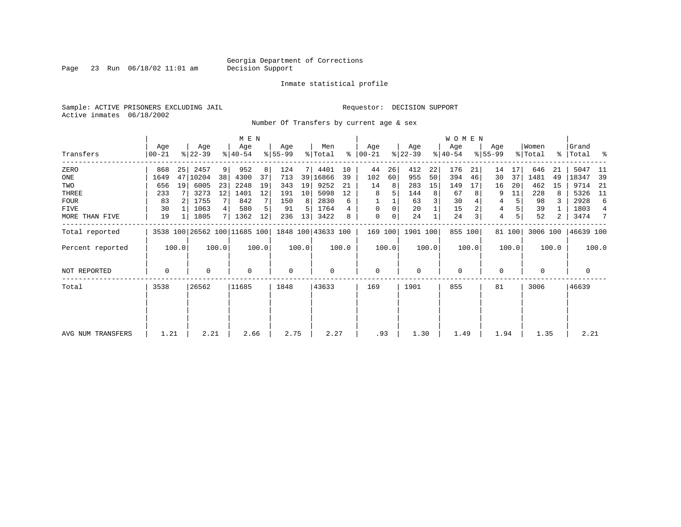Page 23 Run  $06/18/02$  11:01 am

#### Inmate statistical profile

Sample: ACTIVE PRISONERS EXCLUDING JAIL **Requestor: DECISION SUPPORT** Active inmates 06/18/2002

Number Of Transfers by current age & sex

|                   |                  |       |                  |       | M E N                        |       |                  |                 |                    |       |                  |       |                  |       | <b>WOMEN</b>     |       |                  |        |                              |       |                    |                |
|-------------------|------------------|-------|------------------|-------|------------------------------|-------|------------------|-----------------|--------------------|-------|------------------|-------|------------------|-------|------------------|-------|------------------|--------|------------------------------|-------|--------------------|----------------|
| Transfers         | Age<br>$00 - 21$ |       | Age<br>$ 22-39 $ |       | Age<br>$ 40-54 $             |       | Age<br>$8 55-99$ |                 | Men<br>% Total     | ႜ     | Age<br>$ 00-21 $ |       | Age<br>$ 22-39 $ |       | Age<br>$ 40-54 $ |       | Age<br>$8 55-99$ |        | Women<br>$\frac{1}{2}$ Total |       | Grand<br>% Total % |                |
| ZERO              | 868              | 25    | 2457             | 9     | 952                          |       | 124              | 7 L             | 4401               | 10    | 44               | 26    | 412              | 22    | 176              | 21    | 14               | 17     | 646                          | 21    | 5047               | -11            |
| ONE               | 1649             | 47    | 10204            | 38    | 4300                         | 37    | 713              |                 | 39 16866           | 39    | 102              | 60    | 955              | 50    | 394              | 46    | 30               | 37     | 1481                         | 49    | 18347              | - 39           |
| TWO               | 656              | 19    | 6005             | 23    | 2248                         | 19    | 343              | 19              | 9252               | 21    | 14               | 8     | 283              | 15    | 149              | 17    | 16               | 20     | 462                          | 15    | 9714               | -21            |
| THREE             | 233              |       | 3273             | 12    | 1401                         | 12    | 191              | 10 <sup>1</sup> | 5098               | 12    | 8                |       | 144              | 8     | 67               | 8     | 9                | 11     | 228                          | 8     | 5326               | 11             |
| <b>FOUR</b>       | 83               | -2 I  | 1755             |       | 842                          |       | 150              | 8               | 2830               | 6     |                  |       | 63               |       | 30               |       | 4                |        | 98                           |       | 2928               | 6              |
| FIVE              | 30               |       | 1063             | 4     | 580                          |       | 91               | 5               | 1764               |       | $\Omega$         |       | 20               |       | 15               |       | 4                |        | 39                           |       | 1803               | $\overline{4}$ |
| MORE THAN FIVE    | 19               |       | 1805             | 71    | 1362                         | 12    | 236              | 13              | 3422               |       | 0                |       | 24               |       | 24               | 3     | 4                |        | 52                           | 2     | 3474               | 7              |
| Total reported    |                  |       |                  |       | 3538 100 26562 100 11685 100 |       |                  |                 | 1848 100 43633 100 |       | 169 100          |       | 1901 100         |       | 855 100          |       |                  | 81 100 | 3006 100                     |       | 46639 100          |                |
| Percent reported  |                  | 100.0 |                  | 100.0 |                              | 100.0 |                  | 100.0           |                    | 100.0 |                  | 100.0 |                  | 100.0 |                  | 100.0 |                  | 100.0  |                              | 100.0 |                    | 100.0          |
| NOT REPORTED      | 0                |       | $\Omega$         |       | 0                            |       | $\mathbf 0$      |                 | 0                  |       | 0                |       | $\mathbf 0$      |       | $\mathbf{0}$     |       | 0                |        | 0                            |       | 0                  |                |
| Total             | 3538             |       | 26562            |       | 11685                        |       | 1848             |                 | 43633              |       | 169              |       | 1901             |       | 855              |       | 81               |        | 3006                         |       | 46639              |                |
|                   |                  |       |                  |       |                              |       |                  |                 |                    |       |                  |       |                  |       |                  |       |                  |        |                              |       |                    |                |
|                   |                  |       |                  |       |                              |       |                  |                 |                    |       |                  |       |                  |       |                  |       |                  |        |                              |       |                    |                |
| AVG NUM TRANSFERS | 1.21             |       | 2.21             |       | 2.66                         |       | 2.75             |                 | 2.27               |       | .93              |       | 1.30             |       | 1.49             |       | 1.94             |        | 1.35                         |       | 2.21               |                |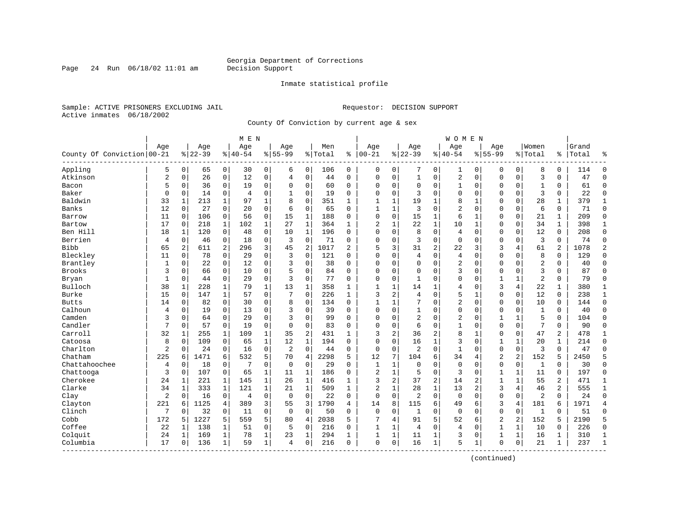Page 24 Run  $06/18/02$  11:01 am

#### Inmate statistical profile

Sample: ACTIVE PRISONERS EXCLUDING JAIL **Requestor: DECISION SUPPORT** Active inmates 06/18/2002

County Of Conviction by current age & sex

| Age<br>Age<br>Age<br>Men<br>Age<br>Women<br>Grand<br>Aqe<br>Age<br>Age<br>Age<br>County Of Conviction   00-21<br>$ 22-39$<br>$ 40-54$<br>$8 55-99$<br>$ 00-21$<br>$8 22-39$<br>$8 40-54$<br>$8155 - 99$<br>% Total<br>နွ<br>% Total<br>Total<br>ႜ<br>٩,<br>Appling<br>5<br>0<br>0<br>30<br>0<br>0<br>0<br>$\mathbf 0$<br>0<br>8<br>0<br>$\Omega$<br>65<br>6<br>106<br>0<br>0<br>1<br>0<br>0<br>114<br>$\overline{c}$<br>$\overline{3}$<br>Atkinson<br>2<br>26<br>$\mathbf 0$<br>12<br>$\mathbf 0$<br>$\mathbf 0$<br>44<br>$\mathbf{1}$<br>$\mathbf 0$<br>$\mathbf 0$<br>$\mathbf{0}$<br>$\mathbf 0$<br>$\Omega$<br>$\mathbf 0$<br>$\Omega$<br>$\mathbf 0$<br>$\mathbf 0$<br>$\Omega$<br>47<br>$\overline{4}$<br>5<br>36<br>$\Omega$<br>19<br>$\mathbf 0$<br>$\mathbf 0$<br>60<br>$\mathbf 0$<br>$\mathbf 0$<br>$\Omega$<br>61<br>$\Omega$<br>Bacon<br>$\mathbf 0$<br>$\Omega$<br>$\Omega$<br>$\mathbf 0$<br>0<br>1<br>$\mathbf 0$<br>$\mathbf 0$<br>$\mathbf{1}$<br>0<br>3<br>Baker<br>$\Omega$<br>$\mathbf 0$<br>0<br>$\Omega$<br>3<br>$\Omega$<br>$\mathbf 0$<br>$\Omega$<br>$\Omega$<br>22<br>$\Omega$<br>$\mathbf 0$<br>14<br>4<br>19<br>$\Omega$<br>$\Omega$<br>$\Omega$<br>$\mathbf 0$<br>$\Omega$<br>Baldwin<br>$\mathbf{1}$<br>1<br>$\Omega$<br>351<br>19<br>8<br>28<br>$\mathbf 1$<br>379<br>$\mathbf 1$<br>33<br>213<br>1<br>97<br>8<br>$\mathbf{1}$<br>1<br>1<br>1<br>$\mathbf{1}$<br>$\Omega$<br>$\Omega$<br>Banks<br>12<br>27<br>$\mathbf 0$<br>20<br>$\mathbf 0$<br>$\mathbf 0$<br>65<br>3<br>$\mathbf 0$<br>2<br>6<br>71<br>$\Omega$<br>0<br>6<br>0<br>1<br>1<br>$\mathbf 0$<br>$\Omega$<br>0<br>0<br>0<br>56<br>0<br>15<br>$\mathbf{1}$<br>188<br>$\mathbf 0$<br>0<br>15<br>$\mathbf 1$<br>6<br>0<br>21<br>209<br>$\Omega$<br>11<br>$\mathbf{0}$<br>106<br>0<br>1<br>0<br>1<br>Barrow<br>$\mathbf{1}$<br>$\mathbf{1}$<br>$\mathbf 1$<br>27<br>$\mathbf{1}$<br>364<br>$\mathbf{1}$<br>$\overline{c}$<br>22<br>$\Omega$<br>34<br>$\mathbf{1}$<br>$\mathbf{1}$<br>17<br>$\Omega$<br>218<br>102<br>$\mathbf{1}$<br>10<br>$\mathbf 1$<br>$\Omega$<br>398<br>Bartow<br>18<br>$\mathbf 0$<br>8<br>$\mathbf 0$<br>12<br>208<br>Ben Hill<br>120<br>$\Omega$<br>48<br>10<br>$\mathbf{1}$<br>196<br>$\Omega$<br>$\Omega$<br>$\Omega$<br>$\overline{4}$<br>$\mathbf 0$<br>$\mathbf{0}$<br>$\Omega$<br>$\mathbf 0$<br>$\Omega$<br>1<br>$\mathbf 0$<br>$\mathbf 0$<br>71<br>$\mathbf 0$<br>$\mathbf 0$<br>$\mathbf 0$<br>$\overline{3}$<br>74<br>Berrien<br>$\overline{4}$<br>$\mathbf 0$<br>18<br>3<br>$\Omega$<br>$\Omega$<br>3<br>$\mathbf 0$<br>$\Omega$<br>$\Omega$<br>$\Omega$<br>$\mathbf{0}$<br>46<br>$\Omega$<br>2<br>3<br>$\overline{c}$<br>$\overline{c}$<br>22<br>3<br>2<br>$\overline{2}$<br><b>Bibb</b><br>65<br>$\overline{2}$<br>296<br>45<br>1017<br>$\overline{a}$<br>5<br>3<br>31<br>3<br>61<br>1078<br>611<br>4<br>Bleckley<br>$\mathbf 0$<br>$\mathbf 0$<br>8<br>78<br>$\mathbf 0$<br>29<br>3<br>121<br>$\Omega$<br>$\Omega$<br>$\overline{4}$<br>$\mathbf 0$<br>$\mathbf 0$<br>$\mathbf 0$<br>$\Omega$<br>$\mathbf 0$<br>129<br>$\Omega$<br>11<br>0<br>$\Omega$<br>4<br>$\overline{a}$<br>Brantley<br>22<br>$\mathbf 0$<br>12<br>$\mathbf 0$<br>3<br>$\mathbf 0$<br>38<br>$\mathbf 0$<br>2<br>$\mathbf 0$<br>40<br>$\Omega$<br>0<br>$\Omega$<br>0<br>0<br>0<br>0<br>0<br>0<br>1<br><b>Brooks</b><br>3<br>$\mathbf 0$<br>10<br>$\mathbf 0$<br>5<br>$\mathbf 0$<br>84<br>$\mathbf 0$<br>$\mathbf 0$<br>$\Omega$<br>3<br>$\mathbf 0$<br>87<br>$\Omega$<br>3<br>$\mathbf 0$<br>66<br>$\Omega$<br>0<br>$\mathbf 0$<br>$\Omega$<br>0<br>$\overline{2}$<br>Bryan<br>1<br>0<br>44<br>0<br>29<br>0<br>3<br>0<br>77<br>$\Omega$<br>0<br>1<br>$\Omega$<br>0<br>0<br>1<br>1<br>0<br>79<br>$\mathbf 0$<br>$\Omega$<br>Bulloch<br>38<br>79<br>3<br>22<br>228<br>1<br>1<br>13<br>1<br>358<br>1<br>1<br>1<br>$\mathbf 0$<br>4<br>1<br>380<br>1<br>1<br>14<br>4<br>1<br>Burke<br>57<br>226<br>3<br>2<br>5<br>$\Omega$<br>12<br>15<br>147<br>$\mathbf{1}$<br>$\Omega$<br>7<br>$\Omega$<br>$\mathbf{1}$<br>$\Omega$<br>$\mathbf 1$<br>$\Omega$<br>$\Omega$<br>238<br>$\mathbf{1}$<br>$\Omega$<br>4<br>$\mathbf 0$<br>7<br>2<br>14<br>82<br>30<br>$\mathbf 0$<br>8<br>$\mathbf 0$<br>134<br>$\Omega$<br>$\mathbf{1}$<br>$\Omega$<br>$\mathbf 0$<br>$\mathbf 0$<br>$\Omega$<br>10<br>$\mathbf 0$<br>144<br>$\Omega$<br><b>Butts</b><br>0<br>1<br>Calhoun<br>$\mathbf 0$<br>19<br>$\mathbf 0$<br>13<br>$\mathbf 0$<br>$\mathbf 0$<br>39<br>$\Omega$<br>$\mathbf 0$<br>$\Omega$<br>$\mathbf{1}$<br>$\Omega$<br>$\mathbf 0$<br>$\mathbf 0$<br>$\mathbf{1}$<br>40<br>$\Omega$<br>4<br>3<br>$\Omega$<br>0<br>0<br>Camden<br>$\overline{a}$<br>2<br>5<br>3<br>$\mathbf 0$<br>64<br>$\Omega$<br>29<br>$\mathbf 0$<br>3<br>$\Omega$<br>99<br>$\Omega$<br>$\Omega$<br>$\mathbf 0$<br>$\mathbf 0$<br>$\mathbf 1$<br>$\mathbf{1}$<br>$\mathbf 0$<br>104<br>$\Omega$<br>$\Omega$<br>Candler<br>7<br>$\mathbf 0$<br>$\Omega$<br>$\mathbf 0$<br>83<br>6<br>$\mathbf 0$<br>$\mathbf 0$<br>$\Omega$<br>7<br>90<br>$\mathbf 0$<br>57<br>0<br>19<br>$\Omega$<br>$\Omega$<br>$\Omega$<br>1<br>$\mathbf 0$<br>0<br>$\Omega$<br>Carroll<br>32<br>255<br>109<br>35<br>$\overline{2}$<br>2<br>$\overline{a}$<br>8<br>47<br>2<br>478<br>1<br>1<br>431<br>3<br>36<br>1<br>0<br>0<br>1<br>1<br>1<br>$\mathbf{1}$<br>$\mathbf 0$<br>$\mathbf 1$<br>3<br>$\mathbf{1}$<br>20<br>$\mathbf{1}$<br>214<br>Catoosa<br>8<br>$\mathbf 0$<br>109<br>0<br>65<br>1<br>12<br>194<br>0<br>16<br>$\mathbf 0$<br>1<br>$\Omega$<br>$\Omega$<br>Charlton<br>$\overline{c}$<br>$\mathbf 0$<br>$\mathbf 0$<br>$\mathbf 0$<br>2<br>$\mathbf 0$<br>$\mathbf{0}$<br>$\mathbf 0$<br>3<br>$\mathbf 0$<br>24<br>16<br>2<br>44<br>0<br>$\mathbf 0$<br>0<br>1<br>$\mathbf 0$<br>0<br>47<br>$\Omega$<br>Chatham<br>225<br>6<br>532<br>5<br>5<br>12<br>6<br>$\overline{2}$<br>2<br>152<br>5<br>6<br>1471<br>70<br>$\overline{4}$<br>2298<br>7<br>104<br>34<br>$\overline{4}$<br>2450<br>5<br>Chattahoochee<br>$\mathbf 0$<br>$\mathbf 0$<br>$\mathbf 0$<br>4<br>18<br>$\mathbf 0$<br>7<br>$\Omega$<br>$\Omega$<br>29<br>$\Omega$<br>$\mathbf{1}$<br>$\mathbf{1}$<br>$\Omega$<br>$\mathbf 0$<br>$\mathbf 0$<br>$\mathbf 0$<br>$\Omega$<br>30<br>$\Omega$<br>0<br>1<br>$\mathbf 0$<br>$\overline{c}$<br>$\Omega$<br>Chattooga<br>3<br>107<br>65<br>$\mathbf{1}$<br>5<br>3<br>$\mathbf{1}$<br>0<br>197<br>$\Omega$<br>$\mathbf 0$<br>1<br>11<br>1<br>186<br>$\Omega$<br>$\mathbf 0$<br>1<br>11<br>Cherokee<br>221<br>1<br>145<br>$\mathbf 1$<br>3<br>2<br>37<br>2<br>$\mathbf{1}$<br>$\mathbf 1$<br>55<br>2<br>471<br>24<br>26<br>1<br>416<br>14<br>2<br>1<br>1<br>1<br>Clarke<br>$\overline{2}$<br>3<br>2<br>121<br>$\mathbf 1$<br>$\mathbf{1}$<br>509<br>28<br>$\mathbf 1$<br>$\overline{2}$<br>4<br>555<br>34<br>333<br>1<br>21<br>$\mathbf{1}$<br>$\mathbf{1}$<br>13<br>46<br>1<br>1<br>$\overline{2}$<br>$\mathbf 0$<br>$\mathbf 0$<br>$\overline{2}$<br>2<br>0<br>0<br>$\mathbf 0$<br>$\mathbf 0$<br>$\mathbf 0$<br>$\mathbf 0$<br>Clay<br>$\mathbf{0}$<br>16<br>4<br>$\mathbf 0$<br>22<br>0<br>$\mathbf 0$<br>$\mathbf 0$<br>0<br>24<br>$\Omega$<br>221<br>1125<br>3<br>3<br>1790<br>8<br>6<br>3<br>4<br>1971<br>Clayton<br>6<br>4<br>389<br>55<br>4<br>14<br>115<br>49<br>6<br>181<br>6<br>$\overline{4}$<br>Clinch<br>7<br>32<br>$\mathbf 0$<br>$\mathbf 0$<br>$\mathbf 0$<br>50<br>$\mathbf 0$<br>$\mathbf 0$<br>$\mathbf{0}$<br>51<br>0<br>11<br>$\mathbf 0$<br>$\Omega$<br>$\mathbf 0$<br>0<br>1<br>$\mathbf 0$<br>0<br>1<br>0<br>$\Omega$<br>5<br>Cobb<br>5<br>559<br>5<br>$\overline{2}$<br>2<br>172<br>5<br>1227<br>80<br>2038<br>5<br>91<br>52<br>6<br>152<br>5<br>2190<br>5<br>$\overline{4}$<br>4<br>Coffee<br>22<br>138<br>$\mathbf{1}$<br>51<br>0<br>$\mathbf 0$<br>216<br>$\mathbf 0$<br>$\mathbf{1}$<br>$\mathbf{1}$<br>0<br>226<br>$\Omega$<br>1<br>5<br>$\Omega$<br>1<br>1<br>4<br>4<br>$\mathbf 0$<br>10<br>Colquit<br>78<br>23<br>294<br>1<br>3<br>$\mathbf{1}$<br>24<br>169<br>1<br>1<br>1<br>1<br>11<br>$\mathbf 0$<br>1<br>16<br>1<br>310<br>$\mathbf{1}$<br>1<br>1<br>1<br>Columbia<br>5<br>17<br>59<br>$\mathbf{1}$<br>$\mathbf 0$<br>$\Omega$<br>0<br>16<br>$\mathbf 1$<br>$\Omega$<br>21<br>237<br>$\mathbf{1}$<br>0<br>136<br>1<br>4<br>216<br>$\Omega$<br>1<br>0<br>1 |  |  | M E N |  |  |  |  | W O M E N |  |  |  |  |
|--------------------------------------------------------------------------------------------------------------------------------------------------------------------------------------------------------------------------------------------------------------------------------------------------------------------------------------------------------------------------------------------------------------------------------------------------------------------------------------------------------------------------------------------------------------------------------------------------------------------------------------------------------------------------------------------------------------------------------------------------------------------------------------------------------------------------------------------------------------------------------------------------------------------------------------------------------------------------------------------------------------------------------------------------------------------------------------------------------------------------------------------------------------------------------------------------------------------------------------------------------------------------------------------------------------------------------------------------------------------------------------------------------------------------------------------------------------------------------------------------------------------------------------------------------------------------------------------------------------------------------------------------------------------------------------------------------------------------------------------------------------------------------------------------------------------------------------------------------------------------------------------------------------------------------------------------------------------------------------------------------------------------------------------------------------------------------------------------------------------------------------------------------------------------------------------------------------------------------------------------------------------------------------------------------------------------------------------------------------------------------------------------------------------------------------------------------------------------------------------------------------------------------------------------------------------------------------------------------------------------------------------------------------------------------------------------------------------------------------------------------------------------------------------------------------------------------------------------------------------------------------------------------------------------------------------------------------------------------------------------------------------------------------------------------------------------------------------------------------------------------------------------------------------------------------------------------------------------------------------------------------------------------------------------------------------------------------------------------------------------------------------------------------------------------------------------------------------------------------------------------------------------------------------------------------------------------------------------------------------------------------------------------------------------------------------------------------------------------------------------------------------------------------------------------------------------------------------------------------------------------------------------------------------------------------------------------------------------------------------------------------------------------------------------------------------------------------------------------------------------------------------------------------------------------------------------------------------------------------------------------------------------------------------------------------------------------------------------------------------------------------------------------------------------------------------------------------------------------------------------------------------------------------------------------------------------------------------------------------------------------------------------------------------------------------------------------------------------------------------------------------------------------------------------------------------------------------------------------------------------------------------------------------------------------------------------------------------------------------------------------------------------------------------------------------------------------------------------------------------------------------------------------------------------------------------------------------------------------------------------------------------------------------------------------------------------------------------------------------------------------------------------------------------------------------------------------------------------------------------------------------------------------------------------------------------------------------------------------------------------------------------------------------------------------------------------------------------------------------------------------------------------------------------------------------------------------------------------------------------------------------------------------------------------------------------------------------------------------------------------------------------------------------------------------------------------------------------------------------------------------------------------------------------------------------------------------------------------------------------------------------------------------------------------------------------------------------------------------------------------------------------------------------------------------------------------------------------------------------------------------------------------------------------------------------------------------------------------------------------------------------------------------------------------------------------------------------------------------------------------------------------------------------------------------------------------------------------------------------------------------------------------------------------------------------------------------------------------------------------------------------------------------------------------------------------------------------------------------------------------------------------------------------------------------------------------------------------------------------------------------------------------------------------------------------------------------------------------------------------------------------------------------------------------------------------------------------------------------------------------------------------------------------------------------------------------------------------------------------------------------------------------------------------------------------------------------------------------------------------------------------------------------------------------------------------------------------------------------------------------------------------------------------------------------------------------------------------------------------------------------------------------------------------------------------------------------------------------------------------------------------------------------------------------------------------------------------------------------------------------|--|--|-------|--|--|--|--|-----------|--|--|--|--|
|                                                                                                                                                                                                                                                                                                                                                                                                                                                                                                                                                                                                                                                                                                                                                                                                                                                                                                                                                                                                                                                                                                                                                                                                                                                                                                                                                                                                                                                                                                                                                                                                                                                                                                                                                                                                                                                                                                                                                                                                                                                                                                                                                                                                                                                                                                                                                                                                                                                                                                                                                                                                                                                                                                                                                                                                                                                                                                                                                                                                                                                                                                                                                                                                                                                                                                                                                                                                                                                                                                                                                                                                                                                                                                                                                                                                                                                                                                                                                                                                                                                                                                                                                                                                                                                                                                                                                                                                                                                                                                                                                                                                                                                                                                                                                                                                                                                                                                                                                                                                                                                                                                                                                                                                                                                                                                                                                                                                                                                                                                                                                                                                                                                                                                                                                                                                                                                                                                                                                                                                                                                                                                                                                                                                                                                                                                                                                                                                                                                                                                                                                                                                                                                                                                                                                                                                                                                                                                                                                                                                                                                                                                                                                                                                                                                                                                                                                                                                                                                                                                                                                                                                                                                                                                                                                                                                                                                                                                                                                                                                                                                                                                                                                                                                                                                  |  |  |       |  |  |  |  |           |  |  |  |  |
|                                                                                                                                                                                                                                                                                                                                                                                                                                                                                                                                                                                                                                                                                                                                                                                                                                                                                                                                                                                                                                                                                                                                                                                                                                                                                                                                                                                                                                                                                                                                                                                                                                                                                                                                                                                                                                                                                                                                                                                                                                                                                                                                                                                                                                                                                                                                                                                                                                                                                                                                                                                                                                                                                                                                                                                                                                                                                                                                                                                                                                                                                                                                                                                                                                                                                                                                                                                                                                                                                                                                                                                                                                                                                                                                                                                                                                                                                                                                                                                                                                                                                                                                                                                                                                                                                                                                                                                                                                                                                                                                                                                                                                                                                                                                                                                                                                                                                                                                                                                                                                                                                                                                                                                                                                                                                                                                                                                                                                                                                                                                                                                                                                                                                                                                                                                                                                                                                                                                                                                                                                                                                                                                                                                                                                                                                                                                                                                                                                                                                                                                                                                                                                                                                                                                                                                                                                                                                                                                                                                                                                                                                                                                                                                                                                                                                                                                                                                                                                                                                                                                                                                                                                                                                                                                                                                                                                                                                                                                                                                                                                                                                                                                                                                                                                                  |  |  |       |  |  |  |  |           |  |  |  |  |
|                                                                                                                                                                                                                                                                                                                                                                                                                                                                                                                                                                                                                                                                                                                                                                                                                                                                                                                                                                                                                                                                                                                                                                                                                                                                                                                                                                                                                                                                                                                                                                                                                                                                                                                                                                                                                                                                                                                                                                                                                                                                                                                                                                                                                                                                                                                                                                                                                                                                                                                                                                                                                                                                                                                                                                                                                                                                                                                                                                                                                                                                                                                                                                                                                                                                                                                                                                                                                                                                                                                                                                                                                                                                                                                                                                                                                                                                                                                                                                                                                                                                                                                                                                                                                                                                                                                                                                                                                                                                                                                                                                                                                                                                                                                                                                                                                                                                                                                                                                                                                                                                                                                                                                                                                                                                                                                                                                                                                                                                                                                                                                                                                                                                                                                                                                                                                                                                                                                                                                                                                                                                                                                                                                                                                                                                                                                                                                                                                                                                                                                                                                                                                                                                                                                                                                                                                                                                                                                                                                                                                                                                                                                                                                                                                                                                                                                                                                                                                                                                                                                                                                                                                                                                                                                                                                                                                                                                                                                                                                                                                                                                                                                                                                                                                                                  |  |  |       |  |  |  |  |           |  |  |  |  |
|                                                                                                                                                                                                                                                                                                                                                                                                                                                                                                                                                                                                                                                                                                                                                                                                                                                                                                                                                                                                                                                                                                                                                                                                                                                                                                                                                                                                                                                                                                                                                                                                                                                                                                                                                                                                                                                                                                                                                                                                                                                                                                                                                                                                                                                                                                                                                                                                                                                                                                                                                                                                                                                                                                                                                                                                                                                                                                                                                                                                                                                                                                                                                                                                                                                                                                                                                                                                                                                                                                                                                                                                                                                                                                                                                                                                                                                                                                                                                                                                                                                                                                                                                                                                                                                                                                                                                                                                                                                                                                                                                                                                                                                                                                                                                                                                                                                                                                                                                                                                                                                                                                                                                                                                                                                                                                                                                                                                                                                                                                                                                                                                                                                                                                                                                                                                                                                                                                                                                                                                                                                                                                                                                                                                                                                                                                                                                                                                                                                                                                                                                                                                                                                                                                                                                                                                                                                                                                                                                                                                                                                                                                                                                                                                                                                                                                                                                                                                                                                                                                                                                                                                                                                                                                                                                                                                                                                                                                                                                                                                                                                                                                                                                                                                                                                  |  |  |       |  |  |  |  |           |  |  |  |  |
|                                                                                                                                                                                                                                                                                                                                                                                                                                                                                                                                                                                                                                                                                                                                                                                                                                                                                                                                                                                                                                                                                                                                                                                                                                                                                                                                                                                                                                                                                                                                                                                                                                                                                                                                                                                                                                                                                                                                                                                                                                                                                                                                                                                                                                                                                                                                                                                                                                                                                                                                                                                                                                                                                                                                                                                                                                                                                                                                                                                                                                                                                                                                                                                                                                                                                                                                                                                                                                                                                                                                                                                                                                                                                                                                                                                                                                                                                                                                                                                                                                                                                                                                                                                                                                                                                                                                                                                                                                                                                                                                                                                                                                                                                                                                                                                                                                                                                                                                                                                                                                                                                                                                                                                                                                                                                                                                                                                                                                                                                                                                                                                                                                                                                                                                                                                                                                                                                                                                                                                                                                                                                                                                                                                                                                                                                                                                                                                                                                                                                                                                                                                                                                                                                                                                                                                                                                                                                                                                                                                                                                                                                                                                                                                                                                                                                                                                                                                                                                                                                                                                                                                                                                                                                                                                                                                                                                                                                                                                                                                                                                                                                                                                                                                                                                                  |  |  |       |  |  |  |  |           |  |  |  |  |
|                                                                                                                                                                                                                                                                                                                                                                                                                                                                                                                                                                                                                                                                                                                                                                                                                                                                                                                                                                                                                                                                                                                                                                                                                                                                                                                                                                                                                                                                                                                                                                                                                                                                                                                                                                                                                                                                                                                                                                                                                                                                                                                                                                                                                                                                                                                                                                                                                                                                                                                                                                                                                                                                                                                                                                                                                                                                                                                                                                                                                                                                                                                                                                                                                                                                                                                                                                                                                                                                                                                                                                                                                                                                                                                                                                                                                                                                                                                                                                                                                                                                                                                                                                                                                                                                                                                                                                                                                                                                                                                                                                                                                                                                                                                                                                                                                                                                                                                                                                                                                                                                                                                                                                                                                                                                                                                                                                                                                                                                                                                                                                                                                                                                                                                                                                                                                                                                                                                                                                                                                                                                                                                                                                                                                                                                                                                                                                                                                                                                                                                                                                                                                                                                                                                                                                                                                                                                                                                                                                                                                                                                                                                                                                                                                                                                                                                                                                                                                                                                                                                                                                                                                                                                                                                                                                                                                                                                                                                                                                                                                                                                                                                                                                                                                                                  |  |  |       |  |  |  |  |           |  |  |  |  |
|                                                                                                                                                                                                                                                                                                                                                                                                                                                                                                                                                                                                                                                                                                                                                                                                                                                                                                                                                                                                                                                                                                                                                                                                                                                                                                                                                                                                                                                                                                                                                                                                                                                                                                                                                                                                                                                                                                                                                                                                                                                                                                                                                                                                                                                                                                                                                                                                                                                                                                                                                                                                                                                                                                                                                                                                                                                                                                                                                                                                                                                                                                                                                                                                                                                                                                                                                                                                                                                                                                                                                                                                                                                                                                                                                                                                                                                                                                                                                                                                                                                                                                                                                                                                                                                                                                                                                                                                                                                                                                                                                                                                                                                                                                                                                                                                                                                                                                                                                                                                                                                                                                                                                                                                                                                                                                                                                                                                                                                                                                                                                                                                                                                                                                                                                                                                                                                                                                                                                                                                                                                                                                                                                                                                                                                                                                                                                                                                                                                                                                                                                                                                                                                                                                                                                                                                                                                                                                                                                                                                                                                                                                                                                                                                                                                                                                                                                                                                                                                                                                                                                                                                                                                                                                                                                                                                                                                                                                                                                                                                                                                                                                                                                                                                                                                  |  |  |       |  |  |  |  |           |  |  |  |  |
|                                                                                                                                                                                                                                                                                                                                                                                                                                                                                                                                                                                                                                                                                                                                                                                                                                                                                                                                                                                                                                                                                                                                                                                                                                                                                                                                                                                                                                                                                                                                                                                                                                                                                                                                                                                                                                                                                                                                                                                                                                                                                                                                                                                                                                                                                                                                                                                                                                                                                                                                                                                                                                                                                                                                                                                                                                                                                                                                                                                                                                                                                                                                                                                                                                                                                                                                                                                                                                                                                                                                                                                                                                                                                                                                                                                                                                                                                                                                                                                                                                                                                                                                                                                                                                                                                                                                                                                                                                                                                                                                                                                                                                                                                                                                                                                                                                                                                                                                                                                                                                                                                                                                                                                                                                                                                                                                                                                                                                                                                                                                                                                                                                                                                                                                                                                                                                                                                                                                                                                                                                                                                                                                                                                                                                                                                                                                                                                                                                                                                                                                                                                                                                                                                                                                                                                                                                                                                                                                                                                                                                                                                                                                                                                                                                                                                                                                                                                                                                                                                                                                                                                                                                                                                                                                                                                                                                                                                                                                                                                                                                                                                                                                                                                                                                                  |  |  |       |  |  |  |  |           |  |  |  |  |
|                                                                                                                                                                                                                                                                                                                                                                                                                                                                                                                                                                                                                                                                                                                                                                                                                                                                                                                                                                                                                                                                                                                                                                                                                                                                                                                                                                                                                                                                                                                                                                                                                                                                                                                                                                                                                                                                                                                                                                                                                                                                                                                                                                                                                                                                                                                                                                                                                                                                                                                                                                                                                                                                                                                                                                                                                                                                                                                                                                                                                                                                                                                                                                                                                                                                                                                                                                                                                                                                                                                                                                                                                                                                                                                                                                                                                                                                                                                                                                                                                                                                                                                                                                                                                                                                                                                                                                                                                                                                                                                                                                                                                                                                                                                                                                                                                                                                                                                                                                                                                                                                                                                                                                                                                                                                                                                                                                                                                                                                                                                                                                                                                                                                                                                                                                                                                                                                                                                                                                                                                                                                                                                                                                                                                                                                                                                                                                                                                                                                                                                                                                                                                                                                                                                                                                                                                                                                                                                                                                                                                                                                                                                                                                                                                                                                                                                                                                                                                                                                                                                                                                                                                                                                                                                                                                                                                                                                                                                                                                                                                                                                                                                                                                                                                                                  |  |  |       |  |  |  |  |           |  |  |  |  |
|                                                                                                                                                                                                                                                                                                                                                                                                                                                                                                                                                                                                                                                                                                                                                                                                                                                                                                                                                                                                                                                                                                                                                                                                                                                                                                                                                                                                                                                                                                                                                                                                                                                                                                                                                                                                                                                                                                                                                                                                                                                                                                                                                                                                                                                                                                                                                                                                                                                                                                                                                                                                                                                                                                                                                                                                                                                                                                                                                                                                                                                                                                                                                                                                                                                                                                                                                                                                                                                                                                                                                                                                                                                                                                                                                                                                                                                                                                                                                                                                                                                                                                                                                                                                                                                                                                                                                                                                                                                                                                                                                                                                                                                                                                                                                                                                                                                                                                                                                                                                                                                                                                                                                                                                                                                                                                                                                                                                                                                                                                                                                                                                                                                                                                                                                                                                                                                                                                                                                                                                                                                                                                                                                                                                                                                                                                                                                                                                                                                                                                                                                                                                                                                                                                                                                                                                                                                                                                                                                                                                                                                                                                                                                                                                                                                                                                                                                                                                                                                                                                                                                                                                                                                                                                                                                                                                                                                                                                                                                                                                                                                                                                                                                                                                                                                  |  |  |       |  |  |  |  |           |  |  |  |  |
|                                                                                                                                                                                                                                                                                                                                                                                                                                                                                                                                                                                                                                                                                                                                                                                                                                                                                                                                                                                                                                                                                                                                                                                                                                                                                                                                                                                                                                                                                                                                                                                                                                                                                                                                                                                                                                                                                                                                                                                                                                                                                                                                                                                                                                                                                                                                                                                                                                                                                                                                                                                                                                                                                                                                                                                                                                                                                                                                                                                                                                                                                                                                                                                                                                                                                                                                                                                                                                                                                                                                                                                                                                                                                                                                                                                                                                                                                                                                                                                                                                                                                                                                                                                                                                                                                                                                                                                                                                                                                                                                                                                                                                                                                                                                                                                                                                                                                                                                                                                                                                                                                                                                                                                                                                                                                                                                                                                                                                                                                                                                                                                                                                                                                                                                                                                                                                                                                                                                                                                                                                                                                                                                                                                                                                                                                                                                                                                                                                                                                                                                                                                                                                                                                                                                                                                                                                                                                                                                                                                                                                                                                                                                                                                                                                                                                                                                                                                                                                                                                                                                                                                                                                                                                                                                                                                                                                                                                                                                                                                                                                                                                                                                                                                                                                                  |  |  |       |  |  |  |  |           |  |  |  |  |
|                                                                                                                                                                                                                                                                                                                                                                                                                                                                                                                                                                                                                                                                                                                                                                                                                                                                                                                                                                                                                                                                                                                                                                                                                                                                                                                                                                                                                                                                                                                                                                                                                                                                                                                                                                                                                                                                                                                                                                                                                                                                                                                                                                                                                                                                                                                                                                                                                                                                                                                                                                                                                                                                                                                                                                                                                                                                                                                                                                                                                                                                                                                                                                                                                                                                                                                                                                                                                                                                                                                                                                                                                                                                                                                                                                                                                                                                                                                                                                                                                                                                                                                                                                                                                                                                                                                                                                                                                                                                                                                                                                                                                                                                                                                                                                                                                                                                                                                                                                                                                                                                                                                                                                                                                                                                                                                                                                                                                                                                                                                                                                                                                                                                                                                                                                                                                                                                                                                                                                                                                                                                                                                                                                                                                                                                                                                                                                                                                                                                                                                                                                                                                                                                                                                                                                                                                                                                                                                                                                                                                                                                                                                                                                                                                                                                                                                                                                                                                                                                                                                                                                                                                                                                                                                                                                                                                                                                                                                                                                                                                                                                                                                                                                                                                                                  |  |  |       |  |  |  |  |           |  |  |  |  |
|                                                                                                                                                                                                                                                                                                                                                                                                                                                                                                                                                                                                                                                                                                                                                                                                                                                                                                                                                                                                                                                                                                                                                                                                                                                                                                                                                                                                                                                                                                                                                                                                                                                                                                                                                                                                                                                                                                                                                                                                                                                                                                                                                                                                                                                                                                                                                                                                                                                                                                                                                                                                                                                                                                                                                                                                                                                                                                                                                                                                                                                                                                                                                                                                                                                                                                                                                                                                                                                                                                                                                                                                                                                                                                                                                                                                                                                                                                                                                                                                                                                                                                                                                                                                                                                                                                                                                                                                                                                                                                                                                                                                                                                                                                                                                                                                                                                                                                                                                                                                                                                                                                                                                                                                                                                                                                                                                                                                                                                                                                                                                                                                                                                                                                                                                                                                                                                                                                                                                                                                                                                                                                                                                                                                                                                                                                                                                                                                                                                                                                                                                                                                                                                                                                                                                                                                                                                                                                                                                                                                                                                                                                                                                                                                                                                                                                                                                                                                                                                                                                                                                                                                                                                                                                                                                                                                                                                                                                                                                                                                                                                                                                                                                                                                                                                  |  |  |       |  |  |  |  |           |  |  |  |  |
|                                                                                                                                                                                                                                                                                                                                                                                                                                                                                                                                                                                                                                                                                                                                                                                                                                                                                                                                                                                                                                                                                                                                                                                                                                                                                                                                                                                                                                                                                                                                                                                                                                                                                                                                                                                                                                                                                                                                                                                                                                                                                                                                                                                                                                                                                                                                                                                                                                                                                                                                                                                                                                                                                                                                                                                                                                                                                                                                                                                                                                                                                                                                                                                                                                                                                                                                                                                                                                                                                                                                                                                                                                                                                                                                                                                                                                                                                                                                                                                                                                                                                                                                                                                                                                                                                                                                                                                                                                                                                                                                                                                                                                                                                                                                                                                                                                                                                                                                                                                                                                                                                                                                                                                                                                                                                                                                                                                                                                                                                                                                                                                                                                                                                                                                                                                                                                                                                                                                                                                                                                                                                                                                                                                                                                                                                                                                                                                                                                                                                                                                                                                                                                                                                                                                                                                                                                                                                                                                                                                                                                                                                                                                                                                                                                                                                                                                                                                                                                                                                                                                                                                                                                                                                                                                                                                                                                                                                                                                                                                                                                                                                                                                                                                                                                                  |  |  |       |  |  |  |  |           |  |  |  |  |
|                                                                                                                                                                                                                                                                                                                                                                                                                                                                                                                                                                                                                                                                                                                                                                                                                                                                                                                                                                                                                                                                                                                                                                                                                                                                                                                                                                                                                                                                                                                                                                                                                                                                                                                                                                                                                                                                                                                                                                                                                                                                                                                                                                                                                                                                                                                                                                                                                                                                                                                                                                                                                                                                                                                                                                                                                                                                                                                                                                                                                                                                                                                                                                                                                                                                                                                                                                                                                                                                                                                                                                                                                                                                                                                                                                                                                                                                                                                                                                                                                                                                                                                                                                                                                                                                                                                                                                                                                                                                                                                                                                                                                                                                                                                                                                                                                                                                                                                                                                                                                                                                                                                                                                                                                                                                                                                                                                                                                                                                                                                                                                                                                                                                                                                                                                                                                                                                                                                                                                                                                                                                                                                                                                                                                                                                                                                                                                                                                                                                                                                                                                                                                                                                                                                                                                                                                                                                                                                                                                                                                                                                                                                                                                                                                                                                                                                                                                                                                                                                                                                                                                                                                                                                                                                                                                                                                                                                                                                                                                                                                                                                                                                                                                                                                                                  |  |  |       |  |  |  |  |           |  |  |  |  |
|                                                                                                                                                                                                                                                                                                                                                                                                                                                                                                                                                                                                                                                                                                                                                                                                                                                                                                                                                                                                                                                                                                                                                                                                                                                                                                                                                                                                                                                                                                                                                                                                                                                                                                                                                                                                                                                                                                                                                                                                                                                                                                                                                                                                                                                                                                                                                                                                                                                                                                                                                                                                                                                                                                                                                                                                                                                                                                                                                                                                                                                                                                                                                                                                                                                                                                                                                                                                                                                                                                                                                                                                                                                                                                                                                                                                                                                                                                                                                                                                                                                                                                                                                                                                                                                                                                                                                                                                                                                                                                                                                                                                                                                                                                                                                                                                                                                                                                                                                                                                                                                                                                                                                                                                                                                                                                                                                                                                                                                                                                                                                                                                                                                                                                                                                                                                                                                                                                                                                                                                                                                                                                                                                                                                                                                                                                                                                                                                                                                                                                                                                                                                                                                                                                                                                                                                                                                                                                                                                                                                                                                                                                                                                                                                                                                                                                                                                                                                                                                                                                                                                                                                                                                                                                                                                                                                                                                                                                                                                                                                                                                                                                                                                                                                                                                  |  |  |       |  |  |  |  |           |  |  |  |  |
|                                                                                                                                                                                                                                                                                                                                                                                                                                                                                                                                                                                                                                                                                                                                                                                                                                                                                                                                                                                                                                                                                                                                                                                                                                                                                                                                                                                                                                                                                                                                                                                                                                                                                                                                                                                                                                                                                                                                                                                                                                                                                                                                                                                                                                                                                                                                                                                                                                                                                                                                                                                                                                                                                                                                                                                                                                                                                                                                                                                                                                                                                                                                                                                                                                                                                                                                                                                                                                                                                                                                                                                                                                                                                                                                                                                                                                                                                                                                                                                                                                                                                                                                                                                                                                                                                                                                                                                                                                                                                                                                                                                                                                                                                                                                                                                                                                                                                                                                                                                                                                                                                                                                                                                                                                                                                                                                                                                                                                                                                                                                                                                                                                                                                                                                                                                                                                                                                                                                                                                                                                                                                                                                                                                                                                                                                                                                                                                                                                                                                                                                                                                                                                                                                                                                                                                                                                                                                                                                                                                                                                                                                                                                                                                                                                                                                                                                                                                                                                                                                                                                                                                                                                                                                                                                                                                                                                                                                                                                                                                                                                                                                                                                                                                                                                                  |  |  |       |  |  |  |  |           |  |  |  |  |
|                                                                                                                                                                                                                                                                                                                                                                                                                                                                                                                                                                                                                                                                                                                                                                                                                                                                                                                                                                                                                                                                                                                                                                                                                                                                                                                                                                                                                                                                                                                                                                                                                                                                                                                                                                                                                                                                                                                                                                                                                                                                                                                                                                                                                                                                                                                                                                                                                                                                                                                                                                                                                                                                                                                                                                                                                                                                                                                                                                                                                                                                                                                                                                                                                                                                                                                                                                                                                                                                                                                                                                                                                                                                                                                                                                                                                                                                                                                                                                                                                                                                                                                                                                                                                                                                                                                                                                                                                                                                                                                                                                                                                                                                                                                                                                                                                                                                                                                                                                                                                                                                                                                                                                                                                                                                                                                                                                                                                                                                                                                                                                                                                                                                                                                                                                                                                                                                                                                                                                                                                                                                                                                                                                                                                                                                                                                                                                                                                                                                                                                                                                                                                                                                                                                                                                                                                                                                                                                                                                                                                                                                                                                                                                                                                                                                                                                                                                                                                                                                                                                                                                                                                                                                                                                                                                                                                                                                                                                                                                                                                                                                                                                                                                                                                                                  |  |  |       |  |  |  |  |           |  |  |  |  |
|                                                                                                                                                                                                                                                                                                                                                                                                                                                                                                                                                                                                                                                                                                                                                                                                                                                                                                                                                                                                                                                                                                                                                                                                                                                                                                                                                                                                                                                                                                                                                                                                                                                                                                                                                                                                                                                                                                                                                                                                                                                                                                                                                                                                                                                                                                                                                                                                                                                                                                                                                                                                                                                                                                                                                                                                                                                                                                                                                                                                                                                                                                                                                                                                                                                                                                                                                                                                                                                                                                                                                                                                                                                                                                                                                                                                                                                                                                                                                                                                                                                                                                                                                                                                                                                                                                                                                                                                                                                                                                                                                                                                                                                                                                                                                                                                                                                                                                                                                                                                                                                                                                                                                                                                                                                                                                                                                                                                                                                                                                                                                                                                                                                                                                                                                                                                                                                                                                                                                                                                                                                                                                                                                                                                                                                                                                                                                                                                                                                                                                                                                                                                                                                                                                                                                                                                                                                                                                                                                                                                                                                                                                                                                                                                                                                                                                                                                                                                                                                                                                                                                                                                                                                                                                                                                                                                                                                                                                                                                                                                                                                                                                                                                                                                                                                  |  |  |       |  |  |  |  |           |  |  |  |  |
|                                                                                                                                                                                                                                                                                                                                                                                                                                                                                                                                                                                                                                                                                                                                                                                                                                                                                                                                                                                                                                                                                                                                                                                                                                                                                                                                                                                                                                                                                                                                                                                                                                                                                                                                                                                                                                                                                                                                                                                                                                                                                                                                                                                                                                                                                                                                                                                                                                                                                                                                                                                                                                                                                                                                                                                                                                                                                                                                                                                                                                                                                                                                                                                                                                                                                                                                                                                                                                                                                                                                                                                                                                                                                                                                                                                                                                                                                                                                                                                                                                                                                                                                                                                                                                                                                                                                                                                                                                                                                                                                                                                                                                                                                                                                                                                                                                                                                                                                                                                                                                                                                                                                                                                                                                                                                                                                                                                                                                                                                                                                                                                                                                                                                                                                                                                                                                                                                                                                                                                                                                                                                                                                                                                                                                                                                                                                                                                                                                                                                                                                                                                                                                                                                                                                                                                                                                                                                                                                                                                                                                                                                                                                                                                                                                                                                                                                                                                                                                                                                                                                                                                                                                                                                                                                                                                                                                                                                                                                                                                                                                                                                                                                                                                                                                                  |  |  |       |  |  |  |  |           |  |  |  |  |
|                                                                                                                                                                                                                                                                                                                                                                                                                                                                                                                                                                                                                                                                                                                                                                                                                                                                                                                                                                                                                                                                                                                                                                                                                                                                                                                                                                                                                                                                                                                                                                                                                                                                                                                                                                                                                                                                                                                                                                                                                                                                                                                                                                                                                                                                                                                                                                                                                                                                                                                                                                                                                                                                                                                                                                                                                                                                                                                                                                                                                                                                                                                                                                                                                                                                                                                                                                                                                                                                                                                                                                                                                                                                                                                                                                                                                                                                                                                                                                                                                                                                                                                                                                                                                                                                                                                                                                                                                                                                                                                                                                                                                                                                                                                                                                                                                                                                                                                                                                                                                                                                                                                                                                                                                                                                                                                                                                                                                                                                                                                                                                                                                                                                                                                                                                                                                                                                                                                                                                                                                                                                                                                                                                                                                                                                                                                                                                                                                                                                                                                                                                                                                                                                                                                                                                                                                                                                                                                                                                                                                                                                                                                                                                                                                                                                                                                                                                                                                                                                                                                                                                                                                                                                                                                                                                                                                                                                                                                                                                                                                                                                                                                                                                                                                                                  |  |  |       |  |  |  |  |           |  |  |  |  |
|                                                                                                                                                                                                                                                                                                                                                                                                                                                                                                                                                                                                                                                                                                                                                                                                                                                                                                                                                                                                                                                                                                                                                                                                                                                                                                                                                                                                                                                                                                                                                                                                                                                                                                                                                                                                                                                                                                                                                                                                                                                                                                                                                                                                                                                                                                                                                                                                                                                                                                                                                                                                                                                                                                                                                                                                                                                                                                                                                                                                                                                                                                                                                                                                                                                                                                                                                                                                                                                                                                                                                                                                                                                                                                                                                                                                                                                                                                                                                                                                                                                                                                                                                                                                                                                                                                                                                                                                                                                                                                                                                                                                                                                                                                                                                                                                                                                                                                                                                                                                                                                                                                                                                                                                                                                                                                                                                                                                                                                                                                                                                                                                                                                                                                                                                                                                                                                                                                                                                                                                                                                                                                                                                                                                                                                                                                                                                                                                                                                                                                                                                                                                                                                                                                                                                                                                                                                                                                                                                                                                                                                                                                                                                                                                                                                                                                                                                                                                                                                                                                                                                                                                                                                                                                                                                                                                                                                                                                                                                                                                                                                                                                                                                                                                                                                  |  |  |       |  |  |  |  |           |  |  |  |  |
|                                                                                                                                                                                                                                                                                                                                                                                                                                                                                                                                                                                                                                                                                                                                                                                                                                                                                                                                                                                                                                                                                                                                                                                                                                                                                                                                                                                                                                                                                                                                                                                                                                                                                                                                                                                                                                                                                                                                                                                                                                                                                                                                                                                                                                                                                                                                                                                                                                                                                                                                                                                                                                                                                                                                                                                                                                                                                                                                                                                                                                                                                                                                                                                                                                                                                                                                                                                                                                                                                                                                                                                                                                                                                                                                                                                                                                                                                                                                                                                                                                                                                                                                                                                                                                                                                                                                                                                                                                                                                                                                                                                                                                                                                                                                                                                                                                                                                                                                                                                                                                                                                                                                                                                                                                                                                                                                                                                                                                                                                                                                                                                                                                                                                                                                                                                                                                                                                                                                                                                                                                                                                                                                                                                                                                                                                                                                                                                                                                                                                                                                                                                                                                                                                                                                                                                                                                                                                                                                                                                                                                                                                                                                                                                                                                                                                                                                                                                                                                                                                                                                                                                                                                                                                                                                                                                                                                                                                                                                                                                                                                                                                                                                                                                                                                                  |  |  |       |  |  |  |  |           |  |  |  |  |
|                                                                                                                                                                                                                                                                                                                                                                                                                                                                                                                                                                                                                                                                                                                                                                                                                                                                                                                                                                                                                                                                                                                                                                                                                                                                                                                                                                                                                                                                                                                                                                                                                                                                                                                                                                                                                                                                                                                                                                                                                                                                                                                                                                                                                                                                                                                                                                                                                                                                                                                                                                                                                                                                                                                                                                                                                                                                                                                                                                                                                                                                                                                                                                                                                                                                                                                                                                                                                                                                                                                                                                                                                                                                                                                                                                                                                                                                                                                                                                                                                                                                                                                                                                                                                                                                                                                                                                                                                                                                                                                                                                                                                                                                                                                                                                                                                                                                                                                                                                                                                                                                                                                                                                                                                                                                                                                                                                                                                                                                                                                                                                                                                                                                                                                                                                                                                                                                                                                                                                                                                                                                                                                                                                                                                                                                                                                                                                                                                                                                                                                                                                                                                                                                                                                                                                                                                                                                                                                                                                                                                                                                                                                                                                                                                                                                                                                                                                                                                                                                                                                                                                                                                                                                                                                                                                                                                                                                                                                                                                                                                                                                                                                                                                                                                                                  |  |  |       |  |  |  |  |           |  |  |  |  |
|                                                                                                                                                                                                                                                                                                                                                                                                                                                                                                                                                                                                                                                                                                                                                                                                                                                                                                                                                                                                                                                                                                                                                                                                                                                                                                                                                                                                                                                                                                                                                                                                                                                                                                                                                                                                                                                                                                                                                                                                                                                                                                                                                                                                                                                                                                                                                                                                                                                                                                                                                                                                                                                                                                                                                                                                                                                                                                                                                                                                                                                                                                                                                                                                                                                                                                                                                                                                                                                                                                                                                                                                                                                                                                                                                                                                                                                                                                                                                                                                                                                                                                                                                                                                                                                                                                                                                                                                                                                                                                                                                                                                                                                                                                                                                                                                                                                                                                                                                                                                                                                                                                                                                                                                                                                                                                                                                                                                                                                                                                                                                                                                                                                                                                                                                                                                                                                                                                                                                                                                                                                                                                                                                                                                                                                                                                                                                                                                                                                                                                                                                                                                                                                                                                                                                                                                                                                                                                                                                                                                                                                                                                                                                                                                                                                                                                                                                                                                                                                                                                                                                                                                                                                                                                                                                                                                                                                                                                                                                                                                                                                                                                                                                                                                                                                  |  |  |       |  |  |  |  |           |  |  |  |  |
|                                                                                                                                                                                                                                                                                                                                                                                                                                                                                                                                                                                                                                                                                                                                                                                                                                                                                                                                                                                                                                                                                                                                                                                                                                                                                                                                                                                                                                                                                                                                                                                                                                                                                                                                                                                                                                                                                                                                                                                                                                                                                                                                                                                                                                                                                                                                                                                                                                                                                                                                                                                                                                                                                                                                                                                                                                                                                                                                                                                                                                                                                                                                                                                                                                                                                                                                                                                                                                                                                                                                                                                                                                                                                                                                                                                                                                                                                                                                                                                                                                                                                                                                                                                                                                                                                                                                                                                                                                                                                                                                                                                                                                                                                                                                                                                                                                                                                                                                                                                                                                                                                                                                                                                                                                                                                                                                                                                                                                                                                                                                                                                                                                                                                                                                                                                                                                                                                                                                                                                                                                                                                                                                                                                                                                                                                                                                                                                                                                                                                                                                                                                                                                                                                                                                                                                                                                                                                                                                                                                                                                                                                                                                                                                                                                                                                                                                                                                                                                                                                                                                                                                                                                                                                                                                                                                                                                                                                                                                                                                                                                                                                                                                                                                                                                                  |  |  |       |  |  |  |  |           |  |  |  |  |
|                                                                                                                                                                                                                                                                                                                                                                                                                                                                                                                                                                                                                                                                                                                                                                                                                                                                                                                                                                                                                                                                                                                                                                                                                                                                                                                                                                                                                                                                                                                                                                                                                                                                                                                                                                                                                                                                                                                                                                                                                                                                                                                                                                                                                                                                                                                                                                                                                                                                                                                                                                                                                                                                                                                                                                                                                                                                                                                                                                                                                                                                                                                                                                                                                                                                                                                                                                                                                                                                                                                                                                                                                                                                                                                                                                                                                                                                                                                                                                                                                                                                                                                                                                                                                                                                                                                                                                                                                                                                                                                                                                                                                                                                                                                                                                                                                                                                                                                                                                                                                                                                                                                                                                                                                                                                                                                                                                                                                                                                                                                                                                                                                                                                                                                                                                                                                                                                                                                                                                                                                                                                                                                                                                                                                                                                                                                                                                                                                                                                                                                                                                                                                                                                                                                                                                                                                                                                                                                                                                                                                                                                                                                                                                                                                                                                                                                                                                                                                                                                                                                                                                                                                                                                                                                                                                                                                                                                                                                                                                                                                                                                                                                                                                                                                                                  |  |  |       |  |  |  |  |           |  |  |  |  |
|                                                                                                                                                                                                                                                                                                                                                                                                                                                                                                                                                                                                                                                                                                                                                                                                                                                                                                                                                                                                                                                                                                                                                                                                                                                                                                                                                                                                                                                                                                                                                                                                                                                                                                                                                                                                                                                                                                                                                                                                                                                                                                                                                                                                                                                                                                                                                                                                                                                                                                                                                                                                                                                                                                                                                                                                                                                                                                                                                                                                                                                                                                                                                                                                                                                                                                                                                                                                                                                                                                                                                                                                                                                                                                                                                                                                                                                                                                                                                                                                                                                                                                                                                                                                                                                                                                                                                                                                                                                                                                                                                                                                                                                                                                                                                                                                                                                                                                                                                                                                                                                                                                                                                                                                                                                                                                                                                                                                                                                                                                                                                                                                                                                                                                                                                                                                                                                                                                                                                                                                                                                                                                                                                                                                                                                                                                                                                                                                                                                                                                                                                                                                                                                                                                                                                                                                                                                                                                                                                                                                                                                                                                                                                                                                                                                                                                                                                                                                                                                                                                                                                                                                                                                                                                                                                                                                                                                                                                                                                                                                                                                                                                                                                                                                                                                  |  |  |       |  |  |  |  |           |  |  |  |  |
|                                                                                                                                                                                                                                                                                                                                                                                                                                                                                                                                                                                                                                                                                                                                                                                                                                                                                                                                                                                                                                                                                                                                                                                                                                                                                                                                                                                                                                                                                                                                                                                                                                                                                                                                                                                                                                                                                                                                                                                                                                                                                                                                                                                                                                                                                                                                                                                                                                                                                                                                                                                                                                                                                                                                                                                                                                                                                                                                                                                                                                                                                                                                                                                                                                                                                                                                                                                                                                                                                                                                                                                                                                                                                                                                                                                                                                                                                                                                                                                                                                                                                                                                                                                                                                                                                                                                                                                                                                                                                                                                                                                                                                                                                                                                                                                                                                                                                                                                                                                                                                                                                                                                                                                                                                                                                                                                                                                                                                                                                                                                                                                                                                                                                                                                                                                                                                                                                                                                                                                                                                                                                                                                                                                                                                                                                                                                                                                                                                                                                                                                                                                                                                                                                                                                                                                                                                                                                                                                                                                                                                                                                                                                                                                                                                                                                                                                                                                                                                                                                                                                                                                                                                                                                                                                                                                                                                                                                                                                                                                                                                                                                                                                                                                                                                                  |  |  |       |  |  |  |  |           |  |  |  |  |
|                                                                                                                                                                                                                                                                                                                                                                                                                                                                                                                                                                                                                                                                                                                                                                                                                                                                                                                                                                                                                                                                                                                                                                                                                                                                                                                                                                                                                                                                                                                                                                                                                                                                                                                                                                                                                                                                                                                                                                                                                                                                                                                                                                                                                                                                                                                                                                                                                                                                                                                                                                                                                                                                                                                                                                                                                                                                                                                                                                                                                                                                                                                                                                                                                                                                                                                                                                                                                                                                                                                                                                                                                                                                                                                                                                                                                                                                                                                                                                                                                                                                                                                                                                                                                                                                                                                                                                                                                                                                                                                                                                                                                                                                                                                                                                                                                                                                                                                                                                                                                                                                                                                                                                                                                                                                                                                                                                                                                                                                                                                                                                                                                                                                                                                                                                                                                                                                                                                                                                                                                                                                                                                                                                                                                                                                                                                                                                                                                                                                                                                                                                                                                                                                                                                                                                                                                                                                                                                                                                                                                                                                                                                                                                                                                                                                                                                                                                                                                                                                                                                                                                                                                                                                                                                                                                                                                                                                                                                                                                                                                                                                                                                                                                                                                                                  |  |  |       |  |  |  |  |           |  |  |  |  |
|                                                                                                                                                                                                                                                                                                                                                                                                                                                                                                                                                                                                                                                                                                                                                                                                                                                                                                                                                                                                                                                                                                                                                                                                                                                                                                                                                                                                                                                                                                                                                                                                                                                                                                                                                                                                                                                                                                                                                                                                                                                                                                                                                                                                                                                                                                                                                                                                                                                                                                                                                                                                                                                                                                                                                                                                                                                                                                                                                                                                                                                                                                                                                                                                                                                                                                                                                                                                                                                                                                                                                                                                                                                                                                                                                                                                                                                                                                                                                                                                                                                                                                                                                                                                                                                                                                                                                                                                                                                                                                                                                                                                                                                                                                                                                                                                                                                                                                                                                                                                                                                                                                                                                                                                                                                                                                                                                                                                                                                                                                                                                                                                                                                                                                                                                                                                                                                                                                                                                                                                                                                                                                                                                                                                                                                                                                                                                                                                                                                                                                                                                                                                                                                                                                                                                                                                                                                                                                                                                                                                                                                                                                                                                                                                                                                                                                                                                                                                                                                                                                                                                                                                                                                                                                                                                                                                                                                                                                                                                                                                                                                                                                                                                                                                                                                  |  |  |       |  |  |  |  |           |  |  |  |  |
|                                                                                                                                                                                                                                                                                                                                                                                                                                                                                                                                                                                                                                                                                                                                                                                                                                                                                                                                                                                                                                                                                                                                                                                                                                                                                                                                                                                                                                                                                                                                                                                                                                                                                                                                                                                                                                                                                                                                                                                                                                                                                                                                                                                                                                                                                                                                                                                                                                                                                                                                                                                                                                                                                                                                                                                                                                                                                                                                                                                                                                                                                                                                                                                                                                                                                                                                                                                                                                                                                                                                                                                                                                                                                                                                                                                                                                                                                                                                                                                                                                                                                                                                                                                                                                                                                                                                                                                                                                                                                                                                                                                                                                                                                                                                                                                                                                                                                                                                                                                                                                                                                                                                                                                                                                                                                                                                                                                                                                                                                                                                                                                                                                                                                                                                                                                                                                                                                                                                                                                                                                                                                                                                                                                                                                                                                                                                                                                                                                                                                                                                                                                                                                                                                                                                                                                                                                                                                                                                                                                                                                                                                                                                                                                                                                                                                                                                                                                                                                                                                                                                                                                                                                                                                                                                                                                                                                                                                                                                                                                                                                                                                                                                                                                                                                                  |  |  |       |  |  |  |  |           |  |  |  |  |
|                                                                                                                                                                                                                                                                                                                                                                                                                                                                                                                                                                                                                                                                                                                                                                                                                                                                                                                                                                                                                                                                                                                                                                                                                                                                                                                                                                                                                                                                                                                                                                                                                                                                                                                                                                                                                                                                                                                                                                                                                                                                                                                                                                                                                                                                                                                                                                                                                                                                                                                                                                                                                                                                                                                                                                                                                                                                                                                                                                                                                                                                                                                                                                                                                                                                                                                                                                                                                                                                                                                                                                                                                                                                                                                                                                                                                                                                                                                                                                                                                                                                                                                                                                                                                                                                                                                                                                                                                                                                                                                                                                                                                                                                                                                                                                                                                                                                                                                                                                                                                                                                                                                                                                                                                                                                                                                                                                                                                                                                                                                                                                                                                                                                                                                                                                                                                                                                                                                                                                                                                                                                                                                                                                                                                                                                                                                                                                                                                                                                                                                                                                                                                                                                                                                                                                                                                                                                                                                                                                                                                                                                                                                                                                                                                                                                                                                                                                                                                                                                                                                                                                                                                                                                                                                                                                                                                                                                                                                                                                                                                                                                                                                                                                                                                                                  |  |  |       |  |  |  |  |           |  |  |  |  |
|                                                                                                                                                                                                                                                                                                                                                                                                                                                                                                                                                                                                                                                                                                                                                                                                                                                                                                                                                                                                                                                                                                                                                                                                                                                                                                                                                                                                                                                                                                                                                                                                                                                                                                                                                                                                                                                                                                                                                                                                                                                                                                                                                                                                                                                                                                                                                                                                                                                                                                                                                                                                                                                                                                                                                                                                                                                                                                                                                                                                                                                                                                                                                                                                                                                                                                                                                                                                                                                                                                                                                                                                                                                                                                                                                                                                                                                                                                                                                                                                                                                                                                                                                                                                                                                                                                                                                                                                                                                                                                                                                                                                                                                                                                                                                                                                                                                                                                                                                                                                                                                                                                                                                                                                                                                                                                                                                                                                                                                                                                                                                                                                                                                                                                                                                                                                                                                                                                                                                                                                                                                                                                                                                                                                                                                                                                                                                                                                                                                                                                                                                                                                                                                                                                                                                                                                                                                                                                                                                                                                                                                                                                                                                                                                                                                                                                                                                                                                                                                                                                                                                                                                                                                                                                                                                                                                                                                                                                                                                                                                                                                                                                                                                                                                                                                  |  |  |       |  |  |  |  |           |  |  |  |  |
|                                                                                                                                                                                                                                                                                                                                                                                                                                                                                                                                                                                                                                                                                                                                                                                                                                                                                                                                                                                                                                                                                                                                                                                                                                                                                                                                                                                                                                                                                                                                                                                                                                                                                                                                                                                                                                                                                                                                                                                                                                                                                                                                                                                                                                                                                                                                                                                                                                                                                                                                                                                                                                                                                                                                                                                                                                                                                                                                                                                                                                                                                                                                                                                                                                                                                                                                                                                                                                                                                                                                                                                                                                                                                                                                                                                                                                                                                                                                                                                                                                                                                                                                                                                                                                                                                                                                                                                                                                                                                                                                                                                                                                                                                                                                                                                                                                                                                                                                                                                                                                                                                                                                                                                                                                                                                                                                                                                                                                                                                                                                                                                                                                                                                                                                                                                                                                                                                                                                                                                                                                                                                                                                                                                                                                                                                                                                                                                                                                                                                                                                                                                                                                                                                                                                                                                                                                                                                                                                                                                                                                                                                                                                                                                                                                                                                                                                                                                                                                                                                                                                                                                                                                                                                                                                                                                                                                                                                                                                                                                                                                                                                                                                                                                                                                                  |  |  |       |  |  |  |  |           |  |  |  |  |
|                                                                                                                                                                                                                                                                                                                                                                                                                                                                                                                                                                                                                                                                                                                                                                                                                                                                                                                                                                                                                                                                                                                                                                                                                                                                                                                                                                                                                                                                                                                                                                                                                                                                                                                                                                                                                                                                                                                                                                                                                                                                                                                                                                                                                                                                                                                                                                                                                                                                                                                                                                                                                                                                                                                                                                                                                                                                                                                                                                                                                                                                                                                                                                                                                                                                                                                                                                                                                                                                                                                                                                                                                                                                                                                                                                                                                                                                                                                                                                                                                                                                                                                                                                                                                                                                                                                                                                                                                                                                                                                                                                                                                                                                                                                                                                                                                                                                                                                                                                                                                                                                                                                                                                                                                                                                                                                                                                                                                                                                                                                                                                                                                                                                                                                                                                                                                                                                                                                                                                                                                                                                                                                                                                                                                                                                                                                                                                                                                                                                                                                                                                                                                                                                                                                                                                                                                                                                                                                                                                                                                                                                                                                                                                                                                                                                                                                                                                                                                                                                                                                                                                                                                                                                                                                                                                                                                                                                                                                                                                                                                                                                                                                                                                                                                                                  |  |  |       |  |  |  |  |           |  |  |  |  |
|                                                                                                                                                                                                                                                                                                                                                                                                                                                                                                                                                                                                                                                                                                                                                                                                                                                                                                                                                                                                                                                                                                                                                                                                                                                                                                                                                                                                                                                                                                                                                                                                                                                                                                                                                                                                                                                                                                                                                                                                                                                                                                                                                                                                                                                                                                                                                                                                                                                                                                                                                                                                                                                                                                                                                                                                                                                                                                                                                                                                                                                                                                                                                                                                                                                                                                                                                                                                                                                                                                                                                                                                                                                                                                                                                                                                                                                                                                                                                                                                                                                                                                                                                                                                                                                                                                                                                                                                                                                                                                                                                                                                                                                                                                                                                                                                                                                                                                                                                                                                                                                                                                                                                                                                                                                                                                                                                                                                                                                                                                                                                                                                                                                                                                                                                                                                                                                                                                                                                                                                                                                                                                                                                                                                                                                                                                                                                                                                                                                                                                                                                                                                                                                                                                                                                                                                                                                                                                                                                                                                                                                                                                                                                                                                                                                                                                                                                                                                                                                                                                                                                                                                                                                                                                                                                                                                                                                                                                                                                                                                                                                                                                                                                                                                                                                  |  |  |       |  |  |  |  |           |  |  |  |  |
|                                                                                                                                                                                                                                                                                                                                                                                                                                                                                                                                                                                                                                                                                                                                                                                                                                                                                                                                                                                                                                                                                                                                                                                                                                                                                                                                                                                                                                                                                                                                                                                                                                                                                                                                                                                                                                                                                                                                                                                                                                                                                                                                                                                                                                                                                                                                                                                                                                                                                                                                                                                                                                                                                                                                                                                                                                                                                                                                                                                                                                                                                                                                                                                                                                                                                                                                                                                                                                                                                                                                                                                                                                                                                                                                                                                                                                                                                                                                                                                                                                                                                                                                                                                                                                                                                                                                                                                                                                                                                                                                                                                                                                                                                                                                                                                                                                                                                                                                                                                                                                                                                                                                                                                                                                                                                                                                                                                                                                                                                                                                                                                                                                                                                                                                                                                                                                                                                                                                                                                                                                                                                                                                                                                                                                                                                                                                                                                                                                                                                                                                                                                                                                                                                                                                                                                                                                                                                                                                                                                                                                                                                                                                                                                                                                                                                                                                                                                                                                                                                                                                                                                                                                                                                                                                                                                                                                                                                                                                                                                                                                                                                                                                                                                                                                                  |  |  |       |  |  |  |  |           |  |  |  |  |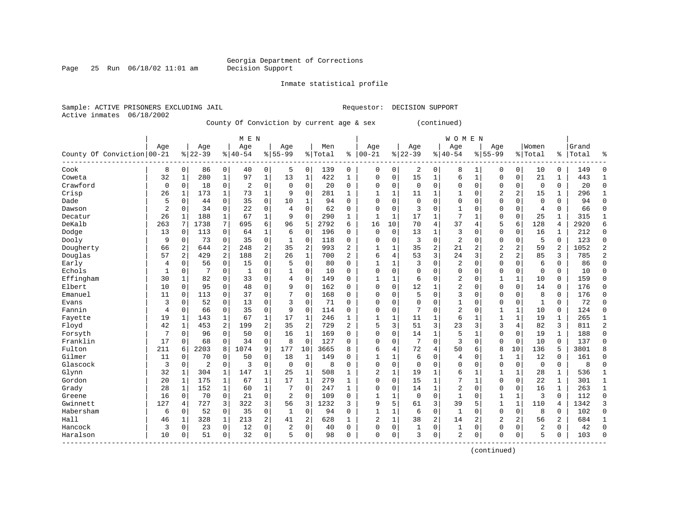Page 25 Run  $06/18/02$  11:01 am

Inmate statistical profile

Active inmates 06/18/2002

Sample: ACTIVE PRISONERS EXCLUDING JAIL **Requestor: DECISION SUPPORT** 

County Of Conviction by current age & sex (continued)

|                            |                |                |           |                | M E N          |                |             |                |         |                |                |              |             |                | WOMEN          |              |                |                |                |                |           |                |
|----------------------------|----------------|----------------|-----------|----------------|----------------|----------------|-------------|----------------|---------|----------------|----------------|--------------|-------------|----------------|----------------|--------------|----------------|----------------|----------------|----------------|-----------|----------------|
|                            | Aqe            |                | Age       |                | Age            |                | Age         |                | Men     |                | Age            |              | Age         |                | Age            |              | Aqe            |                | Women          |                | Grand     |                |
| County Of Conviction 00-21 |                |                | $8 22-39$ |                | $8 40-54$      |                | $8155 - 99$ |                | % Total | ႜ              | $100 - 21$     |              | $ 22-39$    |                | $ 40-54$       |              | $8155 - 99$    |                | % Total        |                | %   Total | န္             |
| Cook                       | 8              | 0              | 86        | 0              | 40             | 0              | 5           | 0              | 139     | 0              | 0              | 0            | 2           | 0              | 8              | 1            | $\Omega$       | 0              | 10             | 0              | 149       | $\Omega$       |
| Coweta                     | 32             | 1              | 280       | $\mathbf{1}$   | 97             | $\mathbf 1$    | 13          | $\mathbf 1$    | 422     | 1              | $\Omega$       | 0            | 15          | 1              | 6              | $\mathbf 1$  | $\Omega$       | $\mathbf 0$    | 21             | $\mathbf{1}$   | 443       | 1              |
| Crawford                   | 0              | 0              | 18        | $\mathbf 0$    | $\overline{2}$ | 0              | $\Omega$    | $\mathbf 0$    | 20      | 0              | $\Omega$       | 0            | $\mathbf 0$ | 0              | $\Omega$       | $\mathbf 0$  | $\Omega$       | $\mathbf 0$    | $\mathbf 0$    | 0              | 20        | $\Omega$       |
| Crisp                      | 26             | 1              | 173       | $\mathbf{1}$   | 73             | $\mathbf{1}$   | 9           | $\mathbf 0$    | 281     | 1              | 1              | 1            | 11          | 1              | 1              | $\mathbf 0$  | $\overline{2}$ | 2              | 15             | 1              | 296       | -1             |
| Dade                       | 5              | 0              | 44        | $\mathbf 0$    | 35             | 0              | 10          | 1              | 94      | 0              | $\Omega$       | 0            | $\mathbf 0$ | $\Omega$       | 0              | $\Omega$     | 0              | 0              | $\mathbf 0$    | 0              | 94        | $\Omega$       |
| Dawson                     | $\overline{2}$ | 0              | 34        | $\mathbf 0$    | 22             | 0              | 4           | $\Omega$       | 62      | 0              | $\Omega$       | 0            | 3           | $\Omega$       | $\mathbf{1}$   | $\Omega$     | 0              | 0              | $\overline{4}$ | $\Omega$       | 66        | $\Omega$       |
| Decatur                    | 26             | 1              | 188       | 1              | 67             | $\mathbf{1}$   | 9           | 0              | 290     | 1              | 1              | 1            | 17          | $\mathbf{1}$   | 7              | 1            | $\mathbf{0}$   | 0              | 25             | 1              | 315       | $\mathbf{1}$   |
| DeKalb                     | 263            | 7              | 1738      | 7              | 695            | 6              | 96          | 5              | 2792    | 6              | 16             | 10           | 70          | 4              | 37             | 4            | 5              | 6              | 128            | 4              | 2920      | 6              |
| Dodge                      | 13             | 0              | 113       | 0              | 64             | 1              | 6           | 0              | 196     | 0              | $\Omega$       | $\Omega$     | 13          | 1              | 3              | $\Omega$     | $\Omega$       | 0              | 16             | 1              | 212       | $\Omega$       |
| Dooly                      | 9              | 0              | 73        | 0              | 35             | 0              | 1           | $\Omega$       | 118     | $\Omega$       | $\Omega$       | 0            | 3           | $\Omega$       | $\overline{2}$ | $\Omega$     | $\mathbf{0}$   | $\Omega$       | 5              | $\Omega$       | 123       | $\Omega$       |
| Dougherty                  | 66             | 2              | 644       | 2              | 248            | $\overline{a}$ | 35          | $\overline{a}$ | 993     | $\overline{2}$ | 1              | 1            | 35          | $\overline{2}$ | 21             | 2            | $\overline{2}$ | $\overline{a}$ | 59             | $\overline{a}$ | 1052      | 2              |
| Douglas                    | 57             | $\overline{a}$ | 429       | $\overline{a}$ | 188            | $\overline{a}$ | 26          | $\mathbf{1}$   | 700     | $\overline{2}$ | 6              | 4            | 53          | 3              | 24             | 3            | $\overline{a}$ | $\overline{a}$ | 85             | 3              | 785       | $\overline{a}$ |
| Early                      | 4              | $\Omega$       | 56        | $\mathbf 0$    | 15             | 0              | 5           | $\Omega$       | 80      | $\Omega$       | $\mathbf{1}$   | $\mathbf{1}$ | 3           | $\Omega$       | 2              | $\Omega$     | $\Omega$       | $\Omega$       | 6              | $\Omega$       | 86        | $\Omega$       |
| Echols                     | $\mathbf{1}$   | 0              |           | $\mathbf 0$    | $\mathbf{1}$   | 0              |             | 0              | 10      | $\Omega$       | $\Omega$       | 0            | $\mathbf 0$ | $\Omega$       | $\Omega$       | $\Omega$     | $\Omega$       | 0              | $\mathbf 0$    | $\Omega$       | 10        | $\Omega$       |
| Effingham                  | 30             | 1              | 82        | $\Omega$       | 33             | 0              | 4           | $\Omega$       | 149     | $\Omega$       | $\mathbf{1}$   | 1            | 6           | $\Omega$       | 2              | $\Omega$     | 1              | $\mathbf{1}$   | 10             | $\Omega$       | 159       | $\Omega$       |
| Elbert                     | 10             | $\Omega$       | 95        | 0              | 48             | 0              | 9           | $\Omega$       | 162     | $\Omega$       | $\Omega$       | 0            | 12          | 1              | 2              | $\mathbf 0$  | $\mathbf 0$    | $\Omega$       | 14             | 0              | 176       | $\Omega$       |
| Emanuel                    | 11             | $\Omega$       | 113       | $\Omega$       | 37             | 0              | 7           | 0              | 168     | $\Omega$       | $\Omega$       | O            | 5           | $\Omega$       | 3              | $\Omega$     | $\Omega$       | $\Omega$       | 8              | 0              | 176       | $\Omega$       |
| Evans                      | 3              | $\Omega$       | 52        | $\Omega$       | 13             | 0              | 3           | 0              | 71      | O              | $\Omega$       | 0            | $\Omega$    | $\Omega$       | 1              | $\Omega$     | $\Omega$       | 0              | $\mathbf{1}$   | $\Omega$       | 72        | $\Omega$       |
| Fannin                     | 4              | $\Omega$       | 66        | $\Omega$       | 35             | 0              | 9           | $\Omega$       | 114     | O              | $\Omega$       | O            | 7           | $\Omega$       | 2              | $\Omega$     | 1              | $\mathbf{1}$   | 10             | 0              | 124       | $\Omega$       |
| Fayette                    | 19             | 1              | 143       | 1              | 67             | $\mathbf 1$    | 17          | 1              | 246     | $\mathbf{1}$   | 1              | 1            | 11          | 1              | 6              | 1            | $\mathbf{1}$   | 1              | 19             | 1              | 265       |                |
| Floyd                      | 42             | 1              | 453       | $\overline{a}$ | 199            | $\overline{a}$ | 35          | 2              | 729     | 2              | 5              | 3            | 51          | 3              | 23             | 3            | 3              | 4              | 82             | 3              | 811       | $\overline{c}$ |
| Forsyth                    | 7              | $\Omega$       | 96        | $\Omega$       | 50             | 0              | 16          | $\mathbf 1$    | 169     | $\Omega$       | 0              | 0            | 14          | 1              | 5              | $\mathbf{1}$ | 0              | $\mathbf 0$    | 19             | 1              | 188       | $\Omega$       |
| Franklin                   | 17             | 0              | 68        | 0              | 34             | 0              | 8           | $\mathbf 0$    | 127     | $\Omega$       | $\Omega$       | 0            | 7           | 0              | 3              | $\mathbf 0$  | $\Omega$       | $\mathbf 0$    | 10             | $\mathbf 0$    | 137       | $\Omega$       |
| Fulton                     | 211            | б              | 2203      | 8              | 1074           | 9              | 177         | 10             | 3665    | 8              | 6              | 4            | 72          | 4              | 50             | 6            | 8              | 10             | 136            | 5              | 3801      |                |
| Gilmer                     | 11             | 0              | 70        | $\mathbf 0$    | 50             | 0              | 18          | 1              | 149     | $\Omega$       | $\mathbf{1}$   | 1            | 6           | $\Omega$       | 4              | $\Omega$     | 1              | $\mathbf{1}$   | 12             | 0              | 161       | $\Omega$       |
| Glascock                   | 3              | 0              | 2         | $\mathbf 0$    | 3              | 0              | $\mathbf 0$ | $\mathbf 0$    | 8       | 0              | $\Omega$       | 0            | $\mathbf 0$ | $\Omega$       | 0              | $\Omega$     | 0              | $\mathbf 0$    | 0              | 0              | 8         | $\Omega$       |
| Glynn                      | 32             | 1              | 304       | 1              | 147            | 1              | 25          | 1              | 508     | 1              | $\overline{2}$ | 1            | 19          | 1              | б              | 1            | $\mathbf{1}$   | $\mathbf 1$    | 28             | 1              | 536       | $\mathbf{1}$   |
| Gordon                     | 20             | 1              | 175       | 1              | 67             | 1              | 17          | $\mathbf{1}$   | 279     | 1              | $\Omega$       | 0            | 15          | 1              | 7              | 1            | $\Omega$       | $\Omega$       | 22             | $\mathbf 1$    | 301       | 1              |
| Grady                      | 28             | 1              | 152       | 1              | 60             | $\mathbf{1}$   | 7           | $\Omega$       | 247     | 1              | $\Omega$       | 0            | 14          | $\mathbf{1}$   | $\overline{2}$ | $\Omega$     | $\Omega$       | $\Omega$       | 16             | $\mathbf{1}$   | 263       | 1              |
| Greene                     | 16             | 0              | 70        | $\mathbf 0$    | 21             | 0              | 2           | $\Omega$       | 109     | 0              | $\mathbf{1}$   | 1            | $\mathbf 0$ | 0              | $\mathbf{1}$   | $\Omega$     | 1              | $\mathbf{1}$   | 3              | 0              | 112       | $\Omega$       |
| Gwinnett                   | 127            | 4              | 727       | 3              | 322            | 3 <sup>1</sup> | 56          | 3              | 1232    | 3              | 9              | 5            | 61          | 3              | 39             | 5            | $\mathbf{1}$   | $\mathbf 1$    | 110            | 4              | 1342      | 3              |
| Habersham                  | 6              | 0              | 52        | $\mathbf 0$    | 35             | 0              | 1           | $\mathbf 0$    | 94      | 0              | $\mathbf{1}$   | 1            | 6           | 0              | $\mathbf{1}$   | 0            | $\mathbf{0}$   | $\mathbf 0$    | 8              | 0              | 102       | $\Omega$       |
| Hall                       | 46             | 1              | 328       | $\mathbf{1}$   | 213            | 2              | 41          | 2              | 628     | $\mathbf{1}$   | $\overline{c}$ | $\mathbf{1}$ | 38          | 2              | 14             | 2            | $\overline{2}$ | 2              | 56             | 2              | 684       | $\mathbf{1}$   |
| Hancock                    | 3              | 0              | 23        | $\Omega$       | 12             | 0              | 2           | $\Omega$       | 40      | $\Omega$       | $\Omega$       | 0            | 1           | 0              | 1              | 0            | $\Omega$       | 0              | $\overline{2}$ | 0              | 42        | $\Omega$       |
| Haralson                   | 10             | 0              | 51        | 0              | 32             | 0              | 5           | 0              | 98      | 0              | $\Omega$       | 0            | 3           | 0              | 2              | 0            | $\Omega$       | $\mathbf 0$    | 5              | 0              | 103       | $\Omega$       |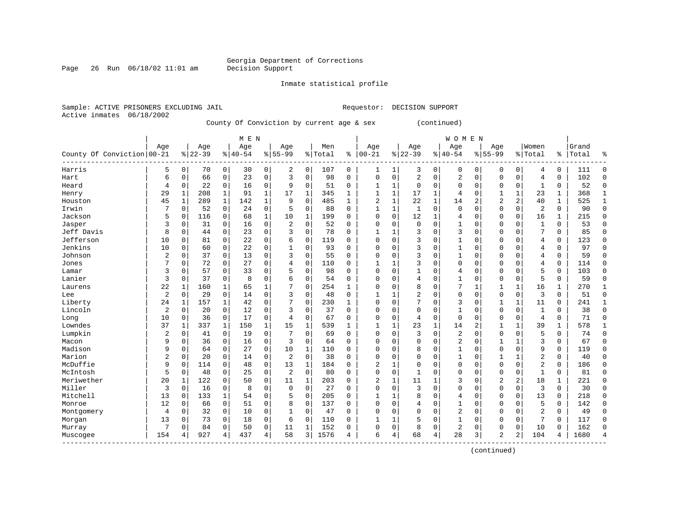Page 26 Run  $06/18/02$  11:01 am

#### Inmate statistical profile

Active inmates 06/18/2002

Sample: ACTIVE PRISONERS EXCLUDING JAIL **Requestor: DECISION SUPPORT** 

County Of Conviction by current age & sex (continued)

|                            |     |              |           |              | M E N     |                |                |              |         |              |                |              |              |              | <b>WOMEN</b> |                |                |                |                |              |       |              |
|----------------------------|-----|--------------|-----------|--------------|-----------|----------------|----------------|--------------|---------|--------------|----------------|--------------|--------------|--------------|--------------|----------------|----------------|----------------|----------------|--------------|-------|--------------|
|                            | Age |              | Age       |              | Age       |                | Age            |              | Men     |              | Age            |              | Age          |              | Age          |                | Age            |                | Women          |              | Grand |              |
| County Of Conviction 00-21 |     |              | $8 22-39$ |              | $8 40-54$ |                | $8155 - 99$    |              | % Total | ి            | $ 00-21$       |              | $ 22-39$     |              | $8140 - 54$  |                | $8155 - 99$    |                | % Total        | ႜ            | Total | န္           |
| Harris                     | 5   | 0            | 70        | $\circ$      | 30        | $\overline{0}$ | 2              | 0            | 107     | 0            | 1              | $\mathbf 1$  | 3            | 0            | 0            | $\mathbf 0$    | $\Omega$       | 0              | 4              | 0            | 111   | $\Omega$     |
| Hart                       | 6   | 0            | 66        | $\mathbf 0$  | 23        | 0              | 3              | $\mathbf 0$  | 98      | 0            | 0              | 0            | 2            | 0            | 2            | 0              | $\Omega$       | $\mathbf 0$    | $\overline{4}$ | 0            | 102   | $\Omega$     |
| Heard                      | 4   | 0            | 22        | $\mathbf 0$  | 16        | 0              | 9              | $\mathbf 0$  | 51      | 0            | 1              | $\mathbf{1}$ | $\mathbf 0$  | 0            | 0            | $\mathbf 0$    | 0              | $\mathbf 0$    | 1              | 0            | 52    | $\Omega$     |
| Henry                      | 29  | $\mathbf{1}$ | 208       | $\mathbf{1}$ | 91        | $\mathbf 1$    | 17             | $\mathbf 1$  | 345     | 1            | $\mathbf{1}$   | 1            | 17           | $\mathbf{1}$ | 4            | $\circ$        | 1              | 1              | 23             | $\mathbf 1$  | 368   | $\mathbf{1}$ |
| Houston                    | 45  | $\mathbf{1}$ | 289       | $\mathbf{1}$ | 142       | $\mathbf{1}$   | 9              | $\mathbf 0$  | 485     | $\mathbf{1}$ | $\overline{2}$ | 1            | 22           | $\mathbf 1$  | 14           | $\overline{2}$ | $\overline{2}$ | $\overline{a}$ | 40             | $\mathbf{1}$ | 525   | $\mathbf{1}$ |
| Irwin                      | 7   | 0            | 52        | $\mathbf 0$  | 24        | 0              | 5              | 0            | 88      | $\Omega$     | $\mathbf{1}$   | 1            | $\mathbf{1}$ | 0            | $\mathbf{0}$ | $\Omega$       | $\mathbf{0}$   | 0              | $\overline{c}$ | 0            | 90    | $\mathbf{0}$ |
| Jackson                    | 5   | 0            | 116       | 0            | 68        | $\mathbf 1$    | 10             | 1            | 199     | 0            | $\Omega$       | 0            | 12           | 1            | 4            | $\Omega$       | 0              | 0              | 16             | 1            | 215   | $\Omega$     |
| Jasper                     | 3   | 0            | 31        | 0            | 16        | 0              | $\overline{c}$ | $\Omega$     | 52      | U            | $\Omega$       | 0            | $\Omega$     | $\Omega$     | 1            | $\Omega$       | $\Omega$       | 0              | $\mathbf{1}$   | 0            | 53    | $\Omega$     |
| Jeff Davis                 | 8   | $\Omega$     | 44        | $\Omega$     | 23        | 0              | 3              | $\Omega$     | 78      | $\Omega$     |                |              |              | $\Omega$     | 3            | $\Omega$       | $\Omega$       | $\Omega$       | 7              | 0            | 85    | ∩            |
| Jefferson                  | 10  | 0            | 81        | $\Omega$     | 22        | $\Omega$       | 6              | $\Omega$     | 119     | $\Omega$     | $\Omega$       | O            | 3            | O            | $\mathbf{1}$ | $\Omega$       | $\Omega$       | O              | $\overline{4}$ | $\Omega$     | 123   | ∩            |
| Jenkins                    | 10  | 0            | 60        | $\Omega$     | 22        | 0              |                | $\Omega$     | 93      | 0            | 0              | O            | 3            | $\Omega$     | 1            | $\Omega$       | $\Omega$       | $\Omega$       | 4              | 0            | 97    | ∩            |
| Johnson                    | 2   | $\Omega$     | 37        | $\Omega$     | 13        | 0              | 3              | $\Omega$     | 55      | $\Omega$     | 0              | 0            | 3            | $\Omega$     | 1            | $\Omega$       | $\Omega$       | $\Omega$       | 4              | 0            | 59    | $\Omega$     |
| Jones                      | 7   | 0            | 72        | 0            | 27        | 0              |                | 0            | 110     | O            |                | 1            | 3            | $\Omega$     | 0            | $\Omega$       | $\Omega$       | $\Omega$       | 4              | 0            | 114   | $\Omega$     |
| Lamar                      | 3   | $\Omega$     | 57        | $\Omega$     | 33        | 0              |                | $\Omega$     | 98      | $\Omega$     | $\Omega$       | 0            | 1            | $\Omega$     | 4            | $\Omega$       | $\Omega$       | $\Omega$       | 5              | $\Omega$     | 103   | $\Omega$     |
| Lanier                     | 3   | 0            | 37        | 0            | 8         | 0              | б              | $\Omega$     | 54      | $\Omega$     | $\Omega$       | 0            | 4            | $\Omega$     | 1            | $\mathbf 0$    | $\Omega$       | $\Omega$       | 5              | 0            | 59    | $\Omega$     |
| Laurens                    | 22  | 1            | 160       | 1            | 65        | 1              |                | $\mathbf 0$  | 254     | 1            | $\Omega$       | 0            | 8            | $\Omega$     | 7            | 1              | 1              | 1              | 16             | 1            | 270   | $\mathbf{1}$ |
| Lee                        | 2   | 0            | 29        | $\mathbf 0$  | 14        | 0              | 3              | $\mathbf 0$  | 48      | 0            | 1              |              | 2            | $\Omega$     | 0            | $\mathbf 0$    | $\Omega$       | $\mathbf 0$    | 3              | 0            | 51    | $\Omega$     |
| Liberty                    | 24  | 1            | 157       | 1            | 42        | 0              | 7              | $\Omega$     | 230     | $\mathbf{1}$ | $\Omega$       | O            | 7            | $\Omega$     | 3            | $\mathbf 0$    | 1              | $\mathbf{1}$   | 11             | 0            | 241   | $\mathbf{1}$ |
| Lincoln                    | 2   | $\Omega$     | 20        | $\mathbf 0$  | 12        | 0              | 3              | $\Omega$     | 37      | $\Omega$     | $\Omega$       | $\Omega$     | $\Omega$     | $\Omega$     | $\mathbf{1}$ | $\Omega$       | $\Omega$       | $\Omega$       | $\mathbf{1}$   | 0            | 38    | $\Omega$     |
| Long                       | 10  | $\Omega$     | 36        | $\mathbf 0$  | 17        | 0              | 4              | $\Omega$     | 67      | 0            | $\Omega$       | 0            | 4            | 0            | $\mathbf 0$  | $\Omega$       | $\Omega$       | $\Omega$       | $\overline{4}$ | 0            | 71    | $\Omega$     |
| Lowndes                    | 37  | 1            | 337       | $\mathbf{1}$ | 150       | $\mathbf{1}$   | 15             | $\mathbf 1$  | 539     | 1            | $\mathbf{1}$   | $\mathbf{1}$ | 23           | 1            | 14           | $\overline{2}$ | 1              | $\mathbf 1$    | 39             | $\mathbf{1}$ | 578   | 1            |
| Lumpkin                    | 2   | 0            | 41        | $\mathbf 0$  | 19        | 0              | 7              | $\mathbf 0$  | 69      | $\Omega$     | $\Omega$       | 0            | 3            | 0            | 2            | $\Omega$       | $\Omega$       | 0              | 5              | 0            | 74    | $\Omega$     |
| Macon                      | 9   | 0            | 36        | $\mathbf 0$  | 16        | 0              | 3              | $\Omega$     | 64      | $\Omega$     | $\Omega$       | 0            | $\Omega$     | $\Omega$     | 2            | $\Omega$       | 1              | 1              | 3              | 0            | 67    | $\Omega$     |
| Madison                    | 9   | 0            | 64        | 0            | 27        | 0              | 10             | 1            | 110     | 0            | $\Omega$       | 0            | 8            | $\Omega$     | 1            | $\Omega$       | $\mathbf{0}$   | $\Omega$       | 9              | 0            | 119   | $\Omega$     |
| Marion                     | 2   | 0            | 20        | $\Omega$     | 14        | 0              | 2              | $\Omega$     | 38      | 0            | $\Omega$       | 0            | $\Omega$     | $\Omega$     | 1            | $\Omega$       | 1              |                | 2              | 0            | 40    | $\Omega$     |
| McDuffie                   | 9   | 0            | 114       | $\Omega$     | 48        | 0              | 13             | $\mathbf{1}$ | 184     | 0            | 2              | 1            | $\Omega$     | 0            | $\Omega$     | $\Omega$       | $\Omega$       | $\Omega$       | $\overline{a}$ | $\Omega$     | 186   | $\Omega$     |
| McIntosh                   | 5   | $\Omega$     | 48        | 0            | 25        | 0              | $\overline{2}$ | $\Omega$     | 80      | $\Omega$     | $\Omega$       | 0            | $\mathbf{1}$ | $\Omega$     | $\Omega$     | $\Omega$       | $\Omega$       | $\Omega$       | $\mathbf{1}$   | $\Omega$     | 81    | ∩            |
| Meriwether                 | 20  | 1            | 122       | $\Omega$     | 50        | 0              | 11             | $\mathbf{1}$ | 203     | $\Omega$     | 2              | 1            | 11           | 1            | 3            | $\Omega$       | $\overline{2}$ | 2              | 18             | 1            | 221   | ∩            |
| Miller                     | 3   | $\Omega$     | 16        | $\mathbf 0$  | 8         | 0              | $\mathbf 0$    | $\Omega$     | 27      | $\Omega$     | $\Omega$       | 0            | 3            | $\Omega$     | $\Omega$     | $\Omega$       | $\Omega$       | $\Omega$       | 3              | 0            | 30    | $\Omega$     |
| Mitchell                   | 13  | $\Omega$     | 133       | $\mathbf{1}$ | 54        | 0              | 5              | $\mathbf 0$  | 205     | $\Omega$     | 1              | 1            | 8            | $\Omega$     | 4            | $\Omega$       | $\Omega$       | $\mathbf 0$    | 13             | 0            | 218   | ∩            |
| Monroe                     | 12  | 0            | 66        | $\mathbf 0$  | 51        | 0              | 8              | $\mathbf 0$  | 137     | 0            | $\Omega$       | 0            | 4            | $\Omega$     | $\mathbf{1}$ | 0              | $\Omega$       | 0              | 5              | 0            | 142   |              |
| Montgomery                 | 4   | 0            | 32        | $\mathbf 0$  | 10        | 0              | $\mathbf{1}$   | $\mathbf 0$  | 47      | $\Omega$     | $\Omega$       | 0            | $\Omega$     | $\Omega$     | 2            | 0              | $\Omega$       | $\Omega$       | $\overline{2}$ | 0            | 49    | $\Omega$     |
| Morgan                     | 13  | 0            | 73        | 0            | 18        | 0              | 6              | 0            | 110     | 0            | $\mathbf{1}$   | 1            |              | $\Omega$     | 1            | 0              | $\mathbf 0$    | 0              | 7              | 0            | 117   | $\Omega$     |
| Murray                     | 7   | 0            | 84        | 0            | 50        | 0              | 11             | 1            | 152     | 0            | $\Omega$       | 0            | 8            | 0            | 2            | 0              | $\Omega$       | $\mathbf 0$    | 10             | 0            | 162   | ∩            |
| Muscogee                   | 154 |              | 927       | 4            | 437       | 4              | 58             | 3            | 1576    | 4            | 6              | 4            | 68           | 4            | 28           | 3              | $\overline{2}$ | 2              | 104            | 4            | 1680  |              |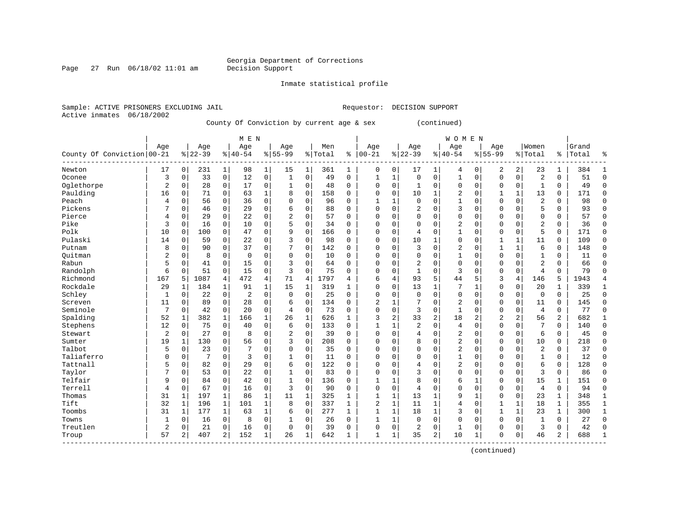Page 27 Run  $06/18/02$  11:01 am

Inmate statistical profile

Active inmates 06/18/2002

Sample: ACTIVE PRISONERS EXCLUDING JAIL **Requestor: DECISION SUPPORT** 

County Of Conviction by current age & sex (continued)

|                            |              |                |           |                | M E N     |              |                |             |         |              |                |                |                |                | <b>WOMEN</b>   |              |                |                |                |                |       |              |
|----------------------------|--------------|----------------|-----------|----------------|-----------|--------------|----------------|-------------|---------|--------------|----------------|----------------|----------------|----------------|----------------|--------------|----------------|----------------|----------------|----------------|-------|--------------|
|                            | Age          |                | Age       |                | Age       |              | Age            |             | Men     |              | Age            |                | Age            |                | Age            |              | Age            |                | Women          |                | Grand |              |
| County Of Conviction 00-21 |              |                | $8 22-39$ |                | $8 40-54$ |              | $8 55-99$      |             | % Total | ి            | $ 00 - 21$     |                | $ 22-39$       |                | $ 40-54$       |              | $8155 - 99$    |                | % Total        | $\frac{1}{6}$  | Total | န္           |
| Newton                     | 17           | $\overline{0}$ | 231       | $\mathbf{1}$   | 98        | 1            | 15             | 1           | 361     | 1            | 0              | 0              | 17             | 1              | 4              | 0            | 2              | 2              | 23             | 1              | 384   | 1            |
| Oconee                     | 3            | 0              | 33        | $\overline{0}$ | 12        | 0            | 1              | $\mathbf 0$ | 49      | 0            | $\mathbf{1}$   | 1              | $\mathbf 0$    | 0              | 1              | $\mathbf 0$  | $\mathbf{0}$   | $\mathbf 0$    | $\overline{c}$ | 0              | 51    | $\Omega$     |
| Oglethorpe                 | 2            | $\Omega$       | 28        | $\overline{0}$ | 17        | 0            | 1              | $\mathbf 0$ | 48      | 0            | 0              | 0              | 1              | 0              | 0              | $\mathbf 0$  | $\Omega$       | $\mathbf 0$    | $\mathbf{1}$   | 0              | 49    | $\Omega$     |
| Paulding                   | 16           | 0              | 71        | $\mathbf 0$    | 63        | $\mathbf 1$  | 8              | 0           | 158     | 0            | 0              | 0              | 10             | $\mathbf{1}$   | 2              | $\mathbf 0$  | 1              | 1              | 13             | 0              | 171   | $\Omega$     |
| Peach                      | 4            | 0              | 56        | 0              | 36        | 0            | O              | $\mathbf 0$ | 96      | $\Omega$     | $\mathbf{1}$   | 1              | $\mathbf{0}$   | $\Omega$       | $\mathbf{1}$   | 0            | $\Omega$       | 0              | $\overline{2}$ | 0              | 98    | $\Omega$     |
| Pickens                    | 7            | 0              | 46        | 0              | 29        | 0            | 6              | $\Omega$    | 88      | $\Omega$     | $\Omega$       | 0              | 2              | $\Omega$       | 3              | $\Omega$     | $\Omega$       | $\Omega$       | 5              | 0              | 93    | $\Omega$     |
| Pierce                     | 4            | 0              | 29        | 0              | 22        | 0            | $\overline{2}$ | $\Omega$    | 57      | $\Omega$     | $\Omega$       | 0              | $\Omega$       | $\Omega$       | 0              | $\mathbf 0$  | $\Omega$       | $\Omega$       | $\mathbf 0$    | 0              | 57    | $\Omega$     |
| Pike                       | 3            | 0              | 16        | 0              | 10        | 0            | 5              | 0           | 34      | 0            | $\Omega$       | 0              | 0              | $\Omega$       | 2              | $\Omega$     | 0              | $\Omega$       | $\overline{2}$ | 0              | 36    | $\Omega$     |
| Polk                       | 10           | 0              | 100       | 0              | 47        | 0            | 9              | $\mathbf 0$ | 166     | 0            | $\Omega$       | 0              | 4              | $\Omega$       | 1              | $\Omega$     | 0              | 0              | 5              | 0              | 171   | $\Omega$     |
| Pulaski                    | 14           | 0              | 59        | 0              | 22        | 0            | 3              | $\Omega$    | 98      | $\Omega$     | $\Omega$       | O              | 10             | 1              | 0              | $\Omega$     | 1              | 1              | 11             | 0              | 109   | $\Omega$     |
| Putnam                     | 8            | 0              | 90        | $\Omega$       | 37        | 0            | 7              | $\Omega$    | 142     | $\Omega$     | $\Omega$       | O              | 3              | 0              | 2              | $\Omega$     | $\mathbf{1}$   | $\mathbf{1}$   | 6              | 0              | 148   | ∩            |
| Ouitman                    | 2            | $\Omega$       | 8         | $\Omega$       | 0         | 0            | $\Omega$       | $\Omega$    | 10      | 0            | 0              | O              | $\mathbf 0$    | 0              | 1              | $\mathbf 0$  | $\Omega$       | $\Omega$       | 1              | 0              | 11    | ∩            |
| Rabun                      | 5            | 0              | 41        | $\mathbf 0$    | 15        | 0            | 3              | $\mathbf 0$ | 64      | O            | $\Omega$       | 0              | $\overline{2}$ | 0              | 0              | $\Omega$     | 0              | 0              | $\overline{2}$ | 0              | 66    | $\Omega$     |
| Randolph                   | 6            | 0              | 51        | $\mathbf 0$    | 15        | 0            | 3              | $\Omega$    | 75      | $\Omega$     | $\Omega$       | 0              | $\mathbf{1}$   | 0              | 3              | $\Omega$     | $\Omega$       | 0              | $\overline{4}$ | $\Omega$       | 79    | $\Omega$     |
| Richmond                   | 167          | 5              | 1087      | 4              | 472       | 4            | 71             | 4           | 1797    | 4            | 6              | 4              | 93             | 5              | 44             | 5            | 3              | 4              | 146            | 5              | 1943  |              |
| Rockdale                   | 29           | 1              | 184       | 1              | 91        | $\mathbf 1$  | 15             | 1           | 319     | 1            | $\Omega$       | 0              | 13             | 1              | 7              | 1            | $\Omega$       | $\Omega$       | 20             | 1              | 339   | $\mathbf{1}$ |
| Schley                     | 1            | 0              | 22        | 0              | 2         | 0            | $\Omega$       | $\Omega$    | 25      | 0            | $\Omega$       | 0              | $\Omega$       | $\Omega$       | 0              | $\Omega$     | $\Omega$       | 0              | 0              | 0              | 25    | $\Omega$     |
| Screven                    | 11           | 0              | 89        | 0              | 28        | 0            | 6              | $\Omega$    | 134     | 0            | 2              | 1              |                | $\Omega$       | $\overline{2}$ | $\Omega$     | $\Omega$       | $\Omega$       | 11             | 0              | 145   |              |
| Seminole                   | 7            | 0              | 42        | $\Omega$       | 2.0       | $\Omega$     | 4              | $\Omega$    | 73      | 0            | $\Omega$       | 0              | 3              | $\Omega$       | $\mathbf{1}$   | $\Omega$     | $\Omega$       | $\Omega$       | $\overline{4}$ | $\Omega$       | 77    |              |
| Spalding                   | 52           | 1              | 382       | 1              | 166       | $\mathbf{1}$ | 26             | $\mathbf 1$ | 626     | 1            | 3              | $\overline{2}$ | 33             | $\overline{2}$ | 18             | 2            | $\overline{c}$ | $\overline{a}$ | 56             | $\overline{2}$ | 682   |              |
| Stephens                   | 12           | $\Omega$       | 75        | $\Omega$       | 40        | 0            | 6              | $\mathbf 0$ | 133     | $\Omega$     | $\mathbf{1}$   | 1              | $\overline{2}$ | $\Omega$       | 4              | $\Omega$     | $\Omega$       | $\Omega$       | 7              | 0              | 140   | $\Omega$     |
| Stewart                    | 2            | 0              | 27        | 0              | 8         | 0            | 2              | 0           | 39      | $\Omega$     | $\Omega$       | 0              | 4              | $\Omega$       | 2              | $\Omega$     | $\Omega$       | 0              | 6              | 0              | 45    | $\Omega$     |
| Sumter                     | 19           | 1              | 130       | $\Omega$       | 56        | 0            | 3              | 0           | 208     | $\Omega$     | $\Omega$       | O              | 8              | $\Omega$       | 2              | $\mathbf 0$  | $\Omega$       | $\Omega$       | 10             | 0              | 218   | $\Omega$     |
| Talbot                     | 5            | 0              | 23        | 0              | 7         | $\Omega$     | $\Omega$       | $\Omega$    | 35      | $\Omega$     | $\Omega$       | 0              | $\Omega$       | $\Omega$       | 2              | $\Omega$     | $\Omega$       | $\Omega$       | $\overline{2}$ | 0              | 37    | $\Omega$     |
| Taliaferro                 | 0            | 0              | 7         | $\Omega$       | 3         | 0            | -1             | $\Omega$    | 11      | $\Omega$     | $\Omega$       | 0              | $\Omega$       | $\Omega$       | 1              | $\Omega$     | $\Omega$       | $\Omega$       | $\mathbf{1}$   | 0              | 12    | $\Omega$     |
| Tattnall                   | 5            | 0              | 82        | $\Omega$       | 29        | 0            | 6              | $\Omega$    | 122     | O            | $\Omega$       | O              | 4              | $\Omega$       | 2              | $\Omega$     | $\Omega$       | $\Omega$       | 6              | $\Omega$       | 128   | $\Omega$     |
| Taylor                     | 7            | $\Omega$       | 53        | $\Omega$       | 22        | 0            | $\mathbf{1}$   | $\Omega$    | 83      | $\Omega$     | $\Omega$       | O              | 3              | $\Omega$       | $\Omega$       | $\Omega$     | $\Omega$       | $\Omega$       | 3              | $\Omega$       | 86    | $\Omega$     |
| Telfair                    | 9            | $\Omega$       | 84        | $\Omega$       | 42        | 0            | 1              | $\Omega$    | 136     | $\Omega$     | 1              | 1              | 8              | $\Omega$       | 6              | $\mathbf{1}$ | $\Omega$       | $\Omega$       | 15             | 1              | 151   | ∩            |
| Terrell                    | 4            | $\Omega$       | 67        | $\mathbf 0$    | 16        | 0            | 3              | $\Omega$    | 90      | $\Omega$     | $\Omega$       | 0              | 4              | $\Omega$       | $\Omega$       | $\mathbf 0$  | $\Omega$       | $\mathbf 0$    | $\overline{4}$ | 0              | 94    | $\Omega$     |
| Thomas                     | 31           | 1              | 197       | 1              | 86        | $\mathbf 1$  | 11             | $\mathbf 1$ | 325     | 1            | 1              | 1              | 13             | 1              | 9              | $\mathbf{1}$ | $\Omega$       | $\mathbf 0$    | 23             | 1              | 348   | $\mathbf{1}$ |
| Tift                       | 32           | $\mathbf{1}$   | 196       | $\mathbf{1}$   | 101       | $\mathbf 1$  | 8              | $\mathbf 0$ | 337     | $\mathbf{1}$ | $\overline{2}$ | 1              | 11             | $\mathbf{1}$   | 4              | $\mathbf 0$  | 1              | 1              | 18             | $\mathbf{1}$   | 355   | 1            |
| Toombs                     | 31           | $\mathbf{1}$   | 177       | $\mathbf{1}$   | 63        | $\mathbf 1$  | 6              | $\mathbf 0$ | 277     | $\mathbf{1}$ | $\mathbf{1}$   | $\mathbf{1}$   | 18             | $\mathbf{1}$   | 3              | 0            | $\mathbf{1}$   | $\mathbf{1}$   | 23             | $\mathbf{1}$   | 300   | $\mathbf{1}$ |
| Towns                      | $\mathbf{1}$ | 0              | 16        | $\mathbf 0$    | 8         | 0            | 1              | 0           | 26      | 0            | $\mathbf{1}$   | 1              | $\mathbf 0$    | 0              | 0              | $\mathbf 0$  | $\mathbf 0$    | 0              | 1              | 0              | 27    | $\Omega$     |
| Treutlen                   | 2            | 0              | 21        | 0              | 16        | 0            | 0              | 0           | 39      | 0            | $\Omega$       | 0              | 2              | 0              | 1              | 0            | $\Omega$       | $\mathbf 0$    | 3              | 0              | 42    | $\Omega$     |
| Troup                      | 57           | $\overline{a}$ | 407       | $\overline{a}$ | 152       | 1            | 26             | 1           | 642     | 1            | $\mathbf{1}$   | $\mathbf 1$    | 35             | 2              | 10             | $\mathbf{1}$ | $\Omega$       | 0              | 46             | 2              | 688   | -1           |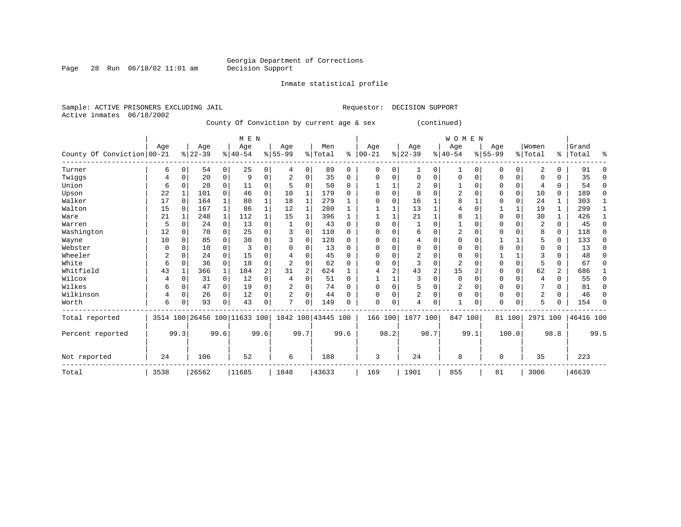Inmate statistical profile

Sample: ACTIVE PRISONERS EXCLUDING JAIL **Requestor: DECISION SUPPORT** Active inmates 06/18/2002

Page 28 Run  $06/18/02$  11:01 am

County Of Conviction by current age & sex (continued)

|                            |      |             |                              |             | M E N    |             |              |                |                    |          |              |          |                |                | W O M E N      |          |             |             |                |                |           |          |
|----------------------------|------|-------------|------------------------------|-------------|----------|-------------|--------------|----------------|--------------------|----------|--------------|----------|----------------|----------------|----------------|----------|-------------|-------------|----------------|----------------|-----------|----------|
|                            | Age  |             | Age                          |             | Age      |             | Age          |                | Men                |          | Age          |          | Age            |                | Age            |          | Age         |             | Women          |                | Grand     |          |
| County Of Conviction 00-21 |      |             | $ 22-39$                     |             | $ 40-54$ |             | $8 55-99$    |                | % Total            | ి        | $00 - 21$    |          | $ 22-39 $      |                | $8 40-54$      |          | $8155 - 99$ |             | % Total        |                | %   Total | ႜ        |
| Turner                     | 6    | $\Omega$    | 54                           | 0           | 25       | 0           | 4            | $\Omega$       | 89                 | $\Omega$ | 0            | $\Omega$ | 1              | 0              | 1              | $\Omega$ | 0           | $\Omega$    | 2              | 0              | 91        | ∩        |
| Twiggs                     | 4    | $\Omega$    | 20                           | $\mathbf 0$ | 9        | 0           | 2            | $\Omega$       | 35                 | $\Omega$ | 0            | 0        | $\Omega$       | $\Omega$       | 0              | $\Omega$ | 0           | $\Omega$    | $\Omega$       | 0              | 35        | ∩        |
| Union                      | 6    | $\Omega$    | 28                           | $\Omega$    | 11       | 0           |              | $\Omega$       | 50                 | 0        |              |          | 2              | O              |                | 0        | 0           | 0           | $\overline{4}$ | 0              | 54        | $\Omega$ |
| Upson                      | 22   |             | 101                          | $\Omega$    | 46       | $\mathbf 0$ | 10           |                | 179                | 0        | 0            | $\Omega$ | 8              | $\Omega$       | 2              | n        | O           | $\Omega$    | 10             | 0              | 189       | $\Omega$ |
| Walker                     | 17   | $\Omega$    | 164                          |             | 80       | 1           | 18           |                | 279                |          | $\Omega$     | $\Omega$ | 16             |                | 8              |          | $\Omega$    | $\mathbf 0$ | 24             | $\mathbf{1}$   | 303       |          |
| Walton                     | 15   | 0           | 167                          |             | 86       |             | 12           |                | 280                |          |              |          | 13             | 1              | 4              | $\Omega$ |             |             | 19             | 1              | 299       |          |
| Ware                       | 21   |             | 248                          |             | 112      |             | 15           |                | 396                |          |              |          | 21             | $\mathbf{1}$   | 8              |          | $\Omega$    | $\Omega$    | 30             | 1              | 426       |          |
| Warren                     | 5    | $\Omega$    | 24                           | $\Omega$    | 13       | 0           |              | $\Omega$       | 43                 | $\Omega$ | $\Omega$     | $\Omega$ |                | $\Omega$       |                | $\Omega$ | $\Omega$    | $\Omega$    | 2              | $\Omega$       | 45        | $\Omega$ |
| Washington                 | 12   | $\Omega$    | 70                           | $\Omega$    | 25       | 0           | 3            | $\Omega$       | 110                | 0        | 0            | 0        | 6              | $\Omega$       | 2              | 0        | $\Omega$    | U           | 8              | 0              | 118       | $\Omega$ |
| Wayne                      | 10   | $\Omega$    | 85                           | $\Omega$    | 30       | 0           |              | 0              | 128                | 0        | <sup>0</sup> | O        | 4              | $\Omega$       | 0              | $\Omega$ |             |             | 5              | 0              | 133       | $\Omega$ |
| Webster                    | 0    | n           | 10                           | 0           | 3        | 0           |              | 0              | 13                 | $\Omega$ | <sup>0</sup> |          | 0              | $\Omega$       | $\Omega$       | $\Omega$ | $\Omega$    | $\Omega$    | $\Omega$       | 0              | 13        | ∩        |
| Wheeler                    | 2    | $\Omega$    | 24                           | $\Omega$    | 15       | 0           |              | $\Omega$       | 45                 | $\Omega$ | <sup>0</sup> | N        |                | $\Omega$       | 0              | $\Omega$ |             |             |                | U              | 48        |          |
| White                      | 6    | $\Omega$    | 36                           | $\Omega$    | 18       | 0           |              | $\Omega$       | 62                 | 0        | <sup>0</sup> | 0        | 3              | $\Omega$       | $\overline{c}$ | n        | $\Omega$    | $\mathbf 0$ | 5              | 0              | 67        | ∩        |
| Whitfield                  | 43   |             | 366                          |             | 184      | 2           | 31           | $\overline{2}$ | 624                |          |              | 2        | 43             | $\overline{2}$ | 15             | 2        | $\Omega$    | $\Omega$    | 62             | $\overline{a}$ | 686       |          |
| Wilcox                     | 4    | n           | 31                           | $\mathbf 0$ | 12       | 0           | 4            | $\Omega$       | 51                 | $\Omega$ |              |          | 3              | $\Omega$       | $\mathbf 0$    | $\Omega$ | $\Omega$    | $\Omega$    | $\overline{4}$ | 0              | 55        | $\Omega$ |
| Wilkes                     | 6    | $\Omega$    | 47                           | 0           | 19       | 0           | 2            | 0              | 74                 | $\Omega$ | $\Omega$     | $\Omega$ | 5              | 0              | 2              | $\Omega$ | 0           | $\Omega$    |                | 0              | 81        | $\Omega$ |
| Wilkinson                  | 4    | $\mathbf 0$ | 26                           | $\Omega$    | 12       | 0           | 2            | $\Omega$       | 44                 | $\Omega$ | 0            | $\Omega$ | $\overline{2}$ | $\Omega$       | $\Omega$       | $\Omega$ | $\Omega$    | $\Omega$    | 2              | 0              | 46        | $\Omega$ |
| Worth                      | 6    | 0           | 93                           | $\Omega$    | 43       | 0           | $\mathbf{r}$ | $\Omega$       | 149                | U        | $\Omega$     | 0        | 4              | $\Omega$       | $\mathbf{1}$   | 0        | $\Omega$    | $\Omega$    | 5              | U              | 154       | $\cap$   |
| Total reported             |      |             | 3514 100 26456 100 11633 100 |             |          |             |              |                | 1842 100 43445 100 |          | 166 100      |          | 1877 100       |                | 847 100        |          |             | 81 100      | 2971 100       |                | 46416 100 |          |
| Percent reported           |      | 99.3        |                              | 99.6        |          | 99.6        |              | 99.7           |                    | 99.6     |              | 98.2     |                | 98.7           |                | 99.1     |             | 100.0       |                | 98.8           |           | 99.5     |
| Not reported               | 24   |             | 106                          |             | 52       |             | 6            |                | 188                |          | 3            |          | 24             |                | 8              |          | $\Omega$    |             | 35             |                | 223       |          |
| Total                      | 3538 |             | 26562                        |             | 11685    |             | 1848         |                | 43633              |          | 169          |          | 1901           |                | 855            |          | 81          |             | 3006           |                | 46639     |          |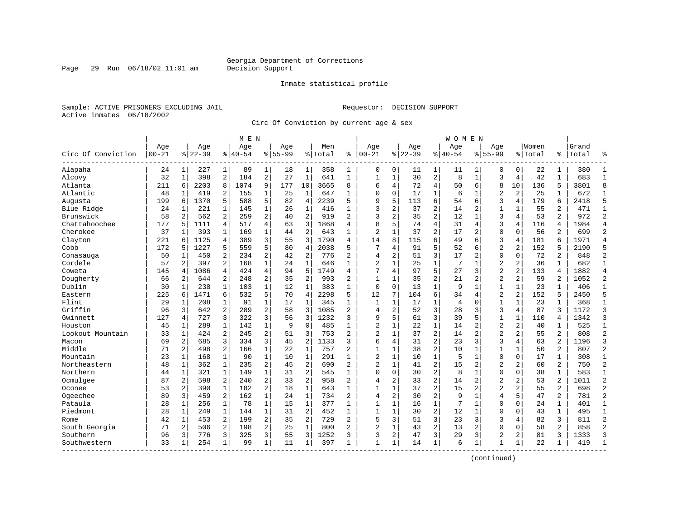Page 29 Run  $06/18/02$  11:01 am

#### Inmate statistical profile

Sample: ACTIVE PRISONERS EXCLUDING JAIL **Requestor: DECISION SUPPORT** Active inmates 06/18/2002

Circ Of Conviction by current age & sex

| Age<br>Women<br>Age<br>Age<br>Age<br>Age<br>Men<br>Age<br>Age<br>Age<br>Circ Of Conviction<br>$00 - 21$<br>$8 22-39$<br>$8 40-54$<br>$8155 - 99$<br>$ 00 - 21$<br>$8 22-39$<br>$8140 - 54$<br>$8155 - 99$<br>% Total<br>ႜ<br>% Total<br>ႜ<br>Alapaha<br>227<br>1<br>89<br>18<br>358<br>0<br>0<br>0<br>22<br>24<br>$\mathbf{1}$<br>1<br>1<br>1<br>11<br>1<br>1<br>0<br>1<br>11<br>32<br>2<br>184<br>$\overline{2}$<br>30<br>$\overline{a}$<br>398<br>27<br>$\mathbf{1}$<br>641<br>$\mathbf{1}$<br>$\mathbf{1}$<br>8<br>$\mathbf{1}$<br>3<br>4<br>42<br>$\mathbf{1}$<br>Alcovy<br>$\mathbf{1}$<br>$\mathbf{1}$<br>$\overline{4}$<br>Atlanta<br>2203<br>8<br>1074<br>9<br>177<br>10<br>3665<br>8<br>6<br>4<br>72<br>6<br>8<br>10<br>136<br>5<br>211<br>6<br>50<br>$\overline{2}$<br>Atlantic<br>48<br>419<br>2<br>155<br>$\mathbf{1}$<br>$\mathbf{1}$<br>647<br>$\Omega$<br>$\mathbf 0$<br>17<br>$\mathbf{1}$<br>6<br>2<br>25<br>25<br>$\mathbf{1}$<br>1<br>1<br>1<br>5<br>6<br>3<br>1370<br>5<br>588<br>5<br>2239<br>5<br>9<br>113<br>6<br>4<br>179<br>6<br>Augusta<br>199<br>6<br>82<br>$\overline{4}$<br>54<br>$\mathbf 1$<br>3<br>$\overline{c}$<br>37<br>$\overline{c}$<br>$\mathbf{1}$<br>14<br>2<br>$\mathbf{1}$<br>55<br>2<br>Blue Ridge<br>24<br>1<br>221<br>1<br>145<br>26<br>416<br>1<br>1<br>$\overline{a}$<br>2<br>$\overline{2}$<br>$\overline{a}$<br>$\overline{2}$<br>3<br>2<br>3<br>$\overline{2}$<br>Brunswick<br>58<br>2<br>259<br>35<br>12<br>$\mathbf{1}$<br>53<br>562<br>40<br>919<br>4<br>Chattahoochee<br>4<br>3<br>8<br>5<br>74<br>4<br>3<br>177<br>1111<br>4<br>517<br>1868<br>31<br>$\overline{4}$<br>4<br>116<br>5<br>63<br>4<br>4<br>Cherokee<br>$\overline{2}$<br>$\overline{c}$<br>37<br>393<br>$\mathbf{1}$<br>169<br>$\mathbf 1$<br>44<br>$\overline{2}$<br>643<br>$\mathbf{1}$<br>37<br>17<br>$\overline{2}$<br>$\mathbf{0}$<br>$\Omega$<br>56<br>2<br>$\mathbf{1}$<br>-1<br>6<br>Clayton<br>221<br>1125<br>4<br>389<br>3<br>3<br>1790<br>14<br>8<br>115<br>49<br>3<br>$\overline{4}$<br>181<br>6<br>55<br>4<br>6<br>6<br>5<br>5<br>$\overline{a}$<br>$\overline{2}$<br>Cobb<br>172<br>1227<br>5<br>$\overline{4}$<br>2038<br>5<br>7<br>91<br>52<br>152<br>5<br>559<br>80<br>4<br>6<br>.5<br>3<br>2<br>$\overline{a}$<br>$\overline{2}$<br>$\overline{2}$<br>2<br>$\mathbf 0$<br>2<br>234<br>776<br>$\overline{4}$<br>51<br>17<br>2<br>$\Omega$<br>72<br>50<br>1<br>450<br>42<br>Conasauga<br>$\overline{2}$<br>$\mathbf{1}$<br>$\mathbf{1}$<br>$\mathbf{1}$<br>$\overline{a}$<br>$\mathbf{1}$<br>$\overline{2}$<br>$\overline{c}$<br>Cordele<br>57<br>2<br>397<br>168<br>646<br>$\mathbf 1$<br>25<br>7<br>$\mathbf 1$<br>36<br>$\mathbf{1}$<br>24<br>5<br>$\overline{2}$<br>145<br>1086<br>4<br>424<br>4<br>5<br>1749<br>7<br>4<br>97<br>27<br>3<br>$\overline{a}$<br>133<br>Coweta<br>94<br>4<br>4<br>4<br>2<br>$\overline{c}$<br>$\overline{2}$<br>Dougherty<br>2<br>$\overline{2}$<br>993<br>$\overline{a}$<br>35<br>21<br>2<br>2<br>59<br>66<br>644<br>248<br>35<br>$\mathbf{1}$<br>$\mathbf{1}$<br>$\overline{2}$<br>2<br>Dublin<br>$\mathbf{1}$<br>$\mathbf{1}$<br>30<br>238<br>$\mathbf{1}$<br>103<br>12<br>$\mathbf{1}$<br>383<br>$\mathbf{1}$<br>$\mathbf 0$<br>$\Omega$<br>13<br>$\mathbf{1}$<br>9<br>$\mathbf{1}$<br>$\mathbf{1}$<br>23<br>$\mathbf{1}$<br>$\mathbf{1}$<br>5<br>2298<br>12<br>6<br>$\overline{a}$<br>$\overline{2}$<br>152<br>Eastern<br>225<br>1471<br>6<br>532<br>70<br>$\overline{4}$<br>5<br>7<br>104<br>34<br>5<br>6<br>4<br>$\mathbf 1$<br>$\mathbf 1$<br>Flint<br>17<br>$\mathbf{1}$<br>$\mathbf{1}$<br>$\mathbf 1$<br>17<br>$\overline{4}$<br>$\mathbf 0$<br>$\mathbf{1}$<br>$\mathbf{1}$<br>23<br>$\mathbf 1$<br>29<br>1<br>208<br>1<br>91<br>345<br>1<br>$\overline{2}$<br>3<br>Griffin<br>3<br>2<br>3<br>$\overline{2}$<br>2<br>3<br>3<br>3<br>96<br>642<br>289<br>58<br>1085<br>$\overline{4}$<br>52<br>28<br>4<br>87<br>3<br>3<br>127<br>727<br>3<br>322<br>3<br>1232<br>3<br>9<br>5<br>61<br>39<br>5<br>$\mathbf{1}$<br>$\mathbf{1}$<br>110<br>Gwinnett<br>4<br>56<br>4<br>$\overline{2}$<br>$\overline{2}$<br>Houston<br>45<br>289<br>$\mathbf 1$<br>$\mathbf 0$<br>485<br>22<br>$\mathbf{1}$<br>$\overline{2}$<br>2<br>40<br>1<br>142<br>1<br>14<br>1<br>9<br>1<br>1<br>2<br>2<br>$\overline{c}$<br>$\overline{c}$<br>$\overline{2}$<br>$\overline{2}$<br>Lookout Mountain<br>33<br>424<br>245<br>51<br>3<br>753<br>2<br>$\mathbf 1$<br>37<br>14<br>$\overline{2}$<br>2<br>55<br>$\mathbf{1}$<br>3<br>$\overline{2}$<br>$\overline{2}$<br>3<br>$\overline{2}$<br>69<br>2<br>685<br>3<br>334<br>45<br>1133<br>3<br>6<br>4<br>31<br>23<br>3<br>4<br>63<br>Macon<br>$\overline{c}$<br>Middle<br>2<br>$\mathbf 1$<br>$\mathbf{1}$<br>$\overline{2}$<br>$\mathbf{1}$<br>$\overline{2}$<br>2<br>498<br>166<br>$\mathbf{1}$<br>$\mathbf 1$<br>38<br>10<br>$\mathbf 1$<br>$\mathbf{1}$<br>50<br>71<br>22<br>757<br>$\overline{2}$<br>$\mathbf 1$<br>$\mathbf{1}$<br>$\mathbf{1}$<br>$\mathbf{1}$<br>$\mathbf{1}$<br>$\mathbf 0$<br>$\mathbf{1}$<br>Mountain<br>23<br>$\mathbf{1}$<br>168<br>90<br>291<br>$\mathbf 1$<br>10<br>5<br>$\mathbf 1$<br>$\mathbf 0$<br>17<br>10<br>2<br>$\overline{a}$<br>$\overline{c}$<br>15<br>Northeastern<br>48<br>362<br>$\mathbf{1}$<br>235<br>45<br>690<br>$\overline{a}$<br>$\overline{c}$<br>$\mathbf 1$<br>41<br>2<br>$\overline{2}$<br>2<br>60<br>2<br>1<br>$\overline{2}$<br>$\overline{c}$<br>$\Omega$<br>Northern<br>321<br>$\mathbf{1}$<br>$\mathbf 1$<br>$\Omega$<br>$\mathbf 0$<br>30<br>8<br>0<br>38<br>44<br>149<br>31<br>545<br>1<br>1<br>1<br>1<br>Ocmulgee<br>$\overline{2}$<br>2<br>$\overline{2}$<br>$\overline{c}$<br>$\overline{2}$<br>$\overline{2}$<br>87<br>2<br>598<br>240<br>33<br>958<br>$\overline{a}$<br>2<br>33<br>14<br>$\overline{2}$<br>$\overline{a}$<br>53<br>4<br>$\overline{a}$<br>$\overline{2}$<br>37<br>$\overline{2}$<br>$\overline{2}$<br>$\overline{a}$<br>Oconee<br>53<br>$\overline{a}$<br>390<br>$\mathbf{1}$<br>182<br>18<br>$\mathbf{1}$<br>643<br>$\mathbf{1}$<br>15<br>$\overline{2}$<br>55<br>$\mathbf{1}$<br>1 |                |                |    |  | W O M E N |                |   |  |  |  | M E N |  |  |  |
|-----------------------------------------------------------------------------------------------------------------------------------------------------------------------------------------------------------------------------------------------------------------------------------------------------------------------------------------------------------------------------------------------------------------------------------------------------------------------------------------------------------------------------------------------------------------------------------------------------------------------------------------------------------------------------------------------------------------------------------------------------------------------------------------------------------------------------------------------------------------------------------------------------------------------------------------------------------------------------------------------------------------------------------------------------------------------------------------------------------------------------------------------------------------------------------------------------------------------------------------------------------------------------------------------------------------------------------------------------------------------------------------------------------------------------------------------------------------------------------------------------------------------------------------------------------------------------------------------------------------------------------------------------------------------------------------------------------------------------------------------------------------------------------------------------------------------------------------------------------------------------------------------------------------------------------------------------------------------------------------------------------------------------------------------------------------------------------------------------------------------------------------------------------------------------------------------------------------------------------------------------------------------------------------------------------------------------------------------------------------------------------------------------------------------------------------------------------------------------------------------------------------------------------------------------------------------------------------------------------------------------------------------------------------------------------------------------------------------------------------------------------------------------------------------------------------------------------------------------------------------------------------------------------------------------------------------------------------------------------------------------------------------------------------------------------------------------------------------------------------------------------------------------------------------------------------------------------------------------------------------------------------------------------------------------------------------------------------------------------------------------------------------------------------------------------------------------------------------------------------------------------------------------------------------------------------------------------------------------------------------------------------------------------------------------------------------------------------------------------------------------------------------------------------------------------------------------------------------------------------------------------------------------------------------------------------------------------------------------------------------------------------------------------------------------------------------------------------------------------------------------------------------------------------------------------------------------------------------------------------------------------------------------------------------------------------------------------------------------------------------------------------------------------------------------------------------------------------------------------------------------------------------------------------------------------------------------------------------------------------------------------------------------------------------------------------------------------------------------------------------------------------------------------------------------------------------------------------------------------------------------------------------------------------------------------------------------------------------------------------------------------------------------------------------------------------------------------------------------------------------------------------------------------------------------------------------------------------------------------------------------------------------------------------------------------------------------------------------------------------------------------------------------------------------------------------------------------------------------------------------------------------------------------------------------------------------------------------------------------------------------------------------------------------------------------------------------------------------------------------------------------------------------------------------------------------------------------------------------------------------------------------------------------------------------------------------------------------------------------------------------------------------------------------------------------------------|----------------|----------------|----|--|-----------|----------------|---|--|--|--|-------|--|--|--|
|                                                                                                                                                                                                                                                                                                                                                                                                                                                                                                                                                                                                                                                                                                                                                                                                                                                                                                                                                                                                                                                                                                                                                                                                                                                                                                                                                                                                                                                                                                                                                                                                                                                                                                                                                                                                                                                                                                                                                                                                                                                                                                                                                                                                                                                                                                                                                                                                                                                                                                                                                                                                                                                                                                                                                                                                                                                                                                                                                                                                                                                                                                                                                                                                                                                                                                                                                                                                                                                                                                                                                                                                                                                                                                                                                                                                                                                                                                                                                                                                                                                                                                                                                                                                                                                                                                                                                                                                                                                                                                                                                                                                                                                                                                                                                                                                                                                                                                                                                                                                                                                                                                                                                                                                                                                                                                                                                                                                                                                                                                                                                                                                                                                                                                                                                                                                                                                                                                                                                                                                                                                                       | °              | Grand<br>Total |    |  |           |                |   |  |  |  |       |  |  |  |
|                                                                                                                                                                                                                                                                                                                                                                                                                                                                                                                                                                                                                                                                                                                                                                                                                                                                                                                                                                                                                                                                                                                                                                                                                                                                                                                                                                                                                                                                                                                                                                                                                                                                                                                                                                                                                                                                                                                                                                                                                                                                                                                                                                                                                                                                                                                                                                                                                                                                                                                                                                                                                                                                                                                                                                                                                                                                                                                                                                                                                                                                                                                                                                                                                                                                                                                                                                                                                                                                                                                                                                                                                                                                                                                                                                                                                                                                                                                                                                                                                                                                                                                                                                                                                                                                                                                                                                                                                                                                                                                                                                                                                                                                                                                                                                                                                                                                                                                                                                                                                                                                                                                                                                                                                                                                                                                                                                                                                                                                                                                                                                                                                                                                                                                                                                                                                                                                                                                                                                                                                                                                       | $\mathbf{1}$   | 380            |    |  |           |                |   |  |  |  |       |  |  |  |
|                                                                                                                                                                                                                                                                                                                                                                                                                                                                                                                                                                                                                                                                                                                                                                                                                                                                                                                                                                                                                                                                                                                                                                                                                                                                                                                                                                                                                                                                                                                                                                                                                                                                                                                                                                                                                                                                                                                                                                                                                                                                                                                                                                                                                                                                                                                                                                                                                                                                                                                                                                                                                                                                                                                                                                                                                                                                                                                                                                                                                                                                                                                                                                                                                                                                                                                                                                                                                                                                                                                                                                                                                                                                                                                                                                                                                                                                                                                                                                                                                                                                                                                                                                                                                                                                                                                                                                                                                                                                                                                                                                                                                                                                                                                                                                                                                                                                                                                                                                                                                                                                                                                                                                                                                                                                                                                                                                                                                                                                                                                                                                                                                                                                                                                                                                                                                                                                                                                                                                                                                                                                       | $\mathbf{1}$   | 683            |    |  |           |                |   |  |  |  |       |  |  |  |
|                                                                                                                                                                                                                                                                                                                                                                                                                                                                                                                                                                                                                                                                                                                                                                                                                                                                                                                                                                                                                                                                                                                                                                                                                                                                                                                                                                                                                                                                                                                                                                                                                                                                                                                                                                                                                                                                                                                                                                                                                                                                                                                                                                                                                                                                                                                                                                                                                                                                                                                                                                                                                                                                                                                                                                                                                                                                                                                                                                                                                                                                                                                                                                                                                                                                                                                                                                                                                                                                                                                                                                                                                                                                                                                                                                                                                                                                                                                                                                                                                                                                                                                                                                                                                                                                                                                                                                                                                                                                                                                                                                                                                                                                                                                                                                                                                                                                                                                                                                                                                                                                                                                                                                                                                                                                                                                                                                                                                                                                                                                                                                                                                                                                                                                                                                                                                                                                                                                                                                                                                                                                       | 8              | 3801           |    |  |           |                |   |  |  |  |       |  |  |  |
|                                                                                                                                                                                                                                                                                                                                                                                                                                                                                                                                                                                                                                                                                                                                                                                                                                                                                                                                                                                                                                                                                                                                                                                                                                                                                                                                                                                                                                                                                                                                                                                                                                                                                                                                                                                                                                                                                                                                                                                                                                                                                                                                                                                                                                                                                                                                                                                                                                                                                                                                                                                                                                                                                                                                                                                                                                                                                                                                                                                                                                                                                                                                                                                                                                                                                                                                                                                                                                                                                                                                                                                                                                                                                                                                                                                                                                                                                                                                                                                                                                                                                                                                                                                                                                                                                                                                                                                                                                                                                                                                                                                                                                                                                                                                                                                                                                                                                                                                                                                                                                                                                                                                                                                                                                                                                                                                                                                                                                                                                                                                                                                                                                                                                                                                                                                                                                                                                                                                                                                                                                                                       | $\mathbf{1}$   | 672            |    |  |           |                |   |  |  |  |       |  |  |  |
|                                                                                                                                                                                                                                                                                                                                                                                                                                                                                                                                                                                                                                                                                                                                                                                                                                                                                                                                                                                                                                                                                                                                                                                                                                                                                                                                                                                                                                                                                                                                                                                                                                                                                                                                                                                                                                                                                                                                                                                                                                                                                                                                                                                                                                                                                                                                                                                                                                                                                                                                                                                                                                                                                                                                                                                                                                                                                                                                                                                                                                                                                                                                                                                                                                                                                                                                                                                                                                                                                                                                                                                                                                                                                                                                                                                                                                                                                                                                                                                                                                                                                                                                                                                                                                                                                                                                                                                                                                                                                                                                                                                                                                                                                                                                                                                                                                                                                                                                                                                                                                                                                                                                                                                                                                                                                                                                                                                                                                                                                                                                                                                                                                                                                                                                                                                                                                                                                                                                                                                                                                                                       | 5              | 2418           |    |  |           |                |   |  |  |  |       |  |  |  |
|                                                                                                                                                                                                                                                                                                                                                                                                                                                                                                                                                                                                                                                                                                                                                                                                                                                                                                                                                                                                                                                                                                                                                                                                                                                                                                                                                                                                                                                                                                                                                                                                                                                                                                                                                                                                                                                                                                                                                                                                                                                                                                                                                                                                                                                                                                                                                                                                                                                                                                                                                                                                                                                                                                                                                                                                                                                                                                                                                                                                                                                                                                                                                                                                                                                                                                                                                                                                                                                                                                                                                                                                                                                                                                                                                                                                                                                                                                                                                                                                                                                                                                                                                                                                                                                                                                                                                                                                                                                                                                                                                                                                                                                                                                                                                                                                                                                                                                                                                                                                                                                                                                                                                                                                                                                                                                                                                                                                                                                                                                                                                                                                                                                                                                                                                                                                                                                                                                                                                                                                                                                                       | $\mathbf{1}$   | 471            |    |  |           |                |   |  |  |  |       |  |  |  |
|                                                                                                                                                                                                                                                                                                                                                                                                                                                                                                                                                                                                                                                                                                                                                                                                                                                                                                                                                                                                                                                                                                                                                                                                                                                                                                                                                                                                                                                                                                                                                                                                                                                                                                                                                                                                                                                                                                                                                                                                                                                                                                                                                                                                                                                                                                                                                                                                                                                                                                                                                                                                                                                                                                                                                                                                                                                                                                                                                                                                                                                                                                                                                                                                                                                                                                                                                                                                                                                                                                                                                                                                                                                                                                                                                                                                                                                                                                                                                                                                                                                                                                                                                                                                                                                                                                                                                                                                                                                                                                                                                                                                                                                                                                                                                                                                                                                                                                                                                                                                                                                                                                                                                                                                                                                                                                                                                                                                                                                                                                                                                                                                                                                                                                                                                                                                                                                                                                                                                                                                                                                                       | $\overline{2}$ | 972            |    |  |           |                |   |  |  |  |       |  |  |  |
|                                                                                                                                                                                                                                                                                                                                                                                                                                                                                                                                                                                                                                                                                                                                                                                                                                                                                                                                                                                                                                                                                                                                                                                                                                                                                                                                                                                                                                                                                                                                                                                                                                                                                                                                                                                                                                                                                                                                                                                                                                                                                                                                                                                                                                                                                                                                                                                                                                                                                                                                                                                                                                                                                                                                                                                                                                                                                                                                                                                                                                                                                                                                                                                                                                                                                                                                                                                                                                                                                                                                                                                                                                                                                                                                                                                                                                                                                                                                                                                                                                                                                                                                                                                                                                                                                                                                                                                                                                                                                                                                                                                                                                                                                                                                                                                                                                                                                                                                                                                                                                                                                                                                                                                                                                                                                                                                                                                                                                                                                                                                                                                                                                                                                                                                                                                                                                                                                                                                                                                                                                                                       | $\overline{4}$ | 1984           |    |  |           |                |   |  |  |  |       |  |  |  |
|                                                                                                                                                                                                                                                                                                                                                                                                                                                                                                                                                                                                                                                                                                                                                                                                                                                                                                                                                                                                                                                                                                                                                                                                                                                                                                                                                                                                                                                                                                                                                                                                                                                                                                                                                                                                                                                                                                                                                                                                                                                                                                                                                                                                                                                                                                                                                                                                                                                                                                                                                                                                                                                                                                                                                                                                                                                                                                                                                                                                                                                                                                                                                                                                                                                                                                                                                                                                                                                                                                                                                                                                                                                                                                                                                                                                                                                                                                                                                                                                                                                                                                                                                                                                                                                                                                                                                                                                                                                                                                                                                                                                                                                                                                                                                                                                                                                                                                                                                                                                                                                                                                                                                                                                                                                                                                                                                                                                                                                                                                                                                                                                                                                                                                                                                                                                                                                                                                                                                                                                                                                                       | $\overline{2}$ | 699            |    |  |           |                |   |  |  |  |       |  |  |  |
|                                                                                                                                                                                                                                                                                                                                                                                                                                                                                                                                                                                                                                                                                                                                                                                                                                                                                                                                                                                                                                                                                                                                                                                                                                                                                                                                                                                                                                                                                                                                                                                                                                                                                                                                                                                                                                                                                                                                                                                                                                                                                                                                                                                                                                                                                                                                                                                                                                                                                                                                                                                                                                                                                                                                                                                                                                                                                                                                                                                                                                                                                                                                                                                                                                                                                                                                                                                                                                                                                                                                                                                                                                                                                                                                                                                                                                                                                                                                                                                                                                                                                                                                                                                                                                                                                                                                                                                                                                                                                                                                                                                                                                                                                                                                                                                                                                                                                                                                                                                                                                                                                                                                                                                                                                                                                                                                                                                                                                                                                                                                                                                                                                                                                                                                                                                                                                                                                                                                                                                                                                                                       | $\overline{4}$ | 1971           |    |  |           |                |   |  |  |  |       |  |  |  |
|                                                                                                                                                                                                                                                                                                                                                                                                                                                                                                                                                                                                                                                                                                                                                                                                                                                                                                                                                                                                                                                                                                                                                                                                                                                                                                                                                                                                                                                                                                                                                                                                                                                                                                                                                                                                                                                                                                                                                                                                                                                                                                                                                                                                                                                                                                                                                                                                                                                                                                                                                                                                                                                                                                                                                                                                                                                                                                                                                                                                                                                                                                                                                                                                                                                                                                                                                                                                                                                                                                                                                                                                                                                                                                                                                                                                                                                                                                                                                                                                                                                                                                                                                                                                                                                                                                                                                                                                                                                                                                                                                                                                                                                                                                                                                                                                                                                                                                                                                                                                                                                                                                                                                                                                                                                                                                                                                                                                                                                                                                                                                                                                                                                                                                                                                                                                                                                                                                                                                                                                                                                                       | 5              | 2190           |    |  |           |                |   |  |  |  |       |  |  |  |
|                                                                                                                                                                                                                                                                                                                                                                                                                                                                                                                                                                                                                                                                                                                                                                                                                                                                                                                                                                                                                                                                                                                                                                                                                                                                                                                                                                                                                                                                                                                                                                                                                                                                                                                                                                                                                                                                                                                                                                                                                                                                                                                                                                                                                                                                                                                                                                                                                                                                                                                                                                                                                                                                                                                                                                                                                                                                                                                                                                                                                                                                                                                                                                                                                                                                                                                                                                                                                                                                                                                                                                                                                                                                                                                                                                                                                                                                                                                                                                                                                                                                                                                                                                                                                                                                                                                                                                                                                                                                                                                                                                                                                                                                                                                                                                                                                                                                                                                                                                                                                                                                                                                                                                                                                                                                                                                                                                                                                                                                                                                                                                                                                                                                                                                                                                                                                                                                                                                                                                                                                                                                       | $\overline{2}$ | 848            |    |  |           |                |   |  |  |  |       |  |  |  |
|                                                                                                                                                                                                                                                                                                                                                                                                                                                                                                                                                                                                                                                                                                                                                                                                                                                                                                                                                                                                                                                                                                                                                                                                                                                                                                                                                                                                                                                                                                                                                                                                                                                                                                                                                                                                                                                                                                                                                                                                                                                                                                                                                                                                                                                                                                                                                                                                                                                                                                                                                                                                                                                                                                                                                                                                                                                                                                                                                                                                                                                                                                                                                                                                                                                                                                                                                                                                                                                                                                                                                                                                                                                                                                                                                                                                                                                                                                                                                                                                                                                                                                                                                                                                                                                                                                                                                                                                                                                                                                                                                                                                                                                                                                                                                                                                                                                                                                                                                                                                                                                                                                                                                                                                                                                                                                                                                                                                                                                                                                                                                                                                                                                                                                                                                                                                                                                                                                                                                                                                                                                                       | $\mathbf{1}$   | 682            |    |  |           |                |   |  |  |  |       |  |  |  |
|                                                                                                                                                                                                                                                                                                                                                                                                                                                                                                                                                                                                                                                                                                                                                                                                                                                                                                                                                                                                                                                                                                                                                                                                                                                                                                                                                                                                                                                                                                                                                                                                                                                                                                                                                                                                                                                                                                                                                                                                                                                                                                                                                                                                                                                                                                                                                                                                                                                                                                                                                                                                                                                                                                                                                                                                                                                                                                                                                                                                                                                                                                                                                                                                                                                                                                                                                                                                                                                                                                                                                                                                                                                                                                                                                                                                                                                                                                                                                                                                                                                                                                                                                                                                                                                                                                                                                                                                                                                                                                                                                                                                                                                                                                                                                                                                                                                                                                                                                                                                                                                                                                                                                                                                                                                                                                                                                                                                                                                                                                                                                                                                                                                                                                                                                                                                                                                                                                                                                                                                                                                                       | $\overline{4}$ | 1882           |    |  |           |                |   |  |  |  |       |  |  |  |
|                                                                                                                                                                                                                                                                                                                                                                                                                                                                                                                                                                                                                                                                                                                                                                                                                                                                                                                                                                                                                                                                                                                                                                                                                                                                                                                                                                                                                                                                                                                                                                                                                                                                                                                                                                                                                                                                                                                                                                                                                                                                                                                                                                                                                                                                                                                                                                                                                                                                                                                                                                                                                                                                                                                                                                                                                                                                                                                                                                                                                                                                                                                                                                                                                                                                                                                                                                                                                                                                                                                                                                                                                                                                                                                                                                                                                                                                                                                                                                                                                                                                                                                                                                                                                                                                                                                                                                                                                                                                                                                                                                                                                                                                                                                                                                                                                                                                                                                                                                                                                                                                                                                                                                                                                                                                                                                                                                                                                                                                                                                                                                                                                                                                                                                                                                                                                                                                                                                                                                                                                                                                       | $\overline{2}$ | 1052           |    |  |           |                |   |  |  |  |       |  |  |  |
|                                                                                                                                                                                                                                                                                                                                                                                                                                                                                                                                                                                                                                                                                                                                                                                                                                                                                                                                                                                                                                                                                                                                                                                                                                                                                                                                                                                                                                                                                                                                                                                                                                                                                                                                                                                                                                                                                                                                                                                                                                                                                                                                                                                                                                                                                                                                                                                                                                                                                                                                                                                                                                                                                                                                                                                                                                                                                                                                                                                                                                                                                                                                                                                                                                                                                                                                                                                                                                                                                                                                                                                                                                                                                                                                                                                                                                                                                                                                                                                                                                                                                                                                                                                                                                                                                                                                                                                                                                                                                                                                                                                                                                                                                                                                                                                                                                                                                                                                                                                                                                                                                                                                                                                                                                                                                                                                                                                                                                                                                                                                                                                                                                                                                                                                                                                                                                                                                                                                                                                                                                                                       | $\mathbf{1}$   | 406            |    |  |           |                |   |  |  |  |       |  |  |  |
|                                                                                                                                                                                                                                                                                                                                                                                                                                                                                                                                                                                                                                                                                                                                                                                                                                                                                                                                                                                                                                                                                                                                                                                                                                                                                                                                                                                                                                                                                                                                                                                                                                                                                                                                                                                                                                                                                                                                                                                                                                                                                                                                                                                                                                                                                                                                                                                                                                                                                                                                                                                                                                                                                                                                                                                                                                                                                                                                                                                                                                                                                                                                                                                                                                                                                                                                                                                                                                                                                                                                                                                                                                                                                                                                                                                                                                                                                                                                                                                                                                                                                                                                                                                                                                                                                                                                                                                                                                                                                                                                                                                                                                                                                                                                                                                                                                                                                                                                                                                                                                                                                                                                                                                                                                                                                                                                                                                                                                                                                                                                                                                                                                                                                                                                                                                                                                                                                                                                                                                                                                                                       | $\overline{5}$ | 2450           |    |  |           |                |   |  |  |  |       |  |  |  |
|                                                                                                                                                                                                                                                                                                                                                                                                                                                                                                                                                                                                                                                                                                                                                                                                                                                                                                                                                                                                                                                                                                                                                                                                                                                                                                                                                                                                                                                                                                                                                                                                                                                                                                                                                                                                                                                                                                                                                                                                                                                                                                                                                                                                                                                                                                                                                                                                                                                                                                                                                                                                                                                                                                                                                                                                                                                                                                                                                                                                                                                                                                                                                                                                                                                                                                                                                                                                                                                                                                                                                                                                                                                                                                                                                                                                                                                                                                                                                                                                                                                                                                                                                                                                                                                                                                                                                                                                                                                                                                                                                                                                                                                                                                                                                                                                                                                                                                                                                                                                                                                                                                                                                                                                                                                                                                                                                                                                                                                                                                                                                                                                                                                                                                                                                                                                                                                                                                                                                                                                                                                                       | $\mathbf{1}$   | 368            |    |  |           |                |   |  |  |  |       |  |  |  |
|                                                                                                                                                                                                                                                                                                                                                                                                                                                                                                                                                                                                                                                                                                                                                                                                                                                                                                                                                                                                                                                                                                                                                                                                                                                                                                                                                                                                                                                                                                                                                                                                                                                                                                                                                                                                                                                                                                                                                                                                                                                                                                                                                                                                                                                                                                                                                                                                                                                                                                                                                                                                                                                                                                                                                                                                                                                                                                                                                                                                                                                                                                                                                                                                                                                                                                                                                                                                                                                                                                                                                                                                                                                                                                                                                                                                                                                                                                                                                                                                                                                                                                                                                                                                                                                                                                                                                                                                                                                                                                                                                                                                                                                                                                                                                                                                                                                                                                                                                                                                                                                                                                                                                                                                                                                                                                                                                                                                                                                                                                                                                                                                                                                                                                                                                                                                                                                                                                                                                                                                                                                                       | $\overline{3}$ | 1172           |    |  |           |                |   |  |  |  |       |  |  |  |
|                                                                                                                                                                                                                                                                                                                                                                                                                                                                                                                                                                                                                                                                                                                                                                                                                                                                                                                                                                                                                                                                                                                                                                                                                                                                                                                                                                                                                                                                                                                                                                                                                                                                                                                                                                                                                                                                                                                                                                                                                                                                                                                                                                                                                                                                                                                                                                                                                                                                                                                                                                                                                                                                                                                                                                                                                                                                                                                                                                                                                                                                                                                                                                                                                                                                                                                                                                                                                                                                                                                                                                                                                                                                                                                                                                                                                                                                                                                                                                                                                                                                                                                                                                                                                                                                                                                                                                                                                                                                                                                                                                                                                                                                                                                                                                                                                                                                                                                                                                                                                                                                                                                                                                                                                                                                                                                                                                                                                                                                                                                                                                                                                                                                                                                                                                                                                                                                                                                                                                                                                                                                       | 3              | 1342           |    |  |           |                |   |  |  |  |       |  |  |  |
|                                                                                                                                                                                                                                                                                                                                                                                                                                                                                                                                                                                                                                                                                                                                                                                                                                                                                                                                                                                                                                                                                                                                                                                                                                                                                                                                                                                                                                                                                                                                                                                                                                                                                                                                                                                                                                                                                                                                                                                                                                                                                                                                                                                                                                                                                                                                                                                                                                                                                                                                                                                                                                                                                                                                                                                                                                                                                                                                                                                                                                                                                                                                                                                                                                                                                                                                                                                                                                                                                                                                                                                                                                                                                                                                                                                                                                                                                                                                                                                                                                                                                                                                                                                                                                                                                                                                                                                                                                                                                                                                                                                                                                                                                                                                                                                                                                                                                                                                                                                                                                                                                                                                                                                                                                                                                                                                                                                                                                                                                                                                                                                                                                                                                                                                                                                                                                                                                                                                                                                                                                                                       | $\mathbf{1}$   | 525            |    |  |           |                |   |  |  |  |       |  |  |  |
|                                                                                                                                                                                                                                                                                                                                                                                                                                                                                                                                                                                                                                                                                                                                                                                                                                                                                                                                                                                                                                                                                                                                                                                                                                                                                                                                                                                                                                                                                                                                                                                                                                                                                                                                                                                                                                                                                                                                                                                                                                                                                                                                                                                                                                                                                                                                                                                                                                                                                                                                                                                                                                                                                                                                                                                                                                                                                                                                                                                                                                                                                                                                                                                                                                                                                                                                                                                                                                                                                                                                                                                                                                                                                                                                                                                                                                                                                                                                                                                                                                                                                                                                                                                                                                                                                                                                                                                                                                                                                                                                                                                                                                                                                                                                                                                                                                                                                                                                                                                                                                                                                                                                                                                                                                                                                                                                                                                                                                                                                                                                                                                                                                                                                                                                                                                                                                                                                                                                                                                                                                                                       | $\overline{2}$ | 808            |    |  |           |                |   |  |  |  |       |  |  |  |
|                                                                                                                                                                                                                                                                                                                                                                                                                                                                                                                                                                                                                                                                                                                                                                                                                                                                                                                                                                                                                                                                                                                                                                                                                                                                                                                                                                                                                                                                                                                                                                                                                                                                                                                                                                                                                                                                                                                                                                                                                                                                                                                                                                                                                                                                                                                                                                                                                                                                                                                                                                                                                                                                                                                                                                                                                                                                                                                                                                                                                                                                                                                                                                                                                                                                                                                                                                                                                                                                                                                                                                                                                                                                                                                                                                                                                                                                                                                                                                                                                                                                                                                                                                                                                                                                                                                                                                                                                                                                                                                                                                                                                                                                                                                                                                                                                                                                                                                                                                                                                                                                                                                                                                                                                                                                                                                                                                                                                                                                                                                                                                                                                                                                                                                                                                                                                                                                                                                                                                                                                                                                       | 3              | 1196           |    |  |           |                |   |  |  |  |       |  |  |  |
|                                                                                                                                                                                                                                                                                                                                                                                                                                                                                                                                                                                                                                                                                                                                                                                                                                                                                                                                                                                                                                                                                                                                                                                                                                                                                                                                                                                                                                                                                                                                                                                                                                                                                                                                                                                                                                                                                                                                                                                                                                                                                                                                                                                                                                                                                                                                                                                                                                                                                                                                                                                                                                                                                                                                                                                                                                                                                                                                                                                                                                                                                                                                                                                                                                                                                                                                                                                                                                                                                                                                                                                                                                                                                                                                                                                                                                                                                                                                                                                                                                                                                                                                                                                                                                                                                                                                                                                                                                                                                                                                                                                                                                                                                                                                                                                                                                                                                                                                                                                                                                                                                                                                                                                                                                                                                                                                                                                                                                                                                                                                                                                                                                                                                                                                                                                                                                                                                                                                                                                                                                                                       | $\overline{2}$ | 807            |    |  |           |                |   |  |  |  |       |  |  |  |
|                                                                                                                                                                                                                                                                                                                                                                                                                                                                                                                                                                                                                                                                                                                                                                                                                                                                                                                                                                                                                                                                                                                                                                                                                                                                                                                                                                                                                                                                                                                                                                                                                                                                                                                                                                                                                                                                                                                                                                                                                                                                                                                                                                                                                                                                                                                                                                                                                                                                                                                                                                                                                                                                                                                                                                                                                                                                                                                                                                                                                                                                                                                                                                                                                                                                                                                                                                                                                                                                                                                                                                                                                                                                                                                                                                                                                                                                                                                                                                                                                                                                                                                                                                                                                                                                                                                                                                                                                                                                                                                                                                                                                                                                                                                                                                                                                                                                                                                                                                                                                                                                                                                                                                                                                                                                                                                                                                                                                                                                                                                                                                                                                                                                                                                                                                                                                                                                                                                                                                                                                                                                       | $\mathbf{1}$   | 308            |    |  |           |                |   |  |  |  |       |  |  |  |
|                                                                                                                                                                                                                                                                                                                                                                                                                                                                                                                                                                                                                                                                                                                                                                                                                                                                                                                                                                                                                                                                                                                                                                                                                                                                                                                                                                                                                                                                                                                                                                                                                                                                                                                                                                                                                                                                                                                                                                                                                                                                                                                                                                                                                                                                                                                                                                                                                                                                                                                                                                                                                                                                                                                                                                                                                                                                                                                                                                                                                                                                                                                                                                                                                                                                                                                                                                                                                                                                                                                                                                                                                                                                                                                                                                                                                                                                                                                                                                                                                                                                                                                                                                                                                                                                                                                                                                                                                                                                                                                                                                                                                                                                                                                                                                                                                                                                                                                                                                                                                                                                                                                                                                                                                                                                                                                                                                                                                                                                                                                                                                                                                                                                                                                                                                                                                                                                                                                                                                                                                                                                       | $\overline{2}$ | 750            |    |  |           |                |   |  |  |  |       |  |  |  |
|                                                                                                                                                                                                                                                                                                                                                                                                                                                                                                                                                                                                                                                                                                                                                                                                                                                                                                                                                                                                                                                                                                                                                                                                                                                                                                                                                                                                                                                                                                                                                                                                                                                                                                                                                                                                                                                                                                                                                                                                                                                                                                                                                                                                                                                                                                                                                                                                                                                                                                                                                                                                                                                                                                                                                                                                                                                                                                                                                                                                                                                                                                                                                                                                                                                                                                                                                                                                                                                                                                                                                                                                                                                                                                                                                                                                                                                                                                                                                                                                                                                                                                                                                                                                                                                                                                                                                                                                                                                                                                                                                                                                                                                                                                                                                                                                                                                                                                                                                                                                                                                                                                                                                                                                                                                                                                                                                                                                                                                                                                                                                                                                                                                                                                                                                                                                                                                                                                                                                                                                                                                                       | $\mathbf{1}$   | 583            |    |  |           |                |   |  |  |  |       |  |  |  |
|                                                                                                                                                                                                                                                                                                                                                                                                                                                                                                                                                                                                                                                                                                                                                                                                                                                                                                                                                                                                                                                                                                                                                                                                                                                                                                                                                                                                                                                                                                                                                                                                                                                                                                                                                                                                                                                                                                                                                                                                                                                                                                                                                                                                                                                                                                                                                                                                                                                                                                                                                                                                                                                                                                                                                                                                                                                                                                                                                                                                                                                                                                                                                                                                                                                                                                                                                                                                                                                                                                                                                                                                                                                                                                                                                                                                                                                                                                                                                                                                                                                                                                                                                                                                                                                                                                                                                                                                                                                                                                                                                                                                                                                                                                                                                                                                                                                                                                                                                                                                                                                                                                                                                                                                                                                                                                                                                                                                                                                                                                                                                                                                                                                                                                                                                                                                                                                                                                                                                                                                                                                                       | $\overline{2}$ | 1011           |    |  |           |                |   |  |  |  |       |  |  |  |
|                                                                                                                                                                                                                                                                                                                                                                                                                                                                                                                                                                                                                                                                                                                                                                                                                                                                                                                                                                                                                                                                                                                                                                                                                                                                                                                                                                                                                                                                                                                                                                                                                                                                                                                                                                                                                                                                                                                                                                                                                                                                                                                                                                                                                                                                                                                                                                                                                                                                                                                                                                                                                                                                                                                                                                                                                                                                                                                                                                                                                                                                                                                                                                                                                                                                                                                                                                                                                                                                                                                                                                                                                                                                                                                                                                                                                                                                                                                                                                                                                                                                                                                                                                                                                                                                                                                                                                                                                                                                                                                                                                                                                                                                                                                                                                                                                                                                                                                                                                                                                                                                                                                                                                                                                                                                                                                                                                                                                                                                                                                                                                                                                                                                                                                                                                                                                                                                                                                                                                                                                                                                       | $\overline{2}$ | 698            |    |  |           |                |   |  |  |  |       |  |  |  |
| 2<br>$\mathbf 1$<br>$\mathbf{1}$<br>$\overline{2}$<br>$\overline{4}$<br>5<br>$\overline{2}$<br>Ogeechee<br>89<br>3<br>162<br>734<br>$\overline{4}$<br>30<br>9<br>$\mathbf{1}$<br>459<br>24                                                                                                                                                                                                                                                                                                                                                                                                                                                                                                                                                                                                                                                                                                                                                                                                                                                                                                                                                                                                                                                                                                                                                                                                                                                                                                                                                                                                                                                                                                                                                                                                                                                                                                                                                                                                                                                                                                                                                                                                                                                                                                                                                                                                                                                                                                                                                                                                                                                                                                                                                                                                                                                                                                                                                                                                                                                                                                                                                                                                                                                                                                                                                                                                                                                                                                                                                                                                                                                                                                                                                                                                                                                                                                                                                                                                                                                                                                                                                                                                                                                                                                                                                                                                                                                                                                                                                                                                                                                                                                                                                                                                                                                                                                                                                                                                                                                                                                                                                                                                                                                                                                                                                                                                                                                                                                                                                                                                                                                                                                                                                                                                                                                                                                                                                                                                                                                                            | $\overline{c}$ | 781            | 47 |  |           | $\overline{c}$ | 2 |  |  |  |       |  |  |  |
| $\mathbf{1}$<br>$\mathbf{1}$<br>$\mathbf{1}$<br>Pataula<br>28<br>$\mathbf{1}$<br>256<br>$\mathbf{1}$<br>78<br>$\mathbf{1}$<br>377<br>$\mathbf{1}$<br>$\mathbf{1}$<br>$\mathbf{1}$<br>16<br>7<br>$\mathbf 1$<br>$\mathbf{0}$<br>$\mathbf 0$<br>24<br>15                                                                                                                                                                                                                                                                                                                                                                                                                                                                                                                                                                                                                                                                                                                                                                                                                                                                                                                                                                                                                                                                                                                                                                                                                                                                                                                                                                                                                                                                                                                                                                                                                                                                                                                                                                                                                                                                                                                                                                                                                                                                                                                                                                                                                                                                                                                                                                                                                                                                                                                                                                                                                                                                                                                                                                                                                                                                                                                                                                                                                                                                                                                                                                                                                                                                                                                                                                                                                                                                                                                                                                                                                                                                                                                                                                                                                                                                                                                                                                                                                                                                                                                                                                                                                                                                                                                                                                                                                                                                                                                                                                                                                                                                                                                                                                                                                                                                                                                                                                                                                                                                                                                                                                                                                                                                                                                                                                                                                                                                                                                                                                                                                                                                                                                                                                                                                | $\mathbf{1}$   | 401            |    |  |           |                |   |  |  |  |       |  |  |  |
| $\overline{a}$<br>12<br>Piedmont<br>28<br>249<br>$\mathbf{1}$<br>144<br>$\mathbf{1}$<br>31<br>2<br>452<br>$\mathbf{1}$<br>$\mathbf 1$<br>30<br>$\mathbf{0}$<br>43<br>$\mathbf{1}$<br>1<br>$\mathbf{1}$<br>1<br>0                                                                                                                                                                                                                                                                                                                                                                                                                                                                                                                                                                                                                                                                                                                                                                                                                                                                                                                                                                                                                                                                                                                                                                                                                                                                                                                                                                                                                                                                                                                                                                                                                                                                                                                                                                                                                                                                                                                                                                                                                                                                                                                                                                                                                                                                                                                                                                                                                                                                                                                                                                                                                                                                                                                                                                                                                                                                                                                                                                                                                                                                                                                                                                                                                                                                                                                                                                                                                                                                                                                                                                                                                                                                                                                                                                                                                                                                                                                                                                                                                                                                                                                                                                                                                                                                                                                                                                                                                                                                                                                                                                                                                                                                                                                                                                                                                                                                                                                                                                                                                                                                                                                                                                                                                                                                                                                                                                                                                                                                                                                                                                                                                                                                                                                                                                                                                                                      | $\mathbf{1}$   | 495            |    |  |           |                |   |  |  |  |       |  |  |  |
| 2<br>$\overline{a}$<br>3<br>$\overline{2}$<br>729<br>2<br>5<br>3<br>3<br>3<br>3<br>42<br>$\mathbf{1}$<br>453<br>199<br>35<br>51<br>23<br>4<br>82<br>Rome                                                                                                                                                                                                                                                                                                                                                                                                                                                                                                                                                                                                                                                                                                                                                                                                                                                                                                                                                                                                                                                                                                                                                                                                                                                                                                                                                                                                                                                                                                                                                                                                                                                                                                                                                                                                                                                                                                                                                                                                                                                                                                                                                                                                                                                                                                                                                                                                                                                                                                                                                                                                                                                                                                                                                                                                                                                                                                                                                                                                                                                                                                                                                                                                                                                                                                                                                                                                                                                                                                                                                                                                                                                                                                                                                                                                                                                                                                                                                                                                                                                                                                                                                                                                                                                                                                                                                                                                                                                                                                                                                                                                                                                                                                                                                                                                                                                                                                                                                                                                                                                                                                                                                                                                                                                                                                                                                                                                                                                                                                                                                                                                                                                                                                                                                                                                                                                                                                              | $\overline{c}$ | 811            |    |  |           |                |   |  |  |  |       |  |  |  |
| $\overline{c}$<br>2<br>2<br>2<br>$\mathbf{0}$<br>58<br>2<br>South Georgia<br>71<br>2<br>506<br>198<br>25<br>$\mathbf{1}$<br>800<br>2<br>$\mathbf{1}$<br>43<br>13<br>$\overline{2}$<br>$\Omega$                                                                                                                                                                                                                                                                                                                                                                                                                                                                                                                                                                                                                                                                                                                                                                                                                                                                                                                                                                                                                                                                                                                                                                                                                                                                                                                                                                                                                                                                                                                                                                                                                                                                                                                                                                                                                                                                                                                                                                                                                                                                                                                                                                                                                                                                                                                                                                                                                                                                                                                                                                                                                                                                                                                                                                                                                                                                                                                                                                                                                                                                                                                                                                                                                                                                                                                                                                                                                                                                                                                                                                                                                                                                                                                                                                                                                                                                                                                                                                                                                                                                                                                                                                                                                                                                                                                                                                                                                                                                                                                                                                                                                                                                                                                                                                                                                                                                                                                                                                                                                                                                                                                                                                                                                                                                                                                                                                                                                                                                                                                                                                                                                                                                                                                                                                                                                                                                        | $\overline{2}$ | 858            |    |  |           |                |   |  |  |  |       |  |  |  |
| 3<br>1252<br>3<br>$\overline{2}$<br>Southern<br>96<br>776<br>3<br>325<br>3<br>3<br>3<br>2<br>47<br>29<br>$\overline{a}$<br>81<br>3<br>3<br>55<br>3                                                                                                                                                                                                                                                                                                                                                                                                                                                                                                                                                                                                                                                                                                                                                                                                                                                                                                                                                                                                                                                                                                                                                                                                                                                                                                                                                                                                                                                                                                                                                                                                                                                                                                                                                                                                                                                                                                                                                                                                                                                                                                                                                                                                                                                                                                                                                                                                                                                                                                                                                                                                                                                                                                                                                                                                                                                                                                                                                                                                                                                                                                                                                                                                                                                                                                                                                                                                                                                                                                                                                                                                                                                                                                                                                                                                                                                                                                                                                                                                                                                                                                                                                                                                                                                                                                                                                                                                                                                                                                                                                                                                                                                                                                                                                                                                                                                                                                                                                                                                                                                                                                                                                                                                                                                                                                                                                                                                                                                                                                                                                                                                                                                                                                                                                                                                                                                                                                                    | 3              | 1333           |    |  |           |                |   |  |  |  |       |  |  |  |
| $\mathbf 1$<br>$\mathbf 1$<br>33<br>254<br>99<br>$\mathbf{1}$<br>1<br>1<br>22<br>Southwestern<br>$\mathbf{1}$<br>1<br>11<br>1<br>397<br>14<br>6<br>1<br>1<br>1<br>1                                                                                                                                                                                                                                                                                                                                                                                                                                                                                                                                                                                                                                                                                                                                                                                                                                                                                                                                                                                                                                                                                                                                                                                                                                                                                                                                                                                                                                                                                                                                                                                                                                                                                                                                                                                                                                                                                                                                                                                                                                                                                                                                                                                                                                                                                                                                                                                                                                                                                                                                                                                                                                                                                                                                                                                                                                                                                                                                                                                                                                                                                                                                                                                                                                                                                                                                                                                                                                                                                                                                                                                                                                                                                                                                                                                                                                                                                                                                                                                                                                                                                                                                                                                                                                                                                                                                                                                                                                                                                                                                                                                                                                                                                                                                                                                                                                                                                                                                                                                                                                                                                                                                                                                                                                                                                                                                                                                                                                                                                                                                                                                                                                                                                                                                                                                                                                                                                                   | $\mathbf{1}$   | 419            |    |  |           |                |   |  |  |  |       |  |  |  |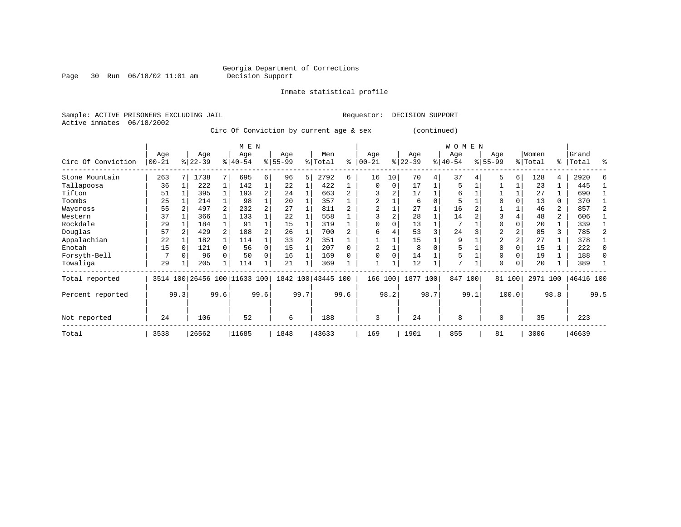Page 30 Run 06/18/02 11:01 am

Inmate statistical profile

Sample: ACTIVE PRISONERS EXCLUDING JAIL Requestor: DECISION SUPPORT Active inmates 06/18/2002

Circ Of Conviction by current age & sex (continued)

|                    |                  |              |                 |              | M E N                        |          |                  |      |                    |      |                  |               |                  |      | W O M E N       |      |                  |          |                  |                |                    |              |
|--------------------|------------------|--------------|-----------------|--------------|------------------------------|----------|------------------|------|--------------------|------|------------------|---------------|------------------|------|-----------------|------|------------------|----------|------------------|----------------|--------------------|--------------|
| Circ Of Conviction | Age<br>$00 - 21$ |              | Age<br>$ 22-39$ |              | Age<br>$8 40-54$             |          | Age<br>$8 55-99$ |      | Men<br>% Total     | ႜ    | Age<br>$00 - 21$ | $\frac{1}{6}$ | Age<br>$22 - 39$ |      | Age<br>$ 40-54$ |      | Age<br>$8 55-99$ |          | Women<br>% Total |                | Grand<br>%   Total | ႜ            |
| Stone Mountain     | 263              |              | 1738            |              | 695                          | 6        | 96               | 5    | 2792               | б.   | 16               | 10            | 70               | 4    | 37              |      | 5                | 6        | 128              | 4              | 2920               | F            |
| Tallapoosa         | 36               |              | 222             | $\mathbf{1}$ | 142                          |          | 22               |      | 422                |      | $\mathbf 0$      | $\Omega$      | 17               |      | 5               |      |                  |          | 23               |                | 445                |              |
| Tifton             | 51               |              | 395             |              | 193                          | 2        | 24               |      | 663                |      |                  | 2             | 17               |      | 6               |      |                  |          | 27               |                | 690                |              |
| Toombs             | 25               |              | 214             |              | 98                           |          | 20               |      | 357                |      | $\overline{a}$   |               | 6                |      | 5               |      |                  |          | 13               | 0              | 370                |              |
| Waycross           | 55               |              | 497             |              | 232                          |          | 27               |      | 811                |      |                  |               | 27               |      | 16              |      |                  |          | 46               | 2              | 857                |              |
| Western            | 37               |              | 366             |              | 133                          |          | 22               |      | 558                |      |                  |               | 28               |      | 14              |      |                  |          | 48               | $\overline{a}$ | 606                |              |
| Rockdale           | 29               |              | 184             |              | 91                           |          | 15               |      | 319                |      | $\Omega$         |               | 13               |      |                 |      | $\Omega$         |          | 20               |                | 339                |              |
| Douglas            | 57               |              | 429             |              | 188                          | 2        | 26               |      | 700                |      | 6                |               | 53               | 3    | 24              |      | 2                |          | 85               | 3              | 785                |              |
| Appalachian        | 22               |              | 182             |              | 114                          |          | 33               |      | 351                |      |                  |               | 15               |      | 9               |      | $\overline{2}$   |          | 27               |                | 378                |              |
| Enotah             | 15               |              | 121             |              | 56                           | $\Omega$ | 15               |      | 207                | 0    |                  |               | 8                |      | 5               |      | $\Omega$         |          | 15               |                | 222                | $\Omega$     |
| Forsyth-Bell       |                  |              | 96              |              | 50                           | 0        | 16               |      | 169                | U    | $\Omega$         |               | 14               |      | 5               |      | $\Omega$         |          | 19               |                | 188                | <sup>0</sup> |
| Towaliga           | 29               |              | 205             |              | 114                          |          | 21               | 1    | 369                |      |                  |               | 12               |      | 7               |      | $\Omega$         | $\Omega$ | 20               |                | 389                |              |
| Total reported     |                  |              |                 |              | 3514 100 26456 100 11633 100 |          |                  |      | 1842 100 43445 100 |      | 166 100          |               | 1877 100         |      | 847             | 100  |                  | 81 100   | 2971 100         |                | 46416 100          |              |
| Percent reported   |                  | 99.3<br>99.6 |                 |              |                              | 99.6     |                  | 99.7 |                    | 99.6 |                  | 98.2          |                  | 98.7 |                 | 99.1 |                  | 100.0    |                  | 98.8           |                    | 99.5         |
| Not reported       | 24               | 106          |                 |              | 52                           |          | 6                |      | 188                |      | 3                |               | 24               |      | 8               |      | $\Omega$         |          | 35               |                | 223                |              |
| Total              | 3538             |              | 26562           |              | 11685                        |          | 1848             |      | 43633              |      | 169              |               | 1901             |      | 855             |      | 81               |          | 3006             |                | 46639              |              |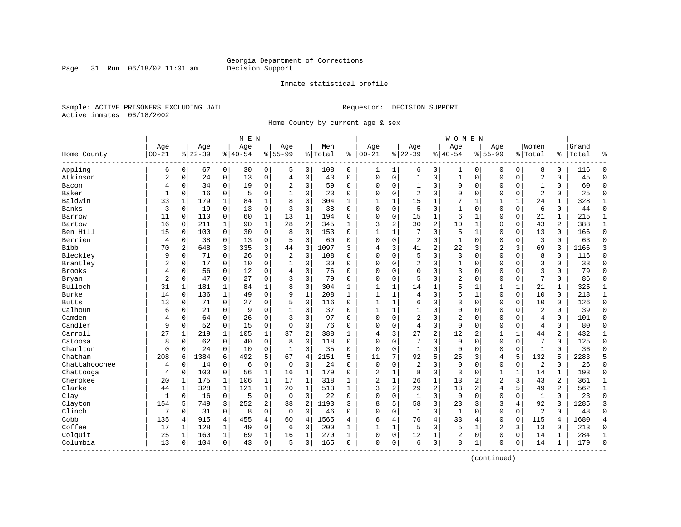Page 31 Run  $06/18/02$  11:01 am

#### Inmate statistical profile

Sample: ACTIVE PRISONERS EXCLUDING JAIL **Requestor: DECISION SUPPORT** Active inmates 06/18/2002

Home County by current age & sex

|               |                |              |           |                | M E N     |              |                |                |         |              |                |              |                |                | W O M E N    |              |                |             |                |             |       |                |
|---------------|----------------|--------------|-----------|----------------|-----------|--------------|----------------|----------------|---------|--------------|----------------|--------------|----------------|----------------|--------------|--------------|----------------|-------------|----------------|-------------|-------|----------------|
|               | Age            |              | Age       |                | Age       |              | Age            |                | Men     |              | Age            |              | Age            |                | Age          |              | Age            |             | Women          |             | Grand |                |
| Home County   | $00 - 21$      |              | $8 22-39$ |                | $8 40-54$ |              | $8155 - 99$    |                | % Total | ి            | $ 00-21$       |              | $8 22-39$      |                | $8 40-54$    |              | $8155 - 99$    |             | % Total        | %           | Total |                |
| Appling       | 6              | $\mathbf 0$  | 67        | $\mathbf 0$    | 30        | 0            | 5              | 0              | 108     | $\mathbf 0$  | 1              | 1            | 6              | 0              | 1            | 0            | 0              | 0           | 8              | 0           | 116   | $\Omega$       |
| Atkinson      | $\overline{2}$ | $\mathbf 0$  | 24        | $\mathbf 0$    | 13        | $\mathbf 0$  | $\overline{4}$ | $\mathbf 0$    | 43      | $\Omega$     | $\mathbf 0$    | $\mathbf 0$  | $1\,$          | $\mathbf 0$    | $1\,$        | $\mathbf 0$  | $\mathbf 0$    | $\mathbf 0$ | $\overline{2}$ | $\Omega$    | 45    | $\Omega$       |
| Bacon         | 4              | $\mathbf 0$  | 34        | $\Omega$       | 19        | $\mathbf 0$  | $\overline{2}$ | 0              | 59      | $\Omega$     | $\Omega$       | 0            | $\mathbf{1}$   | $\mathbf 0$    | $\mathbf 0$  | $\mathbf 0$  | $\mathbf 0$    | $\mathbf 0$ | 1              | 0           | 60    | $\Omega$       |
| Baker         | 1              | 0            | 16        | 0              | 5         | 0            |                | $\mathbf 0$    | 23      | 0            | $\Omega$       | 0            | 2              | $\mathbf 0$    | 0            | 0            | 0              | 0           | $\overline{2}$ | 0           | 25    | $\mathbf 0$    |
| Baldwin       | 33             | 1            | 179       | 1              | 84        | 1            | 8              | $\Omega$       | 304     | 1            | 1              | 1            | 15             | 1              | 7            | 1            | 1              | 1           | 24             | 1           | 328   | 1              |
| Banks         | 3              | 0            | 19        | $\mathbf 0$    | 13        | $\mathbf 0$  | 3              | $\mathbf 0$    | 38      | $\Omega$     | $\mathbf 0$    | 0            | 5              | $\mathbf 0$    | $\mathbf{1}$ | $\mathbf 0$  | $\mathbf 0$    | 0           | 6              | 0           | 44    | $\Omega$       |
| Barrow        | 11             | $\mathbf 0$  | 110       | $\mathbf 0$    | 60        | $\mathbf{1}$ | 13             | 1              | 194     | 0            | 0              | $\mathbf 0$  | 15             | $\mathbf 1$    | 6            | 1            | $\mathbf 0$    | $\mathbf 0$ | 21             | 1           | 215   | 1              |
| Bartow        | 16             | $\mathbf 0$  | 211       | $\mathbf{1}$   | 90        | $\mathbf{1}$ | 28             | $\overline{2}$ | 345     | $\mathbf{1}$ | 3              | 2            | 30             | 2              | 10           | $\mathbf{1}$ | $\Omega$       | $\mathbf 0$ | 43             | 2           | 388   | $\mathbf{1}$   |
| Ben Hill      | 15             | 0            | 100       | $\Omega$       | 30        | $\mathbf 0$  | 8              | $\Omega$       | 153     | $\Omega$     | $\mathbf{1}$   | 1            | 7              | $\Omega$       | 5            | $\mathbf 1$  | $\mathbf 0$    | $\Omega$    | 13             | $\Omega$    | 166   | $\Omega$       |
| Berrien       | 4              | $\mathbf 0$  | 38        | 0              | 13        | 0            | 5              | $\mathbf 0$    | 60      | 0            | $\Omega$       | $\mathbf 0$  | 2              | $\mathbf 0$    | 1            | 0            | $\Omega$       | 0           | $\overline{3}$ | 0           | 63    | $\Omega$       |
| <b>Bibb</b>   | 70             | 2            | 648       | 3              | 335       | 3            | 44             | 3              | 1097    | 3            | 4              | 3            | 41             | $\overline{c}$ | 22           | 3            | $\overline{2}$ | 3           | 69             | 3           | 1166  | 3              |
| Bleckley      | 9              | 0            | 71        | $\Omega$       | 26        | $\mathbf 0$  | $\overline{2}$ | $\mathbf 0$    | 108     | $\Omega$     | $\Omega$       | $\Omega$     | 5              | $\mathbf 0$    | 3            | $\mathbf 0$  | $\mathbf{0}$   | $\Omega$    | 8              | 0           | 116   | $\Omega$       |
| Brantley      | 2              | 0            | 17        | $\mathbf 0$    | 10        | $\mathbf 0$  | 1              | $\mathbf 0$    | 30      | 0            | $\Omega$       | $\mathbf 0$  | 2              | $\mathbf 0$    | 1            | $\mathbf 0$  | $\Omega$       | $\mathbf 0$ | $\overline{3}$ | 0           | 33    | $\Omega$       |
| <b>Brooks</b> | 4              | $\mathbf 0$  | 56        | 0              | 12        | 0            | $\overline{4}$ | 0              | 76      | $\Omega$     | $\Omega$       | $\Omega$     | $\mathbf 0$    | 0              | 3            | 0            | $\mathbf 0$    | $\Omega$    | $\overline{3}$ | $\Omega$    | 79    | $\Omega$       |
| Bryan         | $\overline{2}$ | $\Omega$     | 47        | 0              | 27        | 0            | 3              | 0              | 79      | 0            | $\Omega$       | 0            | 5              | 0              | 2            | $\mathbf 0$  | $\mathbf 0$    | 0           | 7              | 0           | 86    | $\Omega$       |
| Bulloch       | 31             | $\mathbf{1}$ | 181       | 1              | 84        | 1            | 8              | $\mathbf 0$    | 304     | 1            | $\mathbf{1}$   | 1            | 14             | $\mathbf{1}$   | 5            | $\mathbf{1}$ | 1              | 1           | 21             | 1           | 325   | 1              |
| Burke         | 14             | $\Omega$     | 136       | $\mathbf{1}$   | 49        | 0            | 9              | $\mathbf{1}$   | 208     | $\mathbf{1}$ | $\mathbf{1}$   | 1            | 4              | $\Omega$       | 5            | $\mathbf 1$  | $\Omega$       | $\Omega$    | 10             | $\Omega$    | 218   | $\mathbf 1$    |
| <b>Butts</b>  | 13             | 0            | 71        | $\Omega$       | 27        | $\mathbf 0$  | 5              | $\Omega$       | 116     | $\Omega$     | 1              | 1            | 6              | $\Omega$       | 3            | $\Omega$     | $\Omega$       | $\Omega$    | 10             | $\mathbf 0$ | 126   | $\Omega$       |
| Calhoun       | 6              | 0            | 21        | $\Omega$       | 9         | 0            |                | $\mathbf 0$    | 37      | $\Omega$     | $\mathbf{1}$   | $\mathbf{1}$ | $\mathbf{1}$   | 0              | $\Omega$     | $\mathbf 0$  | $\Omega$       | $\mathbf 0$ | $\overline{2}$ | $\Omega$    | 39    | $\Omega$       |
| Camden        | 4              | $\mathbf 0$  | 64        | $\Omega$       | 26        | 0            | 3              | $\mathbf 0$    | 97      | $\Omega$     | $\Omega$       | $\Omega$     | $\overline{a}$ | $\mathbf 0$    | 2            | $\mathbf 0$  | $\mathbf 0$    | $\Omega$    | $\overline{4}$ | $\Omega$    | 101   | $\Omega$       |
| Candler       | 9              | $\mathbf 0$  | 52        | $\mathbf 0$    | 15        | $\mathbf 0$  | 0              | 0              | 76      | 0            | $\Omega$       | 0            | 4              | $\mathbf 0$    | $\mathsf 0$  | $\mathbf 0$  | $\mathbf 0$    | 0           | $\overline{4}$ | 0           | 80    | $\Omega$       |
| Carroll       | 27             | 1            | 219       | 1              | 105       | 1            | 37             | $\overline{2}$ | 388     | 1            | 4              | 3            | 27             | 2              | 12           | 2            | 1              | 1           | 44             | 2           | 432   | 1              |
| Catoosa       | 8              | $\Omega$     | 62        | $\Omega$       | 40        | $\Omega$     | 8              | $\Omega$       | 118     | $\Omega$     | $\Omega$       | $\Omega$     | 7              | $\Omega$       | $\Omega$     | $\Omega$     | $\Omega$       | $\Omega$    | 7              | $\Omega$    | 125   | $\Omega$       |
| Charlton      | $\mathbf 0$    | $\Omega$     | 24        | $\Omega$       | 10        | $\Omega$     | $\mathbf{1}$   | $\Omega$       | 35      | $\Omega$     | $\mathbf 0$    | $\Omega$     | $\mathbf{1}$   | $\Omega$       | $\mathbf 0$  | $\Omega$     | $\Omega$       | $\Omega$    | $\mathbf{1}$   | $\Omega$    | 36    | $\Omega$       |
| Chatham       | 208            | 6            | 1384      | 6              | 492       | 5            | 67             | $\overline{4}$ | 2151    | 5            | 11             | 7            | 92             | 5              | 25           | 3            | 4              | 5           | 132            | 5           | 2283  | 5              |
| Chattahoochee | 4              | $\mathbf 0$  | 14        | $\Omega$       | 6         | $\mathbf 0$  | $\Omega$       | $\Omega$       | 24      | $\Omega$     | $\mathbf 0$    | $\Omega$     | $\overline{a}$ | $\Omega$       | $\Omega$     | $\mathbf 0$  | $\mathbf{0}$   | $\mathbf 0$ | $\overline{2}$ | $\Omega$    | 26    | $\Omega$       |
| Chattooga     | 4              | $\mathbf 0$  | 103       | $\mathbf 0$    | 56        | $\mathbf 1$  | 16             | 1              | 179     | 0            | $\overline{c}$ | 1            | 8              | $\mathbf 0$    | 3            | $\mathbf 0$  | $\mathbf{1}$   | 1           | 14             | 1           | 193   | $\Omega$       |
| Cherokee      | 20             | 1            | 175       | 1              | 106       | 1            | 17             | 1              | 318     | 1            | $\overline{c}$ | 1            | 26             | $\mathbf 1$    | 13           | 2            | $\overline{2}$ | 3           | 43             | 2           | 361   | 1              |
| Clarke        | 44             | 1            | 328       | 1              | 121       | $\mathbf 1$  | 20             | 1              | 513     | 1            | 3              | 2            | 29             | $\overline{c}$ | 13           | 2            | 4              | 5           | 49             | 2           | 562   | $\mathbf 1$    |
| Clay          | 1              | 0            | 16        | $\mathbf 0$    | 5         | $\mathbf 0$  | $\mathbf 0$    | $\mathbf 0$    | 22      | 0            | $\Omega$       | 0            | 1              | $\mathbf 0$    | $\mathbf 0$  | $\mathbf 0$  | $\mathbf{0}$   | 0           | 1              | 0           | 23    | $\Omega$       |
| Clayton       | 154            | 5            | 749       | 3              | 252       | 2            | 38             | $\overline{2}$ | 1193    | 3            | 8              | 5            | 58             | 3              | 23           | 3            | 3              | 4           | 92             | 3           | 1285  | 3              |
| Clinch        | 7              | $\Omega$     | 31        | $\Omega$       | 8         | $\Omega$     | $\Omega$       | $\Omega$       | 46      | $\Omega$     | $\Omega$       | $\Omega$     | $\mathbf{1}$   | $\Omega$       | $\mathbf{1}$ | $\Omega$     | $\Omega$       | $\Omega$    | $\overline{2}$ | $\Omega$    | 48    | $\Omega$       |
| Cobb          | 135            | 4            | 915       | $\overline{4}$ | 455       | 4            | 60             | 4              | 1565    | 4            | 6              | 4            | 76             | 4              | 33           | 4            | $\mathbf{0}$   | $\Omega$    | 115            | 4           | 1680  | $\overline{4}$ |
| Coffee        | 17             | 1            | 128       | 1              | 49        | 0            | 6              | $\mathbf 0$    | 200     | 1            | 1              | 1            | 5              | $\mathbf 0$    | 5            | 1            | $\overline{2}$ | 3           | 13             | 0           | 213   | $\mathbf 0$    |
| Colquit       | 25             | 1            | 160       | 1              | 69        | $\mathbf 1$  | 16             | 1              | 270     | $\mathbf{1}$ | $\Omega$       | 0            | 12             | 1              | 2            | $\mathbf 0$  | $\mathbf 0$    | $\Omega$    | 14             | 1           | 284   | 1              |
| Columbia      | 13             | $\mathbf 0$  | 104       | $\mathbf 0$    | 43        | 0            | 5              | $\mathbf 0$    | 165     | 0            | $\mathbf 0$    | 0            | 6              | $\mathbf 0$    | 8            | 1            | $\mathbf 0$    | 0           | 14             | 1           | 179   | $\Omega$       |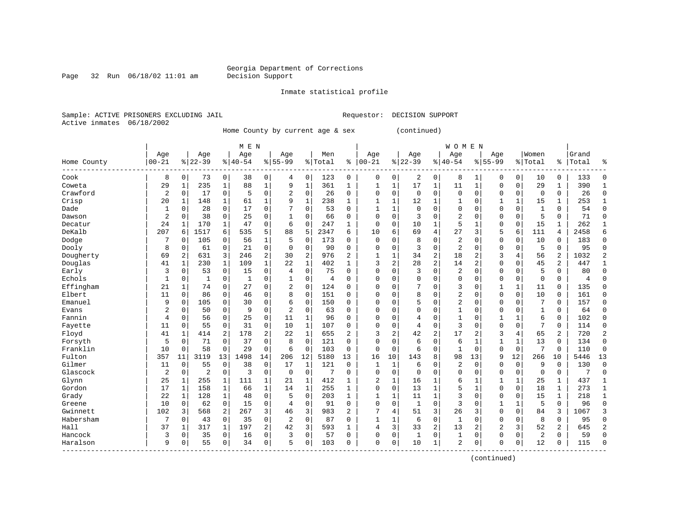Page 32 Run 06/18/02 11:01 am

Inmate statistical profile

Sample: ACTIVE PRISONERS EXCLUDING JAIL Requestor: DECISION SUPPORT Active inmates 06/18/2002

Home County by current age & sex (continued)

|                          |                |                |                |              | M E N       |                |                |                |                |              |              |              |                |                | <b>WOMEN</b>   |                |                |                |              |              |       |                |
|--------------------------|----------------|----------------|----------------|--------------|-------------|----------------|----------------|----------------|----------------|--------------|--------------|--------------|----------------|----------------|----------------|----------------|----------------|----------------|--------------|--------------|-------|----------------|
|                          | Age            |                | Age            |              | Age         |                | Age            |                | Men            |              | Age          |              | Age            |                | Age            |                | Age            |                | Women        |              | Grand |                |
| Home County<br>--------- | $00 - 21$      |                | $8 22-39$      |              | $8140 - 54$ |                | $8 55-99$      |                | % Total        | ႜ            | $00 - 21$    |              | $8 22-39$      |                | $8 40-54$      |                | $8155 - 99$    |                | % Total      | ိ            | Total | န္             |
| Cook                     | 8              | $\overline{0}$ | 73             | 0            | 38          | 0              | 4              | 0              | 123            | 0            | 0            | 0            | 2              | 0              | 8              | 1              | 0              | $\mathbf 0$    | 10           | 0            | 133   | $\Omega$       |
| Coweta                   | 29             | $\mathbf{1}$   | 235            | $\mathbf{1}$ | 88          | $\mathbf{1}$   | 9              | $\mathbf{1}$   | 361            | 1            | $\mathbf{1}$ | $\mathbf 1$  | 17             | 1              | 11             | 1              | $\Omega$       | $\mathbf 0$    | 29           | 1            | 390   | -1             |
| Crawford                 | $\overline{2}$ | $\mathbf 0$    | 17             | 0            | 5           | $\mathbf 0$    | 2              | $\mathbf 0$    | 26             | 0            | 0            | 0            | $\mathbf 0$    | $\mathbf 0$    | 0              | $\mathbf 0$    | 0              | $\mathbf 0$    | 0            | 0            | 26    | $\mathbf{0}$   |
| Crisp                    | 20             | 1              | 148            | $\mathbf{1}$ | 61          | $\mathbf{1}$   | 9              | $\mathbf{1}$   | 238            | $\mathbf{1}$ | $\mathbf{1}$ | $\mathbf{1}$ | 12             | 1              | 1              | 0              | $\mathbf{1}$   | $\mathbf{1}$   | 15           | $\mathbf{1}$ | 253   | $\mathbf{1}$   |
| Dade                     | $\mathbf{1}$   | $\mathbf 0$    | 28             | 0            | 17          | $\Omega$       | 7              | $\mathbf 0$    | 53             | $\Omega$     | $\mathbf{1}$ | 1            | $\Omega$       | $\Omega$       | 0              | $\Omega$       | $\Omega$       | $\Omega$       | $\mathbf{1}$ | 0            | 54    | $\Omega$       |
| Dawson                   | $\overline{2}$ | $\mathbf 0$    | 38             | 0            | 25          | $\mathbf 0$    | $\mathbf{1}$   | $\Omega$       | 66             | 0            | $\Omega$     | 0            | 3              | $\Omega$       | $\overline{2}$ | $\Omega$       | $\Omega$       | $\mathbf 0$    | 5            | 0            | 71    | $\mathbf{0}$   |
| Decatur                  | 24             | 1              | 170            | 1            | 47          | 0              | 6              | $\mathbf 0$    | 247            | 1            | 0            | 0            | 10             | 1              | 5              |                | $\Omega$       | $\Omega$       | 15           | 1            | 262   | 1              |
| DeKalb                   | 207            | 6              | 1517           | 6            | 535         | 5              | 88             | 5              | 2347           | 6            | 10           | 6            | 69             | 4              | 27             | 3              | 5              | 6              | 111          | 4            | 2458  | 6              |
| Dodge                    | 7              | $\Omega$       | 105            | 0            | 56          | 1              | 5              | $\Omega$       | 173            | $\Omega$     | $\Omega$     | 0            | 8              | $\Omega$       | $\overline{2}$ | $\Omega$       | $\Omega$       | $\Omega$       | 10           | 0            | 183   | $\Omega$       |
| Dooly                    | 8              | 0              | 61             | 0            | 21          | $\Omega$       | $\Omega$       | $\Omega$       | 90             | $\Omega$     | $\Omega$     | $\Omega$     | 3              | $\Omega$       | $\overline{2}$ | $\Omega$       | $\Omega$       | $\Omega$       | 5            | $\Omega$     | 95    | $\Omega$       |
| Dougherty                | 69             | $\overline{a}$ | 631            | 3            | 246         | $\overline{2}$ | 30             | $\overline{2}$ | 976            | 2            | 1            | 1            | 34             | $\overline{2}$ | 18             | 2              | 3              | $\overline{4}$ | 56           | 2            | 1032  | $\overline{2}$ |
| Douglas                  | 41             | $\mathbf{1}$   | 230            | $\mathbf{1}$ | 109         | $\mathbf 1$    | 22             | $\mathbf{1}$   | 402            | $\mathbf{1}$ | 3            | 2            | 28             | $\overline{a}$ | 14             | $\overline{2}$ | $\Omega$       | $\mathbf 0$    | 45           | 2            | 447   | $\mathbf{1}$   |
| Early                    | 3              | $\mathbf 0$    | 53             | 0            | 15          | $\mathbf 0$    | 4              | 0              | 75             | 0            | O            | 0            | 3              | $\Omega$       | $\overline{2}$ | 0              | $\Omega$       | $\mathbf 0$    | 5            | 0            | 80    | $\Omega$       |
| Echols                   | $\mathbf{1}$   | 0              | 1              | 0            | 1           | $\mathbf 0$    | 1              | 0              | $\overline{4}$ | 0            | $\Omega$     | 0            | $\mathbf 0$    | $\Omega$       | 0              | 0              | $\Omega$       | $\mathbf 0$    | $\mathbf 0$  | 0            | 4     | $\Omega$       |
| Effingham                | 21             | $\mathbf{1}$   | 74             | 0            | 27          | $\mathbf 0$    | 2              | $\mathbf 0$    | 124            | 0            | $\Omega$     | 0            |                | $\Omega$       | 3              | 0              |                | $\mathbf{1}$   | 11           | 0            | 135   | $\Omega$       |
| Elbert                   | 11             | $\mathbf 0$    | 86             | 0            | 46          | $\mathbf 0$    | 8              | $\mathbf 0$    | 151            | 0            | 0            | 0            | 8              | 0              | 2              | $\Omega$       | $\Omega$       | $\mathbf 0$    | 10           | 0            | 161   | $\Omega$       |
| Emanuel                  | 9              | $\mathbf 0$    | 105            | 0            | 30          | $\Omega$       | 6              | $\mathbf 0$    | 150            | $\Omega$     | 0            | $\Omega$     |                | $\Omega$       | 2              | $\Omega$       | $\Omega$       | $\Omega$       | 7            | 0            | 157   | $\Omega$       |
| Evans                    | $\overline{2}$ | $\mathbf 0$    | 50             | $\Omega$     | 9           | $\Omega$       | $\overline{a}$ | $\Omega$       | 63             | 0            | $\Omega$     | $\Omega$     | $\Omega$       | $\Omega$       | $\mathbf 1$    | $\Omega$       | $\Omega$       | $\Omega$       | 1            | 0            | 64    | $\Omega$       |
| Fannin                   | $\overline{4}$ | $\Omega$       | 56             | 0            | 25          | $\mathbf 0$    | 11             | 1              | 96             | $\Omega$     | U            | $\Omega$     | $\overline{4}$ | $\Omega$       | 1              | $\Omega$       | 1              | $\mathbf{1}$   | 6            | 0            | 102   | $\Omega$       |
| Fayette                  | 11             | 0              | 55             | 0            | 31          | $\mathbf 0$    | 10             | $\mathbf{1}$   | 107            | $\Omega$     | 0            | 0            | $\overline{4}$ | $\Omega$       | 3              | $\Omega$       | $\Omega$       | $\mathbf 0$    | 7            | 0            | 114   | $\Omega$       |
| Floyd                    | 41             | 1              | 414            | 2            | 178         | 2              | 22             | $\mathbf{1}$   | 655            | 2            | 3            | 2            | 42             | 2              | 17             | 2              | 3              | 4              | 65           | 2            | 720   | $\overline{2}$ |
| Forsyth                  | 5              | $\mathbf 0$    | 71             | 0            | 37          | $\Omega$       | 8              | $\Omega$       | 121            | $\Omega$     | $\Omega$     | 0            | 6              | $\Omega$       | 6              | 1              | $\mathbf{1}$   | 1              | 13           | $\Omega$     | 134   | $\Omega$       |
| Franklin                 | 10             | $\Omega$       | 58             | 0            | 29          | 0              | 6              | $\Omega$       | 103            | $\Omega$     | $\Omega$     | 0            | 6              | $\Omega$       | $\mathbf{1}$   | $\Omega$       | $\Omega$       | $\Omega$       | 7            | $\Omega$     | 110   | $\Omega$       |
| Fulton                   | 357            | 11             | 3119           | 13           | 1498        | 14             | 206            | 12             | 5180           | 13           | 16           | 10           | 143            | 8              | 98             | 13             | 9              | 12             | 266          | 10           | 5446  | 13             |
| Gilmer                   | 11             | $\mathbf 0$    | 55             | 0            | 38          | $\mathbf 0$    | 17             | 1              | 121            | 0            | 1            | $\mathbf{1}$ | 6              | $\Omega$       | $\overline{2}$ | $\Omega$       | $\Omega$       | $\mathbf 0$    | 9            | 0            | 130   | $\Omega$       |
| Glascock                 | $\overline{2}$ | $\mathbf 0$    | $\overline{2}$ | 0            | 3           | $\mathbf 0$    | $\mathbf 0$    | $\mathbf{0}$   | 7              | 0            | 0            | 0            | $\Omega$       | $\Omega$       | 0              | $\Omega$       | $\Omega$       | $\mathbf 0$    | $\mathbf 0$  | 0            | 7     | $\Omega$       |
| Glynn                    | 25             | 1              | 255            | 1            | 111         | 1              | 21             | -1             | 412            | 1            | 2            | $\mathbf{1}$ | 16             | 1              | 6              | -1             | 1              | 1              | 25           | 1            | 437   | $\mathbf{1}$   |
| Gordon                   | 17             | $\mathbf{1}$   | 158            | $\mathbf{1}$ | 66          | $\mathbf{1}$   | 14             | $\mathbf{1}$   | 255            | 1            | 0            | 0            | 13             | $\mathbf{1}$   | 5              | $\mathbf{1}$   | $\mathbf 0$    | $\mathbf 0$    | 18           | $\mathbf{1}$ | 273   | $\mathbf{1}$   |
| Grady                    | 22             | $\mathbf{1}$   | 128            | $\mathbf{1}$ | 48          | $\mathbf 0$    | 5              | $\mathbf 0$    | 203            | $\mathbf{1}$ | $\mathbf{1}$ | 1            | 11             | $\mathbf 1$    | 3              | $\mathbf 0$    | $\Omega$       | $\mathbf 0$    | 15           | $\mathbf{1}$ | 218   | $\mathbf{1}$   |
| Greene                   | 10             | $\mathbf 0$    | 62             | 0            | 15          | $\mathbf 0$    | $\overline{4}$ | $\overline{0}$ | 91             | $\mathbf 0$  | $\Omega$     | 0            | $\mathbf{1}$   | $\Omega$       | 3              | $\Omega$       | $\mathbf{1}$   | 1              | 5            | $\Omega$     | 96    | $\Omega$       |
| Gwinnett                 | 102            | 3              | 568            | 2            | 267         | 3              | 46             | 3              | 983            | 2            | 7            | 4            | 51             | 3              | 26             | 3              | $\Omega$       | 0              | 84           | 3            | 1067  | 3              |
| Habersham                | 7              | $\mathbf 0$    | 43             | 0            | 35          | $\mathbf 0$    | 2              | 0              | 87             | 0            | $\mathbf{1}$ | 1            | 6              | $\Omega$       | 1              | 0              | $\Omega$       | $\Omega$       | 8            | 0            | 95    | $\Omega$       |
| Hall                     | 37             | 1              | 317            | 1            | 197         | $\mathbf{2}$   | 42             | 3              | 593            |              | 4            | 3            | 33             | 2              | 13             | 2              | $\overline{2}$ | 3              | 52           | 2            | 645   | $\overline{2}$ |
| Hancock                  | 3              | 0              | 35             | 0            | 16          | $\Omega$       | 3              | $\mathbf 0$    | 57             | $\Omega$     | 0            | 0            | $\mathbf{1}$   | $\Omega$       | 1              | $\Omega$       | $\Omega$       | $\Omega$       | 2            | 0            | 59    | $\Omega$       |
| Haralson                 | 9              | $\mathbf 0$    | 55             | 0            | 34          | $\mathbf 0$    | 5              | $\Omega$       | 103            | $\Omega$     | $\Omega$     | 0            | 10             | 1              | 2              | $\Omega$       | $\Omega$       | $\mathbf 0$    | 12           | 0            | 115   | $\Omega$       |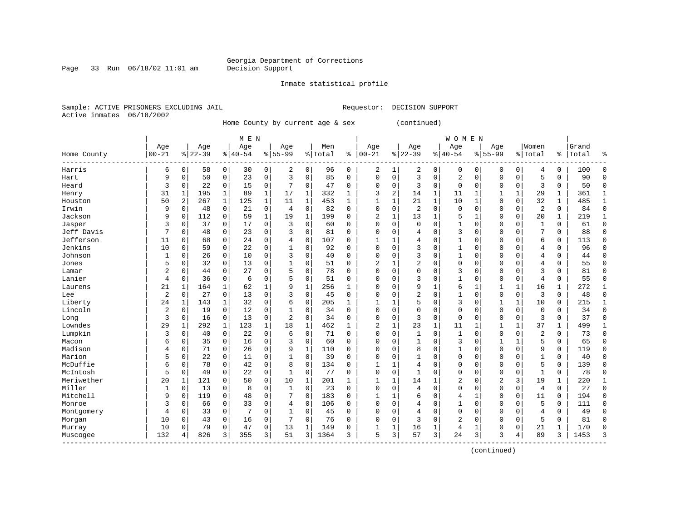Inmate statistical profile

Sample: ACTIVE PRISONERS EXCLUDING JAIL **Requestor: DECISION SUPPORT** Active inmates 06/18/2002

Page 33 Run  $06/18/02$  11:01 am

Home County by current age & sex (continued)

|                    |                |             |           |              | M E N     |              |                |              |         |              |                |              |                |              | <b>WOMEN</b> |              |              |             |                |              |       |              |
|--------------------|----------------|-------------|-----------|--------------|-----------|--------------|----------------|--------------|---------|--------------|----------------|--------------|----------------|--------------|--------------|--------------|--------------|-------------|----------------|--------------|-------|--------------|
|                    | Age            |             | Age       |              | Age       |              | Age            |              | Men     |              | Age            |              | Age            |              | Age          |              | Age          |             | Women          |              | Grand |              |
| Home County        | $ 00 - 21$     |             | $8 22-39$ |              | $8 40-54$ |              | $8155 - 99$    |              | % Total | ႜ            | $ 00 - 21$     |              | $8 22-39$      |              | $ 40-54$     |              | $8155 - 99$  |             | % Total        | ి            | Total | 욲            |
| Harris             | б              | $\mathbf 0$ | 58        | 0            | 30        | 0            | 2              | 0            | 96      | 0            | 2              | 1            | 2              | 0            | 0            | 0            | 0            | 0           | 4              | 0            | 100   | $\Omega$     |
| Hart               | 9              | $\mathbf 0$ | 50        | 0            | 23        | 0            | 3              | $\mathbf 0$  | 85      | $\mathbf 0$  | $\mathbf 0$    | 0            | 3              | 0            | 2            | $\mathbf 0$  | $\Omega$     | $\mathbf 0$ | 5              | 0            | 90    | $\mathbf 0$  |
| Heard              | 3              | $\mathbf 0$ | 22        | 0            | 15        | 0            |                | $\mathbf 0$  | 47      | 0            | $\Omega$       | 0            | 3              | 0            | $\Omega$     | $\mathbf 0$  | $\Omega$     | $\mathbf 0$ | 3              | 0            | 50    | $\mathbf 0$  |
| Henry              | 31             | 1           | 195       | 1            | 89        | $\mathbf 1$  | 17             | 1            | 332     | $\mathbf{1}$ | 3              | 2            | 14             | 1            | 11           | $\mathbf{1}$ | $\mathbf{1}$ | $\mathbf 1$ | 29             | 1            | 361   | $\mathbf{1}$ |
| Houston            | 50             | 2           | 267       | $\mathbf{1}$ | 125       | $\mathbf{1}$ | 11             | $\mathbf{1}$ | 453     | $\mathbf{1}$ | $\mathbf{1}$   | $\mathbf{1}$ | 21             | $\mathbf{1}$ | 10           | $\mathbf{1}$ | $\Omega$     | $\mathbf 0$ | 32             | $\mathbf{1}$ | 485   | $\mathbf{1}$ |
| Irwin              | 9              | $\mathbf 0$ | 48        | 0            | 21        | 0            | $\overline{4}$ | $\mathbf 0$  | 82      | $\Omega$     | $\Omega$       | 0            | $\overline{2}$ | 0            | $\mathbf{0}$ | $\Omega$     | $\Omega$     | $\mathbf 0$ | 2              | $\mathbf 0$  | 84    | $\mathbf 0$  |
| Jackson            | 9              | $\mathbf 0$ | 112       | 0            | 59        | $\mathbf{1}$ | 19             | 1            | 199     | 0            | $\overline{2}$ | 1            | 13             | 1            | 5            | $\mathbf{1}$ | $\Omega$     | $\mathbf 0$ | 20             | 1            | 219   | $\mathbf{1}$ |
| Jasper             | 3              | $\mathbf 0$ | 37        | $\Omega$     | 17        | 0            | 3              | 0            | 60      | 0            | $\Omega$       | 0            | $\Omega$       | $\Omega$     | 1            | $\Omega$     | $\Omega$     | $\Omega$    | 1              | 0            | 61    | $\mathbf 0$  |
| Jeff Davis         |                | $\Omega$    | 48        | 0            | 23        | 0            | 3              | $\Omega$     | 81      | $\Omega$     | $\Omega$       | O            | 4              | $\Omega$     | 3            | $\Omega$     | $\Omega$     | $\Omega$    |                | O            | 88    | $\mathbf 0$  |
| Jefferson          | 11             | $\Omega$    | 68        | $\Omega$     | 24        | 0            | $\overline{4}$ | $\Omega$     | 107     | $\Omega$     | $\mathbf{1}$   | 1            | 4              | $\Omega$     | $\mathbf{1}$ | $\Omega$     | $\Omega$     | $\Omega$    | 6              | 0            | 113   | $\Omega$     |
| Jenkins            | 10             | $\Omega$    | 59        | $\Omega$     | 22        | 0            |                | $\Omega$     | 92      | $\Omega$     | $\Omega$       | $\Omega$     | 3              | $\Omega$     | $\mathbf{1}$ | $\Omega$     | $\Omega$     | $\Omega$    | 4              | 0            | 96    | $\Omega$     |
| Johnson            | 1              | $\mathbf 0$ | 26        | 0            | 10        | 0            | 3              | $\mathbf 0$  | 40      | 0            | $\Omega$       | $\Omega$     | 3              | $\Omega$     | $\mathbf{1}$ | $\Omega$     | $\Omega$     | $\Omega$    | 4              | 0            | 44    | $\Omega$     |
| Jones              | 5              | $\mathbf 0$ | 32        | 0            | 13        | 0            |                | $\mathbf 0$  | 51      | 0            | 2              | 1            | $\overline{2}$ | $\Omega$     | 0            | 0            | $\Omega$     | $\mathbf 0$ | 4              | 0            | 55    | $\Omega$     |
| Lamar              | $\overline{2}$ | 0           | 44        | 0            | 27        | 0            |                | $\mathbf 0$  | 78      | 0            | $\Omega$       | 0            | $\Omega$       | $\Omega$     | 3            | 0            | $\Omega$     | 0           | 3              | 0            | 81    | $\Omega$     |
| Lanier             | 4              | $\Omega$    | 36        | 0            | 6         | 0            |                | $\mathbf 0$  | 51      | $\Omega$     | $\Omega$       | 0            | 3              | $\Omega$     | $\mathbf{1}$ | $\Omega$     | $\Omega$     | $\Omega$    | 4              | 0            | 55    | $\Omega$     |
| Laurens            | 21             | 1           | 164       | 1            | 62        | 1            | 9              | 1            | 256     | $\mathbf{1}$ | $\Omega$       | O            | 9              | 1            | 6            | 1            | 1            | 1           | 16             | 1            | 272   | 1            |
| Lee                | 2              | $\mathbf 0$ | 27        | 0            | 13        | 0            | 3              | $\mathbf 0$  | 45      | 0            | $\Omega$       | 0            | $\overline{2}$ | $\Omega$     | 1            | $\mathbf 0$  | $\Omega$     | $\mathbf 0$ | 3              | $\mathbf 0$  | 48    | $\mathbf 0$  |
| Liberty            | 24             | 1           | 143       |              | 32        | 0            | 6              | $\Omega$     | 205     | 1            | $\mathbf{1}$   | 1            | 5              | $\Omega$     | 3            | $\Omega$     | $\mathbf{1}$ |             | 10             | 0            | 215   | 1            |
| Lincoln            | 2              | $\Omega$    | 19        | 0            | 12        | 0            |                | $\mathbf 0$  | 34      | $\Omega$     | $\Omega$       | 0            | $\Omega$       | $\Omega$     | $\Omega$     | $\Omega$     | $\Omega$     | $\mathbf 0$ | $\Omega$       | 0            | 34    | $\Omega$     |
| Long               | 3              | $\mathbf 0$ | 16        | 0            | 13        | 0            | $\overline{2}$ | $\mathbf 0$  | 34      | $\Omega$     | $\Omega$       | $\Omega$     | 3              | $\Omega$     | $\Omega$     | $\Omega$     | $\Omega$     | $\mathbf 0$ | 3              | 0            | 37    | $\Omega$     |
| Lowndes            | 29             | 1           | 292       | $\mathbf 1$  | 123       | $\mathbf{1}$ | 18             | $\mathbf{1}$ | 462     | 1            | 2              | 1            | 23             | 1            | 11           | 1            |              |             | 37             | 1            | 499   | 1            |
| Lumpkin            | 3              | $\mathbf 0$ | 40        | 0            | 22        | 0            | 6              | $\mathbf 0$  | 71      | $\Omega$     | $\Omega$       | 0            | $\mathbf{1}$   | $\Omega$     | 1            | $\Omega$     | $\Omega$     | $\Omega$    | $\overline{2}$ | 0            | 73    | $\mathbf 0$  |
| Macon              | 6              | $\mathbf 0$ | 35        | 0            | 16        | 0            | 3              | $\mathbf 0$  | 60      | $\Omega$     | $\Omega$       | 0            | $\mathbf{1}$   | 0            | 3            | $\Omega$     | $\mathbf{1}$ |             | 5              | 0            | 65    | $\Omega$     |
| Madison            | 4              | $\mathbf 0$ | 71        | 0            | 26        | 0            | 9              | $\mathbf{1}$ | 110     | $\Omega$     | $\Omega$       | $\Omega$     | 8              | $\Omega$     | $\mathbf{1}$ | $\Omega$     | $\Omega$     | $\Omega$    | 9              | 0            | 119   | $\Omega$     |
| Marion             | 5              | $\Omega$    | 22        | 0            | 11        | 0            | 1              | $\mathbf 0$  | 39      | $\Omega$     | $\Omega$       | O            | $\mathbf{1}$   | $\Omega$     | $\Omega$     | $\Omega$     | $\Omega$     | $\Omega$    | $\mathbf{1}$   | 0            | 40    | $\mathbf 0$  |
| McDuffie           | 6              | $\mathbf 0$ | 78        | 0            | 42        | 0            | 8              | $\mathbf 0$  | 134     | 0            |                |              | 4              | $\Omega$     | 0            | $\Omega$     | $\Omega$     | 0           | 5              | 0            | 139   | $\mathbf 0$  |
| McIntosh           | 5              | $\Omega$    | 49        | $\Omega$     | 22        | 0            |                | $\mathbf 0$  | 77      | $\Omega$     | $\Omega$       | 0            | 1              | $\Omega$     | 0            | $\Omega$     | $\Omega$     | $\Omega$    | $\mathbf{1}$   | 0            | 78    | $\mathbf 0$  |
| Meriwether         | 20             | 1           | 121       | 0            | 50        | 0            | 10             | 1            | 201     | 1            | $\mathbf{1}$   | 1            | 14             | 1            | 2            | $\Omega$     | 2            | 3           | 19             | 1            | 220   | $\mathbf{1}$ |
| Miller             | 1              | $\Omega$    | 13        | 0            | 8         | 0            | $\mathbf{1}$   | $\mathbf 0$  | 23      | $\Omega$     | $\Omega$       | $\Omega$     | $\overline{4}$ | $\Omega$     | $\Omega$     | $\Omega$     | $\Omega$     | $\Omega$    | $\overline{4}$ | 0            | 27    | $\Omega$     |
| Mitchell           | 9              | $\mathbf 0$ | 119       | $\Omega$     | 48        | 0            | 7              | $\Omega$     | 183     | $\Omega$     | 1              | 1            | 6              | $\Omega$     | 4            | -1           | $\Omega$     | $\Omega$    | 11             | 0            | 194   | $\Omega$     |
| Monroe             | 3              | $\mathbf 0$ | 66        | 0            | 33        | 0            | 4              | $\mathbf 0$  | 106     | 0            | $\Omega$       | 0            | 4              | $\Omega$     | $\mathbf{1}$ | $\mathbf 0$  | $\Omega$     | $\mathbf 0$ | 5              | 0            | 111   | $\mathbf 0$  |
| Montgomery         | 4              | $\mathbf 0$ | 33        | $\Omega$     | 7         | 0            |                | $\mathbf 0$  | 45      | $\Omega$     | $\Omega$       | $\Omega$     | 4              | $\Omega$     | $\Omega$     | $\Omega$     | $\Omega$     | $\Omega$    | 4              | 0            | 49    | $\Omega$     |
| Morgan             | 10             | $\mathbf 0$ | 43        | 0            | 16        | 0            | 7              | $\mathbf 0$  | 76      | $\Omega$     | $\Omega$       | 0            | 3              | 0            | 2            | $\Omega$     | $\Omega$     | 0           | 5              | 0            | 81    | $\cap$       |
| Murray             | 10             | $\Omega$    | 79        | 0            | 47        | 0            | 13             | 1            | 149     | 0            | $\mathbf{1}$   | 1            | 16             | 1            | 4            | 1            | $\Omega$     | 0           | 21             | 1            | 170   | $\cap$       |
| Muscogee<br>------ | 132            | 4           | 826       | 3            | 355       | 3            | 51             | 3            | 1364    | 3            | 5              | 3            | 57             | 3            | 24           | 3            | ζ            | 4           | 89             | 3            | 1453  | ₹            |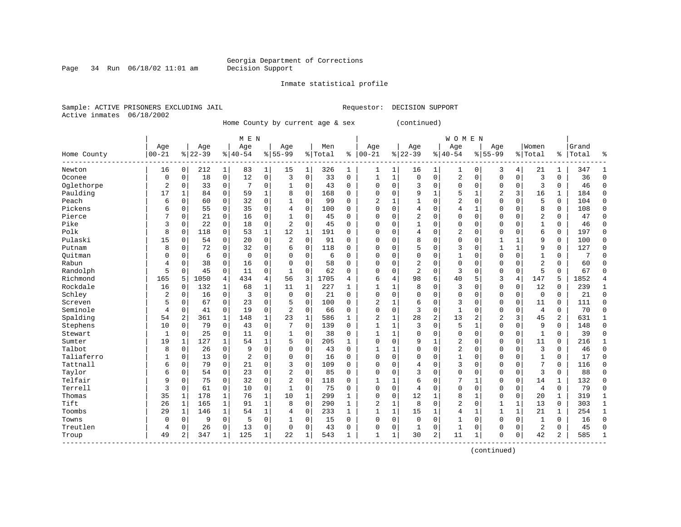Page 34 Run  $06/18/02$  11:01 am

#### Inmate statistical profile

Sample: ACTIVE PRISONERS EXCLUDING JAIL **Requestor: DECISION SUPPORT** Active inmates 06/18/2002

Home County by current age & sex (continued)

|             |           |              |           |              | M E N          |             |                |              |         |              |                |              |                |                | <b>WOMEN</b>   |              |                |              |                |             |       |              |
|-------------|-----------|--------------|-----------|--------------|----------------|-------------|----------------|--------------|---------|--------------|----------------|--------------|----------------|----------------|----------------|--------------|----------------|--------------|----------------|-------------|-------|--------------|
|             | Age       |              | Age       |              | Age            |             | Age            |              | Men     |              | Age            |              | Age            |                | Age            |              | Age            |              | Women          |             | Grand |              |
| Home County | $00 - 21$ |              | $8 22-39$ |              | $8 40-54$      |             | $8155 - 99$    |              | % Total | နွ           | $ 00-21$       |              | $ 22-39$       |                | $8 40-54$      |              | $8155 - 99$    |              | % Total        | ႜ           | Total | န္           |
| Newton      | 16        | $\mathbf 0$  | 212       | 1            | 83             | $\mathbf 1$ | 15             | 1            | 326     | 1            | 1              | 1            | 16             | 1              | 1              | 0            | 3              | 4            | 21             | 1           | 347   | -1           |
| Oconee      | 0         | $\mathbf 0$  | 18        | $\mathbf 0$  | 12             | $\mathbf 0$ | 3              | $\mathbf 0$  | 33      | $\mathbf 0$  | 1              | $\mathbf{1}$ | $\mathbf 0$    | $\mathbf 0$    | 2              | $\mathbf 0$  | $\mathbf 0$    | $\mathbf 0$  | $\overline{3}$ | 0           | 36    | $\Omega$     |
| Oglethorpe  | 2         | $\mathbf 0$  | 33        | $\mathbf 0$  | 7              | 0           |                | $\mathbf 0$  | 43      | $\Omega$     | $\Omega$       | $\Omega$     | 3              | $\mathbf 0$    | $\mathbf 0$    | $\mathbf 0$  | $\mathbf 0$    | $\mathbf 0$  | 3              | 0           | 46    | $\Omega$     |
| Paulding    | 17        | 1            | 84        | $\mathbf 0$  | 59             | 1           | 8              | $\mathbf 0$  | 168     | $\Omega$     | $\Omega$       | 0            | 9              | 1              | 5              | 1            | 2              | 3            | 16             | 1           | 184   | $\Omega$     |
| Peach       | 6         | $\Omega$     | 60        | $\Omega$     | 32             | $\mathbf 0$ | 1              | $\mathbf 0$  | 99      | $\Omega$     | $\overline{c}$ | $\mathbf{1}$ | $\mathbf{1}$   | $\Omega$       | 2              | $\mathbf 0$  | $\mathbf 0$    | $\Omega$     | 5              | $\Omega$    | 104   | $\Omega$     |
| Pickens     | 6         | $\mathbf 0$  | 55        | $\mathbf 0$  | 35             | $\mathbf 0$ | $\overline{4}$ | $\mathbf 0$  | 100     | $\Omega$     | $\Omega$       | $\mathbf 0$  | 4              | $\mathbf 0$    | 4              | 1            | $\mathbf 0$    | $\mathbf 0$  | 8              | 0           | 108   | $\Omega$     |
| Pierce      | 7         | 0            | 21        | 0            | 16             | 0           |                | $\mathbf 0$  | 45      | 0            | $\Omega$       | 0            | $\overline{2}$ | 0              | 0              | $\mathbf 0$  | 0              | $\Omega$     | $\overline{2}$ | 0           | 47    | $\Omega$     |
| Pike        | 3         | 0            | 22        | 0            | 18             | 0           | 2              | 0            | 45      | $\Omega$     | $\Omega$       | $\Omega$     |                | $\Omega$       | 0              | 0            | 0              | $\Omega$     | $\mathbf{1}$   | 0           | 46    | $\Omega$     |
| Polk        | 8         | $\Omega$     | 118       | 0            | 53             | 1           | 12             | 1            | 191     | $\Omega$     | $\Omega$       | $\Omega$     | 4              | $\Omega$       | 2              | $\mathbf 0$  | $\mathbf 0$    | $\Omega$     | 6              | 0           | 197   | $\Omega$     |
| Pulaski     | 15        | $\mathbf 0$  | 54        | $\Omega$     | 20             | $\mathbf 0$ | $\overline{2}$ | $\Omega$     | 91      | $\Omega$     | $\Omega$       | $\Omega$     | 8              | $\Omega$       | $\mathbf 0$    | $\Omega$     | $\mathbf{1}$   | 1            | 9              | $\mathbf 0$ | 100   | $\Omega$     |
| Putnam      | 8         | $\Omega$     | 72        | $\Omega$     | 32             | $\mathbf 0$ | 6              | $\mathbf 0$  | 118     | $\Omega$     | $\Omega$       | $\Omega$     | 5              | 0              | 3              | $\mathbf 0$  | $\mathbf{1}$   | $\mathbf{1}$ | 9              | $\mathbf 0$ | 127   | $\Omega$     |
| Ouitman     | 0         | 0            | 6         | $\mathbf 0$  | $\overline{0}$ | 0           | $\Omega$       | $\mathbf 0$  | 6       | $\Omega$     | $\Omega$       | $\Omega$     | 0              | $\mathbf 0$    | 1              | $\mathbf 0$  | $\mathbf{0}$   | $\Omega$     | $\mathbf{1}$   | 0           |       | ∩            |
| Rabun       | 4         | 0            | 38        | $\Omega$     | 16             | $\mathbf 0$ | $\Omega$       | $\Omega$     | 58      | $\Omega$     | $\Omega$       | $\Omega$     | 2              | $\Omega$       | $\mathbf 0$    | $\mathbf 0$  | $\mathbf 0$    | $\Omega$     | $\overline{c}$ | $\Omega$    | 60    | $\Omega$     |
| Randolph    | 5         | $\Omega$     | 45        | $\mathbf 0$  | 11             | 0           | $\mathbf{1}$   | $\Omega$     | 62      | $\Omega$     | $\Omega$       | $\Omega$     | $\overline{a}$ | $\Omega$       | 3              | $\mathbf 0$  | $\mathbf 0$    | $\mathbf 0$  | 5              | $\Omega$    | 67    | $\Omega$     |
| Richmond    | 165       | 5            | 1050      | 4            | 434            | 4           | 56             | 3            | 1705    | 4            | 6              | 4            | 98             | 6              | 40             | 5            | 3              | 4            | 147            | 5           | 1852  |              |
| Rockdale    | 16        | 0            | 132       | 1            | 68             | $\mathbf 1$ | 11             | $\mathbf{1}$ | 227     | 1            | $\mathbf{1}$   | 1            | 8              | $\mathbf 0$    | 3              | $\mathbf 0$  | $\mathbf 0$    | $\mathbf 0$  | 12             | 0           | 239   | 1            |
| Schley      | 2         | 0            | 16        | $\Omega$     | 3              | $\mathbf 0$ | $\Omega$       | 0            | 21      | $\Omega$     | $\Omega$       | $\Omega$     | $\Omega$       | $\Omega$       | $\Omega$       | $\mathbf 0$  | $\mathbf 0$    | $\Omega$     | $\mathbf 0$    | 0           | 21    | $\Omega$     |
| Screven     | 5         | 0            | 67        | $\Omega$     | 23             | $\mathbf 0$ | 5              | $\Omega$     | 100     | 0            | 2              | 1            | 6              | $\Omega$       | 3              | $\mathbf 0$  | $\mathbf{0}$   | $\Omega$     | 11             | $\Omega$    | 111   | $\Omega$     |
| Seminole    | 4         | $\Omega$     | 41        | $\Omega$     | 19             | $\Omega$    | $\overline{2}$ | $\Omega$     | 66      | $\Omega$     | $\Omega$       | $\Omega$     | 3              | $\Omega$       | $\mathbf{1}$   | $\Omega$     | $\Omega$       | $\Omega$     | $\overline{4}$ | $\Omega$    | 70    | $\Omega$     |
| Spalding    | 54        | 2            | 361       | $\mathbf{1}$ | 148            | 1           | 23             | $\mathbf{1}$ | 586     | $\mathbf{1}$ | $\overline{c}$ | $\mathbf{1}$ | 28             | $\overline{2}$ | 13             | 2            | $\overline{2}$ | 3            | 45             | 2           | 631   | $\mathbf{1}$ |
| Stephens    | 10        | $\mathbf 0$  | 79        | $\mathbf 0$  | 43             | $\mathbf 0$ | 7              | $\mathbf 0$  | 139     | 0            | $\mathbf{1}$   | $\mathbf{1}$ | 3              | $\mathbf 0$    | 5              | $\mathbf{1}$ | $\Omega$       | $\Omega$     | 9              | 0           | 148   | $\Omega$     |
| Stewart     | 1         | $\Omega$     | 25        | $\Omega$     | 11             | 0           | 1              | 0            | 38      | $\Omega$     | 1              | $\mathbf{1}$ | $\Omega$       | $\Omega$       | $\Omega$       | $\Omega$     | $\Omega$       | $\Omega$     | 1              | 0           | 39    | $\Omega$     |
| Sumter      | 19        | 1            | 127       | 1            | 54             | $\mathbf 1$ | 5              | $\mathbf 0$  | 205     | $\mathbf{1}$ | $\Omega$       | $\Omega$     | 9              | $\mathbf{1}$   | 2              | $\mathbf 0$  | $\Omega$       | $\mathbf 0$  | 11             | 0           | 216   |              |
| Talbot      | 8         | $\mathbf 0$  | 26        | $\mathbf 0$  | 9              | 0           | $\Omega$       | 0            | 43      | $\Omega$     | 1              | 1            | $\Omega$       | $\Omega$       | 2              | $\mathbf 0$  | $\mathbf 0$    | $\Omega$     | $\overline{3}$ | $\Omega$    | 46    | $\Omega$     |
| Taliaferro  | 1         | $\Omega$     | 13        | 0            | 2              | 0           | $\Omega$       | $\Omega$     | 16      | $\Omega$     | $\Omega$       | $\Omega$     | $\Omega$       | $\Omega$       | $\mathbf{1}$   | $\mathbf 0$  | $\mathbf 0$    | $\Omega$     | 1              | $\Omega$    | 17    | $\Omega$     |
| Tattnall    | 6         | $\Omega$     | 79        | $\mathbf 0$  | 21             | 0           | 3              | $\mathbf 0$  | 109     | 0            | $\Omega$       | 0            | 4              | $\mathbf 0$    | 3              | $\mathbf 0$  | $\mathbf 0$    | $\Omega$     | 7              | 0           | 116   | $\Omega$     |
| Taylor      | 6         | 0            | 54        | $\mathbf 0$  | 23             | 0           | $\overline{2}$ | $\mathbf 0$  | 85      | 0            | $\Omega$       | $\Omega$     | 3              | $\Omega$       | $\Omega$       | $\mathbf 0$  | $\Omega$       | $\mathbf 0$  | 3              | 0           | 88    | $\Omega$     |
| Telfair     | 9         | $\Omega$     | 75        | $\Omega$     | 32             | 0           | $\overline{a}$ | $\Omega$     | 118     | 0            | $\mathbf{1}$   | 1            | 6              | $\Omega$       |                | $\mathbf{1}$ | $\Omega$       | $\Omega$     | 14             | 1           | 132   | $\Omega$     |
| Terrell     | 3         | $\Omega$     | 61        | $\Omega$     | 10             | 0           | 1              | $\Omega$     | 75      | $\Omega$     | $\Omega$       | $\Omega$     | $\overline{4}$ | $\Omega$       | $\Omega$       | $\Omega$     | $\mathbf 0$    | $\Omega$     | $\overline{4}$ | 0           | 79    | $\Omega$     |
| Thomas      | 35        | $\mathbf{1}$ | 178       | 1            | 76             | 1           | 10             | 1            | 299     | $\mathbf{1}$ | $\Omega$       | $\Omega$     | 12             | 1              | 8              | 1            | $\mathbf{0}$   | $\Omega$     | 20             | 1           | 319   | $\mathbf{1}$ |
| Tift        | 26        | 1            | 165       | 1            | 91             | $\mathbf 1$ | 8              | $\mathbf 0$  | 290     | 1            | $\overline{2}$ | $\mathbf 1$  | 8              | $\mathbf 0$    | $\overline{2}$ | $\mathbf 0$  | $\mathbf{1}$   | $\mathbf{1}$ | 13             | 0           | 303   | $\mathbf{1}$ |
| Toombs      | 29        | 1            | 146       | 1            | 54             | 1           | 4              | $\mathbf 0$  | 233     | 1            | $\mathbf{1}$   | $\mathbf{1}$ | 15             | $\mathbf{1}$   | $\overline{4}$ | $\mathbf 1$  | $\mathbf{1}$   | $\mathbf{1}$ | 21             | 1           | 254   | $\mathbf{1}$ |
| Towns       | 0         | 0            | 9         | $\mathbf 0$  | 5              | 0           |                | $\mathbf 0$  | 15      | 0            | $\Omega$       | $\mathbf 0$  | $\mathbf 0$    | $\mathbf 0$    | 1              | $\mathbf 0$  | $\mathbf 0$    | 0            | 1              | 0           | 16    | $\Omega$     |
| Treutlen    | 4         | $\mathbf 0$  | 26        | 0            | 13             | 0           | $\Omega$       | 0            | 43      | 0            | $\Omega$       | 0            | 1              | 0              | 1              | $\mathbf 0$  | $\mathbf 0$    | $\Omega$     | $\overline{2}$ | 0           | 45    | $\Omega$     |
| Troup       | 49        | 2            | 347       | 1            | 125            | 1           | 22             | 1            | 543     | 1            | $\mathbf{1}$   | 1            | 30             | 2              | 11             | 1            | $\Omega$       | 0            | 42             | 2           | 585   | $\mathbf{1}$ |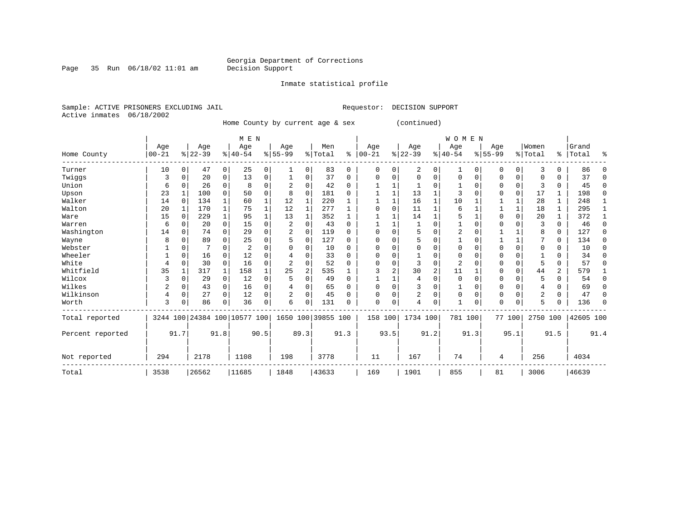Inmate statistical profile

Page 35 Run  $06/18/02$  11:01 am

Sample: ACTIVE PRISONERS EXCLUDING JAIL **Requestor: DECISION SUPPORT** Active inmates 06/18/2002

Home County by current age & sex (continued)

|                  |           |              |           |              |                              | M E N    |             |                |                    |          |              |          |                |      | WOMEN          |             |             |              |                |          |           |          |
|------------------|-----------|--------------|-----------|--------------|------------------------------|----------|-------------|----------------|--------------------|----------|--------------|----------|----------------|------|----------------|-------------|-------------|--------------|----------------|----------|-----------|----------|
|                  | Age       |              | Age       |              | Age                          |          | Age         |                | Men                |          | Age          |          | Age            |      | Age            |             | Age         |              | Women          |          | Grand     |          |
| Home County      | $00 - 21$ |              | $8 22-39$ |              | $8 40-54$                    |          | $8155 - 99$ |                | % Total            | ⊱        | $ 00 - 21$   |          | $ 22-39$       |      | $ 40-54$       |             | $8155 - 99$ |              | % Total        |          | %   Total | ႜ        |
| Turner           | 10        | 0            | 47        | 0            | 25                           | 0        | 1           | 0              | 83                 | 0        | $\Omega$     | 0        | 2              | 0    | 1              | $\Omega$    | 0           | $\Omega$     | 3              | 0        | 86        |          |
| Twiggs           | 3         | $\Omega$     | 20        | 0            | 13                           | $\Omega$ |             | 0              | 37                 | $\Omega$ | <sup>0</sup> | O        | $\Omega$       | 0    | $\Omega$       | 0           | $\Omega$    | 0            | <sup>0</sup>   | 0        | 37        | ∩        |
| Union            | 6         | $\Omega$     | 26        | 0            | 8                            | 0        |             | 0              | 42                 | $\Omega$ |              |          |                | U    |                | $\Omega$    | O           | 0            | 3              | 0        | 45        | $\Omega$ |
| Upson            | 23        |              | 100       | 0            | 50                           | 0        | 8           | 0              | 181                | 0        |              |          | 13             |      | 3              | $\Omega$    |             | $\Omega$     | 17             | 1        | 198       | $\Omega$ |
| Walker           | 14        | $\Omega$     | 134       | $\mathbf{1}$ | 60                           |          | 12          | 1              | 220                |          |              |          | 16             | 1    | 10             |             |             | 1            | 28             | 1        | 248       |          |
| Walton           | 20        |              | 170       | $\mathbf{1}$ | 75                           |          | 12          | 1              | 277                |          |              | $\Omega$ | 11             | 1    | 6              |             |             | $\mathbf{1}$ | 18             | 1        | 295       |          |
| Ware             | 15        | $\Omega$     | 229       | 1            | 95                           |          | 13          | 1              | 352                |          |              |          | 14             | 1    | 5              |             | $\Omega$    | $\mathbf 0$  | 20             | 1        | 372       |          |
| Warren           | 6         | $\Omega$     | 20        | 0            | 15                           | 0        | 2           | $\Omega$       | 43                 | $\Omega$ |              |          |                | O    |                | $\Omega$    | $\Omega$    | $\Omega$     | 3              | $\Omega$ | 46        | $\Omega$ |
| Washington       | 14        | $\Omega$     | 74        | $\Omega$     | 29                           | $\Omega$ |             | $\Omega$       | 119                | $\Omega$ |              | $\Omega$ | 5              | O    | $\overline{2}$ | $\Omega$    |             |              | 8              | $\Omega$ | 127       | $\Omega$ |
| Wayne            | 8         | 0            | 89        | U            | 25                           | 0        |             | 0              | 127                | 0        | ∩            |          | 5              | O    |                | $\Omega$    |             | $\mathbf{1}$ |                | 0        | 134       | ∩        |
| Webster          |           | $\Omega$     |           | 0            | $\overline{2}$               | N        |             | 0              | 10                 | $\Omega$ |              |          |                | O    | $\Omega$       | $\Omega$    | 0           | $\Omega$     | 0              | 0        | 10        | $\Omega$ |
| Wheeler          |           | $\mathbf 0$  | 16        | O            | 12                           | N        |             | $\Omega$       | 33                 | $\Omega$ | O            |          |                | O    | $\Omega$       | $\Omega$    | $\Omega$    | $\Omega$     |                | 0        | 34        | n        |
| White            | 4         | 0            | 30        | $\Omega$     | 16                           | 0        |             | $\Omega$       | 52                 | $\Omega$ |              | O        | 3              | 0    | 2              |             | O           | $\Omega$     | 5              | $\Omega$ | 57        | $\Omega$ |
| Whitfield        | 35        |              | 317       | 1            | 158                          |          | 25          | $\overline{a}$ | 535                |          | 3            | 2        | 30             | 2    | 11             |             | 0           | 0            | 44             | 2        | 579       |          |
| Wilcox           |           | $\mathbf 0$  | 29        | 0            | 12                           | 0        |             | $\Omega$       | 49                 | $\Omega$ |              |          | 4              | 0    | $\Omega$       | $\Omega$    | $\Omega$    | $\Omega$     | 5              | 0        | 54        | $\Omega$ |
| Wilkes           | 2         | $\mathbf 0$  | 43        | 0            | 16                           | 0        |             | $\Omega$       | 65                 | $\Omega$ |              | $\Omega$ | 3              | 0    |                | $\mathbf 0$ | 0           | $\Omega$     | 4              | 0        | 69        |          |
| Wilkinson        | 4         | $\mathbf 0$  | 27        | $\Omega$     | 12                           | $\Omega$ | 2           | $\Omega$       | 45                 | O        | <sup>0</sup> | $\Omega$ | $\overline{2}$ | 0    | $\Omega$       | $\Omega$    | $\Omega$    | $\Omega$     | $\overline{c}$ | $\Omega$ | 47        | n        |
| Worth            | 3         | 0            | 86        | 0            | 36                           | 0        | 6           | $\Omega$       | 131                | 0        | $\Omega$     | 0        | 4              | 0    |                | $\Omega$    | $\Omega$    | $\Omega$     | 5              | 0        | 136       | ∩        |
| Total reported   |           |              |           |              | 3244 100 24384 100 10577 100 |          |             |                | 1650 100 39855 100 |          | 158          | 100      | 1734 100       |      | 781 100        |             |             | 77 100       | 2750 100       |          | 42605 100 |          |
| Percent reported |           | 91.7<br>91.8 |           |              |                              | 90.5     |             | 89.3           |                    | 91.3     |              | 93.5     |                | 91.2 |                | 91.3        |             | 95.1         |                | 91.5     |           | 91.4     |
| Not reported     | 294       | 2178<br>1108 |           |              |                              | 198      |             | 3778           |                    | 11       |              | 167      |                | 74   |                | 4           |             | 256          |                | 4034     |           |          |
| Total            | 3538      |              | 26562     |              | 11685                        |          | 1848        |                | 43633              |          | 169          |          | 1901           |      | 855            |             | 81          |              | 3006           |          | 46639     |          |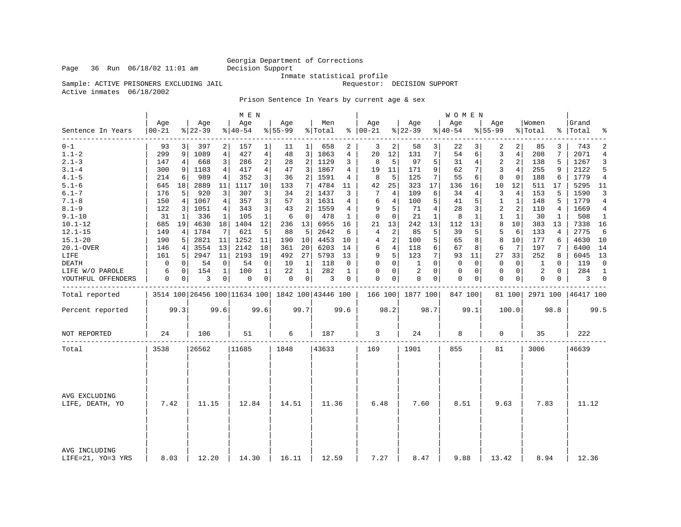Inmate statistical profile

Sample: ACTIVE PRISONERS EXCLUDING JAIL **Requestor:** DECISION SUPPORT

Active inmates 06/18/2002

Prison Sentence In Years by current age & sex

|                                    |                  |             |                  |                | M E N           |              |                  |                |                                                     |              |                      |                |                  |              | W O M E N       |          |                  |                |                  |          |                    |                |
|------------------------------------|------------------|-------------|------------------|----------------|-----------------|--------------|------------------|----------------|-----------------------------------------------------|--------------|----------------------|----------------|------------------|--------------|-----------------|----------|------------------|----------------|------------------|----------|--------------------|----------------|
| Sentence In Years                  | Age<br>$00 - 21$ |             | Age<br>$8 22-39$ |                | Age<br>$ 40-54$ |              | Age<br>$8 55-99$ |                | Men<br>% Total                                      |              | Age<br>$8   00 - 21$ |                | Age<br>$8 22-39$ |              | Age<br>$ 40-54$ |          | Age<br>$8 55-99$ |                | Women<br>% Total |          | Grand<br>%   Total | ႜ              |
| $0 - 1$                            | 93               |             | 397              | 2              | 157             | 1            | 11               | $\mathbf{1}$   | 658                                                 | 2            | 3                    | 2              | 58               | 3            | 22              | 3        | 2                | 2              | 85               | 3        | 743                | 2              |
| $1.1 - 2$                          | 299              | 9           | 1089             | $\overline{4}$ | 427             | 4            | 48               | 3              | 1863                                                | 4            | 20                   | 12             | 131              | 7            | 54              | б.       | 3                | $\overline{4}$ | 208              | 7        | 2071               | $\overline{4}$ |
| $2.1 - 3$                          | 147              | 4           | 668              | 3              | 286             | 2            | 28               | $\overline{2}$ | 1129                                                | 3            | 8                    | 5              | 97               | 5            | 31              | 4        | 2                | $\overline{2}$ | 138              | 5        | 1267               | 3              |
| $3.1 - 4$                          | 300              | 9           | 1103             | 4              | 417             | 4            | 47               | 3              | 1867                                                | 4            | 19                   | 11             | 171              | 9            | 62              | 7        | 3                | $\overline{4}$ | 255              | 9        | 2122               | 5              |
| $4.1 - 5$                          | 214              | 6           | 989              | 4              | 352             | 3            | 36               | 2              | 1591                                                | 4            | 8                    | 5              | 125              | 7            | 55              | 6        | 0                | $\mathbf 0$    | 188              | 6        | 1779               | $\overline{4}$ |
| $5.1 - 6$                          | 645              | 18          | 2889             | 11             | 1117            | 10           | 133              | 7 <sup>1</sup> | 4784                                                | 11           | 42                   | 25             | 323              | 17           | 136             | 16       | 10               | 12             | 511              | 17       | 5295               | - 11           |
| $6.1 - 7$                          | 176              | 5           | 920              | 3              | 307             | 3            | 34               | 2              | 1437                                                | 3            | 7                    | 4              | 109              | 6            | 34              | 4        | 3                | 4              | 153              | 5        | 1590               | 3              |
| $7.1 - 8$                          | 150              | 4           | 1067             | 4              | 357             | 3            | 57               | $\overline{3}$ | 1631                                                | 4            | 6                    | $\overline{4}$ | 100              | 5            | 41              | 5        | 1                | $\mathbf{1}$   | 148              | 5        | 1779               | $\overline{4}$ |
| $8.1 - 9$                          | 122              | 3           | 1051             | 4              | 343             | 3            | 43               | 2              | 1559                                                | 4            | 9                    | 5              | 71               | 4            | 28              | 3        | 2                | 2              | 110              | 4        | 1669               | 4              |
| $9.1 - 10$                         | 31               | 1           | 336              | 1              | 105             | $\mathbf{1}$ | 6                | 0              | 478                                                 | 1            | $\mathbf 0$          | 0              | 21               | $\mathbf{1}$ | 8               | 1        | $\mathbf{1}$     | $\mathbf{1}$   | 30               | 1        | 508                | $\mathbf{1}$   |
| $10.1 - 12$                        | 685              | 19          | 4630             | 18             | 1404            | 12           | 236              | 13             | 6955                                                | 16           | 21                   | 13             | 242              | 13           | 112             | 13       | 8                | 10             | 383              | 13       | 7338               | 16             |
| $12.1 - 15$                        | 149              | 4           | 1784             | 7              | 621             | 5            | 88               | 5              | 2642                                                | 6            | 4                    | 2              | 85               | 5            | 39              | 5        | 5                | 6              | 133              | 4        | 2775               | 6              |
| $15.1 - 20$                        | 190              | 5           | 2821             | 11             | 1252            | 11           | 190              | 10             | 4453                                                | 10           | 4                    | 2              | 100              | 5            | 65              | 8        | 8                | 10             | 177              | 6        | 4630               | 10             |
| 20.1-OVER                          | 146              | 4           | 3554             | 13             | 2142            | 18           | 361              | 20             | 6203                                                | 14           | 6                    | 4              | 118              | 6            | 67              | 8        | 6                | 7              | 197              | 7        | 6400               | 14             |
| LIFE                               | 161              | 5           | 2947             | 11             | 2193            | 19           | 492              | 27             | 5793                                                | 13           | 9                    | 5              | 123              | 7            | 93              | 11       | 27               | 33             | 252              | 8        | 6045               | 13             |
| DEATH                              | 0                | 0           | 54               | 0              | 54              | 0            | 10               | 1              | 118                                                 | $\Omega$     | $\Omega$             | 0              | 1                | $\Omega$     | $\Omega$        | $\Omega$ | $\Omega$         | 0              | 1                | $\Omega$ | 119                | $\Omega$       |
| LIFE W/O PAROLE                    | 6                | $\mathbf 0$ | 154              | $\mathbf{1}$   | 100             | $\mathbf{1}$ | 22               | $\mathbf{1}$   | 282                                                 | $\mathbf{1}$ | 0                    | 0              | $\overline{2}$   | $\Omega$     | 0               | 0        | $\mathbf 0$      | 0 <sup>1</sup> | 2                | $\Omega$ | 284                | $\mathbf{1}$   |
| YOUTHFUL OFFENDERS                 | 0                | 0           | 3                | 0              | 0               | 0            | $\mathbf 0$      | 0 <sup>1</sup> | 3                                                   | 0            | 0                    | 0              | $\mathbf 0$      | 0            | 0               | 0        | $\mathbf 0$      | 0 <sup>1</sup> | 0                | 0        | 3                  | $\mathbf 0$    |
| Total reported                     |                  |             |                  |                |                 |              |                  |                | 3514 100 26456 100 11634 100   1842 100   43446 100 |              |                      |                | 166 100 1877 100 |              | 847 100         |          |                  | 81 100         | 2971 100         |          | 46417 100          |                |
| Percent reported                   |                  | 99.3        |                  | 99.6           |                 | 99.6         |                  | 99.7           |                                                     | 99.6         |                      | 98.2           |                  | 98.7         |                 | 99.1     |                  | 100.0          |                  | 98.8     |                    | 99.5           |
| NOT REPORTED                       | 24               |             | 106              |                | 51              |              | 6                |                | 187                                                 |              | 3                    |                | 24               |              | 8               |          | 0                |                | 35               |          | 222                |                |
| Total                              | 3538             |             | 26562            |                | 11685           |              | 1848             |                | 43633                                               |              | 169                  |                | 1901             |              | 855             |          | 81               |                | 3006             |          | 46639              |                |
|                                    |                  |             |                  |                |                 |              |                  |                |                                                     |              |                      |                |                  |              |                 |          |                  |                |                  |          |                    |                |
| AVG EXCLUDING<br>LIFE, DEATH, YO   | 7.42<br>11.15    |             | 12.84            |                | 14.51           |              | 11.36            |                | 6.48                                                |              | 7.60                 |                | 8.51             |              | 9.63            |          | 7.83             |                | 11.12            |          |                    |                |
|                                    |                  |             |                  |                |                 |              |                  |                |                                                     |              |                      |                |                  |              |                 |          |                  |                |                  |          |                    |                |
| AVG INCLUDING<br>LIFE=21, YO=3 YRS | 8.03             |             | 12.20            |                | 14.30           |              | 16.11            |                | 12.59                                               |              | 7.27                 |                | 8.47             |              | 9.88            |          | 13.42            |                | 8.94             |          | 12.36              |                |

Page 36 Run  $06/18/02$  11:01 am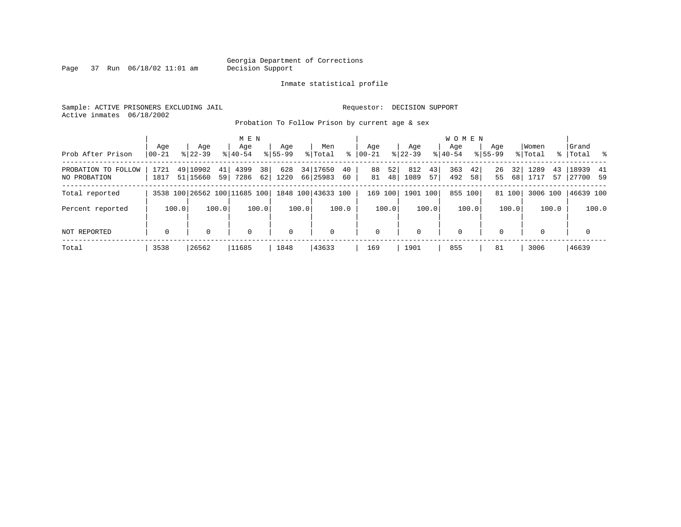Page 37 Run  $06/18/02$  11:01 am

#### Inmate statistical profile

Sample: ACTIVE PRISONERS EXCLUDING JAIL **Requestor: DECISION SUPPORT** Active inmates 06/18/2002

Probation To Follow Prison by current age & sex

|                                     | Aqe          | Age                                             |             | M E N<br>Age             | Aqe         |                      | Men      |   | Aqe         |          | Age         |          | <b>WOMEN</b><br>Aqe |          | Age         |          | Women        |          | Grand              |               |
|-------------------------------------|--------------|-------------------------------------------------|-------------|--------------------------|-------------|----------------------|----------|---|-------------|----------|-------------|----------|---------------------|----------|-------------|----------|--------------|----------|--------------------|---------------|
| Prob After Prison                   | $ 00-21$     | $8122 - 39$                                     | $8140 - 54$ |                          | $8155 - 99$ |                      | % Total  | ႜ | $00 - 21$   |          | $8122 - 39$ |          | $8140 - 54$         |          | $8155 - 99$ |          | % Total      |          | %   Total          | $\frac{9}{6}$ |
| PROBATION TO FOLLOW<br>NO PROBATION | 1721<br>1817 | 49 10902<br>51 15660                            | 41<br>59    | 4399<br>38<br>7286<br>62 | 628<br>1220 | 34 17650<br>66 25983 | 40<br>60 |   | 88<br>81    | 52<br>48 | 812<br>1089 | 43<br>57 | 363<br>492          | 42<br>58 | 26<br>55    | 32<br>68 | 1289<br>1717 | 43<br>57 | 18939<br> 27700 59 | 41            |
| Total reported                      |              | 3538 100 26562 100 11685 100 1848 100 43633 100 |             |                          |             |                      |          |   | 169 100     |          | 1901 100    |          | 855 100             |          |             | 81 100   | 3006 100     |          | 46639 100          |               |
| Percent reported                    | 100.0        |                                                 | 100.0       | 100.0                    |             | 100.0                | 100.0    |   |             | 100.0    |             | 100.0    |                     | 100.0    |             | 100.0    |              | 100.0    |                    | 100.0         |
| NOT REPORTED                        | $\mathbf 0$  | $\Omega$                                        |             | $\mathbf 0$              | $\mathbf 0$ |                      | 0        |   | $\mathbf 0$ |          | $\Omega$    |          | $\mathbf 0$         |          | $\Omega$    |          | $\Omega$     |          | $\mathbf 0$        |               |
| Total                               | 3538         | 26562                                           | 11685       |                          | 1848        |                      | 43633    |   | 169         |          | 1901        |          | 855                 |          | 81          |          | 3006         |          | 46639              |               |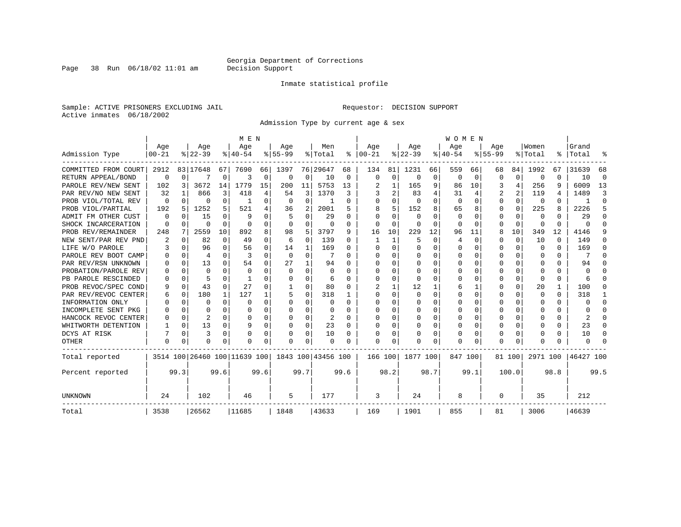Page 38 Run  $06/18/02$  11:01 am

#### Inmate statistical profile

Sample: ACTIVE PRISONERS EXCLUDING JAIL **Requestor: DECISION SUPPORT** Active inmates 06/18/2002

Admission Type by current age & sex

|                      |           |          |           |              | M E N                        |      |          |              |                    |      |              |             |              |          | WOMEN    |              |                |          |                  |      |           |          |
|----------------------|-----------|----------|-----------|--------------|------------------------------|------|----------|--------------|--------------------|------|--------------|-------------|--------------|----------|----------|--------------|----------------|----------|------------------|------|-----------|----------|
|                      | Age       |          | Age       |              | Age                          |      | Age      |              | Men                |      | Age          |             | Age          |          | Age      |              | Age            |          | Women            |      | Grand     |          |
| Admission Type       | $00 - 21$ |          | $8 22-39$ |              | $8 40-54$                    |      | $ 55-99$ |              | % Total            | ႜ    | $ 00-21$     |             | $ 22-39 $    |          | $ 40-54$ |              | $8 55-99$      |          | % Total          | ႜၟ   | Total     |          |
| COMMITTED FROM COURT | 2912      |          | 83 17648  | 67           | 7690                         | 66   | 1397     |              | 76 29647           | 68   | 134          | 81          | 1231         | 66       | 559      | 66           | 68             | 84       | 1992             | 67   | 31639     | 68       |
| RETURN APPEAL/BOND   | 0         | $\Omega$ |           | 0            | 3                            | 0    | 0        | 0            | 10                 | 0    | 0            | $\mathbf 0$ | $\Omega$     | 0        | 0        | 0            | O              | 0        | 0                | U    | 10        | $\Omega$ |
| PAROLE REV/NEW SENT  | 102       | 3        | 3672      | 14           | 1779                         | 15   | 200      | 11           | 5753               | 13   |              | 1           | 165          | 9        | 86       | 10           | 3              | 4        | 256              | 9    | 6009      | 13       |
| PAR REV/NO NEW SENT  | 32        |          | 866       | 3            | 418                          | 4    | 54       | 3            | 1370               | 3    |              | 2           | 83           | 4        | 31       |              | $\overline{2}$ | 2        | 119              | 4    | 1489      | 3        |
| PROB VIOL/TOTAL REV  | 0         | $\Omega$ | 0         | 0            | -1                           | 0    | $\Omega$ | $\Omega$     |                    | O    | <sup>0</sup> | 0           | $\Omega$     | $\Omega$ | $\Omega$ | 0            | $\Omega$       | $\Omega$ | $\Omega$         | U    |           | $\Omega$ |
| PROB VIOL/PARTIAL    | 192       | 5        | 1252      | 5            | 521                          | 4    | 36       | 2            | 2001               | 5    | 8            | 5           | 152          | 8        | 65       | 8            | O              | $\Omega$ | 225              | 8    | 2226      | 5        |
| ADMIT FM OTHER CUST  | $\Omega$  | $\Omega$ | 15        | 0            | q                            | 0    |          | 0            | 29                 | O    | $\Omega$     | 0           | $\Omega$     | O        | $\Omega$ | <sup>0</sup> | $\Omega$       | $\Omega$ | $\Omega$         | 0    | 29        | ∩        |
| SHOCK INCARCERATION  | 0         | $\Omega$ | 0         | $\Omega$     | $\Omega$                     | 0    | $\Omega$ | 0            | 0                  | 0    | $\Omega$     | $\mathbf 0$ | $\Omega$     | $\Omega$ | $\Omega$ | <sup>0</sup> | $\Omega$       | $\Omega$ | 0                | 0    | U         | ∩        |
| PROB REV/REMAINDER   | 248       | 7        | 2559      | 10           | 892                          | 8    | 98       | 5            | 3797               | 9    | 16           | 10          | 229          | 12       | 96       | 11           | 8              | 10       | 349              | 12   | 4146      |          |
| NEW SENT/PAR REV PND | 2         | $\Omega$ | 82        | $\Omega$     | 49                           | 0    | 6        | $\mathbf 0$  | 139                | 0    |              | 1           | 5            | $\Omega$ | 4        | $\Omega$     | O              | $\Omega$ | 10               | 0    | 149       | O        |
| LIFE W/O PAROLE      |           | $\Omega$ | 96        | 0            | 56                           | 0    | 14       | 1            | 169                | 0    | <sup>0</sup> | $\Omega$    | $\Omega$     | $\Omega$ | Ω        | O            | $\Omega$       | $\Omega$ | <sup>0</sup>     | 0    | 169       | O        |
| PAROLE REV BOOT CAMP |           | $\Omega$ | 4         | 0            | 3                            | 0    | $\Omega$ | 0            |                    | O    |              | 0           | $\Omega$     | O        | Ω        | O            | O              | $\Omega$ | <sup>0</sup>     | 0    |           | ſ        |
| PAR REV/RSN UNKNOWN  |           | $\Omega$ | 13        | <sup>n</sup> | 54                           | 0    | 27       | $\mathbf{1}$ | 94                 | U    |              | 0           | U            | U        | U        | O            | ∩              | $\Omega$ | n                | U    | 94        |          |
| PROBATION/PAROLE REV |           | ∩        | $\Omega$  | U            | $\Omega$                     | 0    | $\Omega$ | $\Omega$     | n                  | U    | ∩            | U           | U            | U        | U        | O            | ∩              | $\Omega$ | U                | U    | U         |          |
| PB PAROLE RESCINDED  |           | $\Omega$ |           | U            |                              | U    | U        | $\Omega$     | 6                  | U    | <sup>0</sup> | 0           | ∩            | U        | O        | O            | ∩              | $\Omega$ | ∩                | 0    | 6         |          |
| PROB REVOC/SPEC COND |           | $\Omega$ | 43        | 0            | 27                           | U    |          | 0            | 80                 | O    |              |             | 12           |          | 6        |              | $\Omega$       | $\Omega$ | 20               | 1    | 100       | O        |
| PAR REV/REVOC CENTER | 6         | 0        | 180       | 1            | 127                          |      |          | 0            | 318                |      | <sup>0</sup> | 0           | <sup>0</sup> | O        | 0        | 0            | O              | U        | O                | 0    | 318       |          |
| INFORMATION ONLY     |           | 0        | U         | $\Omega$     | $\Omega$                     | 0    | U        | 0            | 0                  | U    | ∩            | 0           | 0            | O        | 0        | $\Omega$     | ∩              | $\Omega$ | $\left( \right)$ | 0    | U         | ∩        |
| INCOMPLETE SENT PKG  |           | $\Omega$ | U         | 0            | <sup>0</sup>                 | 0    | U        | $\Omega$     | 0                  | U    | n            | $\Omega$    | 0            | O        | U        | 0            | ∩              | $\Omega$ |                  | 0    |           | n        |
| HANCOCK REVOC CENTER |           | $\Omega$ | 2         | 0            | n                            | 0    |          | $\Omega$     | 2                  | O    |              | $\Omega$    | 0            | O        | 0        | $\Omega$     | O              | $\Omega$ |                  | 0    | 2         | n        |
| WHITWORTH DETENTION  |           | $\Omega$ | 13        | 0            |                              | 0    | O        | 0            | 23                 | O    | <sup>0</sup> | 0           | $\Omega$     | $\Omega$ | U        | $\Omega$     | $\Omega$       | $\Omega$ |                  | 0    | 23        | ∩        |
| DCYS AT RISK         |           | $\Omega$ | 3         | 0            |                              | 0    |          | 0            | 10                 | O    |              | 0           |              | 0        | 0        | $\Omega$     | $\Omega$       | $\Omega$ |                  | 0    | 10        | ∩        |
| OTHER                | $\Omega$  | 0        | O         | 0            | O                            | 0    | O        | $\Omega$     | O                  | O    | $\Omega$     | 0           | O            | $\Omega$ | 0        | O            | $\Omega$       | $\Omega$ |                  | U    | U         |          |
| Total reported       |           |          |           |              | 3514 100 26460 100 11639 100 |      |          |              | 1843 100 43456 100 |      | 166 100      |             | 1877 100     |          | 847 100  |              |                | 81 100   | 2971 100         |      | 46427 100 |          |
| Percent reported     |           | 99.3     |           | 99.6         |                              | 99.6 |          | 99.7         |                    | 99.6 |              | 98.2        |              | 98.7     |          | 99.1         |                | 100.0    |                  | 98.8 |           | 99.5     |
| UNKNOWN              | 24        |          | 102       |              | 46                           |      | 5        |              | 177                |      | 3            |             | 24           |          | 8        |              | $\Omega$       |          | 35               |      | 212       |          |
| Total                | 3538      |          | 26562     |              | 11685                        |      | 1848     |              | 43633              |      | 169          |             | 1901         |          | 855      |              | 81             |          | 3006             |      | 46639     |          |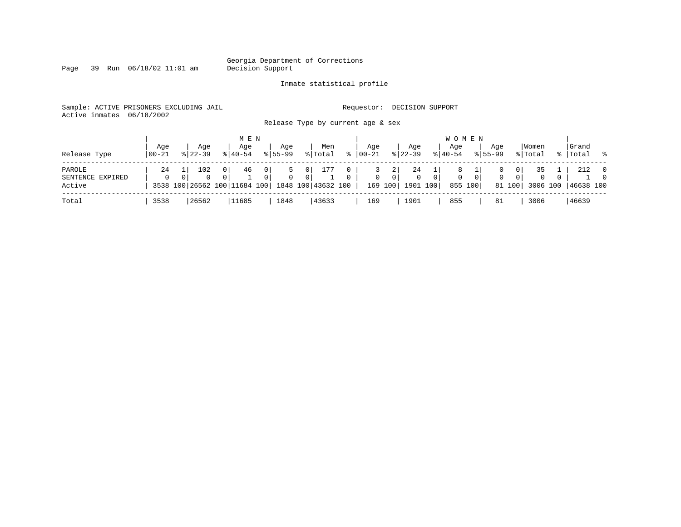Page 39 Run  $06/18/02$  11:01 am

#### Inmate statistical profile

Sample: ACTIVE PRISONERS EXCLUDING JAIL **Requestor: DECISION SUPPORT** Active inmates 06/18/2002

Release Type by current age & sex

| Release Type                         | Aqe<br>  00-21 | Age<br>$8122 - 39$ | M E N<br>Age<br>$8140 - 54$ | Age<br>$8155 - 99$                                                                   | Men<br>% Total                          | $\approx$         | Aqe<br>$ 00 - 21$ | Aqe<br>$8 22-39$                                                 | Age<br>$ 40-54 $    | W O M E N<br>Aqe<br>$8155 - 99$           | Women<br>% Total                                                 | Grand<br>%   Total<br>$\sim$ 8 |                                  |
|--------------------------------------|----------------|--------------------|-----------------------------|--------------------------------------------------------------------------------------|-----------------------------------------|-------------------|-------------------|------------------------------------------------------------------|---------------------|-------------------------------------------|------------------------------------------------------------------|--------------------------------|----------------------------------|
| PAROLE<br>SENTENCE EXPIRED<br>Active | 24<br>$\Omega$ | 102<br>0           | 46<br>0 I                   | $\mathbf{0}$<br>$\mathbf{0}$<br>0<br>3538 100 26562 100 11684 100 1848 100 43632 100 | 177<br>0 <sup>1</sup><br>0 <sup>1</sup> | 0<br>$\mathbf{0}$ | $\circ$           | 24<br>2<br>$\overline{0}$<br>$\mathbf{0}$<br>1901 100<br>169 100 | 0 <sup>1</sup><br>0 | $\mathbf{0}$<br>0 <sup>1</sup><br>855 100 | 35<br>01<br>0 <sup>1</sup><br>$\mathbf{0}$<br>81 100<br>3006 100 | 212<br>$\circ$<br>46638 100    | $\overline{0}$<br>$\overline{0}$ |
| Total                                | 3538           | 26562              | 11685                       | 1848                                                                                 | 43633                                   |                   | 169               | 1901                                                             | 855                 | 81                                        | 3006                                                             | 46639                          |                                  |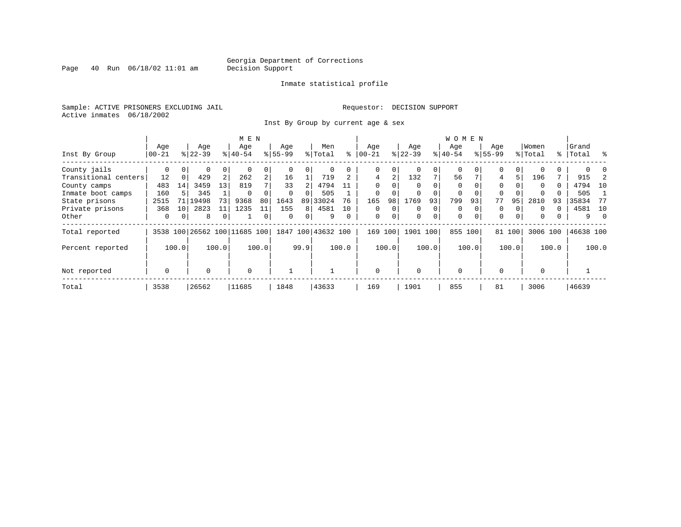Page  $40$  Run  $06/18/02$  11:01 am

#### Inmate statistical profile

Sample: ACTIVE PRISONERS EXCLUDING JAIL **Requestor: DECISION SUPPORT** Active inmates 06/18/2002

Inst By Group by current age & sex

|                      |             |          |           |          | M E N                        |                |             |          |                    |          |                |          |          |          | <b>WOMEN</b> |          |             |          |          |       |           |          |
|----------------------|-------------|----------|-----------|----------|------------------------------|----------------|-------------|----------|--------------------|----------|----------------|----------|----------|----------|--------------|----------|-------------|----------|----------|-------|-----------|----------|
|                      | Age         |          | Age       |          | Age                          |                | Age         |          | Men                |          | Age            |          | Age      |          | Age          |          | Age         |          | Women    |       | Grand     |          |
| Inst By Group        | $00 - 21$   |          | $8 22-39$ |          | $ 40-54 $                    |                | $8155 - 99$ |          | % Total            | ႜ        | $ 00 - 21$     |          | $ 22-39$ |          | $8 40-54$    |          | $8155 - 99$ |          | % Total  |       | %   Total | ွေ       |
| County jails         | 0           | $\Omega$ | 0         | 0        |                              | 0              |             |          | 0                  |          | 0              | 0        |          | $\Omega$ | $\Omega$     |          | 0           | $\Omega$ |          |       |           |          |
| Transitional centers | 12          | 0        | 429       | 2        | 262                          | $\overline{a}$ | 16          |          | 719                |          | $\overline{4}$ | 2        | 132      | 7        | 56           |          | 4           | 5        | 196      |       | 915       |          |
| County camps         | 483         | 14       | 3459      | 13       | 819                          | 7              | 33          |          | 4794               |          | $\Omega$       |          |          |          | $\Omega$     |          | $\Omega$    |          | $\Omega$ | 0     | 4794      | 10       |
| Inmate boot camps    | 160         |          | 345       |          | $\Omega$                     |                | $\Omega$    |          | 505                |          | $\mathbf 0$    |          |          |          | 0            |          | $\Omega$    |          |          |       | 505       |          |
| State prisons        | 2515        | 71       | 19498     | 73       | 9368                         | 80             | 1643        |          | 89 33024           | 76       | 165            | 98       | 1769     | 93       | 799          | 93       | 77          | 95       | 2810     | 93    | 35834     | -77      |
| Private prisons      | 368         | 10       | 2823      | 11       | 1235                         | 11             | 155         | 8        | 4581               | 10       | $\Omega$       | $\Omega$ | $\Omega$ | $\Omega$ | $\Omega$     |          | $\Omega$    | $\Omega$ | $\Omega$ | 0     | 4581      | 10       |
| Other                | 0           | $\Omega$ | 8         | $\Omega$ |                              | 0              | $\Omega$    | $\Omega$ | 9                  | $\Omega$ | $\mathbf 0$    | 0        | $\Omega$ | $\Omega$ | $\mathbf 0$  | $\Omega$ | $\Omega$    | $\Omega$ | $\Omega$ |       | 9         | $\Omega$ |
| Total reported       |             |          |           |          | 3538 100 26562 100 11685 100 |                |             |          | 1847 100 43632 100 |          | 169            | 100      | 1901     | 100      | 855 100      |          |             | 81 100   | 3006 100 |       | 46638 100 |          |
| Percent reported     |             | 100.0    |           | 100.0    |                              | 100.0          |             | 99.9     |                    | 100.0    |                | 100.0    |          | 100.0    |              | 100.0    |             | 100.0    |          | 100.0 |           | 100.0    |
| Not reported         | $\mathbf 0$ |          | $\Omega$  |          | $\Omega$                     |                |             |          |                    |          | $\Omega$       |          | $\Omega$ |          | $\Omega$     |          | $\Omega$    |          | $\Omega$ |       |           |          |
| Total                | 3538        |          | 26562     |          | 11685                        |                | 1848        |          | 43633              |          | 169            |          | 1901     |          | 855          |          | 81          |          | 3006     |       | 46639     |          |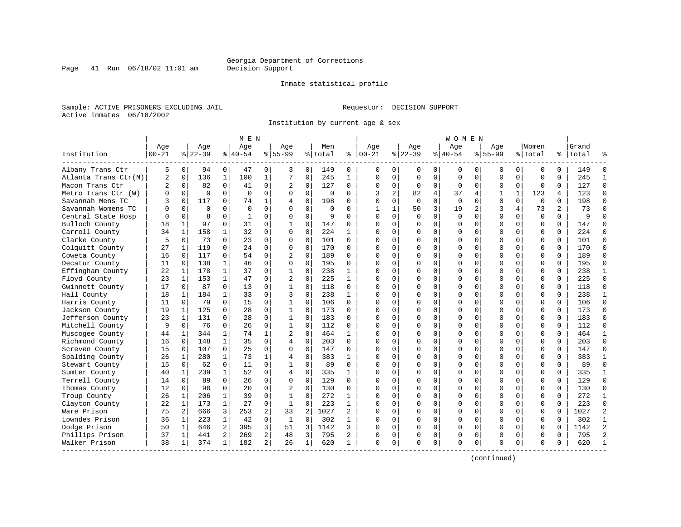Inmate statistical profile

Sample: ACTIVE PRISONERS EXCLUDING JAIL **Requestor: DECISION SUPPORT** Active inmates 06/18/2002

Institution by current age & sex

| Institution<br>$00 - 21$<br>Albany Trans Ctr<br>Atlanta Trans Ctr(M)<br>Macon Trans Ctr<br>Metro Trans Ctr (W) | Age<br>5<br>$\overline{a}$<br>2<br>O | Age<br>$8 22-39$<br>0<br>136<br>$\mathbf 0$<br>0 | 94       | Age<br>$8 40-54$<br>0<br>47 | 0              | Aqe<br>$8 55-99$ |             | Men<br>% Total | ៖              | Aqe<br>$ 00-21$ |                | Aqe<br>$8 22-39$ |                | Age<br>$8140 - 54$ |             | Aqe<br>$8155 - 99$ |              | Women<br>% Total | %        | Grand<br>Total |                |
|----------------------------------------------------------------------------------------------------------------|--------------------------------------|--------------------------------------------------|----------|-----------------------------|----------------|------------------|-------------|----------------|----------------|-----------------|----------------|------------------|----------------|--------------------|-------------|--------------------|--------------|------------------|----------|----------------|----------------|
|                                                                                                                |                                      |                                                  |          |                             |                |                  |             |                |                |                 |                |                  |                |                    |             |                    |              |                  |          |                |                |
|                                                                                                                |                                      |                                                  |          |                             |                | 3                | 0           | 149            | 0              | 0               | 0              | 0                | 0              | 0                  | 0           | 0                  | 0            | $\mathbf 0$      | $\Omega$ | 149            |                |
|                                                                                                                |                                      |                                                  |          | $\mathbf{1}$<br>100         | $\mathbf{1}$   | 7                | $\mathbf 0$ | 245            | $\mathbf{1}$   | $\Omega$        | $\mathbf 0$    | $\mathbf 0$      | $\mathbf 0$    | $\Omega$           | $\mathbf 0$ | $\mathbf 0$        | $\Omega$     | $\mathbf 0$      | $\Omega$ | 245            | $\mathbf{1}$   |
|                                                                                                                |                                      |                                                  | 82       | 0<br>41                     | 0              | 2                | 0           | 127            | 0              | $\Omega$        | $\mathbf{0}$   | $\mathbf 0$      | 0              | $\mathbf 0$        | $\mathbf 0$ | 0                  | 0            | $\mathbf 0$      | 0        | 127            | $\Omega$       |
|                                                                                                                |                                      | $\Omega$                                         | $\Omega$ | $\Omega$<br>$\Omega$        | $\mathbf 0$    | $\Omega$         | $\mathbf 0$ | $\Omega$       | $\Omega$       | 3               | $\overline{a}$ | 82               | 4              | 37                 | 4           | $\mathbf{1}$       | $\mathbf{1}$ | 123              | 4        | 123            | $\Omega$       |
| Savannah Mens TC                                                                                               |                                      | $\Omega$<br>117                                  |          | 0<br>74                     | 1              | 4                | $\Omega$    | 198            | $\Omega$       | $\Omega$        | $\Omega$       | $\Omega$         | $\Omega$       | $\Omega$           | $\Omega$    | $\Omega$           | $\Omega$     | $\Omega$         | $\Omega$ | 198            | $\Omega$       |
| Savannah Womens TC                                                                                             |                                      | $\Omega$                                         | $\Omega$ | $\Omega$<br>$\Omega$        | $\Omega$       | $\cap$           | $\Omega$    | $\Omega$       | 0              | 1               | $\mathbf{1}$   | 50               | $\overline{3}$ | 19                 | 2           | 3                  | 4            | 73               | 2        | 73             | $\Omega$       |
| Central State Hosp                                                                                             |                                      | $\mathbf 0$                                      | 8        | $\mathbf 0$<br>1            | 0              | $\Omega$         | $\mathbf 0$ | 9              | $\Omega$       | $\Omega$        | $\Omega$       | $\Omega$         | $\mathbf 0$    | $\Omega$           | $\mathbf 0$ | $\Omega$           | $\mathbf 0$  | $\mathbf 0$      | $\Omega$ | 9              | $\cap$         |
| Bulloch County                                                                                                 | 18                                   | 1                                                | 97       | $\Omega$<br>31              | $\Omega$       | $\mathbf{1}$     | $\mathbf 0$ | 147            | 0              | $\cap$          | $\Omega$       | $\Omega$         | 0              | $\Omega$           | $\Omega$    | $\Omega$           | $\Omega$     | $\Omega$         | $\Omega$ | 147            | $\Omega$       |
| Carroll County                                                                                                 | 34                                   | 158<br>$\mathbf 1$                               |          | 32<br>$\mathbf{1}$          | 0              | $\Omega$         | $\mathbf 0$ | 224            | 1              | $\Omega$        | $\Omega$       | $\Omega$         | 0              | $\Omega$           | 0           | $\Omega$           | $\Omega$     | $\mathbf 0$      | $\Omega$ | 224            | $\Omega$       |
| Clarke County                                                                                                  | 5                                    | 0                                                | 73       | $\Omega$<br>23              | 0              | $\Omega$         | $\mathbf 0$ | 101            | 0              |                 | 0              | $\Omega$         | 0              | $\Omega$           | 0           | $\Omega$           | $\Omega$     | $\Omega$         | $\Omega$ | 101            | $\Omega$       |
| Colquitt County                                                                                                | 27                                   | 119<br>1                                         |          | 0<br>24                     | $\Omega$       | $\Omega$         | $\Omega$    | 170            | $\Omega$       | $\cap$          | 0              | $\Omega$         | 0              | $\Omega$           | $\Omega$    | $\Omega$           | $\Omega$     | $\Omega$         | $\Omega$ | 170            | $\Omega$       |
| Coweta County                                                                                                  | 16                                   | 117<br>$\Omega$                                  |          | $\Omega$<br>54              | $\Omega$       | $\overline{c}$   | $\Omega$    | 189            | $\Omega$       | ∩               | $\Omega$       | $\Omega$         | $\Omega$       | $\Omega$           | $\Omega$    | $\Omega$           | $\Omega$     | $\Omega$         | $\Omega$ | 189            | $\Omega$       |
| Decatur County                                                                                                 | 11                                   | 138<br>0                                         |          | $\mathbf{1}$<br>46          | $\Omega$       | $\Omega$         | $\mathbf 0$ | 195            | $\Omega$       |                 | $\Omega$       | O                | $\Omega$       | $\Omega$           | $\mathbf 0$ | $\Omega$           | $\Omega$     | $\mathbf 0$      | $\Omega$ | 195            | $\Omega$       |
| Effingham County                                                                                               | 22                                   | 178<br>$\mathbf 1$                               |          | $\mathbf{1}$<br>37          | $\Omega$       | $\mathbf 1$      | $\Omega$    | 238            | 1              | $\cap$          | $\Omega$       | O                | 0              | ∩                  | 0           | $\Omega$           | $\Omega$     | $\Omega$         | $\Omega$ | 238            | $\mathbf{1}$   |
| Floyd County                                                                                                   | 23                                   | 153<br>$\mathbf 1$                               |          | $\mathbf{1}$<br>47          | 0              | $\overline{2}$   | $\mathbf 0$ | 225            | 1              | ∩               | $\Omega$       | $\Omega$         | 0              | $\Omega$           | 0           | $\Omega$           | $\Omega$     | $\mathbf 0$      | $\Omega$ | 225            | $\Omega$       |
| Gwinnett County                                                                                                | 17                                   | $\mathbf 0$                                      | 87       | $\Omega$<br>13              | 0              |                  | $\Omega$    | 118            | $\Omega$       |                 | 0              | $\Omega$         | 0              | $\Omega$           | 0           | $\Omega$           | $\Omega$     | $\Omega$         | $\Omega$ | 118            | $\Omega$       |
| Hall County                                                                                                    | 18                                   | 184<br>$\mathbf{1}$                              |          | $\mathbf{1}$<br>33          | $\Omega$       | 3                | $\Omega$    | 238            | $\mathbf{1}$   | ∩               | $\Omega$       | $\Omega$         | $\Omega$       | $\Omega$           | $\Omega$    | $\Omega$           | $\Omega$     | $\Omega$         | $\Omega$ | 238            | $\mathbf{1}$   |
| Harris County                                                                                                  | 11                                   | $\Omega$                                         | 79       | $\Omega$<br>15              | 0              | 1                | $\Omega$    | 106            | $\Omega$       | ∩               | $\cap$         | $\Omega$         | 0              | $\Omega$           | $\Omega$    | $\Omega$           | $\Omega$     | $\Omega$         | $\Omega$ | 106            | $\Omega$       |
| Jackson County                                                                                                 | 19                                   | $\mathbf 1$<br>125                               |          | $\mathbf 0$<br>28           | $\mathbf 0$    | $\mathbf 1$      | $\mathbf 0$ | 173            | $\Omega$       |                 | $\Omega$       | O                | $\mathbf 0$    | C                  | $\mathbf 0$ | $\Omega$           | $\Omega$     | $\mathbf 0$      | $\Omega$ | 173            | $\Omega$       |
| Jefferson County                                                                                               | 23                                   | $\mathbf 1$<br>131                               |          | $\Omega$<br>28              | 0              | $\mathbf{1}$     | 0           | 183            | $\Omega$       | $\cap$          | 0              | 0                | 0              | $\Omega$           | 0           | $\Omega$           | $\Omega$     | $\Omega$         | $\Omega$ | 183            | $\Omega$       |
| Mitchell County                                                                                                | 9                                    | $\Omega$                                         | 76       | $\Omega$<br>26              | 0              | $\mathbf{1}$     | $\Omega$    | 112            | $\Omega$       | $\cap$          | 0              | $\Omega$         | $\Omega$       | $\Omega$           | 0           | $\Omega$           | $\Omega$     | $\Omega$         | $\Omega$ | 112            | $\Omega$       |
| Muscogee County                                                                                                | 44                                   | 1                                                | 344      | $\mathbf{1}$<br>74          | 1              | 2                | $\mathbf 0$ | 464            | 1              | ∩               | 0              | U                | 0              | $\Omega$           | 0           | $\Omega$           | $\Omega$     | $\mathbf 0$      | 0        | 464            | -1             |
| Richmond County                                                                                                | 16                                   | 148<br>0                                         |          | $\mathbf{1}$<br>35          | $\Omega$       | 4                | $\mathbf 0$ | 203            | $\Omega$       | ∩               | $\Omega$       | $\Omega$         | $\Omega$       | $\Omega$           | $\Omega$    | $\Omega$           | $\Omega$     | $\Omega$         | $\Omega$ | 203            | $\Omega$       |
| Screven County                                                                                                 | 15                                   | 107<br>0                                         |          | 25<br>0                     | 0              | $\Omega$         | $\mathbf 0$ | 147            | $\Omega$       | $\cap$          | 0              | $\Omega$         | $\Omega$       | $\Omega$           | 0           | $\Omega$           | $\Omega$     | $\mathbf 0$      | $\Omega$ | 147            | $\Omega$       |
| Spalding County                                                                                                | 26                                   | 1                                                | 280      | $\mathbf{1}$<br>73          | 1              | 4                | $\Omega$    | 383            | $\mathbf{1}$   | <sup>0</sup>    | $\Omega$       | 0                | $\Omega$       | $\Omega$           | $\mathbf 0$ | $\Omega$           | $\Omega$     | $\Omega$         | $\Omega$ | 383            | $\mathbf{1}$   |
| Stewart County                                                                                                 | 15                                   | $\Omega$                                         | 62       | $\Omega$<br>11              | $\Omega$       | $\mathbf{1}$     | $\mathbf 0$ | 89             | $\Omega$       | $\Omega$        | $\Omega$       | O                | 0              | $\Omega$           | $\mathbf 0$ | $\Omega$           | $\Omega$     | $\mathbf 0$      | $\Omega$ | 89             | $\Omega$       |
| Sumter County                                                                                                  | 40                                   | 1                                                | 239      | $\mathbf{1}$<br>52          | 0              | 4                | $\mathbf 0$ | 335            | 1              | $\cap$          | $\Omega$       | $\Omega$         | $\mathbf 0$    | $\Omega$           | 0           | $\Omega$           | $\Omega$     | $\mathbf 0$      | $\Omega$ | 335            | $\mathbf{1}$   |
| Terrell County                                                                                                 | 14                                   | $\Omega$                                         | 89       | $\Omega$<br>26              | $\Omega$       | $\Omega$         | $\Omega$    | 129            | $\Omega$       | $\cap$          | $\Omega$       | $\Omega$         | 0              | $\Omega$           | $\Omega$    | $\Omega$           | $\Omega$     | $\Omega$         | $\Omega$ | 129            | $\Omega$       |
| Thomas County                                                                                                  | 12                                   | 0                                                | 96       | $\Omega$<br>20              | 0              |                  | $\Omega$    | 130            | $\Omega$       | $\cap$          | 0              | $\Omega$         | 0              | $\Omega$           | $\Omega$    | $\Omega$           | $\Omega$     | $\Omega$         | $\Omega$ | 130            | $\Omega$       |
| Troup County                                                                                                   | 26                                   | 1                                                | 206      | $\mathbf{1}$<br>39          | $\Omega$       | 1                | $\Omega$    | 272            | 1              | ∩               | $\cap$         | $\Omega$         | 0              | $\Omega$           | $\Omega$    | $\Omega$           | $\Omega$     | $\Omega$         | $\Omega$ | 272            | -1             |
| Clayton County                                                                                                 | 22                                   | $\mathbf 1$                                      | 173      | $\mathbf{1}$<br>27          | 0              | 1                | $\mathbf 0$ | 223            | 1              |                 | $\Omega$       | O                | 0              | $\Omega$           | 0           | $\Omega$           | $\Omega$     | $\mathbf 0$      | $\Omega$ | 223            | $\Omega$       |
| Ware Prison                                                                                                    | 75                                   | 2 <sup>1</sup><br>666                            |          | 3<br>253                    | 2              | 33               | 2           | 1027           | $\overline{a}$ |                 | $\Omega$       | 0                | 0              | $\Omega$           | 0           | $\Omega$           | $\Omega$     | $\mathbf 0$      | $\Omega$ | 1027           | $\overline{c}$ |
| Lowndes Prison                                                                                                 | 36                                   | $\mathbf 1$                                      | 223      | $\mathbf{1}$<br>42          | $\Omega$       | $\mathbf{1}$     | $\mathbf 0$ | 302            | 1              |                 | $\Omega$       | O                | $\Omega$       | $\Omega$           | 0           | $\Omega$           | $\Omega$     | $\Omega$         | $\Omega$ | 302            | $\mathbf{1}$   |
| Dodge Prison                                                                                                   | 50                                   | $\mathbf 1$<br>646                               |          | $\overline{a}$<br>395       | 3              | 51               | 3           | 1142           | 3              | ∩               | $\Omega$       | $\Omega$         | 0              | $\Omega$           | $\mathbf 0$ | $\Omega$           | $\Omega$     | $\mathbf 0$      | $\Omega$ | 1142           | $\overline{2}$ |
| Phillips Prison                                                                                                | 37                                   | 1<br>441                                         |          | 2<br>269                    | 2              | 48               | 3           | 795            | 2              | 0               | 0              | $\Omega$         | 0              | $\Omega$           | 0           | $\Omega$           | 0            | 0                | $\Omega$ | 795            | $\overline{2}$ |
| Walker Prison                                                                                                  | 38                                   | 1                                                | 374      | $\mathbf{1}$<br>182         | $\overline{a}$ | 26               | 1           | 620            | 1              | $\Omega$        | 0              | $\Omega$         | 0              | $\Omega$           | 0           | $\Omega$           | 0            | $\Omega$         | $\Omega$ | 620            |                |

(continued)

Page 41 Run  $06/18/02$  11:01 am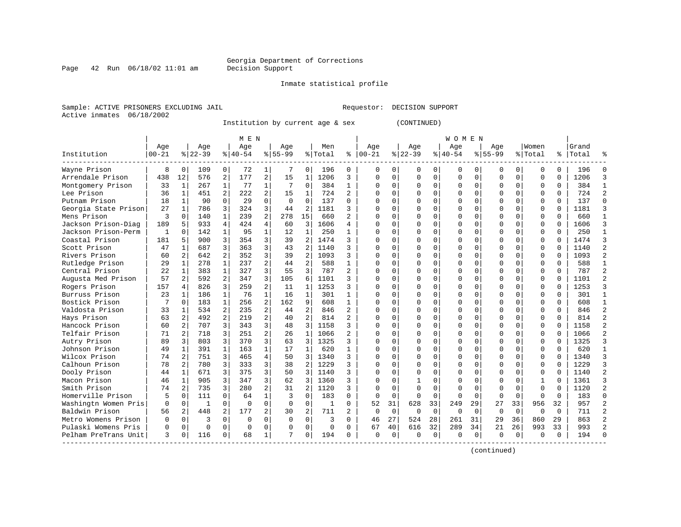Inmate statistical profile

Sample: ACTIVE PRISONERS EXCLUDING JAIL **Requestor: DECISION SUPPORT** Active inmates 06/18/2002

Institution by current age & sex (CONTINUED)

|                      |              |                |             |                | M E N     |                |             |                |          |                |          |          |             |             | W O M E N |              |             |             |              |          |       |                |
|----------------------|--------------|----------------|-------------|----------------|-----------|----------------|-------------|----------------|----------|----------------|----------|----------|-------------|-------------|-----------|--------------|-------------|-------------|--------------|----------|-------|----------------|
|                      | Age          |                | Age         |                | Age       |                | Age         |                | Men      |                | Age      |          | Age         |             | Age       |              | Age         |             | Women        |          | Grand |                |
| Institution          | $00 - 21$    |                | $8 22-39$   |                | $8 40-54$ |                | $8155 - 99$ |                | % Total  | ႜ              | $ 00-21$ |          | $8$   22-39 |             | $8 40-54$ |              | $8155 - 99$ |             | % Total      | ႜ        | Total |                |
| Wayne Prison         | 8            | $\Omega$       | 109         | 0              | 72        | 1              |             | 0              | 196      | 0              | 0        | 0        |             | 0           | 0         | 0            | 0           | 0           | $\Omega$     | 0        | 196   |                |
| Arrendale Prison     | 438          | 12             | 576         | 2              | 177       | 2              | 15          | 1              | 1206     | 3              | 0        | $\Omega$ | $\Omega$    | $\mathbf 0$ | 0         | 0            | $\Omega$    | $\mathbf 0$ | 0            | 0        | 1206  | 3              |
| Montgomery Prison    | 33           | 1              | 267         | 1              | 77        | $\mathbf{1}$   | 7           | 0              | 384      | $\mathbf{1}$   | O        | $\Omega$ | $\Omega$    | $\Omega$    | U         | $\Omega$     | $\Omega$    | $\Omega$    | $\Omega$     | $\Omega$ | 384   |                |
| Lee Prison           | 36           | $\mathbf{1}$   | 451         | 2              | 222       | $\overline{a}$ | 15          | 1              | 724      | $\overline{a}$ |          | $\Omega$ |             | $\Omega$    | O         | $\Omega$     |             | $\Omega$    | $\Omega$     | O        | 724   | $\mathcal{D}$  |
| Putnam Prison        | 18           | 1              | 90          | $\Omega$       | 29        | $\Omega$       | $\Omega$    | $\Omega$       | 137      | $\Omega$       |          | $\Omega$ |             | $\Omega$    | O         | O            | $\Omega$    | $\Omega$    | $\Omega$     | $\Omega$ | 137   | $\sqrt{ }$     |
| Georgia State Prison | 27           | $\mathbf{1}$   | 786         | 3              | 324       | 3              | 44          | 2              | 1181     | 3              |          | O        |             | $\Omega$    | U         | U            | $\Omega$    | 0           | 0            | $\Omega$ | 1181  | κ              |
| Mens Prison          | 3            | $\Omega$       | 140         | $\mathbf{1}$   | 239       | $\overline{2}$ | 278         | 15             | 660      | 2              | U        | O        |             | $\Omega$    | O         | U            | $\Omega$    | $\Omega$    | 0            | 0        | 660   |                |
| Jackson Prison-Diag  | 189          | 5              | 933         | $\overline{4}$ | 424       | $\overline{4}$ | 60          | 3              | 1606     | 4              | O        | O        |             | O           | 0         | U            | O           | 0           | $\Omega$     | 0        | 1606  | 3              |
| Jackson Prison-Perm  | $\mathbf{1}$ | $\Omega$       | 142         | 1              | 95        | 1              | 12          | 1              | 250      | 1              |          | O        |             | $\Omega$    | O         | O            | $\Omega$    | 0           | $\Omega$     | O        | 250   | $\mathbf{1}$   |
| Coastal Prison       | 181          | 5              | 900         | 3              | 354       | 3              | 39          | 2              | 1474     | 3              | U        | O        |             | $\Omega$    | O         | O            | $\Omega$    | $\Omega$    | $\Omega$     | U        | 1474  |                |
| Scott Prison         | 47           | -1             | 687         | 3              | 363       | 3              | 43          | $\overline{2}$ | 1140     | 3              | U        | $\cap$   |             | $\Omega$    | U         | U            | $\cap$      | $\Omega$    | $\Omega$     | $\Omega$ | 1140  | っ              |
| Rivers Prison        | 60           |                | 642         | $\overline{a}$ | 352       | 3              | 39          | 2              | 1093     | ζ              | U        | $\cap$   |             | $\Omega$    | O         | U            | O           | $\Omega$    | 0            | $\Omega$ | 1093  |                |
| Rutledge Prison      | 29           | $\mathbf{1}$   | 278         | $\mathbf{1}$   | 237       | $\overline{a}$ | 44          | $\overline{2}$ | 588      | $\mathbf{1}$   |          | $\Omega$ |             | $\Omega$    | U         | U            | O           | $\Omega$    | $\Omega$     | $\Omega$ | 588   |                |
| Central Prison       | 22           | $\mathbf{1}$   | 383         | $\mathbf{1}$   | 327       | 3              | 55          | 3              | 787      | $\overline{2}$ |          | $\Omega$ |             | $\Omega$    | O         | 0            | $\Omega$    | $\Omega$    | 0            | $\Omega$ | 787   | $\overline{a}$ |
| Augusta Med Prison   | 57           | 2              | 592         | 2              | 347       | 3              | 105         | 6              | 1101     | 3              |          | O        |             | O           | U         | U            | $\Omega$    | 0           | $\Omega$     | $\Omega$ | 1101  | 2              |
| Rogers Prison        | 157          | 4              | 826         | 3              | 259       | $\overline{a}$ | 11          | 1              | 1253     | ζ              |          | O        |             | $\Omega$    | U         | U            | $\Omega$    | 0           | $\Omega$     | $\Omega$ | 1253  | κ              |
| Burruss Prison       | 23           | 1              | 186         | $\mathbf{1}$   | 76        | $\mathbf{1}$   | 16          | $\mathbf{1}$   | 301      | 1              | $\cap$   | O        |             | $\Omega$    | U         | U            | $\Omega$    | 0           | $\Omega$     | O        | 301   | $\mathbf{1}$   |
| Bostick Prison       | 7            | $\Omega$       | 183         | $\mathbf{1}$   | 256       | $\overline{a}$ | 162         | 9              | 608      | $\mathbf{1}$   | Λ        | $\Omega$ |             | $\Omega$    | O         | O            |             | 0           | $\Omega$     | $\Omega$ | 608   |                |
| Valdosta Prison      | 33           | $\mathbf{1}$   | 534         | 2              | 235       | $\overline{2}$ | 44          | $\overline{2}$ | 846      | $\overline{2}$ | $\cap$   | U        |             | $\Omega$    | U         | U            | $\Omega$    | $\Omega$    | $\Omega$     | $\Omega$ | 846   |                |
| Hays Prison          | 63           | 2              | 492         | 2              | 219       | $\overline{a}$ | 40          | 2              | 814      | $\overline{a}$ | U        | $\Omega$ |             | $\Omega$    | U         | U            | O           | 0           | $\Omega$     | U        | 814   |                |
| Hancock Prison       | 60           |                | 707         | 3              | 343       | 3              | 48          | 3              | 1158     | 3              | U        | $\Omega$ |             | $\Omega$    | O         | U            | O           | $\Omega$    | $\Omega$     | $\Omega$ | 1158  |                |
| Telfair Prison       | 71           | 2              | 718         | 3              | 251       | $\overline{2}$ | 26          | 1              | 1066     | 2              | U        | 0        |             | $\Omega$    | U         | O            | O           | $\Omega$    | 0            | $\Omega$ | 1066  |                |
| Autry Prison         | 89           | 3              | 803         | 3              | 370       | 3              | 63          | 3              | 1325     | 3              | Λ        | $\Omega$ |             | $\Omega$    | U         | O            | O           | $\Omega$    | $\Omega$     | $\Omega$ | 1325  |                |
| Johnson Prison       | 49           | $\mathbf{1}$   | 391         | $\mathbf{1}$   | 163       | $\mathbf{1}$   | 17          | $\mathbf{1}$   | 620      | $\mathbf{1}$   |          | $\Omega$ |             | $\Omega$    | O         | O            | $\Omega$    | $\Omega$    | $\Omega$     | $\Omega$ | 620   |                |
| Wilcox Prison        | 74           | 2              | 751         | 3              | 465       | 4              | 50          | 3              | 1340     | 3              |          | O        |             | O           | U         | U            | $\Omega$    | $\Omega$    | 0            | $\Omega$ | 1340  | ζ              |
| Calhoun Prison       | 78           | 2              | 780         | 3              | 333       | 3              | 38          | 2              | 1229     | 3              | U        | O        |             | O           | U         | U            | $\Omega$    | $\Omega$    | 0            | 0        | 1229  |                |
| Dooly Prison         | 44           | 1              | 671         | 3              | 375       | 3              | 50          | 3              | 1140     | 3              | U        | O        |             | O           | U         |              | O           | $\Omega$    | $\Omega$     | O        | 1140  |                |
| Macon Prison         | 46           | 1              | 905         | 3              | 347       | 3              | 62          | 3              | 1360     | ζ              | U        | O        |             | $\Omega$    | O         | U            |             | $\Omega$    | $\mathbf{1}$ | O        | 1361  | κ              |
| Smith Prison         | 74           |                | 735         | 3              | 280       | 2              | 31          | $\overline{2}$ | 1120     | 3              | $\cap$   | $\Omega$ | $\Omega$    | $\Omega$    | U         | <sup>0</sup> | $\Omega$    | $\Omega$    | $\Omega$     | $\cap$   | 1120  |                |
| Homerville Prison    | 5            | $\Omega$       | 111         | $\Omega$       | 64        | $\mathbf{1}$   | 3           | $\Omega$       | 183      | $\Omega$       | $\Omega$ | $\Omega$ | $\Omega$    | $\cap$      | $\Omega$  | <sup>0</sup> | $\Omega$    | $\Omega$    | $\Omega$     | $\Omega$ | 183   | $\cap$         |
| Washingtn Women Pris | 0            | 0              | 1           | $\mathbf 0$    | $\Omega$  | $\mathbf 0$    | $\Omega$    | $\mathbf 0$    | 1        | $\Omega$       | 52       | 31       | 628         | 33          | 249       | 29           | 27          | 33          | 956          | 32       | 957   |                |
| Baldwin Prison       | 56           | $\overline{2}$ | 448         | 2              | 177       | $\overline{2}$ | 30          | 2              | 711      | $\overline{c}$ | $\Omega$ | $\Omega$ | $\Omega$    | $\Omega$    | $\Omega$  | $\Omega$     | $\Omega$    | $\Omega$    | $\Omega$     | $\Omega$ | 711   | 2              |
| Metro Womens Prison  | 0            | $\Omega$       | 3           | 0              | $\Omega$  | $\mathbf 0$    | $\Omega$    | 0              | 3        | $\Omega$       | 46       | 27       | 524         | 28          | 261       | 31           | 29          | 36          | 860          | 29       | 863   |                |
| Pulaski Womens Pris  | 0            | 0              | $\mathbf 0$ | $\Omega$       | $\Omega$  | 0              | $\Omega$    | $\mathbf 0$    | $\Omega$ | $\Omega$       | 67       | 40       | 616         | 32          | 289       | 34           | 21          | 26          | 993          | 33       | 993   |                |
| Pelham PreTrans Unit | 3            | $\Omega$       | 116         | 0              | 68        | $\mathbf 1$    | 7           | $\Omega$       | 194      | 0              | $\Omega$ | 0        | $\Omega$    | $\mathbf 0$ | 0         | 0            | $\Omega$    | 0           | $\Omega$     | 0        | 194   |                |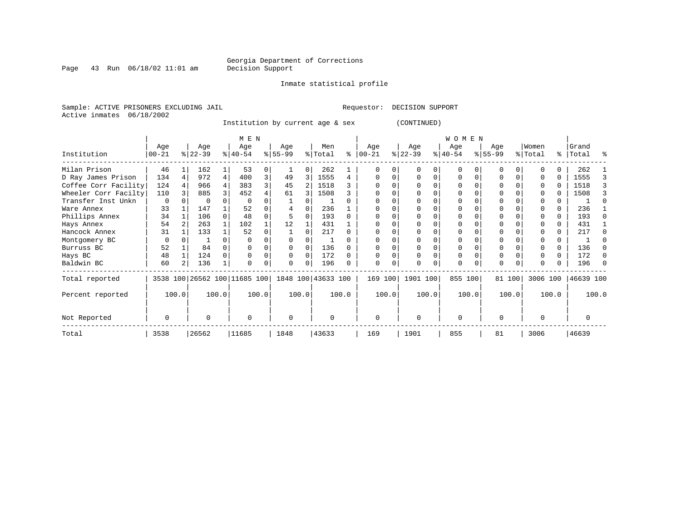Page 43 Run  $06/18/02$  11:01 am

#### Inmate statistical profile

Sample: ACTIVE PRISONERS EXCLUDING JAIL **Requestor: DECISION SUPPORT** Active inmates 06/18/2002

Institution by current age & sex (CONTINUED)

|                      |                  |       |                  |       | M E N                        |       |                    |          |                |       |                  |       |                  |          | <b>WOMEN</b>     |       |                  |        |                  |       |                |       |
|----------------------|------------------|-------|------------------|-------|------------------------------|-------|--------------------|----------|----------------|-------|------------------|-------|------------------|----------|------------------|-------|------------------|--------|------------------|-------|----------------|-------|
| Institution          | Age<br>$00 - 21$ |       | Age<br>$ 22-39 $ |       | Age<br>$ 40-54 $             |       | Age<br>$ 55-99 $   |          | Men<br>% Total | ႜ     | Age<br>$00 - 21$ |       | Age<br>$ 22-39 $ |          | Age<br>$ 40-54 $ |       | Age<br>$ 55-99 $ |        | Women<br>% Total | ွေ    | Grand<br>Total | ႜ     |
|                      |                  |       |                  |       |                              |       |                    |          |                |       |                  |       |                  |          |                  |       |                  |        |                  |       |                |       |
| Milan Prison         | 46               |       | 162              |       | 53                           | 0     |                    |          | 262            |       |                  | U     |                  |          | $\Omega$         |       |                  |        |                  |       | 262            |       |
| D Ray James Prison   | 134              |       | 972              | 4     | 400                          | 3     | 49                 | 3        | 1555           | 4     | $\Omega$         | O     |                  | $\Omega$ | 0                |       |                  |        |                  |       | 1555           |       |
| Coffee Corr Facility | 124              |       | 966              |       | 383                          | 3     | 45                 |          | 1518           |       |                  |       |                  |          |                  |       |                  |        |                  |       | 1518           |       |
| Wheeler Corr Facilty | 110              |       | 885              |       | 452                          |       | 61                 |          | 1508           |       |                  |       |                  |          | O                |       |                  |        |                  |       | 1508           |       |
| Transfer Inst Unkn   | 0                |       | $\Omega$         |       | 0                            |       |                    |          |                |       |                  |       |                  |          |                  |       |                  |        |                  |       |                |       |
| Ware Annex           | 33               |       | 147              |       | 52                           |       |                    |          | 236            |       |                  |       |                  |          |                  |       |                  |        |                  |       | 236            |       |
| Phillips Annex       | 34               |       | 106              |       | 48                           | O     |                    |          | 193            |       |                  |       |                  |          | O                |       |                  |        |                  | 0     | 193            |       |
| Hays Annex           | 54               |       | 263              |       | 102                          |       | 12                 |          | 431            |       |                  |       |                  |          |                  |       |                  |        |                  | 0     | 431            |       |
| Hancock Annex        | 31               |       | 133              |       | 52                           | O     |                    |          | 217            |       |                  |       |                  |          | O                |       |                  |        |                  | U     | 217            |       |
| Montgomery BC        | $\mathbf 0$      |       |                  |       |                              |       |                    |          |                |       |                  |       |                  |          |                  |       |                  |        |                  |       |                |       |
| Burruss BC           | 52               |       | 84               |       |                              | 0     |                    |          | 136            |       |                  |       |                  |          | 0                |       | $\Omega$         |        |                  | 0     | 136            |       |
| Hays BC              | 48               |       | 124              |       |                              |       |                    | $\Omega$ | 172            |       |                  |       |                  |          | 0                |       | $\Omega$         |        |                  | 0     | 172            |       |
| Baldwin BC           | 60               |       | 136              |       |                              | 0     | $\Omega$           | $\Omega$ | 196            |       | $\Omega$         |       |                  |          | $\Omega$         |       | $\Omega$         |        |                  |       | 196            |       |
| Total reported       |                  |       |                  |       | 3538 100 26562 100 11685 100 |       | 1848 100 43633 100 |          |                |       | 169 100          |       | 1901 100         |          | 855 100          |       |                  | 81 100 | 3006 100         |       | 46639 100      |       |
| Percent reported     |                  | 100.0 |                  | 100.0 |                              | 100.0 |                    | 100.0    |                | 100.0 |                  | 100.0 |                  | 100.0    |                  | 100.0 |                  | 100.0  |                  | 100.0 |                | 100.0 |
| Not Reported         | 0                |       | 0                |       | $\Omega$                     |       | 0                  |          | $\Omega$       |       | $\mathbf 0$      |       | $\Omega$         |          | $\Omega$         |       | 0                |        |                  |       | 0              |       |
| Total                | 3538             |       | 26562            |       | 11685                        |       | 1848               |          | 43633          |       | 169              |       | 1901             |          | 855              |       | 81               |        | 3006             |       | 46639          |       |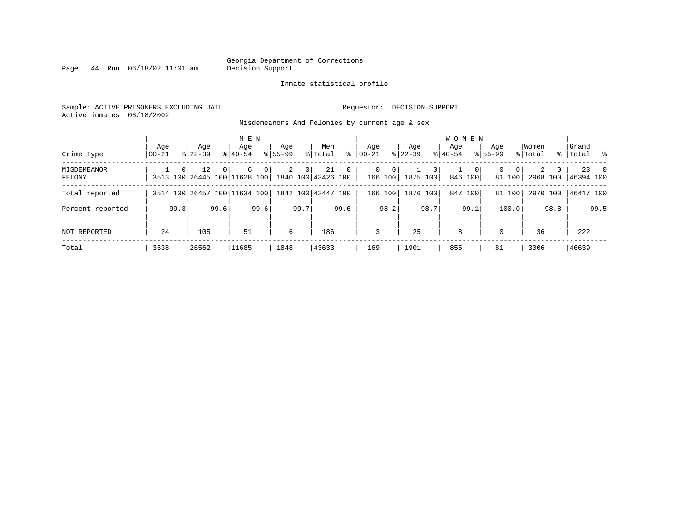Page  $44$  Run  $06/18/02$  11:01 am

#### Inmate statistical profile

Sample: ACTIVE PRISONERS EXCLUDING JAIL **Requestor: DECISION SUPPORT** Active inmates 06/18/2002

Misdemeanors And Felonies by current age & sex

| Crime Type            | Age<br>  00-21 | Age<br>$8 22-39$                                | M E N<br>Age<br>$8 40-54$ | Age<br>$8155 - 99$  | Men<br>ွေ<br>% Total                                                    | Age<br>$00 - 21$                        | Age<br>$ 22-39 $                           | <b>WOMEN</b><br>Aqe<br>$8 40-54$ | Age<br>$8155 - 99$            | Women<br>% Total  | Grand<br>%   Total %            |
|-----------------------|----------------|-------------------------------------------------|---------------------------|---------------------|-------------------------------------------------------------------------|-----------------------------------------|--------------------------------------------|----------------------------------|-------------------------------|-------------------|---------------------------------|
| MISDEMEANOR<br>FELONY |                | 12<br>0 <sup>1</sup><br>$\overline{0}$          | 6<br>$\overline{0}$       | 2<br>0 <sup>1</sup> | 21<br>$\overline{0}$<br>3513 100 26445 100 11628 100 1840 100 43426 100 | $\mathbf{0}$<br>$\mathbf{0}$<br>166 100 | 0 <sup>1</sup><br>$\mathbf{1}$<br>1875 100 | $\overline{0}$<br>846 100        | 0<br>0 <sup>1</sup><br>81 100 | 2<br>$\mathbf{0}$ | $23 \t 0$<br>2968 100 46394 100 |
| Total reported        |                | 3514 100 26457 100 11634 100 1842 100 43447 100 |                           |                     |                                                                         | 166 100                                 | 1876 100                                   | 847 100                          | 81 100                        | 2970 100          | 46417 100                       |
| Percent reported      | 99.3           | 99.6                                            | 99.6                      | 99.7                | 99.6                                                                    | 98.2                                    | 98.7                                       | 99.1                             | 100.0                         | 98.8              | 99.5                            |
| NOT REPORTED          | 24             | 105                                             | 51                        | 6                   | 186                                                                     | 3                                       | 25                                         | 8                                | $\Omega$                      | 36                | 222                             |
| Total                 | 3538           | 26562                                           | 11685                     | 1848                | 43633                                                                   | 169                                     | 1901                                       | 855                              | 81                            | 3006              | 46639                           |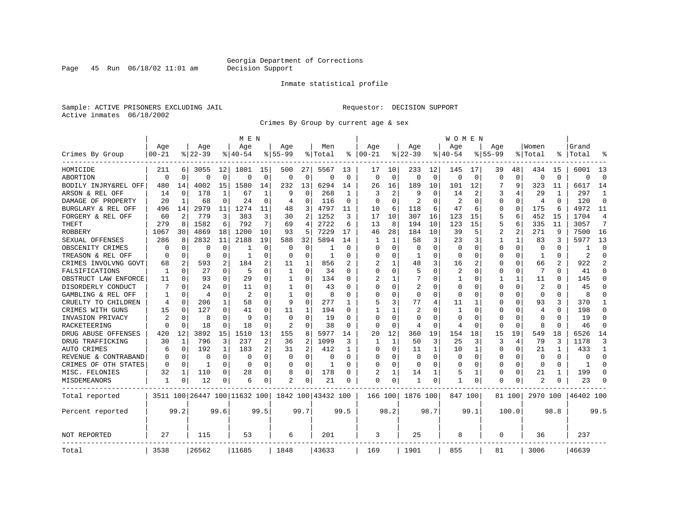Page 45 Run  $06/18/02$  11:01 am

#### Inmate statistical profile

Sample: ACTIVE PRISONERS EXCLUDING JAIL **Requestor: DECISION SUPPORT** Active inmates 06/18/2002

Crimes By Group by current age & sex

|                      |                |             |           |          | M E N                        |             |                |                |                    |          |          |          |                |             | W O M E N    |             |             |              |                |          |           |                |
|----------------------|----------------|-------------|-----------|----------|------------------------------|-------------|----------------|----------------|--------------------|----------|----------|----------|----------------|-------------|--------------|-------------|-------------|--------------|----------------|----------|-----------|----------------|
|                      | Age            |             | Age       |          | Age                          |             | Age            |                | Men                |          | Age      |          | Age            |             | Age          |             | Age         |              | Women          |          | Grand     |                |
| Crimes By Group      | $00 - 21$      |             | $8 22-39$ |          | % 40-54                      |             | $8155 - 99$    |                | % Total            | ႜ        | $ 00-21$ |          | $ 22-39$       |             | $8140 - 54$  |             | $8155 - 99$ |              | % Total        |          | Total     | °              |
| HOMICIDE             | 211            | 6           | 3055      | 12       | 1801                         | 15          | 500            | 27             | 5567               | 13       | 17       | 10       | 233            | 12          | 145          | 17          | 39          | 48           | 434            | 15       | 6001      | 13             |
| ABORTION             | $\Omega$       | $\mathbf 0$ | $\Omega$  | 0        | $\Omega$                     | $\mathbf 0$ | $\Omega$       | 0              | $\Omega$           | $\Omega$ | $\Omega$ | $\Omega$ | $\Omega$       | $\mathbf 0$ | $\Omega$     | $\mathbf 0$ | $\Omega$    | $\Omega$     | $\Omega$       | $\Omega$ | $\Omega$  | $\Omega$       |
| BODILY INJRY&REL OFF | 480            | 14          | 4002      | 15       | 1580                         | 14          | 232            | 13             | 6294               | 14       | 26       | 16       | 189            | 10          | 101          | 12          |             | 9            | 323            | 11       | 6617      | 14             |
| ARSON & REL OFF      | 14             | 0           | 178       | 1        | 67                           | 1           | 9              | 0              | 268                | -1       | 3        | 2        | 9              | O           | 14           | 2           | 3           | 4            | 29             | 1        | 297       | $\mathbf{1}$   |
| DAMAGE OF PROPERTY   | 20             | 1           | 68        | 0        | 24                           | O           | 4              | 0              | 116                | $\Omega$ | ∩        | ∩        | $\overline{2}$ | O           | 2            | $\Omega$    | O           | 0            | $\overline{4}$ | $\Omega$ | 120       | $\Omega$       |
| BURGLARY & REL OFF   | 496            | 14          | 2979      | 11       | 1274                         | 11          | 48             | 3              | 4797               | 11       | 10       | 6        | 118            | 6           | 47           | 6           | 0           | 0            | 175            | 6        | 4972      | 11             |
| FORGERY & REL OFF    | 60             | 2           | 779       | 3        | 383                          | 3           | 30             | 2              | 1252               | 3        | 17       | 10       | 307            | 16          | 123          | 15          | 5           | 6            | 452            | 15       | 1704      | 4              |
| <b>THEFT</b>         | 279            | 8           | 1582      | 6        | 792                          | 7           | 69             | 4              | 2722               | 6        | 13       | 8        | 194            | 10          | 123          | 15          | 5           | 6            | 335            | 11       | 3057      | 7              |
| <b>ROBBERY</b>       | 1067           | 30          | 4869      | 18       | 1200                         | 10          | 93             | 5              | 7229               | 17       | 46       | 28       | 184            | 10          | 39           | 5           | 2           | 2            | 271            | 9        | 7500      | 16             |
| SEXUAL OFFENSES      | 286            | 8           | 2832      | 11       | 2188                         | 19          | 588            | 32             | 5894               | 14       | 1        |          | 58             | 3           | 23           | 3           |             | $\mathbf{1}$ | 83             | 3        | 5977      | 13             |
| OBSCENITY CRIMES     | ∩              | $\Omega$    | O         | 0        | -1                           | $\Omega$    | O              | 0              |                    | $\Omega$ | ∩        | $\Omega$ | $\Omega$       | 0           | <sup>0</sup> | ∩           | O           | 0            | $\Omega$       | 0        |           | $\Omega$       |
| TREASON & REL OFF    | $\Omega$       | 0           | O         | 0        | -1                           | U           | O              | 0              | -1                 | O        | $\Omega$ | $\Omega$ | -1             | 0           | <sup>0</sup> | $\Omega$    | 0           | 0            | 1              | 0        | 2         | $\Omega$       |
| CRIMES INVOLVNG GOVT | 68             | 2           | 593       | 2        | 184                          | 2           | 11             | 1              | 856                |          |          |          | 48             | 3           | 16           | 2           | 0           | $\Omega$     | 66             | 2        | 922       | $\mathfrak{D}$ |
| FALSIFICATIONS       | 1              | 0           | 27        | 0        | 5                            | $\Omega$    | 1              | 0              | 34                 | U        | $\Omega$ | $\Omega$ | 5              | $\Omega$    | 2            | $\Omega$    | 0           | 0            | 7              | 0        | 41        | $\Omega$       |
| OBSTRUCT LAW ENFORCE | 11             | $\Omega$    | 93        | 0        | 29                           | 0           | 1              | $\Omega$       | 134                | O        |          |          |                | 0           |              | $\Omega$    |             | 1            | 11             |          | 145       | $\Omega$       |
| DISORDERLY CONDUCT   |                | $\Omega$    | 24        | 0        | 11                           | O           | -1             | O              | 43                 | O        | $\Omega$ | $\Omega$ | 2              | N           | <sup>0</sup> | $\Omega$    | Ω           | $\Omega$     | 2              |          | 45        | $\Omega$       |
| GAMBLING & REL OFF   |                | $\Omega$    | 4         | 0        | 2                            | U           | -1             | 0              | 8                  | U        | ∩        | ∩        | $\Omega$       | 0           | <sup>0</sup> | ∩           | U           | 0            | $\Omega$       | 0        | 8         | $\Omega$       |
| CRUELTY TO CHILDREN  | 4              | 0           | 206       | 1        | 58                           | $\Omega$    | 9              | 0              | 277                | 1        | 5        | 3        | 77             | 4           | 11           | 1           | U           | 0            | 93             | 3        | 370       | 1              |
| CRIMES WITH GUNS     | 15             | $\mathbf 0$ | 127       | $\Omega$ | 41                           | 0           | 11             | 1              | 194                | $\Omega$ | 1        |          | 2              | N           | 1            | $\Omega$    | U           | 0            | $\overline{4}$ | $\Omega$ | 198       | $\Omega$       |
| INVASION PRIVACY     | $\overline{c}$ | 0           | 8         | $\Omega$ | q                            | $\Omega$    | $\Omega$       | 0              | 19                 | $\Omega$ | $\Omega$ | $\Omega$ | $\Omega$       | O           | $\Omega$     | $\Omega$    | 0           | 0            | $\Omega$       | O        | 19        | $\Omega$       |
| RACKETEERING         |                | $\Omega$    | 18        | 0        | 18                           | O           | $\overline{c}$ | 0              | 38                 | O        | $\Omega$ | $\Omega$ | 4              | $\Omega$    | 4            | $\Omega$    | Ω           | 0            | 8              | O        | 46        | $\mathbf 0$    |
| DRUG ABUSE OFFENSES  | 420            | 12          | 3892      | 15       | 1510                         | 13          | 155            | 8              | 5977               | 14       | 20       | 12       | 360            | 19          | 154          | 18          | 15          | 19           | 549            | 18       | 6526      | 14             |
| DRUG TRAFFICKING     | 30             | 1           | 796       | 3        | 237                          | 2           | 36             | $\overline{2}$ | 1099               | 3        | 1        | 1        | 50             | 3           | 25           | 3           | 3           | 4            | 79             | 3        | 1178      | 3              |
| AUTO CRIMES          | 6              | 0           | 192       | 1        | 183                          | 2           | 31             | 2              | 412                | 1        | O        | $\Omega$ | 11             | 1           | 10           | 1           | 0           | 0            | 21             |          | 433       | 1              |
| REVENUE & CONTRABAND |                | 0           | O         | $\Omega$ | $\Omega$                     | $\Omega$    | O              | 0              | $\Omega$           | $\Omega$ | $\Omega$ | ∩        | 0              | $\Omega$    | <sup>0</sup> | $\Omega$    | 0           | $\Omega$     | $\Omega$       | $\Omega$ | $\Omega$  | $\Omega$       |
| CRIMES OF OTH STATES | $\Omega$       | 0           | -1        | 0        | $\Omega$                     | 0           | O              | 0              | 1                  | U        | ∩        | $\Omega$ | $\Omega$       | 0           | <sup>0</sup> | $\Omega$    | 0           | 0            | $\Omega$       | $\Omega$ | 1         | $\Omega$       |
| MISC. FELONIES       | 32             | 1           | 110       | 0        | 28                           | 0           | 8              | 0              | 178                | U        |          |          | 14             |             | 5            | 1           | 0           | 0            | 21             |          | 199       | $\Omega$       |
| MISDEMEANORS         | 1              | $\Omega$    | 12        | 0        | 6                            | 0           |                | 0              | 21                 | 0        | $\Omega$ | 0        | -1             | 0           |              | $\Omega$    | 0           | 0            |                |          | 23        | $\Omega$       |
| Total reported       |                |             |           |          | 3511 100 26447 100 11632 100 |             |                |                | 1842 100 43432 100 |          | 166 100  |          | 1876 100       |             | 847 100      |             |             | 81 1001      | 2970 100       |          | 46402 100 |                |
| Percent reported     |                | 99.2        |           | 99.6     |                              | 99.5        |                | 99.7           |                    | 99.5     |          | 98.2     |                | 98.7        |              | 99.1        |             | 100.0        |                | 98.8     |           | 99.5           |
| NOT REPORTED         | 27             |             | 115       |          | 53                           |             | 6              |                | 201                |          | 3        |          | 25             |             | 8            |             | 0           |              | 36             |          | 237       |                |
| Total                | 3538           |             | 26562     |          | 11685                        |             | 1848           |                | 43633              |          | 169      |          | 1901           |             | 855          |             | 81          |              | 3006           |          | 46639     |                |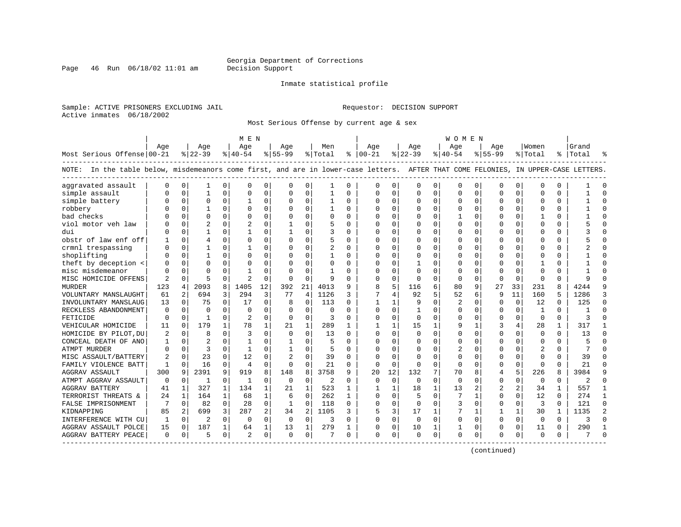Page 46 Run  $06/18/02$  11:01 am

#### Inmate statistical profile

Sample: ACTIVE PRISONERS EXCLUDING JAIL **Requestor: DECISION SUPPORT** Active inmates 06/18/2002

Most Serious Offense by current age & sex

|                                                                                                                                    |              |             |                |              | M E N          |          |                |             |                |              |               |              |          |              | W O M E N   |             |           |          |              |          |           |          |
|------------------------------------------------------------------------------------------------------------------------------------|--------------|-------------|----------------|--------------|----------------|----------|----------------|-------------|----------------|--------------|---------------|--------------|----------|--------------|-------------|-------------|-----------|----------|--------------|----------|-----------|----------|
|                                                                                                                                    | Age          |             | Age            |              | Age            |          | Age            |             | Men            |              | Age           |              | Aqe      |              | Aqe         |             | Age       |          | Women        |          | Grand     |          |
| Most Serious Offense 00-21                                                                                                         |              |             | $ 22-39$       |              | $8 40-54$      |          | $8 55-99$      |             | % Total        |              | $8   00 - 21$ |              | $ 22-39$ |              | $ 40-54$    |             | $8 55-99$ |          | % Total      |          | %   Total |          |
| NOTE: In the table below, misdemeanors come first, and are in lower-case letters. AFTER THAT COME FELONIES, IN UPPER-CASE LETTERS. |              |             |                |              |                |          |                |             |                |              |               |              |          |              |             |             |           |          |              |          |           |          |
| aggravated assault                                                                                                                 | $\Omega$     | $\mathbf 0$ | 1              | 0            | $\mathsf{C}$   | $\Omega$ | $\Omega$       | 0           |                | 0            | $\Omega$      | 0            | 0        | 0            | $\Omega$    | $\mathbf 0$ | $\Omega$  | $\Omega$ | $\Omega$     | $\Omega$ |           |          |
| simple assault                                                                                                                     |              | $\mathbf 0$ | $\mathbf{1}$   | $\Omega$     | $\Omega$       | 0        | $\Omega$       | 0           | $\mathbf{1}$   | $\Omega$     | $\Omega$      | 0            | $\Omega$ | 0            | $\Omega$    | 0           | $\Omega$  | $\Omega$ | $\Omega$     | $\Omega$ |           | $\Omega$ |
| simple battery                                                                                                                     |              | $\mathbf 0$ | 0              | 0            |                | 0        | 0              | 0           |                | 0            | 0             | 0            | $\Omega$ | 0            | $\Omega$    | 0           | 0         | 0        | <sup>0</sup> | O        |           |          |
| robbery                                                                                                                            |              | $\mathbf 0$ |                | O            | $\Omega$       | 0        | O              | $\Omega$    |                | $\Omega$     | $\Omega$      | $\Omega$     | $\Omega$ | 0            | $\Omega$    | 0           | $\Omega$  | $\Omega$ | $\Omega$     | $\Omega$ |           |          |
| bad checks                                                                                                                         |              | $\Omega$    | $\Omega$       | U            | $\Omega$       | $\Omega$ | O              | $\Omega$    | $\Omega$       | $\Omega$     | $\Omega$      | 0            | $\Omega$ | 0            |             | 0           | U         | $\Omega$ | -1           | $\Omega$ |           | $\Omega$ |
| viol motor veh law                                                                                                                 |              | $\Omega$    | $\overline{c}$ | $\Omega$     | $\overline{a}$ | $\Omega$ | 1              | $\Omega$    | 5              | $\Omega$     | <sup>0</sup>  | $\Omega$     | $\Omega$ | $\Omega$     | $\Omega$    | 0           | U         | $\Omega$ | $\Omega$     | $\Omega$ |           | ∩        |
| dui                                                                                                                                |              | $\mathbf 0$ | 1              | 0            | $\mathbf{1}$   | $\Omega$ |                | $\Omega$    | 3              | $\Omega$     | $\Omega$      | $\Omega$     | 0        | 0            | O           | 0           | $\Omega$  | $\Omega$ | $\Omega$     | $\Omega$ |           |          |
| obstr of law enf off                                                                                                               |              | $\mathbf 0$ | 4              | O            | $\mathbf 0$    | 0        | $\Omega$       | 0           | 5              | $\Omega$     | $\Omega$      | 0            | 0        | 0            |             | 0           | $\Omega$  | 0        | $\Omega$     | 0        |           |          |
| crmnl trespassing                                                                                                                  |              | $\mathbf 0$ | 1              | O            | 1              | 0        | O              | 0           | $\overline{2}$ | $\Omega$     | $\Omega$      | $\Omega$     | 0        | O            | $\Omega$    | 0           | 0         | $\Omega$ | $\Omega$     | $\Omega$ |           | ∩        |
| shoplifting                                                                                                                        |              | $\mathbf 0$ | 1              | O            | $\Omega$       | $\Omega$ | $\Omega$       | 0           |                | $\Omega$     | $\Omega$      | $\Omega$     | $\Omega$ | 0            | $\Omega$    | 0           | $\Omega$  | $\Omega$ | $\Omega$     | 0        |           | ∩        |
| theft by deception <                                                                                                               |              | $\mathbf 0$ | $\Omega$       | O            | $\Omega$       | $\Omega$ | $\Omega$       | $\Omega$    | $\Omega$       | 0            | $\Omega$      | $\Omega$     |          | 0            |             | $\mathbf 0$ | $\Omega$  | $\Omega$ |              | O        |           |          |
| misc misdemeanor                                                                                                                   |              | $\Omega$    | $\Omega$       |              |                | $\Omega$ | U              | $\Omega$    |                | O            | <sup>0</sup>  | $\Omega$     | $\Omega$ | O            | O           | 0           | $\Omega$  | O        | $\Omega$     | 0        |           |          |
| MISC HOMICIDE OFFENS                                                                                                               | 2            | 0           | 5              | U            | $\overline{2}$ | 0        | $\Omega$       | 0           | 9              | $\Omega$     | $\Omega$      | 0            | $\Omega$ | 0            | 0           | 0           | 0         | $\Omega$ | $\mathbf 0$  | 0        |           |          |
| <b>MURDER</b>                                                                                                                      | 123          | 4           | 2093           | 8            | 1405           | 12       | 392            | 21          | 4013           | 9            | 8             | 5            | 116      | 6            | 80          | 9           | 27        | 33       | 231          | 8        | 4244      |          |
| VOLUNTARY MANSLAUGHT                                                                                                               | 61           | 2           | 694            | 3            | 294            | 3        | 77             | 4           | 1126           | 3            | 7             | 4            | 92       | 5            | 52          | 6           | 9         | 11       | 160          | 5        | 1286      | 3        |
| INVOLUNTARY MANSLAUG                                                                                                               | 13           | $\Omega$    | 75             | $\Omega$     | 17             | $\Omega$ | 8              | $\Omega$    | 113            | $\Omega$     | $\mathbf{1}$  | $\mathbf{1}$ | 9        | $\Omega$     | 2           | 0           | $\Omega$  | $\Omega$ | 12           | $\Omega$ | 125       | $\Omega$ |
| RECKLESS ABANDONMENT                                                                                                               | 0            | 0           | 0              | $\Omega$     | 0              | 0        | O              | 0           | 0              | O            | $\Omega$      | 0            | 1        | 0            | $\Omega$    | 0           | 0         | 0        | -1           | 0        |           | $\cap$   |
| FETICIDE                                                                                                                           | $\Omega$     | 0           | 1              | O            | $\overline{2}$ | 0        | 0              | 0           | 3              | O            | $\Omega$      | $\Omega$     | 0        | 0            | $\Omega$    | 0           | $\Omega$  | $\Omega$ | $\Omega$     | $\Omega$ |           |          |
| VEHICULAR HOMICIDE                                                                                                                 | 11           | 0           | 179            | $\mathbf{1}$ | 78             | 1        | 21             | 1           | 289            | $\mathbf{1}$ |               | $\mathbf{1}$ | 15       | $\mathbf{1}$ | 9           | 1           | 3         | 4        | 28           |          | 317       |          |
| HOMICIDE BY PILOT, DU                                                                                                              |              | $\mathbf 0$ | 8              | O            | 3              | $\Omega$ | $\Omega$       | $\Omega$    | 13             | $\Omega$     | $\Omega$      | $\Omega$     | $\Omega$ | O            | $\Omega$    | $\mathbf 0$ | $\Omega$  | $\Omega$ | $\Omega$     | $\Omega$ | 13        | $\cap$   |
| CONCEAL DEATH OF ANO                                                                                                               | 1            | $\Omega$    | $\overline{c}$ | O            | $\mathbf{1}$   | $\Omega$ | 1              | $\Omega$    | 5              | $\Omega$     | $\Omega$      | $\Omega$     | $\Omega$ | 0            | $\Omega$    | $\Omega$    | $\Omega$  | $\Omega$ | $\Omega$     | $\Omega$ |           |          |
| ATMPT MURDER                                                                                                                       | U            | $\mathbf 0$ | 3              | 0            | 1              | 0        |                | 0           | 5              | $\Omega$     | <sup>0</sup>  | $\Omega$     | $\Omega$ | 0            | 2           | 0           | 0         | $\Omega$ | 2            | 0        |           |          |
| MISC ASSAULT/BATTERY                                                                                                               | 2            | $\mathbf 0$ | 23             | $\mathbf 0$  | 12             | 0        | $\overline{2}$ | $\mathbf 0$ | 39             | 0            | $\Omega$      | $\Omega$     | 0        | 0            | $\Omega$    | 0           | $\Omega$  | 0        | $\mathbf 0$  | $\Omega$ | 39        |          |
| FAMILY VIOLENCE BATT                                                                                                               | $\mathbf{1}$ | $\Omega$    | 16             | $\Omega$     | $\overline{4}$ | $\Omega$ | $\Omega$       | $\Omega$    | 21             | $\Omega$     | $\Omega$      | $\Omega$     | $\Omega$ | $\Omega$     | $\Omega$    | 0           | $\Omega$  | $\Omega$ | $\Omega$     | $\Omega$ | 2.1       | $\Omega$ |
| <b>AGGRAV ASSAULT</b>                                                                                                              | 300          | 9           | 2391           | 9            | 919            | 8        | 148            | 8           | 3758           | 9            | 20            | 12           | 132      | 7            | 70          | 8           | 4         | 5        | 226          | 8        | 3984      | q        |
| ATMPT AGGRAV ASSAULT                                                                                                               | $\mathbf 0$  | 0           | $\mathbf{1}$   | $\Omega$     | 1              | $\Omega$ | $\Omega$       | 0           | 2              | $\Omega$     | $\Omega$      | $\Omega$     | $\Omega$ | 0            | $\mathbf 0$ | 0           | $\Omega$  | $\Omega$ | $\mathbf 0$  | 0        | 2         | $\Omega$ |
| <b>AGGRAV BATTERY</b>                                                                                                              | 41           | 1           | 327            | 1            | 134            | 1        | 21             | 1           | 523            |              |               | 1            | 18       | $\mathbf{1}$ | 13          | 2           | 2         | 2        | 34           |          | 557       |          |
| TERRORIST THREATS &                                                                                                                | 24           | 1           | 164            | $\mathbf 1$  | 68             | 1        | 6              | $\Omega$    | 262            | 1            | $\Omega$      | $\Omega$     | 5        | 0            |             | 1           | $\Omega$  | $\Omega$ | 12           | $\Omega$ | 274       | -1       |
| FALSE IMPRISONMENT                                                                                                                 | 7            | 0           | 82             | $\Omega$     | 28             | 0        | 1              | 0           | 118            | $\Omega$     | $\Omega$      | $\Omega$     | $\Omega$ | $\Omega$     | 3           | 0           | $\Omega$  | $\Omega$ | 3            | $\Omega$ | 121       | $\Omega$ |
| KIDNAPPING                                                                                                                         | 85           | 2           | 699            | 3            | 287            | 2        | 34             | 2           | 1105           | 3            | 5             | 3            | 17       | 1            | 7           | 1           | 1         | 1        | 30           | 1        | 1135      | 2        |
| INTERFERENCE WITH CU                                                                                                               | 1            | $\mathbf 0$ | 2              | $\Omega$     | $\Omega$       | $\Omega$ | 0              | $\mathbf 0$ | 3              | $\Omega$     | $\Omega$      | $\Omega$     | $\Omega$ | $\mathbf 0$  | $\Omega$    | $\mathbf 0$ | 0         | $\Omega$ | $\mathbf 0$  | $\Omega$ | 3         |          |
| AGGRAV ASSAULT POLCE                                                                                                               | 15           | 0           | 187            | $\mathbf 1$  | 64             | 1        | 13             | 1           | 279            |              | $\Omega$      | 0            | 10       | 1            |             | 0           | $\Omega$  | $\Omega$ | 11           | $\Omega$ | 290       | -1       |
| AGGRAV BATTERY PEACE                                                                                                               | 0            | 0           | 5              | 0            | $\overline{2}$ | 0        | $\Omega$       | 0           | 7              | 0            | $\Omega$      | 0            | $\Omega$ | 0            | $\Omega$    | 0           | O         | 0        | 0            | 0        |           | $\cap$   |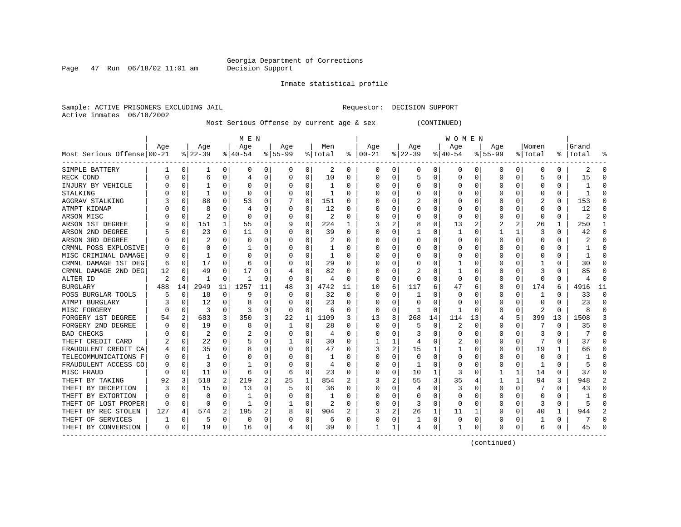Page 47 Run  $06/18/02$  11:01 am

Inmate statistical profile

Sample: ACTIVE PRISONERS EXCLUDING JAIL **Requestor: DECISION SUPPORT** Active inmates 06/18/2002

Most Serious Offense by current age & sex (CONTINUED)

|                            |     |          |                |              | M E N     |          |           |              |         |    |               |   |          |          | W O M E N |    |           |          |         |          |       |    |
|----------------------------|-----|----------|----------------|--------------|-----------|----------|-----------|--------------|---------|----|---------------|---|----------|----------|-----------|----|-----------|----------|---------|----------|-------|----|
|                            | Age |          | Age            |              | Age       |          | Age       |              | Men     |    | Age           |   | Age      |          | Age       |    | Age       |          | Women   |          | Grand |    |
| Most Serious Offense 00-21 |     |          | $8 22-39$      |              | $ 40-54 $ |          | $8 55-99$ |              | % Total |    | $8   00 - 21$ |   | $ 22-39$ |          | $ 40-54$  |    | $8 55-99$ |          | % Total | ႜၟ       | Total |    |
| SIMPLE BATTERY             |     | 0        | ı              | 0            | 0         | 0        | 0         | 0            | 2       | 0  | 0             | 0 | 0        | 0        | 0         | 0  | 0         | 0        | 0       | 0        | 2     | C  |
| RECK COND                  |     | O        | 6              | $\Omega$     |           | 0        |           | $\Omega$     | 10      | O  | 0             | 0 | 5        | $\Omega$ | 0         | O  | $\Omega$  | 0        | 5       | 0        | 15    |    |
| INJURY BY VEHICLE          |     | O        |                | $\Omega$     |           | 0        |           | $\Omega$     | 1       | U  | 0             | 0 |          | $\Omega$ | 0         | O  |           | O        |         | 0        |       |    |
| STALKING                   |     | O        |                | $\Omega$     | ∩         | 0        |           | $\Omega$     | -1      | U  |               | U |          | $\Omega$ | ი         | U  |           |          |         | U        |       |    |
| AGGRAV STALKING            |     | O        | 88             | <sup>0</sup> | 53        | 0        |           | $\Omega$     | 151     | U  |               | U |          | $\Omega$ |           | C  |           |          |         | 0        | 153   |    |
| ATMPT KIDNAP               |     | O        | 8              | O            |           | 0        |           | $\Omega$     | 12      | U  |               | 0 |          | O        | $\left($  | O  |           |          | O       | U        | 12    |    |
| ARSON MISC                 |     | $\Omega$ | $\overline{2}$ | $\Omega$     | 0         | 0        |           | $\Omega$     | 2       | U  |               | 0 |          | $\Omega$ | 0         | 0  |           | 0        | 0       | 0        | 2     |    |
| ARSON 1ST DEGREE           |     | 0        | 151            |              | 55        | 0        |           | 0            | 224     |    | 3             | 2 | 8        | 0        | 13        | 2  | 2         | 2        | 26      | 1        | 250   |    |
| ARSON 2ND DEGREE           |     | 0        | 23             | $\Omega$     | 11        | $\Omega$ |           | $\Omega$     | 39      | 0  |               | 0 |          | $\Omega$ |           | 0  |           |          | 3       | 0        | 42    |    |
| ARSON 3RD DEGREE           |     | $\Omega$ |                | $\Omega$     | C         | $\Omega$ |           | $\Omega$     | 2       | U  |               | 0 |          | $\Omega$ | 0         | C  |           | $\Omega$ | 0       | 0        |       | ſ  |
| CRMNL POSS EXPLOSIVE       |     | $\Omega$ | $\Omega$       | $\Omega$     |           | 0        |           | $\Omega$     |         | U  |               | 0 |          | $\Omega$ |           |    |           |          |         | 0        |       | ſ  |
| MISC CRIMINAL DAMAGE       | 0   | $\Omega$ |                | $\Omega$     |           | 0        |           | $\Omega$     | 1       | U  |               | 0 |          | $\Omega$ | ი         | C  |           |          |         | 0        |       | ∩  |
| CRMNL DAMAGE 1ST DEG       | 6   | O        | 17             | $\Omega$     | 6         | 0        |           | 0            | 29      | 0  | Ω             | 0 |          | O        |           |    |           |          |         | U        | 30    | ∩  |
| CRMNL DAMAGE 2ND DEG       | 12  | O        | 49             | 0            | 17        | 0        |           | <sup>0</sup> | 82      | U  | O             | 0 |          | O        |           | O  |           |          | 3       | U        | 85    | n  |
| ALTER ID                   | 2   | 0        |                | $\Omega$     |           | 0        |           | 0            | 4       | 0  | 0             | 0 | O        | $\Omega$ | 0         | C  |           | 0        | 0       | 0        |       | 0  |
| <b>BURGLARY</b>            | 488 | 14       | 2949           | 11           | 1257      | 11       | 48        | 3            | 4742    | 11 | 10            | 6 | 117      | 6        | 47        | 6  |           | 0        | 174     | 6        | 4916  | 11 |
| POSS BURGLAR TOOLS         |     | 0        | 18             | $\Omega$     | g         | 0        |           | 0            | 32      | 0  | 0             | 0 |          |          | 0         |    |           |          |         | 0        | 33    | ſ  |
| ATMPT BURGLARY             |     | 0        | 12             |              |           | 0        |           | $\Omega$     | 23      | U  | C             | 0 | O        | $\Omega$ | 0         |    |           |          | 0       | 0        | 23    | ſ  |
| MISC FORGERY               | O   | $\Omega$ | 3              | $\Omega$     | Р         | 0        |           | $\Omega$     | 6       | U  | $\Omega$      | 0 |          | $\Omega$ |           |    |           | $\Omega$ |         | $\Omega$ | я     |    |
| FORGERY 1ST DEGREE         | 54  | 2        | 683            | 3            | 350       | 3        | 22        | 1            | 1109    | 3  | 13            | 8 | 268      | 14       | 114       | 13 |           | 5        | 399     | 13       | 1508  |    |
| FORGERY 2ND DEGREE         |     | O        | 19             | <sup>0</sup> | 8         | 0        |           | $\Omega$     | 28      | U  | O             | U |          | O        | 2         |    |           | O        |         | 0        | 35    |    |
| <b>BAD CHECKS</b>          |     | O        | 2              | $\Omega$     |           | 0        |           | <sup>0</sup> | 4       | U  |               | U |          |          | O         |    |           | U        |         | U        |       |    |
| THEFT CREDIT CARD          |     | $\Omega$ | 22             | <sup>0</sup> | 5         | 0        |           | 0            | 30      | U  |               |   |          | O        |           |    |           | 0        |         | U        | 37    |    |
| FRAUDULENT CREDIT CA       |     | 0        | 35             | $\Omega$     | 8         | 0        |           | 0            | 47      | U  | 3             | 2 | 15       |          |           | O  |           | $\Omega$ | 19      | 1        | 66    |    |
| TELECOMMUNICATIONS F       | 0   | 0        |                | $\Omega$     |           | 0        |           | $\Omega$     |         |    |               | 0 |          | $\Omega$ | $\Omega$  |    |           | 0        | 0       | 0        |       |    |
| FRAUDULENT ACCESS CO       |     | $\Omega$ | 3              | $\Omega$     |           | 0        |           | $\Omega$     | 4       | U  |               | 0 |          | $\Omega$ |           |    |           | $\Omega$ |         | 0        | 5     |    |
| MISC FRAUD                 |     | $\Omega$ | 11             | 0            | 6         | 0        |           | 0            | 23      | U  |               | 0 | 10       | 1        | 3         |    |           | 1        | 14      | 0        | 37    | ſ  |
| THEFT BY TAKING            | 92  | 3        | 518            | 2            | 219       | 2        | 25        | 1            | 854     | 2  |               | 2 | 55       | 3        | 35        |    |           | 1        | 94      | 3        | 948   |    |
| THEFT BY DECEPTION         |     | O        | 15             | $\Omega$     | 13        | 0        |           | $\Omega$     | 36      | U  |               | 0 |          | $\Omega$ | 3         | C  |           | 0        |         | 0        | 43    | ∩  |
| THEFT BY EXTORTION         |     | O        | O              | $\Omega$     |           | 0        |           | 0            | 1       | U  | Ω             | 0 |          | $\Omega$ | 0         |    |           | O        | O       | 0        |       | ſ  |
| THEFT OF LOST PROPER       | 0   | 0        | 0              | $\Omega$     |           | 0        |           | 0            | 2       | U  | Ω             | 0 | 3        | $\Omega$ | 0         | O  |           | O        | 3       | 0        | 5     | n  |
| THEFT BY REC STOLEN        | 127 | 4        | 574            | 2            | 195       | 2        |           | 0            | 904     | 2  | 3             | 2 | 26       | 1        | 11        |    |           | 0        | 40      | 1        | 944   |    |
| THEFT OF SERVICES          |     | 0        | .5             | 0            | 0         | 0        |           | 0            | 6       | U  | 0             | 0 |          | 0        | 0         | 0  |           | 0        |         | 0        |       |    |
| THEFT BY CONVERSION        | 0   | 0        | 19             | 0            | 16        | 0        | 4         | 0            | 39      | 0  | 1             | 1 | 4        | 0        | 1         | 0  | 0         | 0        | 6       | 0        | 45    |    |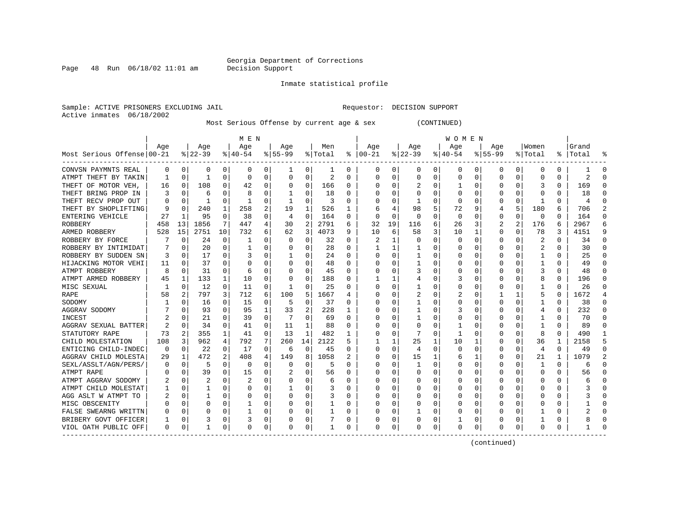Page 48 Run  $06/18/02$  11:01 am

#### Inmate statistical profile

Sample: ACTIVE PRISONERS EXCLUDING JAIL **Requestor: DECISION SUPPORT** Active inmates 06/18/2002

Most Serious Offense by current age & sex (CONTINUED)

|                            |          |             |                |              | M E N       |          |           |                |         |          |               |          |          |   | W O M E N |              |             |                |                |          |           |   |
|----------------------------|----------|-------------|----------------|--------------|-------------|----------|-----------|----------------|---------|----------|---------------|----------|----------|---|-----------|--------------|-------------|----------------|----------------|----------|-----------|---|
|                            | Age      |             | Age            |              | Age         |          | Age       |                | Men     |          | Age           |          | Age      |   | Age       |              | Age         |                | Women          |          | Grand     |   |
| Most Serious Offense 00-21 |          |             | $ 22-39 $      |              | $8 40-54$   |          | $8 55-99$ |                | % Total |          | $8   00 - 21$ |          | $ 22-39$ |   | $ 40-54$  |              | $8155 - 99$ |                | % Total        |          | %   Total |   |
| CONVSN PAYMNTS REAL        | 0        | 0           | 0              | 0            | 0           | 0        | 1         | 0              | 1       | 0        | 0             | 0        | 0        | 0 | 0         | 0            | 0           | 0              | 0              | 0        |           | n |
| ATMPT THEFT BY TAKIN       | -1       | 0           | 1              | $\Omega$     | $\Omega$    | 0        | 0         | 0              | 2       | 0        | <sup>0</sup>  | 0        | $\Omega$ | 0 | 0         | 0            | 0           | 0              | 0              | O        | 2         |   |
| THEFT OF MOTOR VEH,        | 16       | 0           | 108            | 0            | 42          | 0        | 0         | 0              | 166     | 0        |               | U        | 2        | 0 |           | 0            |             | 0              | 3              | 0        | 169       |   |
| THEFT BRING PROP IN        |          | $\mathbf 0$ | 6              |              | 8           | 0        |           | $\Omega$       | 18      | 0        |               |          |          | 0 |           | 0            |             | O              |                |          | 18        |   |
| THEFT RECV PROP OUT        |          | 0           | 1              | U            |             | $\Omega$ |           | 0              | 3       | O        |               |          |          | U |           | $\Omega$     | U           | O              |                | O        |           |   |
| THEFT BY SHOPLIFTING       |          | $\Omega$    | 240            | 1            | 258         | 2        | 19        | 1              | 526     |          |               |          | 98       | 5 | 72        | 9            | 4           | 5              | 180            | 6        | 706       |   |
| ENTERING VEHICLE           | 27       | 1           | 95             | 0            | 38          | 0        | 4         | 0              | 164     | O        | ∩             | 0        | $\Omega$ | U | 0         | 0            | 0           | 0              | 0              | 0        | 164       |   |
| ROBBERY                    | 458      | 13          | 1856           | 7            | 447         | 4        | 30        | $\overline{2}$ | 2791    | 6        | 32            | 19       | 116      | 6 | 26        | 3            | 2           | $\overline{a}$ | 176            | 6        | 2967      |   |
| ARMED ROBBERY              | 528      | 15          | 2751           | 10           | 732         | 6        | 62        | 3              | 4073    | 9        | 10            | 6        | 58       | 3 | 10        | $\mathbf{1}$ | $\Omega$    | $\Omega$       | 78             | 3        | 4151      |   |
| ROBBERY BY FORCE           |          | 0           | 24             | 0            |             | O        | O         | 0              | 32      | O        | 2             |          |          | 0 |           | 0            | 0           | O              | 2              | 0        | 34        |   |
| ROBBERY BY INTIMIDAT       |          | 0           | 20             | $\Omega$     |             | 0        |           | 0              | 28      | 0        |               |          |          | 0 |           | 0            | 0           | 0              | 2              | 0        | 30        |   |
| ROBBERY BY SUDDEN SN       | 3        | $\mathbf 0$ | 17             | U            |             | 0        |           | 0              | 24      | O        |               | 0        |          | 0 |           | 0            | 0           |                |                | 0        | 25        |   |
| HIJACKING MOTOR VEHI       | 11       | $\mathbf 0$ | 37             | U            | C           | O        | O         | 0              | 48      | $\Omega$ |               | U        |          | U |           | 0            | U           | U              |                | 0        | 49        | ∩ |
| ATMPT ROBBERY              | 8        | $\Omega$    | 31             | $\Omega$     | 6           | $\Omega$ | O         | 0              | 45      | $\Omega$ |               | U        |          | U |           | 0            | U           | O              |                | 0        | 48        | ∩ |
| ATMPT ARMED ROBBERY        | 45       | 1           | 133            | $\mathbf{1}$ | 10          | $\Omega$ | $\Omega$  | 0              | 188     | 0        |               |          |          | 0 |           | 0            | 0           | 0              | 8              | 0        | 196       | ∩ |
| MISC SEXUAL                |          | 0           | 12             | $\Omega$     | 11          | 0        | 1         | 0              | 25      | 0        | O             | 0        |          | 0 |           | 0            | 0           | O              |                | 0        | 26        | ∩ |
| RAPE                       | 58       | 2           | 797            | 3            | 712         | 6        | 100       | 5              | 1667    | 4        |               | U        |          | 0 |           | 0            |             | 1              | 5              | O        | 1672      | 4 |
| SODOMY                     |          | 0           | 16             | 0            | 15          | 0        | 5         | 0              | 37      | O        |               |          |          | 0 |           | 0            |             | O              |                | O        | 38        |   |
| AGGRAV SODOMY              |          | $\Omega$    | 93             | U            | 95          | 1        | 33        | 2              | 228     |          |               |          |          | 0 |           | $\Omega$     | U           | O              | 4              | O        | 232       | ∩ |
| INCEST                     |          | $\Omega$    | 21             | U            | 39          | $\Omega$ |           | $\Omega$       | 69      | O        |               |          |          | U |           | 0            | O           |                |                | 0        | 70        |   |
| AGGRAV SEXUAL BATTER       |          | 0           | 34             | U            | 41          | 0        | 11        | 1              | 88      | O        |               | U        | $\Omega$ | U |           | 0            | O           | U              |                | 0        | 89        |   |
| STATUTORY RAPE             | 73       | 2           | 355            | 1            | 41          | $\Omega$ | 13        | 1              | 482     | -1       |               | $\Omega$ |          | O |           | 0            |             | U              | 8              | 0        | 490       |   |
| CHILD MOLESTATION          | 108      | 3           | 962            | 4            | 792         | 7        | 260       | 14             | 2122    | 5        |               |          | 25       | 1 | 10        | 1            | U           | 0              | 36             | 1        | 2158      |   |
| ENTICING CHILD-INDEC       | 0        | 0           | 22             | $\Omega$     | 17          | $\Omega$ | 6         | 0              | 45      | O        |               | $\Omega$ | 4        | O | O         | $\Omega$     | U           | $\Omega$       | $\overline{4}$ | $\Omega$ | 49        |   |
| AGGRAV CHILD MOLESTA       | 29       | 1           | 472            | 2            | 408         | 4        | 149       | 8              | 1058    | 2        |               | $\Omega$ | 15       | 1 | 6         | 1            | 0           | $\Omega$       | 21             |          | 1079      |   |
| SEXL/ASSLT/AGN/PERS/       |          | $\mathbf 0$ | 5              | 0            | $\mathbf 0$ | 0        | 0         | 0              | 5       | O        |               | 0        | 1        | 0 |           | $\mathbf 0$  | 0           | O              |                | $\Omega$ |           |   |
| ATMPT RAPE                 |          | 0           | 39             | 0            | 15          | 0        |           | 0              | 56      | O        |               | U        | 0        | U |           | 0            | U           | O              | 0              | O        | 56        |   |
| ATMPT AGGRAV SODOMY        |          | $\mathbf 0$ | $\overline{c}$ | U            |             | O        |           | $\Omega$       | 6       | n        |               | U        |          | U |           | 0            | U           | U              | C              | 0        |           |   |
| ATMPT CHILD MOLESTAT       |          | 0           | 1              | U            | C           | O        |           | O              | 3       | O        |               | 0        |          | U | C         | $\Omega$     | O           | O              | O              | 0        |           |   |
| AGG ASLT W ATMPT TO        |          | $\Omega$    | 1              | U            | C           | $\Omega$ | O         | 0              | 3       | 0        |               | 0        | 0        | 0 | C         | 0            | 0           | $\Omega$       | O              | 0        |           |   |
| MISC OBSCENITY             |          | $\mathbf 0$ | 0              | U            |             | 0        | U         | 0              |         | $\Omega$ |               | 0        | 0        | 0 | C         | 0            | 0           | 0              | $\Box$         | 0        |           |   |
| FALSE SWEARNG WRITTN       |          | 0           |                | U            |             | 0        | O         | 0              |         | 0        |               | 0        |          | 0 |           | 0            |             | O              |                | 0        |           |   |
| BRIBERY GOVT OFFICER       |          | 0           | 3              | 0            | 3           | 0        |           | 0              |         | 0        |               | 0        |          | 0 |           | 0            |             | 0              |                | 0        |           |   |
| VIOL OATH PUBLIC OFF       | $\Omega$ | 0           | 1              | 0            | $\Omega$    | 0        | 0         | 0              |         | 0        | 0             | 0        | 0        | 0 | 0         | 0            | 0           | 0              | 0              | 0        |           |   |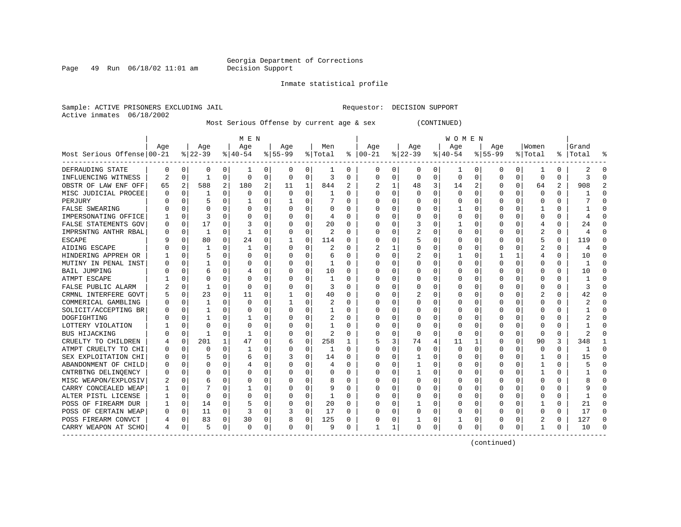Page 49 Run  $06/18/02$  11:01 am

#### Inmate statistical profile

Sample: ACTIVE PRISONERS EXCLUDING JAIL **Requestor: DECISION SUPPORT** Active inmates 06/18/2002

Most Serious Offense by current age & sex (CONTINUED)

|                            | M E N |              |          |          |              |          |          |             |          |          | W O M E N     |   |          |   |              |             |             |             |          |          |           |          |
|----------------------------|-------|--------------|----------|----------|--------------|----------|----------|-------------|----------|----------|---------------|---|----------|---|--------------|-------------|-------------|-------------|----------|----------|-----------|----------|
|                            | Age   |              | Age      |          | Age          |          | Age      |             | Men      |          | Age           |   | Age      |   | Age          |             | Age         |             | Women    |          | Grand     |          |
| Most Serious Offense 00-21 |       |              | $ 22-39$ |          | $8 40-54$    |          | $ 55-99$ |             | % Total  |          | $8   00 - 21$ |   | $ 22-39$ |   | $ 40-54$     |             | $8155 - 99$ |             | % Total  |          | %   Total | °        |
| DEFRAUDING STATE           | 0     | 0            | 0        | 0        | 1            | 0        | 0        | 0           | ı        | 0        | 0             | 0 | 0        | 0 | 1            | 0           | 0           | 0           | 1        | 0        | 2         | n        |
| INFLUENCING WITNESS        | 2     | 0            | 1        | 0        | 0            | 0        | 0        | 0           | 3        | 0        | $\Omega$      | 0 | $\Omega$ | 0 | $\Omega$     | 0           | 0           | 0           | 0        | O        | κ         | ∩        |
| OBSTR OF LAW ENF OFF       | 65    | 2            | 588      | 2        | 180          | 2        | 11       | 1           | 844      | 2        |               |   | 48       | 3 | 14           | 2           | U           | 0           | 64       | 2        | 908       |          |
| MISC JUDICIAL PROCEE       |       | $\Omega$     |          | U        | $\Omega$     | 0        | $\Omega$ | 0           |          | $\Omega$ |               |   | U        | O | <sup>0</sup> | $\mathbf 0$ | 0           | U           | $\Omega$ | $\Omega$ |           |          |
| PERJURY                    |       | $\Omega$     | 5        | U        |              | 0        |          | O           |          | $\Omega$ |               |   | ∩        | U |              | $\Omega$    | ∩           | U           | $\Omega$ | $\Omega$ |           |          |
| <b>FALSE SWEARING</b>      |       | <sup>0</sup> | U        | U        | <sup>0</sup> | 0        | U        | 0           | $\Omega$ | 0        |               |   | O        | 0 |              | $\Omega$    | O           | U           |          | 0        |           |          |
| IMPERSONATING OFFICE       |       | $\Omega$     | 3        | U        | O            | $\Omega$ | U        | 0           | 4        | 0        |               |   | O        | U |              | $\Omega$    |             | 0           | $\Omega$ | 0        |           |          |
| FALSE STATEMENTS GOV       |       | $\Omega$     | 17       | 0        | 3            | $\Omega$ | U        | 0           | 20       | 0        |               |   | 3        | U |              | $\Omega$    |             | 0           | 4        | 0        | 24        |          |
| IMPRSNTNG ANTHR RBAL       |       | 0            | 1        | 0        | -1           | 0        | U        | $\mathbf 0$ | 2        | $\Omega$ |               | O | 2        | U |              | 0           |             | 0           | 2        | $\Omega$ |           |          |
| ESCAPE                     |       | $\Omega$     | 80       | $\Omega$ | 24           | 0        | 1        | $\mathbf 0$ | 114      | 0        |               | 0 |          | 0 |              | 0           |             | 0           | 5        | $\Omega$ | 119       |          |
| AIDING ESCAPE              |       | $\Omega$     |          | U        |              | 0        | 0        | 0           | 2        | $\Omega$ |               |   |          | U |              | $\mathbf 0$ | 0           | U           | 2        | 0        |           | $\Omega$ |
| HINDERING APPREH OR        |       | $\Omega$     | 5        | 0        | O            | 0        | U        | $\Omega$    | 6        | $\Omega$ |               | 0 |          | U |              | 0           |             | 1           | 4        | $\Omega$ | 10        | $\cap$   |
| MUTINY IN PENAL INST       |       | $\Omega$     |          | U        | O            | 0        | U        | $\Omega$    | 1        | $\Omega$ |               | 0 | Ω        | U |              | $\Omega$    | 0           | $\Omega$    | 0        | 0        |           | $\cap$   |
| <b>BAIL JUMPING</b>        |       | $\Omega$     | 6        | U        |              | 0        | U        | 0           | 10       | $\Omega$ |               | 0 | O        | U |              | 0           | 0           | 0           | $\Omega$ | 0        | 10        | ∩        |
| ATMPT ESCAPE               |       | O            |          | U        | O            | O        | U        | 0           | 1        | 0        |               |   | O        | U |              | 0           | O           | 0           | O        | O        |           |          |
| FALSE PUBLIC ALARM         |       | $\Omega$     |          | U        | $\Omega$     | 0        | 0        | 0           | 3        | 0        |               |   | 0        | U |              | 0           |             | 0           | 0        | 0        |           |          |
| CRMNL INTERFERE GOVT       |       | 0            | 23       | 0        | 11           | 0        |          | 0           | 40       | 0        |               |   |          | U |              | 0           | 0           | U           | 2        | O        | 42        |          |
| COMMERICAL GAMBLING        |       | $\Omega$     |          | U        | $\Omega$     | 0        |          | U           | 2        | $\Omega$ |               |   | U        | U |              | $\Omega$    | U           | U           | C        | 0        |           |          |
| SOLICIT/ACCEPTING BR       |       | $\Omega$     |          | U        | <sup>0</sup> | 0        | U        | U           | 1        | 0        |               |   | O        | U |              | $\Omega$    | O           | U           | $\Omega$ | $\Omega$ |           |          |
| DOGFIGHTING                |       | $\cap$       |          | U        |              | 0        |          | O           | 2        | $\Omega$ |               |   | O        | U |              | O           |             | 0           | $\Omega$ | 0        |           |          |
| LOTTERY VIOLATION          |       | $\Omega$     | U        | U        | O            | 0        |          | O           | 1        | $\Omega$ |               | 0 | O        | U |              | $\Omega$    |             | $\Omega$    | $\Omega$ | 0        |           |          |
| <b>BUS HIJACKING</b>       |       | $\Omega$     |          | U        |              | 0        | U        | $\Omega$    | 2        | $\Omega$ |               | 0 | $\Omega$ | 0 |              | $\Omega$    | O           | $\Omega$    | $\Omega$ | 0        |           |          |
| CRUELTY TO CHILDREN        |       | $\mathbf 0$  | 201      | 1        | 47           | 0        | 6        | $\mathbf 0$ | 258      | 1        |               | 3 | 74       | 4 | 11           | 1           | 0           | $\mathbf 0$ | 90       | 3        | 348       |          |
| ATMPT CRUELTY TO CHI       |       | 0            | U        | U        |              | 0        |          | 0           | 1        | $\Omega$ |               | O | 0        | U |              | 0           | 0           | 0           | 0        | 0        |           |          |
| SEX EXPLOITATION CHI       |       | $\Omega$     | 5        | 0        | 6            | 0        |          | 0           | 14       | $\Omega$ |               | O |          | U |              | $\Omega$    | 0           | 0           |          | $\Omega$ | 15        | $\cap$   |
| ABANDONMENT OF CHILD       |       | $\Omega$     | U        | 0        |              | 0        |          | 0           | 4        | $\Omega$ |               |   |          | U |              | 0           | U           | 0           | -1       | 0        |           | $\cap$   |
| CNTRBTNG DELINQENCY        |       | $\Omega$     | O        | 0        | O            | 0        | U        | 0           | $\Omega$ | $\Omega$ |               |   |          | U |              | 0           | O           | 0           |          | 0        |           | ∩        |
| MISC WEAPON/EXPLOSIV       |       | $\Omega$     | 6        | 0        | O            | 0        | U        | 0           | 8        | $\Omega$ |               |   | U        | U |              | 0           | U           | $\Omega$    | $\Omega$ | 0        |           | $\cap$   |
| CARRY CONCEALED WEAP       |       | $\Omega$     |          | U        |              | 0        | U        | 0           | 9        | $\Omega$ |               |   | O        | U |              | 0           | 0           | 0           | O        | $\Omega$ |           |          |
| ALTER PISTL LICENSE        |       | $\Omega$     | U        | U        | O            | $\Omega$ | U        | 0           | 1        | 0        |               |   | O        | U |              | 0           |             | 0           | C        |          |           |          |
| POSS OF FIREARM DUR        |       | 0            | 14       | U        |              | 0        | U        | 0           | 20       | $\Omega$ |               |   |          | U |              | 0           | U           | U           |          | O        |           |          |
| POSS OF CERTAIN WEAP       |       | 0            | 11       | 0        | 3            | 0        | 3        | 0           | 17       | 0        |               | O | U        | 0 | Ω            | 0           | U           | U           | $\Omega$ | 0        | 17        | $\cap$   |
| POSS FIREARM CONVCT        |       | 0            | 83       | 0        | 30           | 0        | 8        | 0           | 125      | $\Omega$ |               | 0 |          | 0 |              | 0           |             | 0           |          | 0        | 127       | $\cap$   |
| CARRY WEAPON AT SCHO       | 4     | 0            | 5        | 0        | $\Omega$     | 0        | U        | 0           | 9        | $\Omega$ |               | 1 | U        | 0 | $\Omega$     | 0           | U           | 0           | -1       | 0        | 10        |          |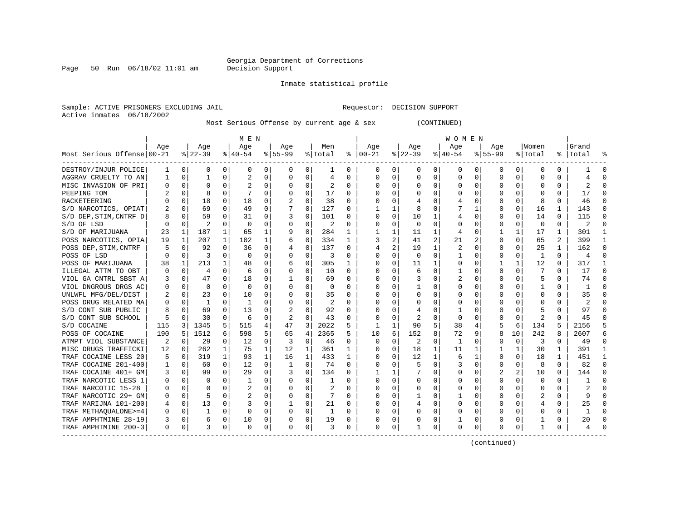Page 50 Run  $06/18/02$  11:01 am

#### Inmate statistical profile

Sample: ACTIVE PRISONERS EXCLUDING JAIL **Requestor: DECISION SUPPORT** Active inmates 06/18/2002

Most Serious Offense by current age & sex (CONTINUED)

| Age<br>Age<br>Age<br>Women<br>Aqe<br>Aqe<br>Men<br>Age<br>Aqe<br>Aqe<br>$8 22-39$<br>Most Serious Offense 00-21<br>$8 40-54$<br>$8 55-99$<br>$ 00-21$<br>$ 22-39$<br>$ 40-54 $<br>$ 55-99$<br>% Total<br>ႜ<br>%   Total<br>% Total<br>DESTROY/INJUR POLICE<br>0<br>0<br>0<br>0<br>0<br>$\Omega$<br>0<br>0<br>0<br>0<br>0<br>0<br>0<br>0<br>0<br>0<br>0<br>0<br>1<br>1<br>AGGRAV CRUELTY TO AN<br>$\Omega$<br>2<br>0<br>$\Omega$<br>0<br>0<br>$\Omega$<br>0<br>0<br>O<br>0<br>$\Omega$<br>0<br>$\Omega$<br>0<br>0<br>4<br>0<br>MISC INVASION OF PRI<br>$\Omega$<br>$\Omega$<br>$\Omega$<br>$\overline{2}$<br>$\Omega$<br>0<br>0<br>0<br>O<br>0<br>$\Omega$<br>0<br>0<br>0<br>$\Omega$<br>0<br>O<br>0<br>17<br>$\Omega$<br>8<br>$\Omega$<br>$\Omega$<br>$\Omega$<br>$\cap$<br>PEEPING TOM<br>U<br>$\Omega$<br>0<br>C<br>$\Omega$<br>0<br>O<br>$\Omega$<br>0<br>18<br>$\Omega$<br>38<br>RACKETEERING<br>$\Omega$<br>18<br>0<br>$\Omega$<br>O<br>8<br>0<br>0<br>C<br>$\Omega$<br>O<br>0<br>0<br>$\mathbf 0$<br>69<br>49<br>0<br>127<br>1<br>8<br>$\Omega$<br>$\Omega$<br>16<br>S/D NARCOTICS, OPIAT<br>$\Omega$<br>0<br>1<br>0<br>0<br>1<br>$\mathbf 0$<br>0<br>S/D DEP, STIM, CNTRF D<br>$\Omega$<br>59<br>$\Omega$<br>31<br>0<br>101<br>10<br>1<br>0<br>$\Omega$<br>14<br>$\Omega$<br>8<br>3<br>0<br>$\Omega$<br>0<br>0<br>0<br>$\Omega$<br>$\Omega$<br>S/D OF LSD<br>$\Omega$<br>2<br>0<br>U<br>2<br>$\Omega$<br>0<br>0<br>0<br>$\Omega$<br>$\Omega$<br>0<br>O<br>$\Omega$<br>0<br>O<br>187<br>$\mathbf 0$<br>1<br>65<br>284<br>1<br>1<br>1<br>S/D OF MARIJUANA<br>1<br>1<br>11<br>0<br>17<br>1<br>23<br>9<br>1<br>4 |                     |
|---------------------------------------------------------------------------------------------------------------------------------------------------------------------------------------------------------------------------------------------------------------------------------------------------------------------------------------------------------------------------------------------------------------------------------------------------------------------------------------------------------------------------------------------------------------------------------------------------------------------------------------------------------------------------------------------------------------------------------------------------------------------------------------------------------------------------------------------------------------------------------------------------------------------------------------------------------------------------------------------------------------------------------------------------------------------------------------------------------------------------------------------------------------------------------------------------------------------------------------------------------------------------------------------------------------------------------------------------------------------------------------------------------------------------------------------------------------------------------------------------------------------------------------------------------------------------------------------------------------------|---------------------|
|                                                                                                                                                                                                                                                                                                                                                                                                                                                                                                                                                                                                                                                                                                                                                                                                                                                                                                                                                                                                                                                                                                                                                                                                                                                                                                                                                                                                                                                                                                                                                                                                                     | Grand               |
|                                                                                                                                                                                                                                                                                                                                                                                                                                                                                                                                                                                                                                                                                                                                                                                                                                                                                                                                                                                                                                                                                                                                                                                                                                                                                                                                                                                                                                                                                                                                                                                                                     |                     |
|                                                                                                                                                                                                                                                                                                                                                                                                                                                                                                                                                                                                                                                                                                                                                                                                                                                                                                                                                                                                                                                                                                                                                                                                                                                                                                                                                                                                                                                                                                                                                                                                                     | $\Omega$            |
|                                                                                                                                                                                                                                                                                                                                                                                                                                                                                                                                                                                                                                                                                                                                                                                                                                                                                                                                                                                                                                                                                                                                                                                                                                                                                                                                                                                                                                                                                                                                                                                                                     |                     |
|                                                                                                                                                                                                                                                                                                                                                                                                                                                                                                                                                                                                                                                                                                                                                                                                                                                                                                                                                                                                                                                                                                                                                                                                                                                                                                                                                                                                                                                                                                                                                                                                                     |                     |
|                                                                                                                                                                                                                                                                                                                                                                                                                                                                                                                                                                                                                                                                                                                                                                                                                                                                                                                                                                                                                                                                                                                                                                                                                                                                                                                                                                                                                                                                                                                                                                                                                     | 17                  |
|                                                                                                                                                                                                                                                                                                                                                                                                                                                                                                                                                                                                                                                                                                                                                                                                                                                                                                                                                                                                                                                                                                                                                                                                                                                                                                                                                                                                                                                                                                                                                                                                                     | 46                  |
|                                                                                                                                                                                                                                                                                                                                                                                                                                                                                                                                                                                                                                                                                                                                                                                                                                                                                                                                                                                                                                                                                                                                                                                                                                                                                                                                                                                                                                                                                                                                                                                                                     | 143                 |
|                                                                                                                                                                                                                                                                                                                                                                                                                                                                                                                                                                                                                                                                                                                                                                                                                                                                                                                                                                                                                                                                                                                                                                                                                                                                                                                                                                                                                                                                                                                                                                                                                     | 115                 |
|                                                                                                                                                                                                                                                                                                                                                                                                                                                                                                                                                                                                                                                                                                                                                                                                                                                                                                                                                                                                                                                                                                                                                                                                                                                                                                                                                                                                                                                                                                                                                                                                                     | 2                   |
|                                                                                                                                                                                                                                                                                                                                                                                                                                                                                                                                                                                                                                                                                                                                                                                                                                                                                                                                                                                                                                                                                                                                                                                                                                                                                                                                                                                                                                                                                                                                                                                                                     | 301                 |
| 2<br>1<br>1<br>102<br>0<br>334<br>1<br>2<br>2<br>65<br>2<br>POSS NARCOTICS, OPIA<br>19<br>207<br>1<br>3<br>41<br>21<br>$\Omega$<br>0<br>6                                                                                                                                                                                                                                                                                                                                                                                                                                                                                                                                                                                                                                                                                                                                                                                                                                                                                                                                                                                                                                                                                                                                                                                                                                                                                                                                                                                                                                                                           | 399<br>$\mathbf{1}$ |
| 2<br>$\mathbf{1}$<br>0<br>137<br>19<br>2<br>25<br>$\mathbf{1}$<br>POSS DEP, STIM, CNTRF<br>0<br>92<br>0<br>36<br>0<br>0<br>4<br>$\Omega$<br>O<br>O<br>5<br>4                                                                                                                                                                                                                                                                                                                                                                                                                                                                                                                                                                                                                                                                                                                                                                                                                                                                                                                                                                                                                                                                                                                                                                                                                                                                                                                                                                                                                                                        | 162<br>∩            |
| $\Omega$<br>$\Omega$<br>$\Omega$<br>POSS OF LSD<br>$\Omega$<br>3<br>0<br>$\Omega$<br>0<br>3<br>0<br>$\Omega$<br>$\Omega$<br>0<br>$\Omega$<br>1<br>$\Omega$<br>0<br>0<br>1<br>0                                                                                                                                                                                                                                                                                                                                                                                                                                                                                                                                                                                                                                                                                                                                                                                                                                                                                                                                                                                                                                                                                                                                                                                                                                                                                                                                                                                                                                      | $\Omega$<br>4       |
| POSS OF MARIJUANA<br>213<br>0<br>305<br>0<br>11<br>1<br>1<br>12<br>38<br>1<br>1<br>48<br>0<br>$\Omega$<br>0<br>0<br>1<br>0<br>6                                                                                                                                                                                                                                                                                                                                                                                                                                                                                                                                                                                                                                                                                                                                                                                                                                                                                                                                                                                                                                                                                                                                                                                                                                                                                                                                                                                                                                                                                     | 317<br>-1           |
| ILLEGAL ATTM TO OBT<br>0<br>0<br>0<br>0<br>0<br>0<br>0<br>4<br>0<br>6<br>10<br>0<br>$\Omega$<br>6<br>0<br>0<br>0<br>O                                                                                                                                                                                                                                                                                                                                                                                                                                                                                                                                                                                                                                                                                                                                                                                                                                                                                                                                                                                                                                                                                                                                                                                                                                                                                                                                                                                                                                                                                               | 17<br>$\Omega$      |
| VIOL GA CNTRL SBST A<br>47<br>0<br>0<br>0<br>0<br>5<br>0<br>0<br>18<br>69<br>0<br>2<br>0<br>0<br>0<br>0<br>3                                                                                                                                                                                                                                                                                                                                                                                                                                                                                                                                                                                                                                                                                                                                                                                                                                                                                                                                                                                                                                                                                                                                                                                                                                                                                                                                                                                                                                                                                                        | $\Omega$<br>74      |
| VIOL DNGROUS DRGS AC<br>0<br>0<br>$\Omega$<br>0<br>0<br>0<br>0<br>0<br>O<br>0<br>O<br>0<br>U<br>0<br>O                                                                                                                                                                                                                                                                                                                                                                                                                                                                                                                                                                                                                                                                                                                                                                                                                                                                                                                                                                                                                                                                                                                                                                                                                                                                                                                                                                                                                                                                                                              |                     |
| UNLWFL MFG/DEL/DIST<br>$\Omega$<br>23<br>0<br>10<br>U<br>O<br>35<br>0<br>$\Omega$<br>0<br>$\Omega$<br>0<br>$\Omega$<br>U<br>C<br>$\Omega$<br>$\Omega$<br>O<br>U                                                                                                                                                                                                                                                                                                                                                                                                                                                                                                                                                                                                                                                                                                                                                                                                                                                                                                                                                                                                                                                                                                                                                                                                                                                                                                                                                                                                                                                     | 35                  |
| 2<br>POSS DRUG RELATED MA<br>$\Omega$<br>1<br>-1<br>0<br>O<br>U<br>C<br>$\Omega$<br>0<br><sup>0</sup><br>0<br>O<br>O<br>O<br>0<br>0<br>0<br>O<br>U                                                                                                                                                                                                                                                                                                                                                                                                                                                                                                                                                                                                                                                                                                                                                                                                                                                                                                                                                                                                                                                                                                                                                                                                                                                                                                                                                                                                                                                                  | 2                   |
| 92<br>S/D CONT SUB PUBLIC<br>69<br>13<br>0<br>$\Omega$<br>0<br>$\cap$<br>0<br>0<br>0<br>0<br>8<br>O<br>0<br>O<br>0                                                                                                                                                                                                                                                                                                                                                                                                                                                                                                                                                                                                                                                                                                                                                                                                                                                                                                                                                                                                                                                                                                                                                                                                                                                                                                                                                                                                                                                                                                  | 97                  |
| 30<br>$\Omega$<br>$\Omega$<br>$\Omega$<br>S/D CONT SUB SCHOOL<br>5<br>0<br>6<br>0<br>2<br>43<br>2<br>$\Omega$<br>2<br>$\Omega$<br>0<br>C<br>0<br>$\Omega$<br>O<br>0                                                                                                                                                                                                                                                                                                                                                                                                                                                                                                                                                                                                                                                                                                                                                                                                                                                                                                                                                                                                                                                                                                                                                                                                                                                                                                                                                                                                                                                 | 45                  |
| $\mathbf{1}$<br>5<br>3<br>2022<br>5<br>90<br>6<br>S/D COCAINE<br>115<br>3<br>1345<br>5<br>515<br>4<br>47<br>38<br>4<br>5<br>134<br>5                                                                                                                                                                                                                                                                                                                                                                                                                                                                                                                                                                                                                                                                                                                                                                                                                                                                                                                                                                                                                                                                                                                                                                                                                                                                                                                                                                                                                                                                                | 2156                |
| 4<br>6<br>152<br>8<br>190<br>5<br>1512<br>598<br>5<br>2365<br>5.<br>72<br>8<br>10<br>242<br>8<br>POSS OF COCAINE<br>6<br>65<br>10<br>9                                                                                                                                                                                                                                                                                                                                                                                                                                                                                                                                                                                                                                                                                                                                                                                                                                                                                                                                                                                                                                                                                                                                                                                                                                                                                                                                                                                                                                                                              | 2607                |
| 29<br>0<br>0<br>2<br>0<br>0<br>3<br>$\Omega$<br>ATMPT VIOL SUBSTANCE<br>2<br>$\mathbf 0$<br>0<br>12<br>0<br>3<br>46<br>0<br>$\Omega$<br>1<br>$\mathbf 0$<br>$\Omega$                                                                                                                                                                                                                                                                                                                                                                                                                                                                                                                                                                                                                                                                                                                                                                                                                                                                                                                                                                                                                                                                                                                                                                                                                                                                                                                                                                                                                                                | 49                  |
| MISC DRUGS TRAFFICKI<br>262<br>1<br>75<br>1<br>12<br>1<br>361<br>$\Omega$<br>18<br>1<br>1<br>30<br>$\mathbf{1}$<br>12<br>0<br>1<br>C<br>11<br>1<br>1                                                                                                                                                                                                                                                                                                                                                                                                                                                                                                                                                                                                                                                                                                                                                                                                                                                                                                                                                                                                                                                                                                                                                                                                                                                                                                                                                                                                                                                                | 391<br>-1           |
| $\mathbf{1}$<br>1<br>12<br>1<br>TRAF COCAINE LESS 20<br>319<br>1<br>93<br>16<br>433<br>0<br>1<br>$\Omega$<br>18<br>1<br>0<br>1<br>C<br>6<br>0<br>5                                                                                                                                                                                                                                                                                                                                                                                                                                                                                                                                                                                                                                                                                                                                                                                                                                                                                                                                                                                                                                                                                                                                                                                                                                                                                                                                                                                                                                                                  | 451<br>$\mathbf{1}$ |
| TRAF COCAINE 201-400<br>12<br>$\Omega$<br>60<br>0<br>0<br>0<br>74<br>0<br>5<br>0<br>0<br>8<br>$\Omega$<br>0<br>1<br>0<br>C<br>3<br>0                                                                                                                                                                                                                                                                                                                                                                                                                                                                                                                                                                                                                                                                                                                                                                                                                                                                                                                                                                                                                                                                                                                                                                                                                                                                                                                                                                                                                                                                                | 82<br>∩             |
| 99<br>29<br>$\Omega$<br>2<br>TRAF COCAINE 401+ GM<br>0<br>0<br>0<br>134<br>1<br>0<br>0<br>10<br>0<br>3<br>3<br>0<br>0                                                                                                                                                                                                                                                                                                                                                                                                                                                                                                                                                                                                                                                                                                                                                                                                                                                                                                                                                                                                                                                                                                                                                                                                                                                                                                                                                                                                                                                                                               | 144<br>n            |
| TRAF NARCOTIC LESS 1<br>$\Omega$<br>0<br>0<br>0<br>$\Omega$<br>0<br>0<br>0<br>0<br>0<br>1<br>O<br>-1<br>0<br>0<br>0<br>0<br>0<br>0<br>0                                                                                                                                                                                                                                                                                                                                                                                                                                                                                                                                                                                                                                                                                                                                                                                                                                                                                                                                                                                                                                                                                                                                                                                                                                                                                                                                                                                                                                                                             |                     |
| TRAF NARCOTIC 15-28<br>0<br>$\Omega$<br>0<br>O<br>2<br>0<br>2<br>0<br>0<br>0<br>0<br>0<br>0<br>O<br>O<br>0<br>0<br>0                                                                                                                                                                                                                                                                                                                                                                                                                                                                                                                                                                                                                                                                                                                                                                                                                                                                                                                                                                                                                                                                                                                                                                                                                                                                                                                                                                                                                                                                                                | Z.                  |
| TRAF NARCOTIC 29+ GM<br>0<br>0<br>O<br>0<br>0<br>0<br>O<br>5<br>O<br>$\Omega$<br>U<br>-1<br>0<br>O<br>O                                                                                                                                                                                                                                                                                                                                                                                                                                                                                                                                                                                                                                                                                                                                                                                                                                                                                                                                                                                                                                                                                                                                                                                                                                                                                                                                                                                                                                                                                                             |                     |
| 13<br>TRAF MARIJNA 101-200<br>$\Omega$<br>21<br>$\Omega$<br>0<br>O<br>3<br>0<br>0<br>O<br>0<br>$\Omega$<br>0<br>U<br>0<br>4<br>0<br>4<br>4                                                                                                                                                                                                                                                                                                                                                                                                                                                                                                                                                                                                                                                                                                                                                                                                                                                                                                                                                                                                                                                                                                                                                                                                                                                                                                                                                                                                                                                                          | 25                  |
| TRAF METHAOUALONE>=4<br>0<br>0<br>0<br>$\Omega$<br>U<br>0<br>1<br>0<br>$\Omega$<br>$\Omega$<br>1<br>U<br>C<br>$\Omega$<br>0<br>0<br>O<br>O<br>$\Omega$<br>U                                                                                                                                                                                                                                                                                                                                                                                                                                                                                                                                                                                                                                                                                                                                                                                                                                                                                                                                                                                                                                                                                                                                                                                                                                                                                                                                                                                                                                                         | -1                  |
| TRAF AMPHTMINE 28-19<br>0<br>0<br>19<br>0<br>3<br>0<br>6<br>0<br>10<br>$\Omega$<br>0<br>0<br>0<br>0<br>0<br>O<br>O                                                                                                                                                                                                                                                                                                                                                                                                                                                                                                                                                                                                                                                                                                                                                                                                                                                                                                                                                                                                                                                                                                                                                                                                                                                                                                                                                                                                                                                                                                  | 20                  |
| TRAF AMPHTMINE 200-3<br>3<br>0<br>0<br>0<br>0<br>0<br>3<br>$\Omega$<br>0<br>$\Omega$<br>0<br>0<br>0<br>0<br>0<br>0<br>0<br>0<br>1<br>1                                                                                                                                                                                                                                                                                                                                                                                                                                                                                                                                                                                                                                                                                                                                                                                                                                                                                                                                                                                                                                                                                                                                                                                                                                                                                                                                                                                                                                                                              |                     |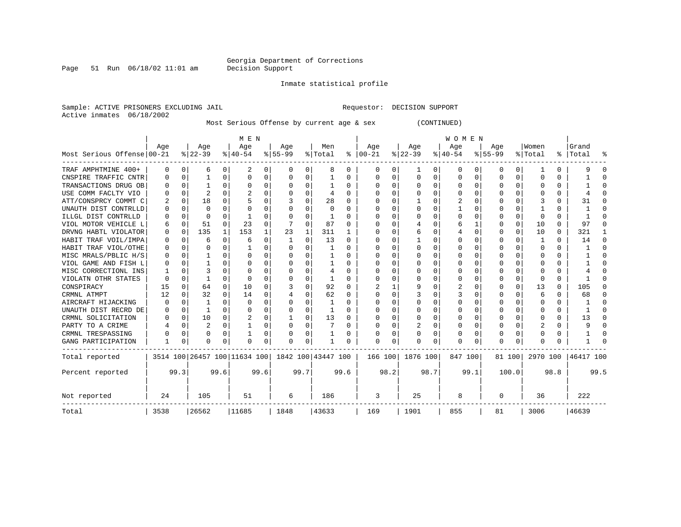Inmate statistical profile

Sample: ACTIVE PRISONERS EXCLUDING JAIL **Requestor: DECISION SUPPORT** Active inmates 06/18/2002

Most Serious Offense by current age & sex (CONTINUED)

|                            |              |          |          |          | M E N                        |      |           |          |                    |      |           |      |          |          | <b>WOMEN</b> |                  |              |          |          |      |           |              |
|----------------------------|--------------|----------|----------|----------|------------------------------|------|-----------|----------|--------------------|------|-----------|------|----------|----------|--------------|------------------|--------------|----------|----------|------|-----------|--------------|
|                            | Age          |          | Age      |          | Age                          |      | Age       |          | Men                |      | Age       |      | Age      |          | Age          |                  | Age          |          | Women    |      | Grand     |              |
| Most Serious Offense 00-21 |              |          | $ 22-39$ |          | $ 40-54 $                    |      | $8 55-99$ |          | % Total            | ႜ    | $ 00-21 $ |      | $ 22-39$ |          | $ 40-54 $    |                  | $8 55-99$    |          | % Total  | ွေ   | Total     |              |
| TRAF AMPHTMINE 400+        | 0            | 0        | 6        | 0        | 2                            | 0    | 0         | 0        | 8                  | 0    | 0         | 0    |          | 0        | 0            | $\left( \right)$ | 0            | 0        |          | 0    |           |              |
| CNSPIRE TRAFFIC CNTR       | O            | $\Omega$ |          | $\Omega$ | O                            | 0    | O         | $\Omega$ |                    | 0    | O         | 0    | $\Omega$ | $\Omega$ | 0            | $\Omega$         | <sup>0</sup> | $\Omega$ | O        | U    |           |              |
| TRANSACTIONS DRUG OB       | <sup>0</sup> | 0        |          | 0        | $\Omega$                     | 0    |           | $\Omega$ |                    | U    | $\Omega$  | 0    | $\Omega$ | $\Omega$ | 0            | C                | ∩            | 0        |          | 0    |           |              |
| USE COMM FACLTY VIO        |              | $\Omega$ |          | $\Omega$ |                              | 0    |           | $\Omega$ | 4                  | U    | n         | O    | $\Omega$ | $\Omega$ | 0            | C                |              | 0        |          | O    |           |              |
| ATT/CONSPRCY COMMT C       |              | 0        | 18       | 0        | 5                            | 0    |           | $\Omega$ | 28                 |      |           | 0    |          | $\Omega$ | 2            |                  |              |          |          | 0    | 31        | n            |
| UNAUTH DIST CONTRLLD       | O            | $\Omega$ | $\Omega$ | 0        | O                            | U    |           | $\Omega$ | O                  | U    | n         | U    | O        | $\Omega$ |              | C                |              |          |          | U    |           | n            |
| ILLGL DIST CONTRLLD        | O            | 0        | $\Omega$ | 0        |                              | 0    |           | $\Omega$ |                    | 0    | $\Omega$  | 0    | $\Omega$ | $\Omega$ | O            | O                | <sup>0</sup> | $\Omega$ | $\Omega$ | U    |           | ∩            |
| VIOL MOTOR VEHICLE L       | 6            | 0        | 51       | $\Omega$ | 23                           | 0    |           | $\Omega$ | 87                 | 0    | $\Omega$  | O    |          | $\Omega$ | 6            |                  | 0            | $\Omega$ | 10       | 0    | 97        | <sup>0</sup> |
| DRVNG HABTL VIOLATOR       | 0            | 0        | 135      | 1        | 153                          | 1    | 23        | 1        | 311                |      | O         | 0    |          | $\Omega$ | 4            | $\Omega$         | <sup>0</sup> | $\Omega$ | 10       | 0    | 321       |              |
| HABIT TRAF VOIL/IMPA       |              | 0        | 6        | $\Omega$ | 6                            | 0    |           | 0        | 13                 | 0    |           | U    |          | $\Omega$ | U            | $\Omega$         |              | 0        | -1       | 0    | 14        | $\Omega$     |
| HABIT TRAF VIOL/OTHE       | 0            | $\Omega$ | O        | 0        |                              | 0    |           | $\Omega$ |                    | 0    | 0         | U    |          | $\Omega$ | 0            | $\Omega$         |              |          | O        | U    |           | <sup>0</sup> |
| MISC MRALS/PBLIC H/S       | 0            | $\Omega$ |          | 0        | O                            | 0    |           | $\Omega$ |                    | U    | O         | 0    | O        | $\Omega$ | 0            | $\Omega$         |              |          | O        | U    |           | n            |
| VIOL GAME AND FISH L       |              | $\Omega$ |          | 0        | O                            | 0    |           | $\Omega$ |                    | 0    | O         | 0    |          | $\Omega$ | O            | ∩                |              |          | U        | U    |           | ſ            |
| MISC CORRECTIONL INS       |              | $\Omega$ |          |          | O                            | 0    |           | $\Omega$ |                    | U    | O         | O    | ∩        | $\Omega$ | O            | C                | n            |          |          | U    |           |              |
| VIOLATN OTHR STATES        | O            | $\Omega$ |          | 0        | <sup>0</sup>                 | U    |           | $\Omega$ |                    | U    | O         | U    | O        | $\Omega$ | O            | C                | n            | 0        | ∩        | U    |           |              |
| CONSPIRACY                 | 15           | $\Omega$ | 64       | 0        | 10                           | 0    |           | $\Omega$ | 92                 |      |           |      | 9        | $\Omega$ | 2            |                  |              | $\Omega$ | 13       | 0    | 105       |              |
| CRMNL ATMPT                | 12           | $\Omega$ | 32       | 0        | 14                           | 0    |           | $\Omega$ | 62                 | 0    | O         | 0    |          | $\Omega$ | 3            | 0                |              |          | 6        | 0    | 68        | 0            |
| AIRCRAFT HIJACKING         | O            | $\Omega$ |          | 0        | <sup>0</sup>                 | 0    |           | $\Omega$ |                    | 0    | n         | 0    | O        | $\Omega$ | O            | O                | O            | 0        | O        | 0    |           | ∩            |
| UNAUTH DIST RECRD DE       | O            | 0        | 1        | 0        | O                            | 0    |           | $\Omega$ |                    | O    | $\Omega$  | 0    | O        | $\Omega$ | O            | O                | O            | 0        | O        | 0    |           | ∩            |
| CRMNL SOLICITATION         | O            | 0        | 10       | 0        | 2                            | 0    |           | $\Omega$ | 13                 | O    | $\Omega$  | 0    | $\Omega$ | $\Omega$ | 0            | C                |              | 0        |          | 0    | 13        | ∩            |
| PARTY TO A CRIME           |              | 0        | 2        | 0        |                              | 0    |           | $\Omega$ |                    | U    | $\Omega$  | 0    |          | $\Omega$ | 0            | C                | <sup>0</sup> | 0        | 2        | 0    | 9         | ∩            |
| CRMNL TRESPASSING          |              | $\Omega$ | O        | 0        |                              | 0    |           | 0        |                    | U    |           | O    |          | $\Omega$ | 0            | O                | <sup>0</sup> | $\Omega$ |          | U    |           |              |
| GANG PARTICIPATION         |              | 0        | O        | 0        | O                            | 0    |           | 0        |                    | O    | $\Omega$  | 0    | O        | 0        | 0            | C                | $\Omega$     | O        |          | U    |           |              |
| Total reported             |              |          |          |          | 3514 100 26457 100 11634 100 |      |           |          | 1842 100 43447 100 |      | 166 100   |      | 1876 100 |          | 847 100      |                  |              | 81 100   | 2970 100 |      | 46417 100 |              |
| Percent reported           |              | 99.3     |          | 99.6     |                              | 99.6 |           | 99.7     |                    | 99.6 |           | 98.2 |          | 98.7     |              | 99.1             |              | 100.0    |          | 98.8 |           | 99.5         |
| Not reported               | 24           |          | 105      |          | 51                           |      | 6         |          | 186                |      | 3         |      | 25       |          | 8            |                  | $\Omega$     |          | 36       |      | 222       |              |
| Total                      | 3538         | 26562    |          |          | 11685                        |      | 1848      |          | 43633              |      | 169       |      | 1901     |          | 855          |                  | 81           |          | 3006     |      | 46639     |              |

Page 51 Run  $06/18/02$  11:01 am